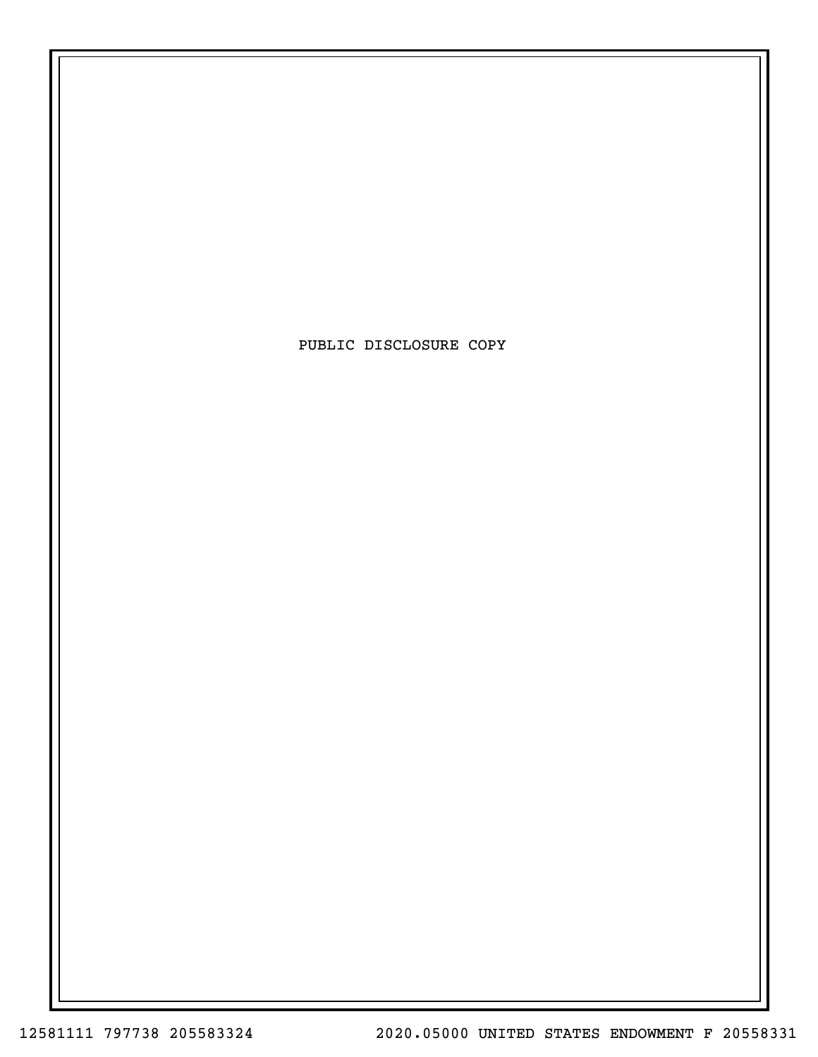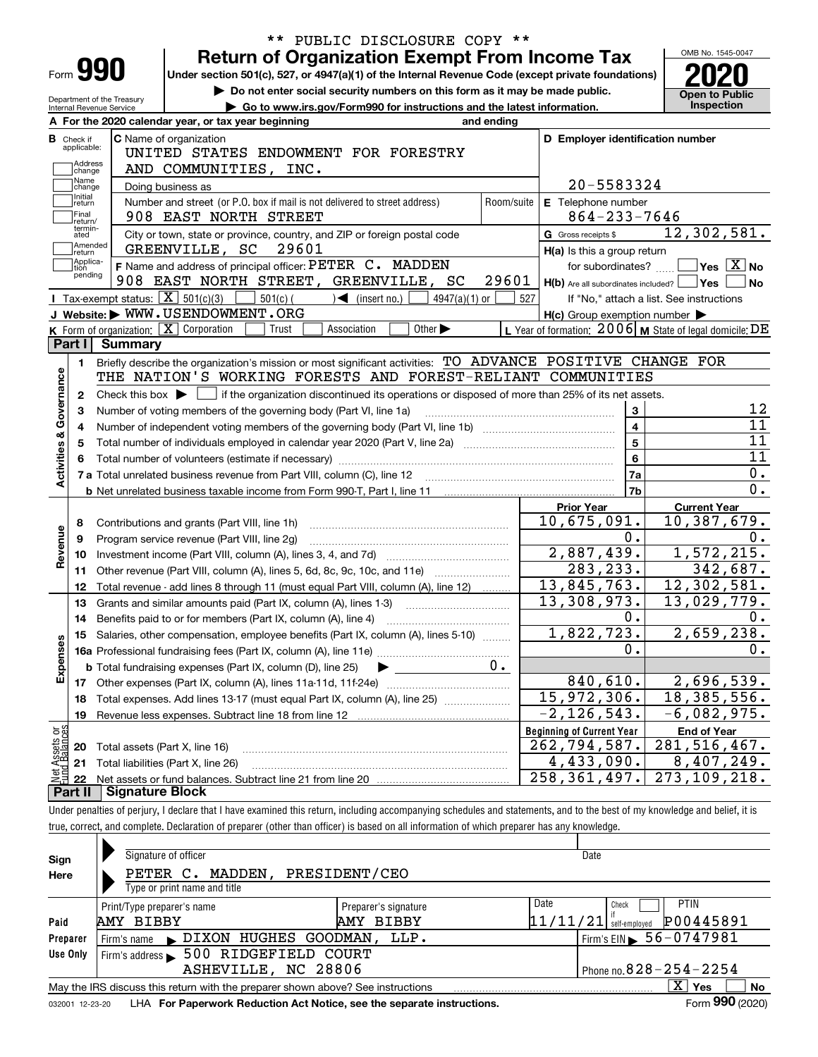|                                      |                                                        | <b>Return of Organization Exempt From Income Tax</b>                                                                                                                       |            |                                                           |    | OMB No. 1545-0047                          |
|--------------------------------------|--------------------------------------------------------|----------------------------------------------------------------------------------------------------------------------------------------------------------------------------|------------|-----------------------------------------------------------|----|--------------------------------------------|
| Form 990                             |                                                        | Under section 501(c), 527, or 4947(a)(1) of the Internal Revenue Code (except private foundations)                                                                         |            |                                                           |    |                                            |
|                                      |                                                        | Do not enter social security numbers on this form as it may be made public.                                                                                                |            |                                                           |    |                                            |
|                                      | Department of the Treasury<br>Internal Revenue Service | Go to www.irs.gov/Form990 for instructions and the latest information.                                                                                                     |            |                                                           |    | <b>Open to Public</b><br><b>Inspection</b> |
|                                      |                                                        | A For the 2020 calendar year, or tax year beginning                                                                                                                        | and ending |                                                           |    |                                            |
| <b>B</b> Check if                    |                                                        | <b>C</b> Name of organization                                                                                                                                              |            | D Employer identification number                          |    |                                            |
| applicable:                          |                                                        | UNITED STATES ENDOWMENT FOR FORESTRY                                                                                                                                       |            |                                                           |    |                                            |
| Address<br>change                    |                                                        | AND COMMUNITIES, INC.                                                                                                                                                      |            |                                                           |    |                                            |
| Name<br>change                       |                                                        | Doing business as                                                                                                                                                          |            | 20-5583324                                                |    |                                            |
| Initial<br>return                    |                                                        | Number and street (or P.O. box if mail is not delivered to street address)                                                                                                 | Room/suite | E Telephone number                                        |    |                                            |
| Final<br>return/                     |                                                        | 908 EAST NORTH STREET                                                                                                                                                      |            | $864 - 233 - 7646$                                        |    |                                            |
| termin-<br>ated                      |                                                        | City or town, state or province, country, and ZIP or foreign postal code                                                                                                   |            | G Gross receipts \$                                       |    | 12,302,581.                                |
| Amended<br>return                    |                                                        | 29601<br>GREENVILLE, SC                                                                                                                                                    |            | H(a) Is this a group return                               |    |                                            |
| Applica-<br>tion                     |                                                        | F Name and address of principal officer: PETER C. MADDEN                                                                                                                   |            | for subordinates?                                         |    | $\sqrt{}$ Yes $\sqrt{}$ X $\sqrt{}$ No     |
| pending                              |                                                        | 908 EAST NORTH STREET, GREENVILLE, SC                                                                                                                                      | 29601      | $H(b)$ Are all subordinates included? $\Box$ Yes          |    | l No                                       |
|                                      |                                                        | Tax-exempt status: $X \overline{X}$ 501(c)(3)<br>$501(c)$ (<br>$\sqrt{\bullet}$ (insert no.)<br>$4947(a)(1)$ or                                                            | 527        | If "No," attach a list. See instructions                  |    |                                            |
|                                      |                                                        | J Website: WWW.USENDOWMENT.ORG                                                                                                                                             |            | $H(c)$ Group exemption number $\blacktriangleright$       |    |                                            |
|                                      |                                                        | K Form of organization: X Corporation<br>Other $\blacktriangleright$<br>Trust<br>Association                                                                               |            | L Year of formation: $2006$ M State of legal domicile: DE |    |                                            |
| Part I                               | <b>Summary</b>                                         |                                                                                                                                                                            |            |                                                           |    |                                            |
| 1.                                   |                                                        | Briefly describe the organization's mission or most significant activities: TO ADVANCE POSITIVE CHANGE FOR                                                                 |            |                                                           |    |                                            |
| Governance                           |                                                        | THE NATION'S WORKING FORESTS AND FOREST-RELIANT COMMUNITIES                                                                                                                |            |                                                           |    |                                            |
| 2                                    |                                                        | Check this box $\blacktriangleright$ $\Box$ if the organization discontinued its operations or disposed of more than 25% of its net assets.                                |            |                                                           |    |                                            |
| з                                    |                                                        | Number of voting members of the governing body (Part VI, line 1a)                                                                                                          |            | 3                                                         |    | 12                                         |
| 4                                    |                                                        |                                                                                                                                                                            |            | $\overline{\mathbf{4}}$                                   |    | 11                                         |
| 5                                    | $\overline{5}$                                         |                                                                                                                                                                            |            |                                                           |    |                                            |
|                                      |                                                        |                                                                                                                                                                            |            | $6\phantom{a}$                                            |    | 11                                         |
|                                      |                                                        |                                                                                                                                                                            | 7a         |                                                           | 0. |                                            |
|                                      |                                                        |                                                                                                                                                                            |            | 7b                                                        |    | 0.                                         |
|                                      |                                                        |                                                                                                                                                                            |            | <b>Prior Year</b>                                         |    | <b>Current Year</b>                        |
| 8                                    |                                                        | Contributions and grants (Part VIII, line 1h)                                                                                                                              |            | 10,675,091.                                               |    | 10,387,679.                                |
| 9                                    |                                                        | Program service revenue (Part VIII, line 2g)                                                                                                                               |            | 0.                                                        |    | 0.                                         |
| 10                                   |                                                        |                                                                                                                                                                            |            | 2,887,439.                                                |    | 1,572,215.                                 |
| 11                                   |                                                        | Other revenue (Part VIII, column (A), lines 5, 6d, 8c, 9c, 10c, and 11e)                                                                                                   |            | 283, 233.                                                 |    | 342,687.                                   |
| 12                                   |                                                        | Total revenue - add lines 8 through 11 (must equal Part VIII, column (A), line 12)                                                                                         |            | 13,845,763.                                               |    | 12, 302, 581.                              |
| 13                                   |                                                        | Grants and similar amounts paid (Part IX, column (A), lines 1-3)                                                                                                           |            | 13,308,973.                                               |    | 13,029,779.                                |
| 14                                   |                                                        | Benefits paid to or for members (Part IX, column (A), line 4)                                                                                                              |            | 0.                                                        |    | 0.                                         |
|                                      |                                                        | 15 Salaries, other compensation, employee benefits (Part IX, column (A), lines 5-10)                                                                                       |            | 1,822,723.                                                |    | 2,659,238.                                 |
|                                      |                                                        |                                                                                                                                                                            |            | $\mathbf 0$ .                                             |    | $\mathbf 0$ .                              |
| Expense                              |                                                        | <b>b</b> Total fundraising expenses (Part IX, column (D), line 25)                                                                                                         | 0.         |                                                           |    |                                            |
| 17                                   |                                                        | Other expenses (Part IX, column (A), lines 11a-11d, 11f-24e)                                                                                                               |            | 840,610.                                                  |    | 2,696,539.                                 |
| 18                                   |                                                        | Total expenses. Add lines 13-17 (must equal Part IX, column (A), line 25)                                                                                                  |            | 15,972,306.                                               |    | 18, 385, 556.                              |
| 19                                   |                                                        |                                                                                                                                                                            |            | $-2, 126, 543.$                                           |    | $-6,082,975.$                              |
|                                      |                                                        |                                                                                                                                                                            |            | <b>Beginning of Current Year</b>                          |    | <b>End of Year</b>                         |
| Net Assets or<br>Fund Balances<br>20 | Total assets (Part X, line 16)                         |                                                                                                                                                                            |            | 262, 794, 587.                                            |    | 281, 516, 467.                             |
| 21                                   |                                                        | Total liabilities (Part X, line 26)                                                                                                                                        |            | $\overline{4}$ , 433, 090.                                |    | 8,407,249.                                 |
| 22                                   |                                                        |                                                                                                                                                                            |            | 258, 361, 497.                                            |    | 273, 109, 218.                             |
| Part II                              | <b>Signature Block</b>                                 |                                                                                                                                                                            |            |                                                           |    |                                            |
|                                      |                                                        | Under penalties of perjury, I declare that I have examined this return, including accompanying schedules and statements, and to the best of my knowledge and belief, it is |            |                                                           |    |                                            |
|                                      |                                                        | true, correct, and complete. Declaration of preparer (other than officer) is based on all information of which preparer has any knowledge.                                 |            |                                                           |    |                                            |
|                                      |                                                        |                                                                                                                                                                            |            |                                                           |    |                                            |

\*\* PUBLIC DISCLOSURE COPY \*\*

 $\mathbf{I}$ 

| Sign<br>Here                                                                                                                                                                                                      | Signature of officer<br>MADDEN,<br>PETER C.<br>Type or print name and title                        | PRESIDENT/CEO                             |                              | Date                                                                                     |  |  |  |  |  |
|-------------------------------------------------------------------------------------------------------------------------------------------------------------------------------------------------------------------|----------------------------------------------------------------------------------------------------|-------------------------------------------|------------------------------|------------------------------------------------------------------------------------------|--|--|--|--|--|
| Paid<br>Preparer                                                                                                                                                                                                  | Print/Type preparer's name<br>AMY BIBBY<br>DIXON HUGHES GOODMAN,                                   | Preparer's signature<br>AMY BIBBY<br>LLP. | Date                         | <b>PTIN</b><br>Check<br>P00445891<br>$11/11/21$ self-employed<br>Firm's EIN > 56-0747981 |  |  |  |  |  |
| Use Only                                                                                                                                                                                                          | Firm's name<br>500 RIDGEFIELD COURT<br>Firm's address $\blacktriangleright$<br>ASHEVILLE, NC 28806 |                                           | Phone no. $828 - 254 - 2254$ |                                                                                          |  |  |  |  |  |
| x<br>Yes<br>No<br>May the IRS discuss this return with the preparer shown above? See instructions<br>Form 990 (2020)<br>LHA For Paperwork Reduction Act Notice, see the separate instructions.<br>032001 12-23-20 |                                                                                                    |                                           |                              |                                                                                          |  |  |  |  |  |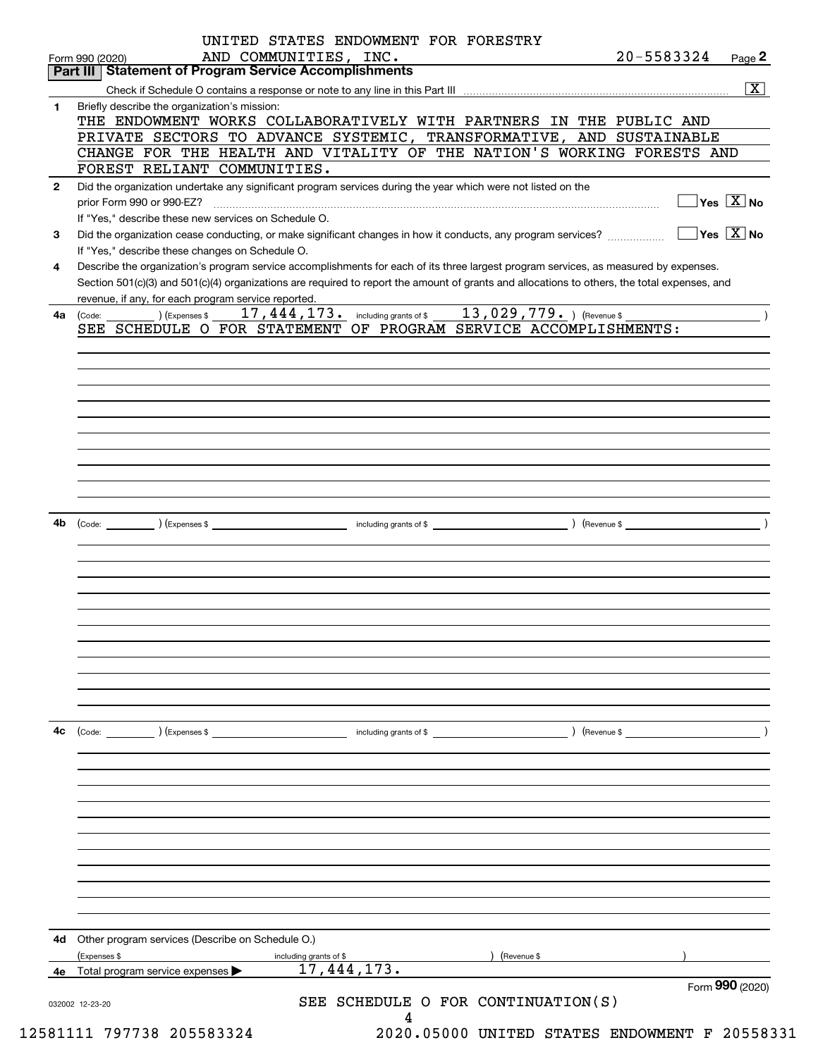|              | Form 990 (2020)<br>Part III   Statement of Program Service Accomplishments        | AND COMMUNITIES, INC.                                                                                        | 20-5583324                                                                                                                                   | Page 2                                |
|--------------|-----------------------------------------------------------------------------------|--------------------------------------------------------------------------------------------------------------|----------------------------------------------------------------------------------------------------------------------------------------------|---------------------------------------|
|              |                                                                                   |                                                                                                              |                                                                                                                                              | $\overline{\mathbf{x}}$               |
| $\mathbf{1}$ | Briefly describe the organization's mission:                                      |                                                                                                              |                                                                                                                                              |                                       |
|              |                                                                                   |                                                                                                              | THE ENDOWMENT WORKS COLLABORATIVELY WITH PARTNERS IN THE PUBLIC AND                                                                          |                                       |
|              |                                                                                   |                                                                                                              | PRIVATE SECTORS TO ADVANCE SYSTEMIC, TRANSFORMATIVE, AND SUSTAINABLE                                                                         |                                       |
|              |                                                                                   |                                                                                                              | CHANGE FOR THE HEALTH AND VITALITY OF THE NATION'S WORKING FORESTS AND                                                                       |                                       |
|              | FOREST RELIANT COMMUNITIES.                                                       |                                                                                                              |                                                                                                                                              |                                       |
| $\mathbf{2}$ |                                                                                   | Did the organization undertake any significant program services during the year which were not listed on the |                                                                                                                                              | $\exists$ Yes $\boxed{\mathrm{X}}$ No |
|              | prior Form 990 or 990-EZ?<br>If "Yes," describe these new services on Schedule O. |                                                                                                              |                                                                                                                                              |                                       |
| 3            |                                                                                   |                                                                                                              |                                                                                                                                              |                                       |
|              | If "Yes," describe these changes on Schedule O.                                   |                                                                                                              |                                                                                                                                              |                                       |
| 4            |                                                                                   |                                                                                                              | Describe the organization's program service accomplishments for each of its three largest program services, as measured by expenses.         |                                       |
|              |                                                                                   |                                                                                                              | Section 501(c)(3) and 501(c)(4) organizations are required to report the amount of grants and allocations to others, the total expenses, and |                                       |
|              | revenue, if any, for each program service reported.                               |                                                                                                              |                                                                                                                                              |                                       |
| 4a           | $\overline{\phantom{a}}$ ) (Expenses \$<br>(Code:                                 | 17, 444, 173. including grants of \$ 13, 029, 779. ) (Revenue \$                                             |                                                                                                                                              |                                       |
|              |                                                                                   | SEE SCHEDULE O FOR STATEMENT OF PROGRAM SERVICE ACCOMPLISHMENTS:                                             |                                                                                                                                              |                                       |
|              |                                                                                   |                                                                                                              |                                                                                                                                              |                                       |
|              |                                                                                   |                                                                                                              |                                                                                                                                              |                                       |
|              |                                                                                   |                                                                                                              |                                                                                                                                              |                                       |
|              |                                                                                   |                                                                                                              |                                                                                                                                              |                                       |
|              |                                                                                   |                                                                                                              |                                                                                                                                              |                                       |
|              |                                                                                   |                                                                                                              |                                                                                                                                              |                                       |
|              |                                                                                   |                                                                                                              |                                                                                                                                              |                                       |
|              |                                                                                   |                                                                                                              |                                                                                                                                              |                                       |
|              |                                                                                   |                                                                                                              |                                                                                                                                              |                                       |
|              |                                                                                   |                                                                                                              |                                                                                                                                              |                                       |
| 4b           |                                                                                   |                                                                                                              |                                                                                                                                              |                                       |
|              |                                                                                   |                                                                                                              |                                                                                                                                              |                                       |
|              |                                                                                   |                                                                                                              |                                                                                                                                              |                                       |
|              |                                                                                   |                                                                                                              |                                                                                                                                              |                                       |
|              |                                                                                   |                                                                                                              |                                                                                                                                              |                                       |
|              |                                                                                   |                                                                                                              |                                                                                                                                              |                                       |
|              |                                                                                   |                                                                                                              |                                                                                                                                              |                                       |
|              |                                                                                   |                                                                                                              |                                                                                                                                              |                                       |
|              |                                                                                   |                                                                                                              |                                                                                                                                              |                                       |
|              |                                                                                   |                                                                                                              |                                                                                                                                              |                                       |
|              |                                                                                   |                                                                                                              |                                                                                                                                              |                                       |
|              |                                                                                   |                                                                                                              |                                                                                                                                              |                                       |
| 4c           | (Expenses \$<br>(Code:                                                            | including grants of \$                                                                                       | ) (Revenue \$                                                                                                                                |                                       |
|              |                                                                                   |                                                                                                              |                                                                                                                                              |                                       |
|              |                                                                                   |                                                                                                              |                                                                                                                                              |                                       |
|              |                                                                                   |                                                                                                              |                                                                                                                                              |                                       |
|              |                                                                                   |                                                                                                              |                                                                                                                                              |                                       |
|              |                                                                                   |                                                                                                              |                                                                                                                                              |                                       |
|              |                                                                                   |                                                                                                              |                                                                                                                                              |                                       |
|              |                                                                                   |                                                                                                              |                                                                                                                                              |                                       |
|              |                                                                                   |                                                                                                              |                                                                                                                                              |                                       |
|              |                                                                                   |                                                                                                              |                                                                                                                                              |                                       |
|              |                                                                                   |                                                                                                              |                                                                                                                                              |                                       |
|              |                                                                                   |                                                                                                              |                                                                                                                                              |                                       |
|              | Other program services (Describe on Schedule O.)                                  |                                                                                                              |                                                                                                                                              |                                       |
|              | (Expenses \$                                                                      | including grants of \$                                                                                       | (Revenue \$                                                                                                                                  |                                       |
| 4d           |                                                                                   |                                                                                                              |                                                                                                                                              |                                       |
|              |                                                                                   |                                                                                                              |                                                                                                                                              |                                       |
| 4е           | Total program service expenses                                                    | 17, 444, 173.                                                                                                |                                                                                                                                              | Form 990 (2020)                       |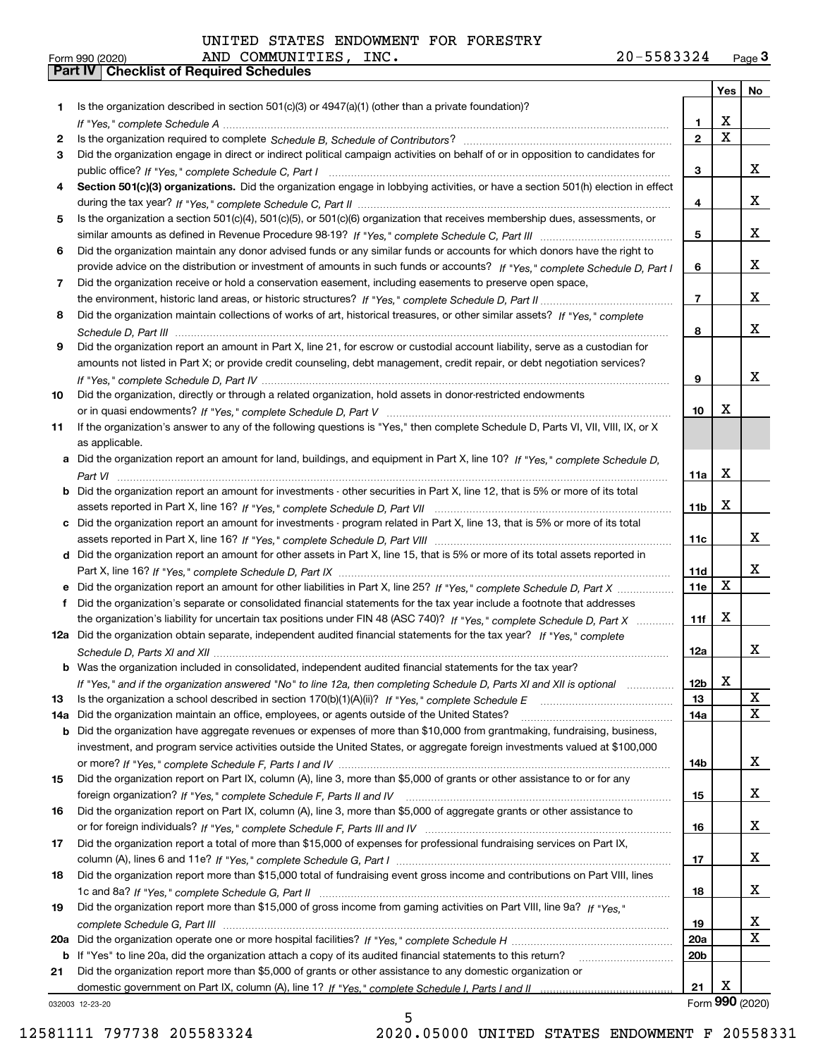|     |                                                                                                                                       |                 | Yes                     | No              |
|-----|---------------------------------------------------------------------------------------------------------------------------------------|-----------------|-------------------------|-----------------|
| 1.  | Is the organization described in section $501(c)(3)$ or $4947(a)(1)$ (other than a private foundation)?                               |                 |                         |                 |
|     |                                                                                                                                       | 1.              | х                       |                 |
| 2   |                                                                                                                                       | $\mathbf{2}$    | $\overline{\mathbf{x}}$ |                 |
| 3   | Did the organization engage in direct or indirect political campaign activities on behalf of or in opposition to candidates for       |                 |                         |                 |
|     |                                                                                                                                       | 3               |                         | X.              |
| 4   | Section 501(c)(3) organizations. Did the organization engage in lobbying activities, or have a section 501(h) election in effect      |                 |                         |                 |
|     |                                                                                                                                       | 4               |                         | X.              |
| 5   | Is the organization a section 501(c)(4), 501(c)(5), or 501(c)(6) organization that receives membership dues, assessments, or          |                 |                         |                 |
|     |                                                                                                                                       | 5               |                         | X.              |
| 6   | Did the organization maintain any donor advised funds or any similar funds or accounts for which donors have the right to             |                 |                         |                 |
|     | provide advice on the distribution or investment of amounts in such funds or accounts? If "Yes," complete Schedule D, Part I          | 6               |                         | X.              |
| 7   | Did the organization receive or hold a conservation easement, including easements to preserve open space,                             |                 |                         |                 |
|     |                                                                                                                                       | $\overline{7}$  |                         | X.              |
| 8   | Did the organization maintain collections of works of art, historical treasures, or other similar assets? If "Yes," complete          |                 |                         | X.              |
|     |                                                                                                                                       | 8               |                         |                 |
| 9   | Did the organization report an amount in Part X, line 21, for escrow or custodial account liability, serve as a custodian for         |                 |                         |                 |
|     | amounts not listed in Part X; or provide credit counseling, debt management, credit repair, or debt negotiation services?             |                 |                         | X.              |
|     |                                                                                                                                       | 9               |                         |                 |
| 10  | Did the organization, directly or through a related organization, hold assets in donor-restricted endowments                          | 10              | х                       |                 |
|     | If the organization's answer to any of the following questions is "Yes," then complete Schedule D, Parts VI, VII, VIII, IX, or X      |                 |                         |                 |
| 11  | as applicable.                                                                                                                        |                 |                         |                 |
|     | a Did the organization report an amount for land, buildings, and equipment in Part X, line 10? If "Yes," complete Schedule D,         |                 |                         |                 |
|     |                                                                                                                                       | 11a             | Х                       |                 |
|     | <b>b</b> Did the organization report an amount for investments - other securities in Part X, line 12, that is 5% or more of its total |                 |                         |                 |
|     |                                                                                                                                       | 11 <sub>b</sub> | Х                       |                 |
|     | c Did the organization report an amount for investments - program related in Part X, line 13, that is 5% or more of its total         |                 |                         |                 |
|     |                                                                                                                                       | 11c             |                         | x               |
|     | d Did the organization report an amount for other assets in Part X, line 15, that is 5% or more of its total assets reported in       |                 |                         |                 |
|     |                                                                                                                                       | 11d             |                         | X.              |
|     |                                                                                                                                       | 11e             | Х                       |                 |
| f   | Did the organization's separate or consolidated financial statements for the tax year include a footnote that addresses               |                 |                         |                 |
|     | the organization's liability for uncertain tax positions under FIN 48 (ASC 740)? If "Yes," complete Schedule D, Part X                | 11f             | x                       |                 |
|     | 12a Did the organization obtain separate, independent audited financial statements for the tax year? If "Yes," complete               |                 |                         |                 |
|     |                                                                                                                                       | 12a             |                         | X.              |
|     | b Was the organization included in consolidated, independent audited financial statements for the tax year?                           |                 |                         |                 |
|     | If "Yes," and if the organization answered "No" to line 12a, then completing Schedule D, Parts XI and XII is optional manum           | 12b             | х                       |                 |
| 13  |                                                                                                                                       | 13              |                         | x               |
| 14a | Did the organization maintain an office, employees, or agents outside of the United States?                                           | 14a             |                         | X               |
|     | <b>b</b> Did the organization have aggregate revenues or expenses of more than \$10,000 from grantmaking, fundraising, business,      |                 |                         |                 |
|     | investment, and program service activities outside the United States, or aggregate foreign investments valued at \$100,000            |                 |                         |                 |
|     |                                                                                                                                       | 14b             |                         | X               |
| 15  | Did the organization report on Part IX, column (A), line 3, more than \$5,000 of grants or other assistance to or for any             |                 |                         |                 |
|     |                                                                                                                                       | 15              |                         | X               |
| 16  | Did the organization report on Part IX, column (A), line 3, more than \$5,000 of aggregate grants or other assistance to              |                 |                         |                 |
|     |                                                                                                                                       | 16              |                         | X               |
| 17  | Did the organization report a total of more than \$15,000 of expenses for professional fundraising services on Part IX,               |                 |                         |                 |
|     |                                                                                                                                       | 17              |                         | X               |
| 18  | Did the organization report more than \$15,000 total of fundraising event gross income and contributions on Part VIII, lines          |                 |                         |                 |
|     |                                                                                                                                       | 18              |                         | X               |
| 19  | Did the organization report more than \$15,000 of gross income from gaming activities on Part VIII, line 9a? If "Yes."                |                 |                         |                 |
|     |                                                                                                                                       | 19              |                         | X               |
|     |                                                                                                                                       | <b>20a</b>      |                         | x               |
|     | b If "Yes" to line 20a, did the organization attach a copy of its audited financial statements to this return?                        | 20 <sub>b</sub> |                         |                 |
| 21  | Did the organization report more than \$5,000 of grants or other assistance to any domestic organization or                           |                 |                         |                 |
|     |                                                                                                                                       | 21              | х                       |                 |
|     | 032003 12-23-20                                                                                                                       |                 |                         | Form 990 (2020) |

032003 12-23-20

12581111 797738 205583324 2020.05000 UNITED STATES ENDOWMENT F 20558331

5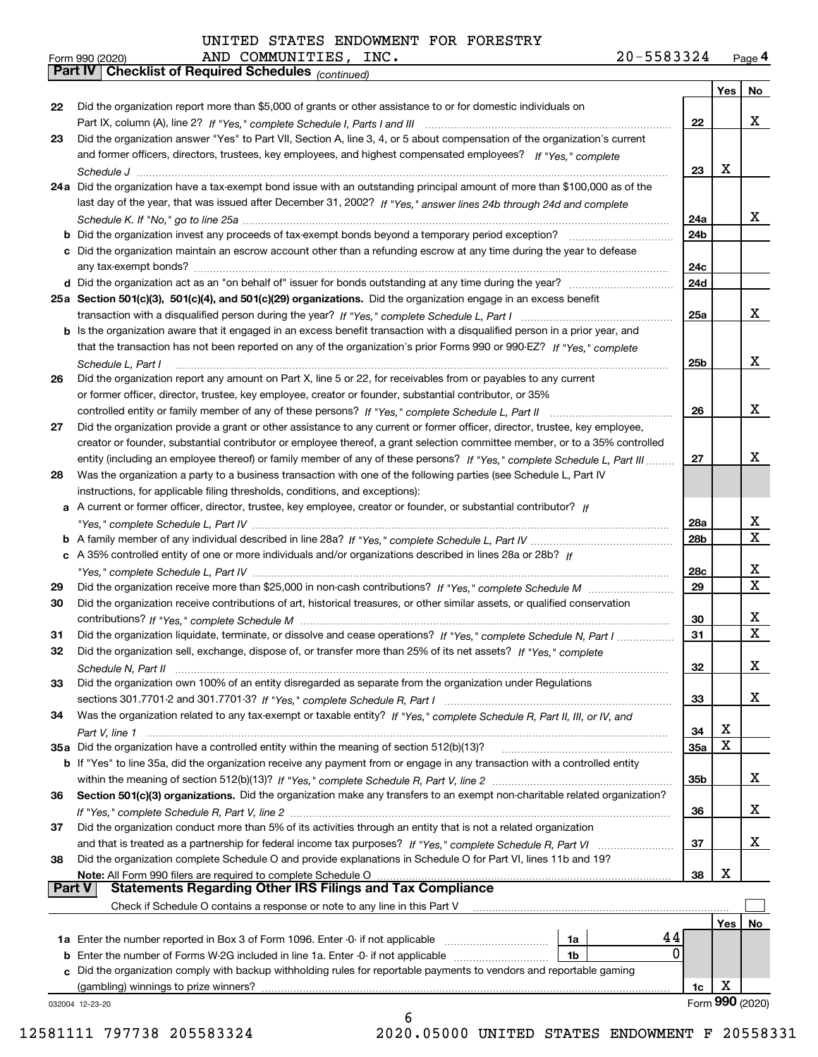|        | AND COMMUNITIES, INC.<br>20-5583324<br>Form 990 (2020)                                                                                |     |                 | Page 4      |
|--------|---------------------------------------------------------------------------------------------------------------------------------------|-----|-----------------|-------------|
|        | <b>Part IV Checklist of Required Schedules</b> (continued)                                                                            |     |                 |             |
|        |                                                                                                                                       |     | Yes             | No          |
| 22     | Did the organization report more than \$5,000 of grants or other assistance to or for domestic individuals on                         |     |                 |             |
|        |                                                                                                                                       | 22  |                 | X           |
| 23     | Did the organization answer "Yes" to Part VII, Section A, line 3, 4, or 5 about compensation of the organization's current            |     |                 |             |
|        | and former officers, directors, trustees, key employees, and highest compensated employees? If "Yes," complete                        |     |                 |             |
|        |                                                                                                                                       | 23  | Х               |             |
|        | 24a Did the organization have a tax-exempt bond issue with an outstanding principal amount of more than \$100,000 as of the           |     |                 |             |
|        | last day of the year, that was issued after December 31, 2002? If "Yes," answer lines 24b through 24d and complete                    |     |                 |             |
|        |                                                                                                                                       | 24a |                 | x           |
|        | <b>b</b> Did the organization invest any proceeds of tax-exempt bonds beyond a temporary period exception?                            | 24b |                 |             |
|        | c Did the organization maintain an escrow account other than a refunding escrow at any time during the year to defease                |     |                 |             |
|        |                                                                                                                                       | 24c |                 |             |
|        |                                                                                                                                       | 24d |                 |             |
|        | 25a Section 501(c)(3), 501(c)(4), and 501(c)(29) organizations. Did the organization engage in an excess benefit                      |     |                 | x           |
|        |                                                                                                                                       | 25a |                 |             |
|        | b Is the organization aware that it engaged in an excess benefit transaction with a disqualified person in a prior year, and          |     |                 |             |
|        | that the transaction has not been reported on any of the organization's prior Forms 990 or 990-EZ? If "Yes," complete                 |     |                 | X           |
|        | Schedule L. Part I<br>Did the organization report any amount on Part X, line 5 or 22, for receivables from or payables to any current | 25b |                 |             |
| 26     |                                                                                                                                       |     |                 |             |
|        | or former officer, director, trustee, key employee, creator or founder, substantial contributor, or 35%                               | 26  |                 | X           |
|        | Did the organization provide a grant or other assistance to any current or former officer, director, trustee, key employee,           |     |                 |             |
| 27     | creator or founder, substantial contributor or employee thereof, a grant selection committee member, or to a 35% controlled           |     |                 |             |
|        | entity (including an employee thereof) or family member of any of these persons? If "Yes," complete Schedule L, Part III              | 27  |                 | X           |
| 28     | Was the organization a party to a business transaction with one of the following parties (see Schedule L, Part IV                     |     |                 |             |
|        | instructions, for applicable filing thresholds, conditions, and exceptions):                                                          |     |                 |             |
|        | a A current or former officer, director, trustee, key employee, creator or founder, or substantial contributor? If                    |     |                 |             |
|        |                                                                                                                                       | 28a |                 | х           |
|        |                                                                                                                                       | 28b |                 | X           |
|        | c A 35% controlled entity of one or more individuals and/or organizations described in lines 28a or 28b? If                           |     |                 |             |
|        |                                                                                                                                       | 28c |                 | х           |
| 29     |                                                                                                                                       | 29  |                 | $\mathbf X$ |
| 30     | Did the organization receive contributions of art, historical treasures, or other similar assets, or qualified conservation           |     |                 |             |
|        |                                                                                                                                       | 30  |                 | x           |
| 31     | Did the organization liquidate, terminate, or dissolve and cease operations? If "Yes," complete Schedule N, Part I                    | 31  |                 | $\mathbf X$ |
|        | Did the organization sell, exchange, dispose of, or transfer more than 25% of its net assets? If "Yes," complete                      |     |                 |             |
|        |                                                                                                                                       | 32  |                 | х           |
| 33     | Did the organization own 100% of an entity disregarded as separate from the organization under Regulations                            |     |                 |             |
|        |                                                                                                                                       | 33  |                 | х           |
| 34     | Was the organization related to any tax-exempt or taxable entity? If "Yes," complete Schedule R, Part II, III, or IV, and             |     |                 |             |
|        |                                                                                                                                       | 34  | х               |             |
|        |                                                                                                                                       | 35a | X               |             |
|        | b If "Yes" to line 35a, did the organization receive any payment from or engage in any transaction with a controlled entity           |     |                 |             |
|        |                                                                                                                                       | 35b |                 | х           |
| 36     | Section 501(c)(3) organizations. Did the organization make any transfers to an exempt non-charitable related organization?            |     |                 |             |
|        |                                                                                                                                       | 36  |                 | х           |
| 37     | Did the organization conduct more than 5% of its activities through an entity that is not a related organization                      |     |                 |             |
|        |                                                                                                                                       | 37  |                 | х           |
| 38     | Did the organization complete Schedule O and provide explanations in Schedule O for Part VI, lines 11b and 19?                        |     |                 |             |
|        | Note: All Form 990 filers are required to complete Schedule O                                                                         | 38  | х               |             |
| Part V | <b>Statements Regarding Other IRS Filings and Tax Compliance</b>                                                                      |     |                 |             |
|        | Check if Schedule O contains a response or note to any line in this Part V                                                            |     |                 |             |
|        |                                                                                                                                       |     | Yes             | No          |
|        | 1a                                                                                                                                    | 44  |                 |             |
|        | <b>b</b> Enter the number of Forms W-2G included in line 1a. Enter -0- if not applicable<br>1b                                        | 0   |                 |             |
|        | c Did the organization comply with backup withholding rules for reportable payments to vendors and reportable gaming                  |     |                 |             |
|        |                                                                                                                                       | 1c  | х               |             |
|        | 032004 12-23-20                                                                                                                       |     | Form 990 (2020) |             |

6

12581111 797738 205583324 2020.05000 UNITED STATES ENDOWMENT F 20558331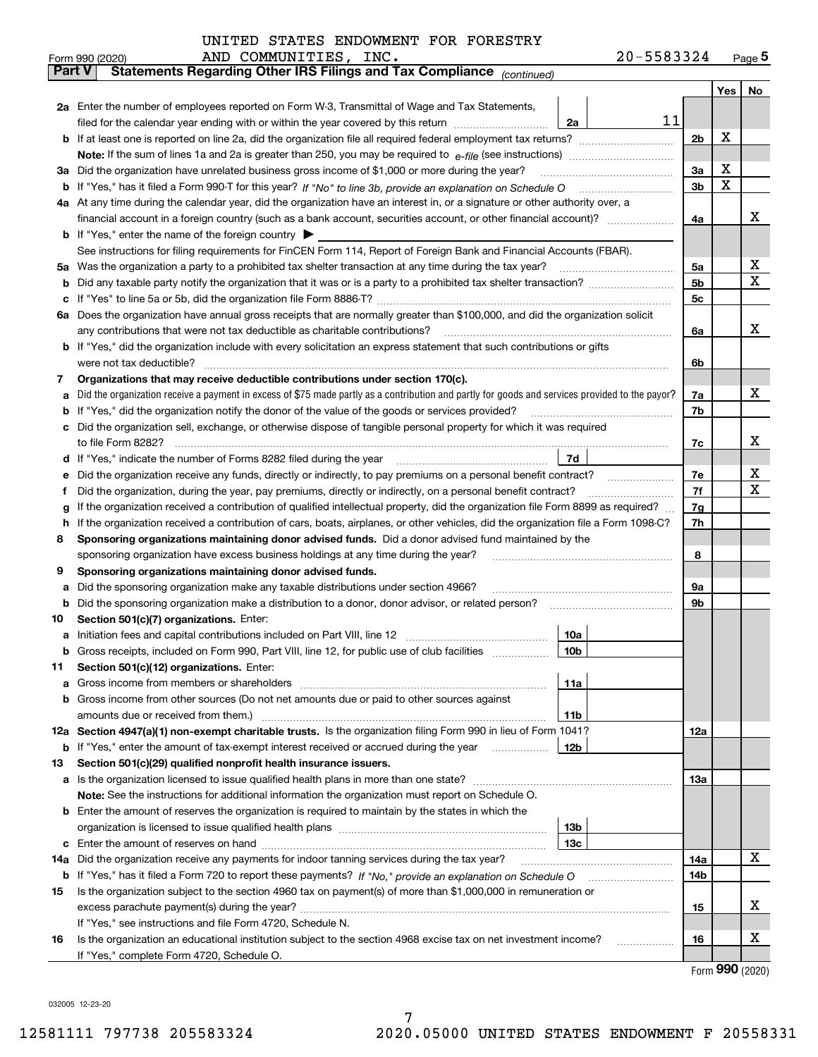| UNITED STATES ENDOWMENT FOR FORESTRY |  |  |
|--------------------------------------|--|--|
|--------------------------------------|--|--|

|               | AND COMMUNITIES, INC.<br>20-5583324<br>Form 990 (2020)                                                                                                                                                                                           |          |       | $Page$ <sup>5</sup> |  |  |  |  |  |
|---------------|--------------------------------------------------------------------------------------------------------------------------------------------------------------------------------------------------------------------------------------------------|----------|-------|---------------------|--|--|--|--|--|
| <b>Part V</b> | Statements Regarding Other IRS Filings and Tax Compliance (continued)                                                                                                                                                                            |          |       |                     |  |  |  |  |  |
|               |                                                                                                                                                                                                                                                  |          | Yes l | No                  |  |  |  |  |  |
|               | 2a Enter the number of employees reported on Form W-3, Transmittal of Wage and Tax Statements,                                                                                                                                                   |          |       |                     |  |  |  |  |  |
|               | 11<br>filed for the calendar year ending with or within the year covered by this return <i>manumumumum</i><br>2a                                                                                                                                 |          |       |                     |  |  |  |  |  |
| b             |                                                                                                                                                                                                                                                  | 2b       | х     |                     |  |  |  |  |  |
|               |                                                                                                                                                                                                                                                  |          |       |                     |  |  |  |  |  |
| За            | Did the organization have unrelated business gross income of \$1,000 or more during the year?                                                                                                                                                    | 3a       | Х     |                     |  |  |  |  |  |
| b             |                                                                                                                                                                                                                                                  | 3b       | X     |                     |  |  |  |  |  |
|               | 4a At any time during the calendar year, did the organization have an interest in, or a signature or other authority over, a                                                                                                                     |          |       | х                   |  |  |  |  |  |
|               |                                                                                                                                                                                                                                                  |          |       |                     |  |  |  |  |  |
|               | <b>b</b> If "Yes," enter the name of the foreign country $\blacktriangleright$                                                                                                                                                                   |          |       |                     |  |  |  |  |  |
|               | See instructions for filing requirements for FinCEN Form 114, Report of Foreign Bank and Financial Accounts (FBAR).                                                                                                                              |          |       | х                   |  |  |  |  |  |
| 5a            | Was the organization a party to a prohibited tax shelter transaction at any time during the tax year?                                                                                                                                            |          |       |                     |  |  |  |  |  |
| b             |                                                                                                                                                                                                                                                  |          |       |                     |  |  |  |  |  |
| с             |                                                                                                                                                                                                                                                  | 5c       |       |                     |  |  |  |  |  |
|               | 6a Does the organization have annual gross receipts that are normally greater than \$100,000, and did the organization solicit                                                                                                                   |          |       |                     |  |  |  |  |  |
|               | any contributions that were not tax deductible as charitable contributions?                                                                                                                                                                      | 6a       |       | x                   |  |  |  |  |  |
|               | If "Yes," did the organization include with every solicitation an express statement that such contributions or gifts                                                                                                                             |          |       |                     |  |  |  |  |  |
|               | were not tax deductible?                                                                                                                                                                                                                         | 6b       |       |                     |  |  |  |  |  |
| 7             | Organizations that may receive deductible contributions under section 170(c).                                                                                                                                                                    |          |       |                     |  |  |  |  |  |
| а             | Did the organization receive a payment in excess of \$75 made partly as a contribution and partly for goods and services provided to the payor?                                                                                                  | 7a       |       | х                   |  |  |  |  |  |
| b             | If "Yes," did the organization notify the donor of the value of the goods or services provided?                                                                                                                                                  | 7b       |       |                     |  |  |  |  |  |
| c             | Did the organization sell, exchange, or otherwise dispose of tangible personal property for which it was required                                                                                                                                |          |       | х                   |  |  |  |  |  |
|               |                                                                                                                                                                                                                                                  | 7c       |       |                     |  |  |  |  |  |
| d             | 7d                                                                                                                                                                                                                                               |          |       | х                   |  |  |  |  |  |
| е             |                                                                                                                                                                                                                                                  | 7e<br>7f |       | х                   |  |  |  |  |  |
| f             | Did the organization, during the year, pay premiums, directly or indirectly, on a personal benefit contract?<br>If the organization received a contribution of qualified intellectual property, did the organization file Form 8899 as required? | 7g       |       |                     |  |  |  |  |  |
| g<br>h        | If the organization received a contribution of cars, boats, airplanes, or other vehicles, did the organization file a Form 1098-C?                                                                                                               | 7h       |       |                     |  |  |  |  |  |
| 8             | Sponsoring organizations maintaining donor advised funds. Did a donor advised fund maintained by the                                                                                                                                             |          |       |                     |  |  |  |  |  |
|               | sponsoring organization have excess business holdings at any time during the year?                                                                                                                                                               | 8        |       |                     |  |  |  |  |  |
| 9             | Sponsoring organizations maintaining donor advised funds.                                                                                                                                                                                        |          |       |                     |  |  |  |  |  |
| а             | Did the sponsoring organization make any taxable distributions under section 4966?                                                                                                                                                               | 9а       |       |                     |  |  |  |  |  |
| b             | Did the sponsoring organization make a distribution to a donor, donor advisor, or related person?                                                                                                                                                | 9b       |       |                     |  |  |  |  |  |
| 10            | Section 501(c)(7) organizations. Enter:                                                                                                                                                                                                          |          |       |                     |  |  |  |  |  |
| а             | 10a<br>Initiation fees and capital contributions included on Part VIII, line 12 [111] [11] [12] [11] [12] [11] [12] [                                                                                                                            |          |       |                     |  |  |  |  |  |
|               |                                                                                                                                                                                                                                                  |          |       |                     |  |  |  |  |  |
| 11            | Section 501(c)(12) organizations. Enter:                                                                                                                                                                                                         |          |       |                     |  |  |  |  |  |
| a             | Gross income from members or shareholders<br>11a                                                                                                                                                                                                 |          |       |                     |  |  |  |  |  |
| b             | Gross income from other sources (Do not net amounts due or paid to other sources against                                                                                                                                                         |          |       |                     |  |  |  |  |  |
|               | amounts due or received from them.)<br>11b                                                                                                                                                                                                       |          |       |                     |  |  |  |  |  |
|               | 12a Section 4947(a)(1) non-exempt charitable trusts. Is the organization filing Form 990 in lieu of Form 1041?                                                                                                                                   | 12a      |       |                     |  |  |  |  |  |
|               | 12 <sub>b</sub><br><b>b</b> If "Yes," enter the amount of tax-exempt interest received or accrued during the year <i>manument</i>                                                                                                                |          |       |                     |  |  |  |  |  |
| 13            | Section 501(c)(29) qualified nonprofit health insurance issuers.                                                                                                                                                                                 |          |       |                     |  |  |  |  |  |
| a             | Is the organization licensed to issue qualified health plans in more than one state?                                                                                                                                                             | 13a      |       |                     |  |  |  |  |  |
|               | Note: See the instructions for additional information the organization must report on Schedule O.                                                                                                                                                |          |       |                     |  |  |  |  |  |
| b             | Enter the amount of reserves the organization is required to maintain by the states in which the                                                                                                                                                 |          |       |                     |  |  |  |  |  |
|               | 13 <sub>b</sub>                                                                                                                                                                                                                                  |          |       |                     |  |  |  |  |  |
| c             | 13 <sub>c</sub>                                                                                                                                                                                                                                  |          |       |                     |  |  |  |  |  |
| 14a           | Did the organization receive any payments for indoor tanning services during the tax year?                                                                                                                                                       | 14a      |       | х                   |  |  |  |  |  |
|               | <b>b</b> If "Yes," has it filed a Form 720 to report these payments? If "No," provide an explanation on Schedule O                                                                                                                               | 14b      |       |                     |  |  |  |  |  |
| 15            | Is the organization subject to the section 4960 tax on payment(s) of more than \$1,000,000 in remuneration or                                                                                                                                    |          |       |                     |  |  |  |  |  |
|               |                                                                                                                                                                                                                                                  | 15       |       | X                   |  |  |  |  |  |
|               | If "Yes," see instructions and file Form 4720, Schedule N.                                                                                                                                                                                       |          |       |                     |  |  |  |  |  |
| 16            | Is the organization an educational institution subject to the section 4968 excise tax on net investment income?                                                                                                                                  | 16       |       | X                   |  |  |  |  |  |
|               | If "Yes," complete Form 4720, Schedule O.                                                                                                                                                                                                        |          |       |                     |  |  |  |  |  |

7

Form (2020) **990**

032005 12-23-20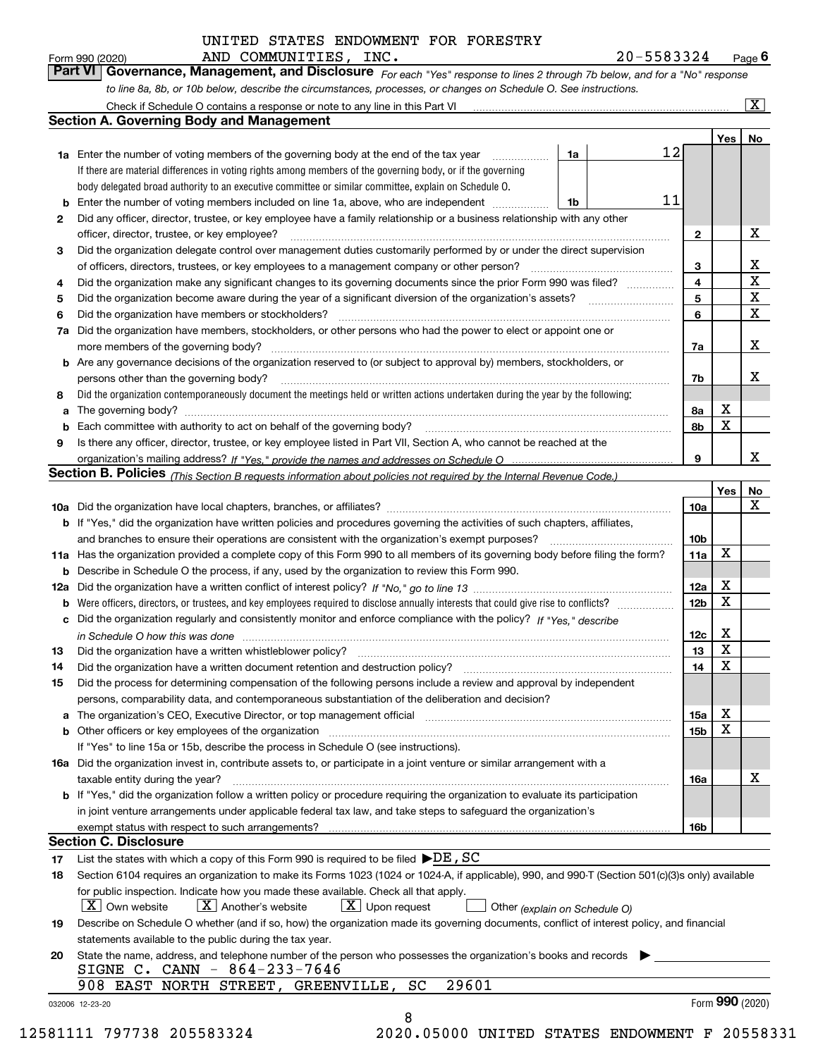|    | 20-5583324<br>AND COMMUNITIES, INC.<br>Form 990 (2020)                                                                                                                      |                 |                         | Page $6$             |
|----|-----------------------------------------------------------------------------------------------------------------------------------------------------------------------------|-----------------|-------------------------|----------------------|
|    | Part VI<br>Governance, Management, and Disclosure For each "Yes" response to lines 2 through 7b below, and for a "No" response                                              |                 |                         |                      |
|    | to line 8a, 8b, or 10b below, describe the circumstances, processes, or changes on Schedule O. See instructions.                                                            |                 |                         |                      |
|    | Check if Schedule O contains a response or note to any line in this Part VI [11] [12] Check if Schedule O contains a response or note to any line in this Part VI           |                 |                         | $\boxed{\textbf{X}}$ |
|    | Section A. Governing Body and Management                                                                                                                                    |                 |                         |                      |
|    |                                                                                                                                                                             |                 | Yes <sub>1</sub>        | No                   |
|    | 12<br><b>1a</b> Enter the number of voting members of the governing body at the end of the tax year<br>1a                                                                   |                 |                         |                      |
|    | If there are material differences in voting rights among members of the governing body, or if the governing                                                                 |                 |                         |                      |
|    | body delegated broad authority to an executive committee or similar committee, explain on Schedule O.                                                                       |                 |                         |                      |
|    | 11<br>Enter the number of voting members included on line 1a, above, who are independent<br>1b                                                                              |                 |                         |                      |
| 2  | Did any officer, director, trustee, or key employee have a family relationship or a business relationship with any other                                                    |                 |                         |                      |
|    | officer, director, trustee, or key employee?<br>.                                                                                                                           | 2               |                         | х                    |
| 3  | Did the organization delegate control over management duties customarily performed by or under the direct supervision                                                       |                 |                         |                      |
|    | of officers, directors, trustees, or key employees to a management company or other person?                                                                                 | 3               |                         | х                    |
| 4  | Did the organization make any significant changes to its governing documents since the prior Form 990 was filed?                                                            | 4               |                         | $\mathbf X$          |
| 5  |                                                                                                                                                                             | 5               |                         | X                    |
| 6  | Did the organization have members or stockholders?                                                                                                                          | 6               |                         | X                    |
| 7a | Did the organization have members, stockholders, or other persons who had the power to elect or appoint one or                                                              |                 |                         |                      |
|    | more members of the governing body?<br>Are any governance decisions of the organization reserved to (or subject to approval by) members, stockholders, or                   | 7a              |                         | х                    |
| b  |                                                                                                                                                                             |                 |                         | x                    |
| 8  | persons other than the governing body?<br>Did the organization contemporaneously document the meetings held or written actions undertaken during the year by the following: | 7b              |                         |                      |
| a  |                                                                                                                                                                             | 8a              | х                       |                      |
| b  | Each committee with authority to act on behalf of the governing body?                                                                                                       | 8b              | X                       |                      |
| 9  | Is there any officer, director, trustee, or key employee listed in Part VII, Section A, who cannot be reached at the                                                        |                 |                         |                      |
|    |                                                                                                                                                                             | 9               |                         | х                    |
|    | <b>Section B. Policies</b> (This Section B requests information about policies not required by the Internal Revenue Code.)                                                  |                 |                         |                      |
|    |                                                                                                                                                                             |                 | Yes                     | No                   |
|    |                                                                                                                                                                             | 10a             |                         | X                    |
|    | b If "Yes," did the organization have written policies and procedures governing the activities of such chapters, affiliates,                                                |                 |                         |                      |
|    | and branches to ensure their operations are consistent with the organization's exempt purposes?                                                                             | 10 <sub>b</sub> |                         |                      |
|    | 11a Has the organization provided a complete copy of this Form 990 to all members of its governing body before filing the form?                                             | 11a             | X                       |                      |
|    | <b>b</b> Describe in Schedule O the process, if any, used by the organization to review this Form 990.                                                                      |                 |                         |                      |
|    |                                                                                                                                                                             | 12a             | х                       |                      |
| b  |                                                                                                                                                                             | 12 <sub>b</sub> | X                       |                      |
|    | Did the organization regularly and consistently monitor and enforce compliance with the policy? If "Yes." describe                                                          |                 |                         |                      |
|    | in Schedule O how this was done manufactured and continuum control of the state of the state of the state of t                                                              | 12c             | х                       |                      |
| 13 |                                                                                                                                                                             | 13              | $\overline{\textbf{X}}$ |                      |
| 14 | Did the organization have a written document retention and destruction policy?                                                                                              | 14              | X                       |                      |
| 15 | Did the process for determining compensation of the following persons include a review and approval by independent                                                          |                 |                         |                      |
|    | persons, comparability data, and contemporaneous substantiation of the deliberation and decision?                                                                           |                 |                         |                      |
| a  | The organization's CEO, Executive Director, or top management official manufactured content of the organization's CEO, Executive Director, or top management official       | 15a             | х                       |                      |
| b  | Other officers or key employees of the organization                                                                                                                         | 15b             | х                       |                      |
|    | If "Yes" to line 15a or 15b, describe the process in Schedule O (see instructions).                                                                                         |                 |                         |                      |
|    | 16a Did the organization invest in, contribute assets to, or participate in a joint venture or similar arrangement with a<br>taxable entity during the year?                | 16a             |                         | x                    |
|    | b If "Yes," did the organization follow a written policy or procedure requiring the organization to evaluate its participation                                              |                 |                         |                      |
|    | in joint venture arrangements under applicable federal tax law, and take steps to safeguard the organization's                                                              |                 |                         |                      |
|    | exempt status with respect to such arrangements?                                                                                                                            | 16b             |                         |                      |
|    | Section C. Disclosure                                                                                                                                                       |                 |                         |                      |
| 17 | List the states with which a copy of this Form 990 is required to be filed $\blacktriangleright$ DE, SC                                                                     |                 |                         |                      |
| 18 | Section 6104 requires an organization to make its Forms 1023 (1024 or 1024-A, if applicable), 990, and 990-T (Section 501(c)(3)s only) available                            |                 |                         |                      |
|    | for public inspection. Indicate how you made these available. Check all that apply.                                                                                         |                 |                         |                      |
|    | $X$ Own website<br>$X$ Another's website<br>$X$ Upon request<br>Other (explain on Schedule O)                                                                               |                 |                         |                      |
| 19 | Describe on Schedule O whether (and if so, how) the organization made its governing documents, conflict of interest policy, and financial                                   |                 |                         |                      |

| 9 Describe on Schedule O whether (and if so, how) the organization made its governing documents, conflict of interest policy, and financia |
|--------------------------------------------------------------------------------------------------------------------------------------------|
| statements available to the public during the tax year.                                                                                    |
|                                                                                                                                            |

8

|  |  |                                |                                             | 20 State the name, address, and telephone number of the person who possesses the organization's books and records |  |
|--|--|--------------------------------|---------------------------------------------|-------------------------------------------------------------------------------------------------------------------|--|
|  |  | SIGNE C. CANN $-$ 864-233-7646 |                                             |                                                                                                                   |  |
|  |  |                                | 908 EAST NORTH STREET, GREENVILLE, SC 29601 |                                                                                                                   |  |

032006 12-23-20

12581111 797738 205583324 2020.05000 UNITED STATES ENDOWMENT F 20558331

Form (2020) **990**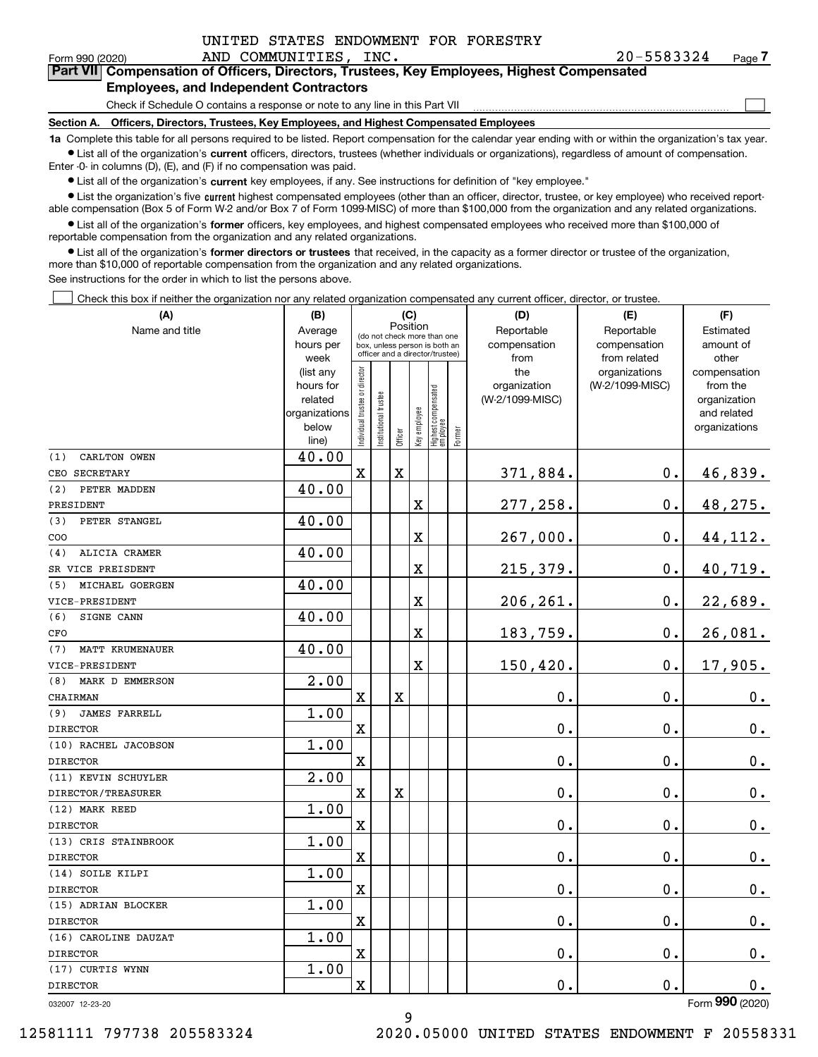$\mathcal{L}^{\text{max}}$ 

| Form 990 (2020) |  | AND COMMUNITIES, INC.                  |  | $20 - 5583324$                                                                             | Page 7 |
|-----------------|--|----------------------------------------|--|--------------------------------------------------------------------------------------------|--------|
|                 |  |                                        |  | Part VII Compensation of Officers, Directors, Trustees, Key Employees, Highest Compensated |        |
|                 |  | Employees, and Indonesdent Contractors |  |                                                                                            |        |

#### **es, and Independent Contractors**

Check if Schedule O contains a response or note to any line in this Part VII

**Section A. Officers, Directors, Trustees, Key Employees, and Highest Compensated Employees**

**1a**  Complete this table for all persons required to be listed. Report compensation for the calendar year ending with or within the organization's tax year. **•** List all of the organization's current officers, directors, trustees (whether individuals or organizations), regardless of amount of compensation.

 $\bullet$  List all of the organization's  $\,$ current key employees, if any. See instructions for definition of "key employee." Enter -0- in columns (D), (E), and (F) if no compensation was paid.

**•** List the organization's five current highest compensated employees (other than an officer, director, trustee, or key employee) who received reportable compensation (Box 5 of Form W-2 and/or Box 7 of Form 1099-MISC) of more than \$100,000 from the organization and any related organizations.

**•** List all of the organization's former officers, key employees, and highest compensated employees who received more than \$100,000 of reportable compensation from the organization and any related organizations.

**former directors or trustees**  ¥ List all of the organization's that received, in the capacity as a former director or trustee of the organization, more than \$10,000 of reportable compensation from the organization and any related organizations.

See instructions for the order in which to list the persons above.

Check this box if neither the organization nor any related organization compensated any current officer, director, or trustee.  $\mathcal{L}^{\text{max}}$ 

| (A)                           | (B)                    | (C)                                     |                                                                  |             |                         |                                  |        | (D)                 | (E)                              | (F)                      |
|-------------------------------|------------------------|-----------------------------------------|------------------------------------------------------------------|-------------|-------------------------|----------------------------------|--------|---------------------|----------------------------------|--------------------------|
| Name and title                | Average                | Position<br>(do not check more than one |                                                                  |             |                         |                                  |        | Reportable          | Reportable                       | Estimated                |
|                               | hours per              |                                         | box, unless person is both an<br>officer and a director/trustee) |             |                         |                                  |        | compensation        | compensation                     | amount of                |
|                               | week                   |                                         |                                                                  |             |                         |                                  |        | from                | from related                     | other                    |
|                               | (list any<br>hours for |                                         |                                                                  |             |                         |                                  |        | the<br>organization | organizations<br>(W-2/1099-MISC) | compensation<br>from the |
|                               | related                |                                         |                                                                  |             |                         |                                  |        | (W-2/1099-MISC)     |                                  | organization             |
|                               | organizations          |                                         |                                                                  |             |                         |                                  |        |                     |                                  | and related              |
|                               | below                  | ndividual trustee or director           | nstitutional trustee                                             |             | Key employee            |                                  |        |                     |                                  | organizations            |
|                               | line)                  |                                         |                                                                  | Officer     |                         | Highest compensated<br> employee | Former |                     |                                  |                          |
| (1)<br>CARLTON OWEN           | 40.00                  |                                         |                                                                  |             |                         |                                  |        |                     |                                  |                          |
| CEO SECRETARY                 |                        | $\mathbf x$                             |                                                                  | $\mathbf X$ |                         |                                  |        | 371,884.            | $\mathbf 0$ .                    | 46,839.                  |
| (2)<br>PETER MADDEN           | 40.00                  |                                         |                                                                  |             |                         |                                  |        |                     |                                  |                          |
| PRESIDENT                     |                        |                                         |                                                                  |             | X                       |                                  |        | 277,258.            | $\mathbf 0$ .                    | 48,275.                  |
| PETER STANGEL<br>(3)          | 40.00                  |                                         |                                                                  |             |                         |                                  |        |                     |                                  |                          |
| COO                           |                        |                                         |                                                                  |             | X                       |                                  |        | 267,000.            | $\mathbf{0}$ .                   | 44, 112.                 |
| ALICIA CRAMER<br>(4)          | 40.00                  |                                         |                                                                  |             |                         |                                  |        |                     |                                  |                          |
| SR VICE PREISDENT             |                        |                                         |                                                                  |             | X                       |                                  |        | 215,379.            | 0.                               | 40,719.                  |
| MICHAEL GOERGEN<br>(5)        | 40.00                  |                                         |                                                                  |             |                         |                                  |        |                     |                                  |                          |
| VICE-PRESIDENT                |                        |                                         |                                                                  |             | X                       |                                  |        | 206,261.            | $\mathbf 0$ .                    | 22,689.                  |
| (6)<br>SIGNE CANN             | 40.00                  |                                         |                                                                  |             |                         |                                  |        |                     |                                  |                          |
| CFO                           |                        |                                         |                                                                  |             | $\overline{\text{X}}$   |                                  |        | 183,759.            | $\mathbf 0$ .                    | 26,081.                  |
| <b>MATT KRUMENAUER</b><br>(7) | 40.00                  |                                         |                                                                  |             |                         |                                  |        |                     |                                  |                          |
| VICE-PRESIDENT                |                        |                                         |                                                                  |             | $\overline{\mathbf{X}}$ |                                  |        | 150,420.            | 0.                               | 17,905.                  |
| MARK D EMMERSON<br>(8)        | $\overline{2.00}$      |                                         |                                                                  |             |                         |                                  |        |                     |                                  |                          |
| CHAIRMAN                      |                        | $\mathbf X$                             |                                                                  | $\mathbf X$ |                         |                                  |        | $\mathbf 0$ .       | $\mathbf 0$ .                    | $\mathbf 0$ .            |
| <b>JAMES FARRELL</b><br>(9)   | 1.00                   |                                         |                                                                  |             |                         |                                  |        |                     |                                  |                          |
| <b>DIRECTOR</b>               |                        | X                                       |                                                                  |             |                         |                                  |        | $\mathbf 0$ .       | 0.                               | $0_{.}$                  |
| (10) RACHEL JACOBSON          | 1.00                   |                                         |                                                                  |             |                         |                                  |        |                     |                                  |                          |
| <b>DIRECTOR</b>               |                        | $\overline{\text{X}}$                   |                                                                  |             |                         |                                  |        | $\mathbf 0$ .       | $\mathbf 0$ .                    | $0_{.}$                  |
| (11) KEVIN SCHUYLER           | 2.00                   |                                         |                                                                  |             |                         |                                  |        |                     |                                  |                          |
| DIRECTOR/TREASURER            |                        | X                                       |                                                                  | X           |                         |                                  |        | 0.                  | $\mathbf 0$ .                    | $0_{.}$                  |
| (12) MARK REED                | 1.00                   |                                         |                                                                  |             |                         |                                  |        |                     |                                  |                          |
| <b>DIRECTOR</b>               |                        | $\mathbf X$                             |                                                                  |             |                         |                                  |        | 0.                  | $\mathbf 0$ .                    | $\mathbf 0$ .            |
| (13) CRIS STAINBROOK          | 1.00                   |                                         |                                                                  |             |                         |                                  |        |                     |                                  |                          |
| <b>DIRECTOR</b>               |                        | $\overline{\mathbf{X}}$                 |                                                                  |             |                         |                                  |        | 0.                  | $\mathbf 0$ .                    | 0.                       |
| (14) SOILE KILPI              | 1.00                   |                                         |                                                                  |             |                         |                                  |        |                     |                                  |                          |
| <b>DIRECTOR</b>               |                        | $\rm X$                                 |                                                                  |             |                         |                                  |        | 0.                  | $\mathbf 0$ .                    | $0_{.}$                  |
| (15) ADRIAN BLOCKER           | 1.00                   |                                         |                                                                  |             |                         |                                  |        |                     |                                  |                          |
| <b>DIRECTOR</b>               |                        | X                                       |                                                                  |             |                         |                                  |        | 0.                  | $\mathbf 0$ .                    | 0.                       |
| (16) CAROLINE DAUZAT          | 1.00                   |                                         |                                                                  |             |                         |                                  |        |                     |                                  |                          |
| <b>DIRECTOR</b>               |                        | $\rm X$                                 |                                                                  |             |                         |                                  |        | 0.                  | $\mathbf 0$ .                    | 0.                       |
| (17) CURTIS WYNN              | 1.00                   |                                         |                                                                  |             |                         |                                  |        |                     |                                  |                          |
| <b>DIRECTOR</b>               |                        | $\rm X$                                 |                                                                  |             |                         |                                  |        | 0.                  | $\mathbf 0$ .                    | 0.                       |

9

032007 12-23-20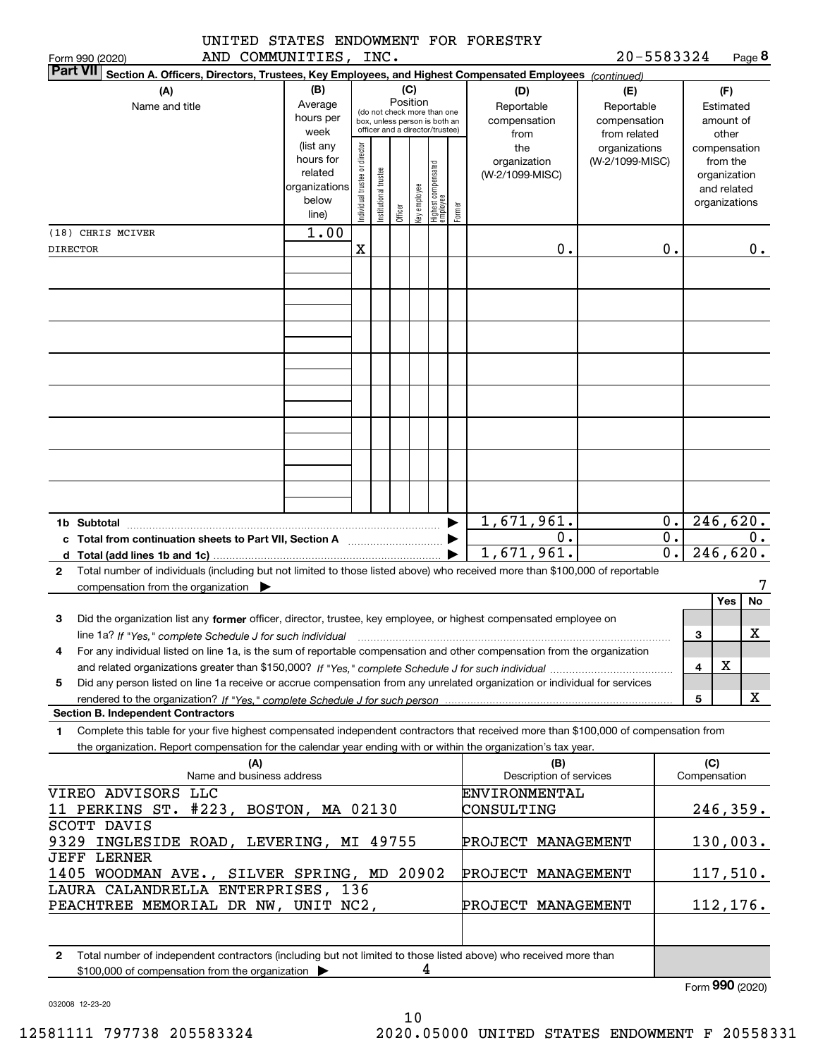|                | UNITED STATES ENDOWMENT FOR FORESTRY |  |
|----------------|--------------------------------------|--|
| -------------- |                                      |  |

| 20-5583324 | Page 8 |
|------------|--------|
|------------|--------|

|                 | AND COMMUNITIES,<br>Form 990 (2020)                                                                                                                                                      |                                                                      |                               | INC.                 |                 |              |                                                                                                 |        |                                           | 20-5583324                                        |                  |              | Page 8                                                                   |
|-----------------|------------------------------------------------------------------------------------------------------------------------------------------------------------------------------------------|----------------------------------------------------------------------|-------------------------------|----------------------|-----------------|--------------|-------------------------------------------------------------------------------------------------|--------|-------------------------------------------|---------------------------------------------------|------------------|--------------|--------------------------------------------------------------------------|
| <b>Part VII</b> | Section A. Officers, Directors, Trustees, Key Employees, and Highest Compensated Employees (continued)                                                                                   |                                                                      |                               |                      |                 |              |                                                                                                 |        |                                           |                                                   |                  |              |                                                                          |
|                 | (A)<br>Name and title                                                                                                                                                                    | (B)<br>Average<br>hours per<br>week                                  |                               |                      | (C)<br>Position |              | (do not check more than one<br>box, unless person is both an<br>officer and a director/trustee) |        | (D)<br>Reportable<br>compensation<br>from | (E)<br>Reportable<br>compensation<br>from related |                  |              | (F)<br>Estimated<br>amount of<br>other                                   |
|                 |                                                                                                                                                                                          | (list any<br>hours for<br>related<br>organizations<br>below<br>line) | ndividual trustee or director | nstitutional trustee | Officer         | Key employee | Highest compensated<br>  employee                                                               | Former | the<br>organization<br>(W-2/1099-MISC)    | organizations<br>(W-2/1099-MISC)                  |                  |              | compensation<br>from the<br>organization<br>and related<br>organizations |
|                 | (18) CHRIS MCIVER                                                                                                                                                                        | 1.00                                                                 |                               |                      |                 |              |                                                                                                 |        |                                           |                                                   |                  |              |                                                                          |
| <b>DIRECTOR</b> |                                                                                                                                                                                          |                                                                      | х                             |                      |                 |              |                                                                                                 |        | 0.                                        |                                                   | 0.               |              | 0.                                                                       |
|                 |                                                                                                                                                                                          |                                                                      |                               |                      |                 |              |                                                                                                 |        |                                           |                                                   |                  |              |                                                                          |
|                 |                                                                                                                                                                                          |                                                                      |                               |                      |                 |              |                                                                                                 |        |                                           |                                                   |                  |              |                                                                          |
|                 |                                                                                                                                                                                          |                                                                      |                               |                      |                 |              |                                                                                                 |        |                                           |                                                   |                  |              |                                                                          |
|                 |                                                                                                                                                                                          |                                                                      |                               |                      |                 |              |                                                                                                 |        |                                           |                                                   |                  |              |                                                                          |
|                 |                                                                                                                                                                                          |                                                                      |                               |                      |                 |              |                                                                                                 |        |                                           |                                                   |                  |              |                                                                          |
|                 |                                                                                                                                                                                          |                                                                      |                               |                      |                 |              |                                                                                                 |        |                                           |                                                   |                  |              |                                                                          |
|                 |                                                                                                                                                                                          |                                                                      |                               |                      |                 |              |                                                                                                 |        |                                           |                                                   |                  |              |                                                                          |
|                 |                                                                                                                                                                                          |                                                                      |                               |                      |                 |              |                                                                                                 |        |                                           |                                                   |                  |              |                                                                          |
|                 |                                                                                                                                                                                          |                                                                      |                               |                      |                 |              |                                                                                                 |        |                                           |                                                   |                  |              |                                                                          |
|                 |                                                                                                                                                                                          |                                                                      |                               |                      |                 |              |                                                                                                 |        |                                           |                                                   |                  |              |                                                                          |
|                 |                                                                                                                                                                                          |                                                                      |                               |                      |                 |              |                                                                                                 |        |                                           |                                                   |                  |              |                                                                          |
|                 |                                                                                                                                                                                          |                                                                      |                               |                      |                 |              |                                                                                                 |        |                                           |                                                   |                  |              |                                                                          |
|                 |                                                                                                                                                                                          |                                                                      |                               |                      |                 |              |                                                                                                 |        |                                           |                                                   |                  |              |                                                                          |
|                 |                                                                                                                                                                                          |                                                                      |                               |                      |                 |              |                                                                                                 |        |                                           |                                                   |                  |              |                                                                          |
|                 |                                                                                                                                                                                          |                                                                      |                               |                      |                 |              |                                                                                                 |        | 1,671,961.                                |                                                   | 0.               |              | 246,620.                                                                 |
|                 | c Total from continuation sheets to Part VII, Section A <b>witch the Continuum</b>                                                                                                       |                                                                      |                               |                      |                 |              |                                                                                                 |        | 0.                                        |                                                   | $\overline{0}$ . |              | 0.                                                                       |
|                 |                                                                                                                                                                                          |                                                                      |                               |                      |                 |              |                                                                                                 |        | 1,671,961.                                |                                                   | $\overline{0}$ . |              | 246,620.                                                                 |
| $\mathbf{2}$    | Total number of individuals (including but not limited to those listed above) who received more than \$100,000 of reportable<br>compensation from the organization $\blacktriangleright$ |                                                                      |                               |                      |                 |              |                                                                                                 |        |                                           |                                                   |                  |              |                                                                          |
|                 |                                                                                                                                                                                          |                                                                      |                               |                      |                 |              |                                                                                                 |        |                                           |                                                   |                  |              | <b>Yes</b><br>No                                                         |
| 3               | Did the organization list any former officer, director, trustee, key employee, or highest compensated employee on                                                                        |                                                                      |                               |                      |                 |              |                                                                                                 |        |                                           |                                                   |                  |              |                                                                          |
|                 | line 1a? If "Yes," complete Schedule J for such individual manumental content content for the complete schedul                                                                           |                                                                      |                               |                      |                 |              |                                                                                                 |        |                                           |                                                   |                  | 3            | x                                                                        |
|                 | For any individual listed on line 1a, is the sum of reportable compensation and other compensation from the organization                                                                 |                                                                      |                               |                      |                 |              |                                                                                                 |        |                                           |                                                   |                  |              |                                                                          |
|                 |                                                                                                                                                                                          |                                                                      |                               |                      |                 |              |                                                                                                 |        |                                           |                                                   |                  | 4            | х                                                                        |
| 5               | Did any person listed on line 1a receive or accrue compensation from any unrelated organization or individual for services                                                               |                                                                      |                               |                      |                 |              |                                                                                                 |        |                                           |                                                   |                  | 5            | X                                                                        |
|                 | <b>Section B. Independent Contractors</b>                                                                                                                                                |                                                                      |                               |                      |                 |              |                                                                                                 |        |                                           |                                                   |                  |              |                                                                          |
| 1.              | Complete this table for your five highest compensated independent contractors that received more than \$100,000 of compensation from                                                     |                                                                      |                               |                      |                 |              |                                                                                                 |        |                                           |                                                   |                  |              |                                                                          |
|                 | the organization. Report compensation for the calendar year ending with or within the organization's tax year.                                                                           |                                                                      |                               |                      |                 |              |                                                                                                 |        |                                           |                                                   |                  |              |                                                                          |
|                 | (A)                                                                                                                                                                                      |                                                                      |                               |                      |                 |              |                                                                                                 |        | (B)                                       |                                                   |                  | (C)          |                                                                          |
|                 | Name and business address                                                                                                                                                                |                                                                      |                               |                      |                 |              |                                                                                                 |        | Description of services                   |                                                   |                  | Compensation |                                                                          |
|                 | VIREO ADVISORS LLC<br>11 PERKINS ST. #223, BOSTON, MA 02130                                                                                                                              |                                                                      |                               |                      |                 |              |                                                                                                 |        | <b>ENVIRONMENTAL</b><br>CONSULTING        |                                                   |                  |              | <u>246,359.</u>                                                          |
|                 | SCOTT DAVIS                                                                                                                                                                              |                                                                      |                               |                      |                 |              |                                                                                                 |        |                                           |                                                   |                  |              |                                                                          |
| 9329            | INGLESIDE ROAD, LEVERING, MI 49755                                                                                                                                                       |                                                                      |                               |                      |                 |              |                                                                                                 |        | PROJECT MANAGEMENT                        |                                                   |                  |              | 130,003.                                                                 |
|                 | <b>JEFF LERNER</b>                                                                                                                                                                       |                                                                      |                               |                      |                 |              |                                                                                                 |        |                                           |                                                   |                  |              |                                                                          |
|                 | 1405 WOODMAN AVE., SILVER SPRING, MD 20902                                                                                                                                               |                                                                      |                               |                      |                 |              |                                                                                                 |        | PROJECT MANAGEMENT                        |                                                   |                  |              | 117,510.                                                                 |
|                 | LAURA CALANDRELLA ENTERPRISES, 136                                                                                                                                                       |                                                                      |                               |                      |                 |              |                                                                                                 |        |                                           |                                                   |                  |              |                                                                          |
|                 | PEACHTREE MEMORIAL DR NW, UNIT NC2,                                                                                                                                                      |                                                                      |                               |                      |                 |              |                                                                                                 |        | PROJECT MANAGEMENT                        |                                                   |                  |              | 112, 176.                                                                |
|                 |                                                                                                                                                                                          |                                                                      |                               |                      |                 |              |                                                                                                 |        |                                           |                                                   |                  |              |                                                                          |
| 2               | Total number of independent contractors (including but not limited to those listed above) who received more than<br>\$100,000 of compensation from the organization                      |                                                                      |                               |                      |                 |              | 4                                                                                               |        |                                           |                                                   |                  |              |                                                                          |

Form (2020) **990**

032008 12-23-20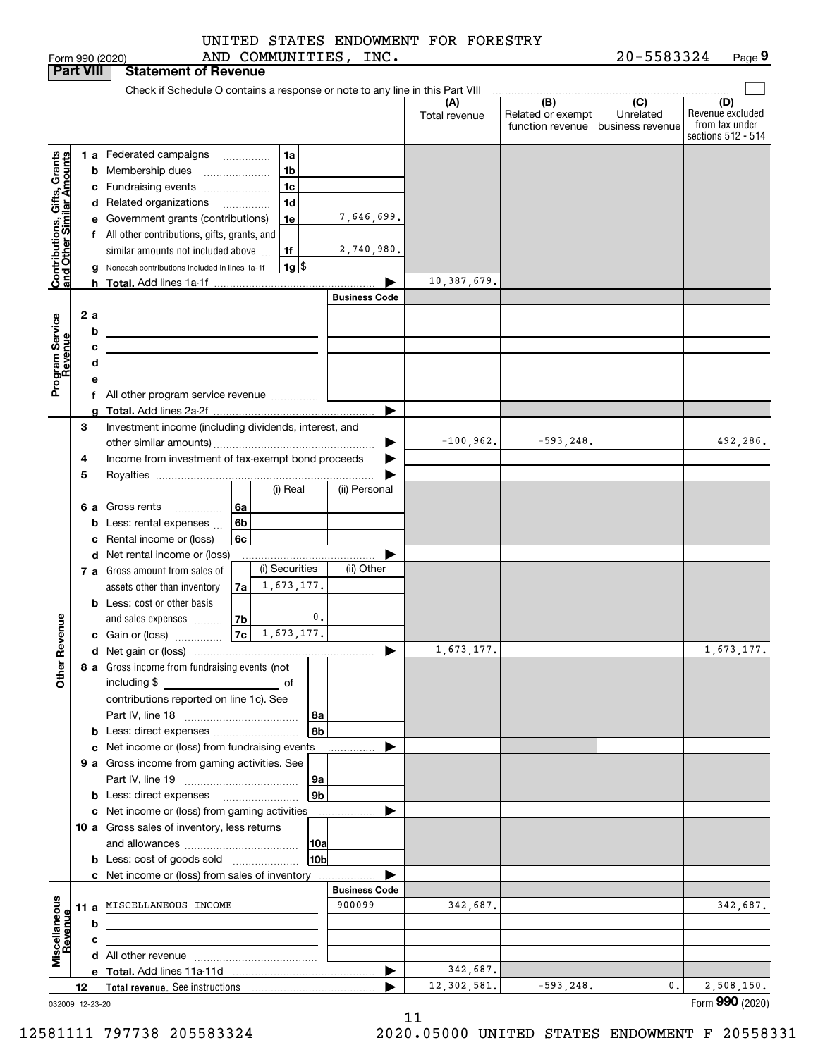|                                                           |                  |   | Form 990 (2020)                                                               |                |                |            | AND COMMUNITIES, INC. |                      |                                              | 20-5583324                                        | Page 9                                                          |
|-----------------------------------------------------------|------------------|---|-------------------------------------------------------------------------------|----------------|----------------|------------|-----------------------|----------------------|----------------------------------------------|---------------------------------------------------|-----------------------------------------------------------------|
|                                                           | <b>Part VIII</b> |   | <b>Statement of Revenue</b>                                                   |                |                |            |                       |                      |                                              |                                                   |                                                                 |
|                                                           |                  |   | Check if Schedule O contains a response or note to any line in this Part VIII |                |                |            |                       |                      |                                              |                                                   |                                                                 |
|                                                           |                  |   |                                                                               |                |                |            |                       | (A)<br>Total revenue | (B)<br>Related or exempt<br>function revenue | $\overline{(C)}$<br>Unrelated<br>business revenue | (D)<br>Revenue excluded<br>from tax under<br>sections 512 - 514 |
|                                                           |                  |   | <b>1 a</b> Federated campaigns                                                |                | 1a             |            |                       |                      |                                              |                                                   |                                                                 |
| Contributions, Gifts, Grants<br>and Other Similar Amounts |                  |   | <b>b</b> Membership dues                                                      |                | 1 <sub>b</sub> |            |                       |                      |                                              |                                                   |                                                                 |
|                                                           |                  | c | Fundraising events                                                            |                | 1 <sub>c</sub> |            |                       |                      |                                              |                                                   |                                                                 |
|                                                           |                  |   | d Related organizations                                                       |                | 1 <sub>d</sub> |            |                       |                      |                                              |                                                   |                                                                 |
|                                                           |                  |   | e Government grants (contributions)                                           |                | 1e             |            | 7,646,699.            |                      |                                              |                                                   |                                                                 |
|                                                           |                  |   | f All other contributions, gifts, grants, and                                 |                |                |            |                       |                      |                                              |                                                   |                                                                 |
|                                                           |                  |   | similar amounts not included above                                            |                | 1f             |            | 2,740,980.            |                      |                                              |                                                   |                                                                 |
|                                                           |                  | g | Noncash contributions included in lines 1a-1f                                 |                |                | $1g$ \$    |                       |                      |                                              |                                                   |                                                                 |
|                                                           |                  |   |                                                                               |                |                |            |                       | 10,387,679.          |                                              |                                                   |                                                                 |
|                                                           |                  |   |                                                                               |                |                |            | <b>Business Code</b>  |                      |                                              |                                                   |                                                                 |
|                                                           | 2a               |   | <u> 1989 - Johann Stein, mars an t-Amerikaansk kommunister (</u>              |                |                |            |                       |                      |                                              |                                                   |                                                                 |
|                                                           |                  | b | <u> 1989 - Johann Barn, amerikansk politiker (</u>                            |                |                |            |                       |                      |                                              |                                                   |                                                                 |
|                                                           |                  | c |                                                                               |                |                |            |                       |                      |                                              |                                                   |                                                                 |
| Program Service<br>Revenue                                |                  | d |                                                                               |                |                |            |                       |                      |                                              |                                                   |                                                                 |
|                                                           |                  | е |                                                                               |                |                |            |                       |                      |                                              |                                                   |                                                                 |
|                                                           |                  | f | All other program service revenue                                             |                |                |            | ▶                     |                      |                                              |                                                   |                                                                 |
|                                                           | 3                | a | Investment income (including dividends, interest, and                         |                |                |            |                       |                      |                                              |                                                   |                                                                 |
|                                                           |                  |   |                                                                               |                |                |            |                       | $-100,962.$          | $-593, 248.$                                 |                                                   | 492,286.                                                        |
|                                                           | 4                |   | Income from investment of tax-exempt bond proceeds                            |                |                |            |                       |                      |                                              |                                                   |                                                                 |
|                                                           | 5                |   |                                                                               |                |                |            |                       |                      |                                              |                                                   |                                                                 |
|                                                           |                  |   |                                                                               |                | (i) Real       |            | (ii) Personal         |                      |                                              |                                                   |                                                                 |
|                                                           |                  |   | 6 a Gross rents<br>.                                                          | 6a             |                |            |                       |                      |                                              |                                                   |                                                                 |
|                                                           |                  | b | Less: rental expenses                                                         | 6 <sub>b</sub> |                |            |                       |                      |                                              |                                                   |                                                                 |
|                                                           |                  | c | Rental income or (loss)                                                       | 6c             |                |            |                       |                      |                                              |                                                   |                                                                 |
|                                                           |                  |   | d Net rental income or (loss)                                                 |                |                |            |                       |                      |                                              |                                                   |                                                                 |
|                                                           |                  |   | 7 a Gross amount from sales of                                                |                | (i) Securities |            | (ii) Other            |                      |                                              |                                                   |                                                                 |
|                                                           |                  |   | assets other than inventory                                                   | 7a             |                | 1,673,177. |                       |                      |                                              |                                                   |                                                                 |
|                                                           |                  |   | <b>b</b> Less: cost or other basis                                            |                |                |            |                       |                      |                                              |                                                   |                                                                 |
|                                                           |                  |   | and sales expenses                                                            | 7b             |                | 0.         |                       |                      |                                              |                                                   |                                                                 |
| venue                                                     |                  |   | c Gain or (loss)                                                              | 7c             |                | 1,673,177. |                       |                      |                                              |                                                   |                                                                 |
|                                                           |                  |   |                                                                               |                |                |            |                       | 1,673,177.           |                                              |                                                   | 1,673,177.                                                      |
| Other Re                                                  |                  |   | 8 a Gross income from fundraising events (not                                 |                |                |            |                       |                      |                                              |                                                   |                                                                 |
|                                                           |                  |   | including \$                                                                  |                |                |            |                       |                      |                                              |                                                   |                                                                 |
|                                                           |                  |   | contributions reported on line 1c). See                                       |                |                |            |                       |                      |                                              |                                                   |                                                                 |
|                                                           |                  |   |                                                                               |                |                | 8a         |                       |                      |                                              |                                                   |                                                                 |
|                                                           |                  | b |                                                                               |                |                | 8b         |                       |                      |                                              |                                                   |                                                                 |
|                                                           |                  | c | Net income or (loss) from fundraising events                                  |                |                |            |                       |                      |                                              |                                                   |                                                                 |
|                                                           |                  |   | 9 a Gross income from gaming activities. See                                  |                |                | 9а         |                       |                      |                                              |                                                   |                                                                 |
|                                                           |                  |   |                                                                               |                |                | 9b         |                       |                      |                                              |                                                   |                                                                 |
|                                                           |                  |   | c Net income or (loss) from gaming activities                                 |                |                |            |                       |                      |                                              |                                                   |                                                                 |
|                                                           |                  |   | 10 a Gross sales of inventory, less returns                                   |                |                |            |                       |                      |                                              |                                                   |                                                                 |
|                                                           |                  |   |                                                                               |                |                | 10a        |                       |                      |                                              |                                                   |                                                                 |
|                                                           |                  |   | <b>b</b> Less: cost of goods sold                                             |                |                | 10b        |                       |                      |                                              |                                                   |                                                                 |
|                                                           |                  |   | c Net income or (loss) from sales of inventory                                |                |                |            |                       |                      |                                              |                                                   |                                                                 |
|                                                           |                  |   |                                                                               |                |                |            | <b>Business Code</b>  |                      |                                              |                                                   |                                                                 |
|                                                           | 11a              |   | MISCELLANEOUS INCOME                                                          |                |                |            | 900099                | 342,687.             |                                              |                                                   | 342,687.                                                        |
|                                                           |                  | b |                                                                               |                |                |            |                       |                      |                                              |                                                   |                                                                 |
|                                                           |                  | с |                                                                               |                |                |            |                       |                      |                                              |                                                   |                                                                 |
| Miscellaneous<br>Revenue                                  |                  |   |                                                                               |                |                |            |                       |                      |                                              |                                                   |                                                                 |
|                                                           |                  |   |                                                                               |                |                |            | ▶                     | 342,687.             |                                              |                                                   |                                                                 |
|                                                           | 12               |   |                                                                               |                |                |            |                       | 12,302,581.          | $-593, 248.$                                 | $\mathfrak{o}$ .                                  | 2,508,150.                                                      |

032009 12-23-20

12581111 797738 205583324 2020.05000 UNITED STATES ENDOWMENT F 20558331

Form (2020) **990**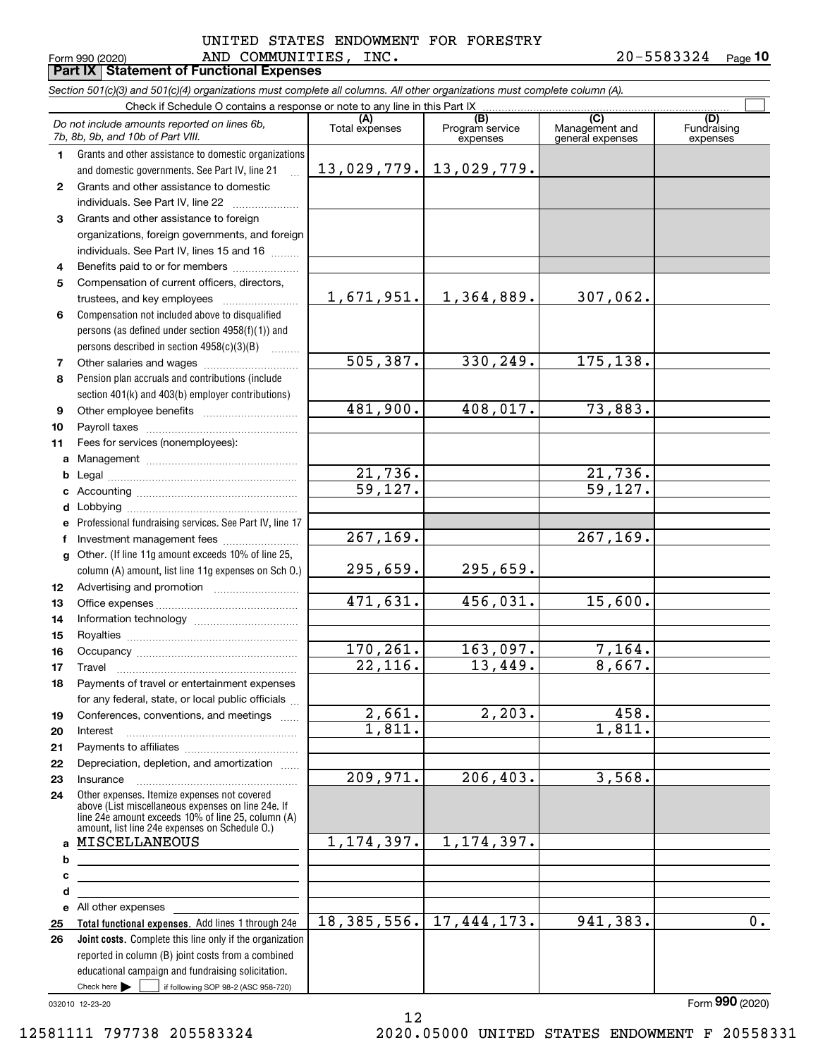#### Form 990 (2020) Page **Part IX Statement of Functional Expenses** AND COMMUNITIES, INC. 20-5583324 UNITED STATES ENDOWMENT FOR FORESTRY

**10**

|              | Section 501(c)(3) and 501(c)(4) organizations must complete all columns. All other organizations must complete column (A).                                                                                                         |                        |                             |                                    |                                |
|--------------|------------------------------------------------------------------------------------------------------------------------------------------------------------------------------------------------------------------------------------|------------------------|-----------------------------|------------------------------------|--------------------------------|
|              | Check if Schedule O contains a response or note to any line in this Part IX                                                                                                                                                        | (A)                    | (B)                         | (C)                                |                                |
|              | Do not include amounts reported on lines 6b,<br>7b, 8b, 9b, and 10b of Part VIII.                                                                                                                                                  | Total expenses         | Program service<br>expenses | Management and<br>general expenses | (D)<br>Fundraising<br>expenses |
| 1.           | Grants and other assistance to domestic organizations                                                                                                                                                                              |                        |                             |                                    |                                |
|              | and domestic governments. See Part IV, line 21                                                                                                                                                                                     | 13,029,779.            | 13,029,779.                 |                                    |                                |
| $\mathbf{2}$ | Grants and other assistance to domestic                                                                                                                                                                                            |                        |                             |                                    |                                |
|              | individuals. See Part IV, line 22                                                                                                                                                                                                  |                        |                             |                                    |                                |
| 3            | Grants and other assistance to foreign                                                                                                                                                                                             |                        |                             |                                    |                                |
|              | organizations, foreign governments, and foreign                                                                                                                                                                                    |                        |                             |                                    |                                |
|              | individuals. See Part IV, lines 15 and 16                                                                                                                                                                                          |                        |                             |                                    |                                |
| 4            | Benefits paid to or for members                                                                                                                                                                                                    |                        |                             |                                    |                                |
| 5            | Compensation of current officers, directors,                                                                                                                                                                                       | 1,671,951.             | 1,364,889.                  | 307,062.                           |                                |
|              | trustees, and key employees                                                                                                                                                                                                        |                        |                             |                                    |                                |
| 6            | Compensation not included above to disqualified                                                                                                                                                                                    |                        |                             |                                    |                                |
|              | persons (as defined under section 4958(f)(1)) and<br>persons described in section 4958(c)(3)(B)                                                                                                                                    |                        |                             |                                    |                                |
|              |                                                                                                                                                                                                                                    | 505, 387.              | 330,249.                    | 175,138.                           |                                |
| 7<br>8       | Pension plan accruals and contributions (include                                                                                                                                                                                   |                        |                             |                                    |                                |
|              |                                                                                                                                                                                                                                    |                        |                             |                                    |                                |
| 9            | section 401(k) and 403(b) employer contributions)                                                                                                                                                                                  | 481,900.               | 408,017.                    | 73,883.                            |                                |
| 10           |                                                                                                                                                                                                                                    |                        |                             |                                    |                                |
| 11           | Fees for services (nonemployees):                                                                                                                                                                                                  |                        |                             |                                    |                                |
| a            |                                                                                                                                                                                                                                    |                        |                             |                                    |                                |
| b            |                                                                                                                                                                                                                                    | 21,736.                |                             | 21,736.                            |                                |
| с            |                                                                                                                                                                                                                                    | 59,127.                |                             | 59, 127.                           |                                |
| d            |                                                                                                                                                                                                                                    |                        |                             |                                    |                                |
| е            | Professional fundraising services. See Part IV, line 17                                                                                                                                                                            |                        |                             |                                    |                                |
| f            | Investment management fees                                                                                                                                                                                                         | $\overline{267,169}$ . |                             | 267, 169.                          |                                |
| g            | Other. (If line 11g amount exceeds 10% of line 25,                                                                                                                                                                                 |                        |                             |                                    |                                |
|              | column (A) amount, list line 11g expenses on Sch O.)                                                                                                                                                                               | 295,659.               | 295,659.                    |                                    |                                |
| 12           |                                                                                                                                                                                                                                    |                        |                             |                                    |                                |
| 13           |                                                                                                                                                                                                                                    | 471,631.               | 456,031.                    | 15,600.                            |                                |
| 14           |                                                                                                                                                                                                                                    |                        |                             |                                    |                                |
| 15           |                                                                                                                                                                                                                                    |                        |                             |                                    |                                |
| 16           |                                                                                                                                                                                                                                    | 170,261.               | 163,097.                    | 7,164.                             |                                |
| 17           |                                                                                                                                                                                                                                    | $\overline{22}$ , 116. | 13,449.                     | 8,667.                             |                                |
| 18           | Payments of travel or entertainment expenses                                                                                                                                                                                       |                        |                             |                                    |                                |
|              | for any federal, state, or local public officials                                                                                                                                                                                  |                        |                             |                                    |                                |
| 19           | Conferences, conventions, and meetings                                                                                                                                                                                             | 2,661.                 | 2,203.                      | 458.                               |                                |
| 20           | Interest                                                                                                                                                                                                                           | 1,811.                 |                             | 1,811.                             |                                |
| 21           |                                                                                                                                                                                                                                    |                        |                             |                                    |                                |
| 22           | Depreciation, depletion, and amortization                                                                                                                                                                                          |                        |                             |                                    |                                |
| 23           | Insurance                                                                                                                                                                                                                          | 209,971.               | 206, 403.                   | 3,568.                             |                                |
| 24           | Other expenses. Itemize expenses not covered<br>above (List miscellaneous expenses on line 24e. If<br>line 24 $\dot{e}$ amount exceeds 10% of line 25, column (A)<br>amount, list line 24e expenses on Schedule O.)                |                        |                             |                                    |                                |
| a            | MISCELLANEOUS                                                                                                                                                                                                                      | 1, 174, 397.           | 1, 174, 397.                |                                    |                                |
| b            | <u> 1980 - Johann Barn, mars eta bainar eta bainar eta baina eta baina eta baina eta baina eta baina eta baina e</u>                                                                                                               |                        |                             |                                    |                                |
| с            |                                                                                                                                                                                                                                    |                        |                             |                                    |                                |
| d            | the contract of the contract of the contract of the contract of the contract of                                                                                                                                                    |                        |                             |                                    |                                |
| е            | All other expenses <b>contained</b> and the set of the set of the set of the set of the set of the set of the set of the set of the set of the set of the set of the set of the set of the set of the set of the set of the set of |                        |                             |                                    |                                |
| 25           | Total functional expenses. Add lines 1 through 24e                                                                                                                                                                                 | 18,385,556.            | 17, 444, 173.               | 941,383.                           | 0.                             |
| 26           | Joint costs. Complete this line only if the organization                                                                                                                                                                           |                        |                             |                                    |                                |
|              | reported in column (B) joint costs from a combined                                                                                                                                                                                 |                        |                             |                                    |                                |
|              | educational campaign and fundraising solicitation.                                                                                                                                                                                 |                        |                             |                                    |                                |
|              | Check here $\blacktriangleright$<br>if following SOP 98-2 (ASC 958-720)                                                                                                                                                            |                        |                             |                                    |                                |

12

032010 12-23-20

Form (2020) **990**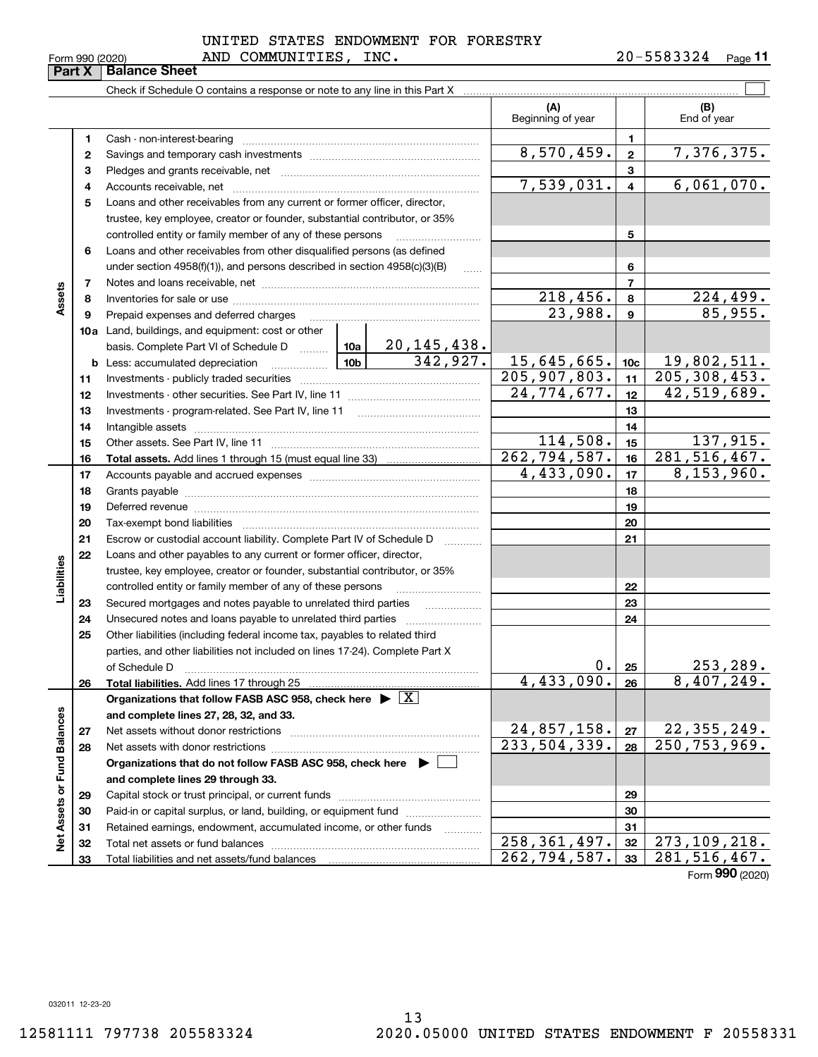### Form 990 (2020) AND COMMUNITIES, INC.  $20-5583324$  Page UNITED STATES ENDOWMENT FOR FORESTRY

|                             | Form 990 (2020)<br>Part X | AND COMMONTITES,<br><b>Balance Sheet</b>                                           |                           | TMC.                           |                                       |                         | 40-3303344<br>Page II           |
|-----------------------------|---------------------------|------------------------------------------------------------------------------------|---------------------------|--------------------------------|---------------------------------------|-------------------------|---------------------------------|
|                             |                           |                                                                                    |                           |                                |                                       |                         |                                 |
|                             |                           |                                                                                    |                           |                                | (A)<br>Beginning of year              |                         | (B)<br>End of year              |
|                             | 1.                        | Cash - non-interest-bearing                                                        |                           |                                |                                       | 1                       |                                 |
|                             | 2                         |                                                                                    |                           |                                | 8,570,459.                            | $\mathbf{2}$            | 7,376,375.                      |
|                             | з                         |                                                                                    |                           |                                |                                       | 3                       |                                 |
|                             | 4                         |                                                                                    |                           |                                | 7,539,031.                            | $\overline{\mathbf{4}}$ | 6,061,070.                      |
|                             | 5                         | Loans and other receivables from any current or former officer, director,          |                           |                                |                                       |                         |                                 |
|                             |                           | trustee, key employee, creator or founder, substantial contributor, or 35%         |                           |                                |                                       |                         |                                 |
|                             |                           | controlled entity or family member of any of these persons                         |                           |                                |                                       | 5                       |                                 |
|                             | 6                         | Loans and other receivables from other disqualified persons (as defined            |                           |                                |                                       |                         |                                 |
|                             |                           | under section $4958(f)(1)$ , and persons described in section $4958(c)(3)(B)$      |                           |                                |                                       | 6                       |                                 |
|                             | 7                         |                                                                                    |                           | $\overline{7}$                 |                                       |                         |                                 |
| Assets                      | 8                         |                                                                                    |                           | 218,456.                       | 8                                     | <u>224,499.</u>         |                                 |
|                             | 9                         | Prepaid expenses and deferred charges                                              |                           |                                | 23,988.                               | 9                       | 85,955.                         |
|                             |                           | 10a Land, buildings, and equipment: cost or other                                  |                           |                                |                                       |                         |                                 |
|                             |                           | basis. Complete Part VI of Schedule D  10a                                         |                           |                                |                                       |                         |                                 |
|                             |                           |                                                                                    |                           | $\frac{20,145,438.}{342,927.}$ | 15,645,665.                           | 10c                     | 19,802,511.                     |
|                             | 11                        |                                                                                    |                           |                                | 205,907,803.                          | 11                      | $\overline{205, 308, 453}$ .    |
|                             | 12                        |                                                                                    | $\overline{24.774.677}$ . | 12                             | $\overline{42,519,689}$ .             |                         |                                 |
|                             | 13                        |                                                                                    |                           | 13                             |                                       |                         |                                 |
|                             | 14                        |                                                                                    |                           | 14                             |                                       |                         |                                 |
|                             | 15                        |                                                                                    |                           |                                | 114,508.                              | 15                      | 137,915.                        |
|                             | 16                        |                                                                                    |                           |                                | 262, 794, 587.                        | 16                      | 281, 516, 467.                  |
|                             | 17                        |                                                                                    |                           |                                | $\overline{4,433,090}$ .              | 17                      | 8,153,960.                      |
|                             | 18                        |                                                                                    |                           | 18                             |                                       |                         |                                 |
|                             | 19                        |                                                                                    |                           |                                | 19                                    |                         |                                 |
|                             | 20                        |                                                                                    |                           |                                |                                       | 20                      |                                 |
|                             | 21                        | Escrow or custodial account liability. Complete Part IV of Schedule D              |                           |                                |                                       | 21                      |                                 |
|                             | 22                        | Loans and other payables to any current or former officer, director,               |                           |                                |                                       |                         |                                 |
|                             |                           | trustee, key employee, creator or founder, substantial contributor, or 35%         |                           |                                |                                       |                         |                                 |
| Liabilities                 |                           | controlled entity or family member of any of these persons                         |                           |                                |                                       | 22                      |                                 |
|                             | 23                        | Secured mortgages and notes payable to unrelated third parties                     |                           |                                |                                       | 23                      |                                 |
|                             | 24                        |                                                                                    |                           |                                |                                       | 24                      |                                 |
|                             | 25                        | Other liabilities (including federal income tax, payables to related third         |                           |                                |                                       |                         |                                 |
|                             |                           | parties, and other liabilities not included on lines 17-24). Complete Part X       |                           |                                |                                       |                         |                                 |
|                             |                           | of Schedule D                                                                      |                           |                                | 0.                                    | 25                      | <u>253,289.</u>                 |
|                             | 26                        | Total liabilities. Add lines 17 through 25                                         |                           |                                | 4,433,090.                            | 26                      | 8,407,249.                      |
|                             |                           | Organizations that follow FASB ASC 958, check here $\blacktriangleright \boxed{X}$ |                           |                                |                                       |                         |                                 |
|                             |                           | and complete lines 27, 28, 32, and 33.                                             |                           |                                |                                       |                         |                                 |
|                             | 27                        | Net assets without donor restrictions                                              |                           |                                | <u>24,857,158.</u><br>$233,504,339$ . | 27                      | 22, 355, 249.<br>250, 753, 969. |
|                             | 28                        | Net assets with donor restrictions                                                 |                           |                                |                                       | 28                      |                                 |
| Net Assets or Fund Balances |                           | Organizations that do not follow FASB ASC 958, check here ▶ [                      |                           |                                |                                       |                         |                                 |
|                             |                           | and complete lines 29 through 33.                                                  |                           |                                |                                       |                         |                                 |
|                             | 29                        |                                                                                    |                           |                                |                                       | 29                      |                                 |
|                             | 30                        | Paid-in or capital surplus, or land, building, or equipment fund                   |                           |                                |                                       | 30<br>31                |                                 |
|                             | 31                        | Retained earnings, endowment, accumulated income, or other funds                   |                           |                                | 258, 361, 497.                        | 32                      | 273, 109, 218.                  |
|                             | 32<br>33                  |                                                                                    |                           |                                | 262,794,587.                          | 33                      | 281, 516, 467.                  |
|                             |                           |                                                                                    |                           |                                |                                       |                         |                                 |

Form (2020) **990**

032011 12-23-20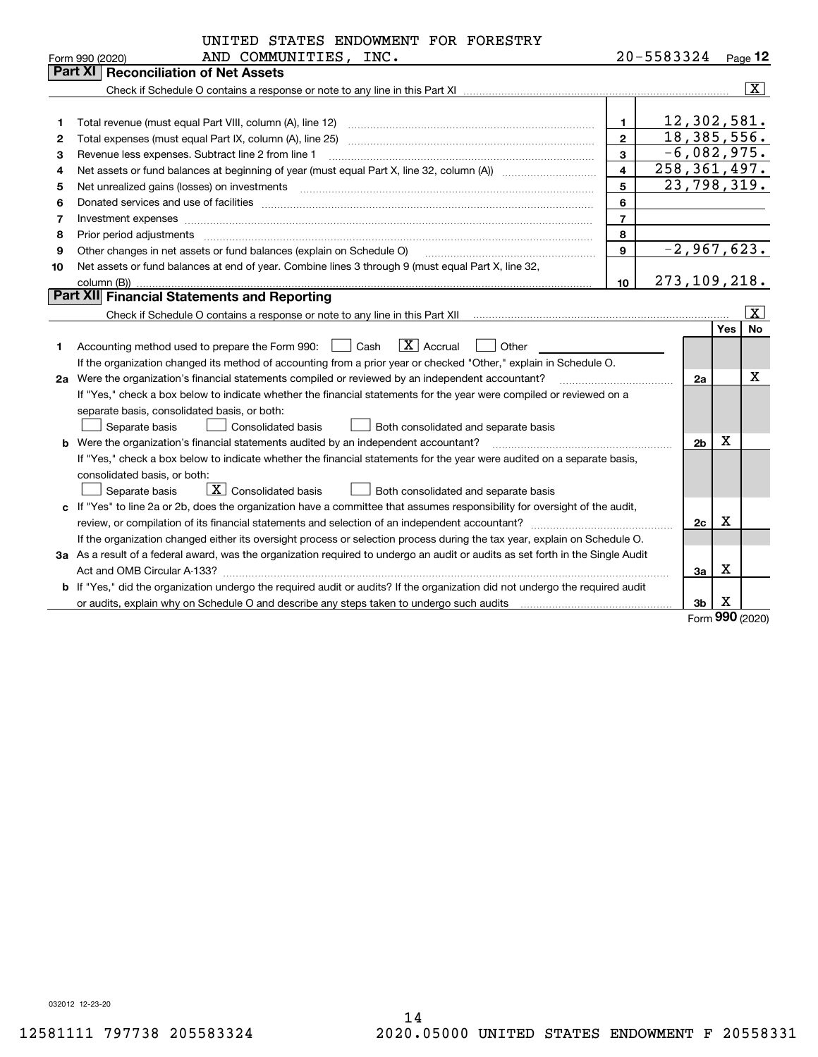|    | UNITED STATES ENDOWMENT FOR FORESTRY                                                                                                                                  |                |               |                |          |                     |
|----|-----------------------------------------------------------------------------------------------------------------------------------------------------------------------|----------------|---------------|----------------|----------|---------------------|
|    | AND COMMUNITIES, INC.<br>Form 990 (2020)                                                                                                                              |                | 20-5583324    |                |          | $_{\text{Page}}$ 12 |
|    | <b>Part XI</b><br><b>Reconciliation of Net Assets</b>                                                                                                                 |                |               |                |          |                     |
|    |                                                                                                                                                                       |                |               |                |          | $ \mathbf{X} $      |
|    |                                                                                                                                                                       |                |               |                |          |                     |
| 1  | Total revenue (must equal Part VIII, column (A), line 12)                                                                                                             | $\mathbf{1}$   | 12,302,581.   |                |          |                     |
| 2  | Total expenses (must equal Part IX, column (A), line 25)                                                                                                              | $\mathfrak{p}$ | 18, 385, 556. |                |          |                     |
| з  | Revenue less expenses. Subtract line 2 from line 1                                                                                                                    | 3              | $-6,082,975.$ |                |          |                     |
| 4  |                                                                                                                                                                       | 258, 361, 497. |               |                |          |                     |
| 5  |                                                                                                                                                                       | 5              | 23,798,319.   |                |          |                     |
| 6  |                                                                                                                                                                       | 6              |               |                |          |                     |
| 7  | Investment expenses www.communication.com/www.communication.com/www.communication.com/www.com                                                                         | $\overline{7}$ |               |                |          |                     |
| 8  | Prior period adjustments                                                                                                                                              | 8              |               |                |          |                     |
| 9  | Other changes in net assets or fund balances (explain on Schedule O)                                                                                                  | $\mathbf{9}$   | $-2,967,623.$ |                |          |                     |
| 10 | Net assets or fund balances at end of year. Combine lines 3 through 9 (must equal Part X, line 32,                                                                    |                |               |                |          |                     |
|    |                                                                                                                                                                       | 10             | 273,109,218.  |                |          |                     |
|    | Part XII Financial Statements and Reporting                                                                                                                           |                |               |                |          |                     |
|    |                                                                                                                                                                       |                |               |                |          | $\boxed{\text{X}}$  |
|    |                                                                                                                                                                       |                |               |                | Yes      | No                  |
| 1  | $ X $ Accrual<br>Accounting method used to prepare the Form 990: <u>II</u> Cash<br>Other                                                                              |                |               |                |          |                     |
|    | If the organization changed its method of accounting from a prior year or checked "Other," explain in Schedule O.                                                     |                |               |                |          |                     |
|    | 2a Were the organization's financial statements compiled or reviewed by an independent accountant?<br><u> 1986 - Jan Bernard Bernstein, amerikansk politiker og s</u> |                |               | 2a             |          | x                   |
|    | If "Yes," check a box below to indicate whether the financial statements for the year were compiled or reviewed on a                                                  |                |               |                |          |                     |
|    | separate basis, consolidated basis, or both:                                                                                                                          |                |               |                |          |                     |
|    | Separate basis<br>Consolidated basis<br>Both consolidated and separate basis                                                                                          |                |               |                |          |                     |
|    | <b>b</b> Were the organization's financial statements audited by an independent accountant?                                                                           |                |               | 2 <sub>b</sub> | Χ        |                     |
|    | If "Yes," check a box below to indicate whether the financial statements for the year were audited on a separate basis,                                               |                |               |                |          |                     |
|    | consolidated basis, or both:                                                                                                                                          |                |               |                |          |                     |
|    | $\boxed{\mathbf{X}}$ Consolidated basis<br>Separate basis<br><b>Both consolidated and separate basis</b>                                                              |                |               |                |          |                     |
|    | c If "Yes" to line 2a or 2b, does the organization have a committee that assumes responsibility for oversight of the audit,                                           |                |               |                |          |                     |
|    |                                                                                                                                                                       |                |               | 2c             | х        |                     |
|    | If the organization changed either its oversight process or selection process during the tax year, explain on Schedule O.                                             |                |               |                |          |                     |
|    | 3a As a result of a federal award, was the organization required to undergo an audit or audits as set forth in the Single Audit                                       |                |               |                |          |                     |
|    |                                                                                                                                                                       |                |               | За             | Χ        |                     |
|    | b If "Yes," did the organization undergo the required audit or audits? If the organization did not undergo the required audit                                         |                |               |                |          |                     |
|    |                                                                                                                                                                       |                |               | 3b             | X<br>nnn |                     |
|    |                                                                                                                                                                       |                |               |                |          |                     |

Form (2020) **990**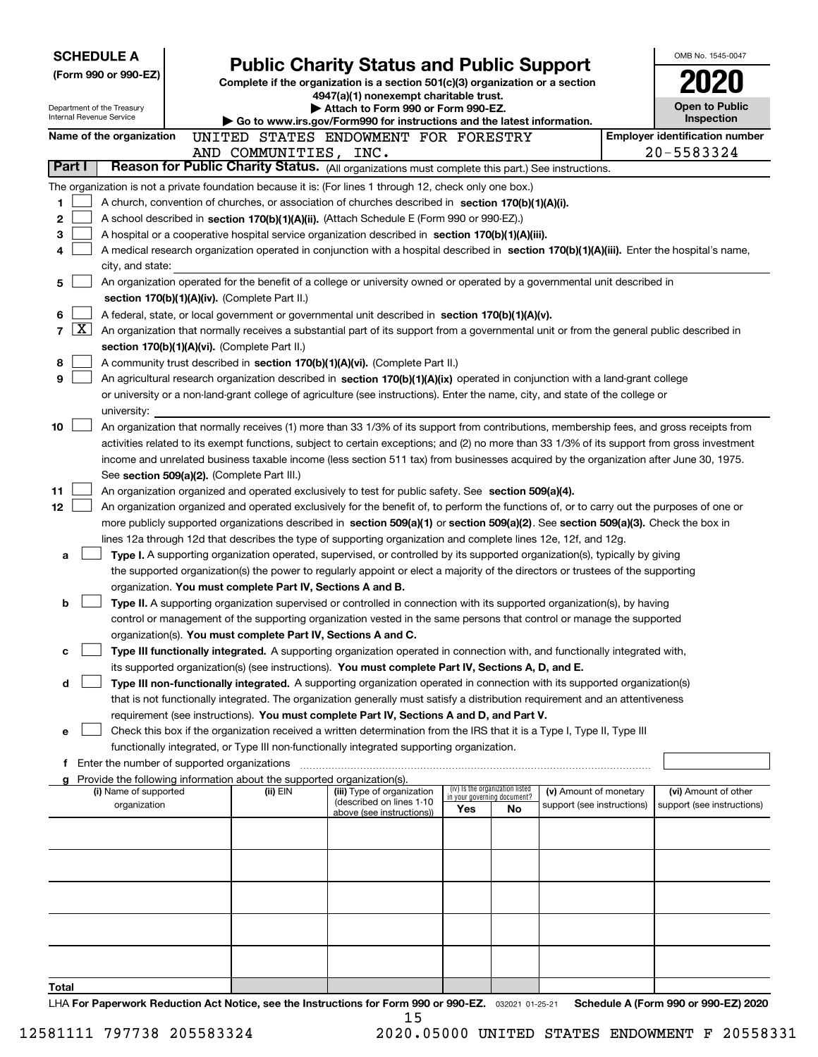| <b>SCHEDULE A</b>                                                                                         |                                                                                                                                                                                                                                                    |                                                                                                                                  |                                    |                                 |                            |  | OMB No. 1545-0047                                   |  |  |
|-----------------------------------------------------------------------------------------------------------|----------------------------------------------------------------------------------------------------------------------------------------------------------------------------------------------------------------------------------------------------|----------------------------------------------------------------------------------------------------------------------------------|------------------------------------|---------------------------------|----------------------------|--|-----------------------------------------------------|--|--|
| (Form 990 or 990-EZ)                                                                                      |                                                                                                                                                                                                                                                    | <b>Public Charity Status and Public Support</b><br>Complete if the organization is a section 501(c)(3) organization or a section |                                    |                                 |                            |  |                                                     |  |  |
|                                                                                                           |                                                                                                                                                                                                                                                    | 4947(a)(1) nonexempt charitable trust.                                                                                           |                                    |                                 |                            |  |                                                     |  |  |
| Department of the Treasury<br>Internal Revenue Service                                                    |                                                                                                                                                                                                                                                    | Attach to Form 990 or Form 990-EZ.                                                                                               |                                    |                                 |                            |  | <b>Open to Public</b><br>Inspection                 |  |  |
|                                                                                                           |                                                                                                                                                                                                                                                    | Go to www.irs.gov/Form990 for instructions and the latest information.                                                           |                                    |                                 |                            |  |                                                     |  |  |
| Name of the organization                                                                                  | UNITED STATES ENDOWMENT FOR FORESTRY<br>AND COMMUNITIES, INC.                                                                                                                                                                                      |                                                                                                                                  |                                    |                                 |                            |  | <b>Employer identification number</b><br>20-5583324 |  |  |
| Part I                                                                                                    | Reason for Public Charity Status. (All organizations must complete this part.) See instructions.                                                                                                                                                   |                                                                                                                                  |                                    |                                 |                            |  |                                                     |  |  |
| The organization is not a private foundation because it is: (For lines 1 through 12, check only one box.) |                                                                                                                                                                                                                                                    |                                                                                                                                  |                                    |                                 |                            |  |                                                     |  |  |
| 1                                                                                                         | A church, convention of churches, or association of churches described in section 170(b)(1)(A)(i).                                                                                                                                                 |                                                                                                                                  |                                    |                                 |                            |  |                                                     |  |  |
| 2                                                                                                         | A school described in section 170(b)(1)(A)(ii). (Attach Schedule E (Form 990 or 990-EZ).)                                                                                                                                                          |                                                                                                                                  |                                    |                                 |                            |  |                                                     |  |  |
| 3                                                                                                         | A hospital or a cooperative hospital service organization described in section 170(b)(1)(A)(iii).                                                                                                                                                  |                                                                                                                                  |                                    |                                 |                            |  |                                                     |  |  |
| 4                                                                                                         | A medical research organization operated in conjunction with a hospital described in section 170(b)(1)(A)(iii). Enter the hospital's name,                                                                                                         |                                                                                                                                  |                                    |                                 |                            |  |                                                     |  |  |
| city, and state:                                                                                          |                                                                                                                                                                                                                                                    |                                                                                                                                  |                                    |                                 |                            |  |                                                     |  |  |
| 5                                                                                                         | An organization operated for the benefit of a college or university owned or operated by a governmental unit described in                                                                                                                          |                                                                                                                                  |                                    |                                 |                            |  |                                                     |  |  |
|                                                                                                           | section 170(b)(1)(A)(iv). (Complete Part II.)                                                                                                                                                                                                      |                                                                                                                                  |                                    |                                 |                            |  |                                                     |  |  |
| 6                                                                                                         | A federal, state, or local government or governmental unit described in section 170(b)(1)(A)(v).                                                                                                                                                   |                                                                                                                                  |                                    |                                 |                            |  |                                                     |  |  |
| $\lfloor x \rfloor$<br>7                                                                                  | An organization that normally receives a substantial part of its support from a governmental unit or from the general public described in                                                                                                          |                                                                                                                                  |                                    |                                 |                            |  |                                                     |  |  |
| 8                                                                                                         | section 170(b)(1)(A)(vi). (Complete Part II.)<br>A community trust described in section 170(b)(1)(A)(vi). (Complete Part II.)                                                                                                                      |                                                                                                                                  |                                    |                                 |                            |  |                                                     |  |  |
| 9                                                                                                         | An agricultural research organization described in section 170(b)(1)(A)(ix) operated in conjunction with a land-grant college                                                                                                                      |                                                                                                                                  |                                    |                                 |                            |  |                                                     |  |  |
|                                                                                                           | or university or a non-land-grant college of agriculture (see instructions). Enter the name, city, and state of the college or                                                                                                                     |                                                                                                                                  |                                    |                                 |                            |  |                                                     |  |  |
| university:                                                                                               |                                                                                                                                                                                                                                                    |                                                                                                                                  |                                    |                                 |                            |  |                                                     |  |  |
| 10                                                                                                        | An organization that normally receives (1) more than 33 1/3% of its support from contributions, membership fees, and gross receipts from                                                                                                           |                                                                                                                                  |                                    |                                 |                            |  |                                                     |  |  |
|                                                                                                           | activities related to its exempt functions, subject to certain exceptions; and (2) no more than 33 1/3% of its support from gross investment                                                                                                       |                                                                                                                                  |                                    |                                 |                            |  |                                                     |  |  |
|                                                                                                           | income and unrelated business taxable income (less section 511 tax) from businesses acquired by the organization after June 30, 1975.                                                                                                              |                                                                                                                                  |                                    |                                 |                            |  |                                                     |  |  |
|                                                                                                           | See section 509(a)(2). (Complete Part III.)                                                                                                                                                                                                        |                                                                                                                                  |                                    |                                 |                            |  |                                                     |  |  |
| 11<br>12                                                                                                  | An organization organized and operated exclusively to test for public safety. See section 509(a)(4).<br>An organization organized and operated exclusively for the benefit of, to perform the functions of, or to carry out the purposes of one or |                                                                                                                                  |                                    |                                 |                            |  |                                                     |  |  |
|                                                                                                           | more publicly supported organizations described in section 509(a)(1) or section 509(a)(2). See section 509(a)(3). Check the box in                                                                                                                 |                                                                                                                                  |                                    |                                 |                            |  |                                                     |  |  |
|                                                                                                           | lines 12a through 12d that describes the type of supporting organization and complete lines 12e, 12f, and 12g.                                                                                                                                     |                                                                                                                                  |                                    |                                 |                            |  |                                                     |  |  |
| a                                                                                                         | Type I. A supporting organization operated, supervised, or controlled by its supported organization(s), typically by giving                                                                                                                        |                                                                                                                                  |                                    |                                 |                            |  |                                                     |  |  |
|                                                                                                           | the supported organization(s) the power to regularly appoint or elect a majority of the directors or trustees of the supporting                                                                                                                    |                                                                                                                                  |                                    |                                 |                            |  |                                                     |  |  |
|                                                                                                           | organization. You must complete Part IV, Sections A and B.                                                                                                                                                                                         |                                                                                                                                  |                                    |                                 |                            |  |                                                     |  |  |
| b                                                                                                         | Type II. A supporting organization supervised or controlled in connection with its supported organization(s), by having                                                                                                                            |                                                                                                                                  |                                    |                                 |                            |  |                                                     |  |  |
|                                                                                                           | control or management of the supporting organization vested in the same persons that control or manage the supported                                                                                                                               |                                                                                                                                  |                                    |                                 |                            |  |                                                     |  |  |
|                                                                                                           | organization(s). You must complete Part IV, Sections A and C.                                                                                                                                                                                      |                                                                                                                                  |                                    |                                 |                            |  |                                                     |  |  |
| с                                                                                                         | Type III functionally integrated. A supporting organization operated in connection with, and functionally integrated with,                                                                                                                         |                                                                                                                                  |                                    |                                 |                            |  |                                                     |  |  |
| d                                                                                                         | its supported organization(s) (see instructions). You must complete Part IV, Sections A, D, and E.<br>Type III non-functionally integrated. A supporting organization operated in connection with its supported organization(s)                    |                                                                                                                                  |                                    |                                 |                            |  |                                                     |  |  |
|                                                                                                           | that is not functionally integrated. The organization generally must satisfy a distribution requirement and an attentiveness                                                                                                                       |                                                                                                                                  |                                    |                                 |                            |  |                                                     |  |  |
|                                                                                                           | requirement (see instructions). You must complete Part IV, Sections A and D, and Part V.                                                                                                                                                           |                                                                                                                                  |                                    |                                 |                            |  |                                                     |  |  |
| е                                                                                                         | Check this box if the organization received a written determination from the IRS that it is a Type I, Type II, Type III                                                                                                                            |                                                                                                                                  |                                    |                                 |                            |  |                                                     |  |  |
|                                                                                                           | functionally integrated, or Type III non-functionally integrated supporting organization.                                                                                                                                                          |                                                                                                                                  |                                    |                                 |                            |  |                                                     |  |  |
| Enter the number of supported organizations<br>f.                                                         |                                                                                                                                                                                                                                                    |                                                                                                                                  |                                    |                                 |                            |  |                                                     |  |  |
| (i) Name of supported                                                                                     | Provide the following information about the supported organization(s).<br>(ii) EIN                                                                                                                                                                 | (iii) Type of organization                                                                                                       |                                    | (iv) Is the organization listed | (v) Amount of monetary     |  | (vi) Amount of other                                |  |  |
| organization                                                                                              |                                                                                                                                                                                                                                                    | (described on lines 1-10                                                                                                         | in your governing document?<br>Yes | No                              | support (see instructions) |  | support (see instructions)                          |  |  |
|                                                                                                           |                                                                                                                                                                                                                                                    | above (see instructions))                                                                                                        |                                    |                                 |                            |  |                                                     |  |  |
|                                                                                                           |                                                                                                                                                                                                                                                    |                                                                                                                                  |                                    |                                 |                            |  |                                                     |  |  |
|                                                                                                           |                                                                                                                                                                                                                                                    |                                                                                                                                  |                                    |                                 |                            |  |                                                     |  |  |
|                                                                                                           |                                                                                                                                                                                                                                                    |                                                                                                                                  |                                    |                                 |                            |  |                                                     |  |  |
|                                                                                                           |                                                                                                                                                                                                                                                    |                                                                                                                                  |                                    |                                 |                            |  |                                                     |  |  |
|                                                                                                           |                                                                                                                                                                                                                                                    |                                                                                                                                  |                                    |                                 |                            |  |                                                     |  |  |
|                                                                                                           |                                                                                                                                                                                                                                                    |                                                                                                                                  |                                    |                                 |                            |  |                                                     |  |  |
|                                                                                                           |                                                                                                                                                                                                                                                    |                                                                                                                                  |                                    |                                 |                            |  |                                                     |  |  |
|                                                                                                           |                                                                                                                                                                                                                                                    |                                                                                                                                  |                                    |                                 |                            |  |                                                     |  |  |
| Total                                                                                                     |                                                                                                                                                                                                                                                    |                                                                                                                                  |                                    |                                 |                            |  |                                                     |  |  |
|                                                                                                           |                                                                                                                                                                                                                                                    | $\frac{1}{2}$ and $\frac{1}{2}$ and $\frac{1}{2}$ and $\frac{1}{2}$ and $\frac{1}{2}$ and $\frac{1}{2}$                          |                                    |                                 |                            |  | Cabadula A (Faum 000 au 000 EZ) 0000                |  |  |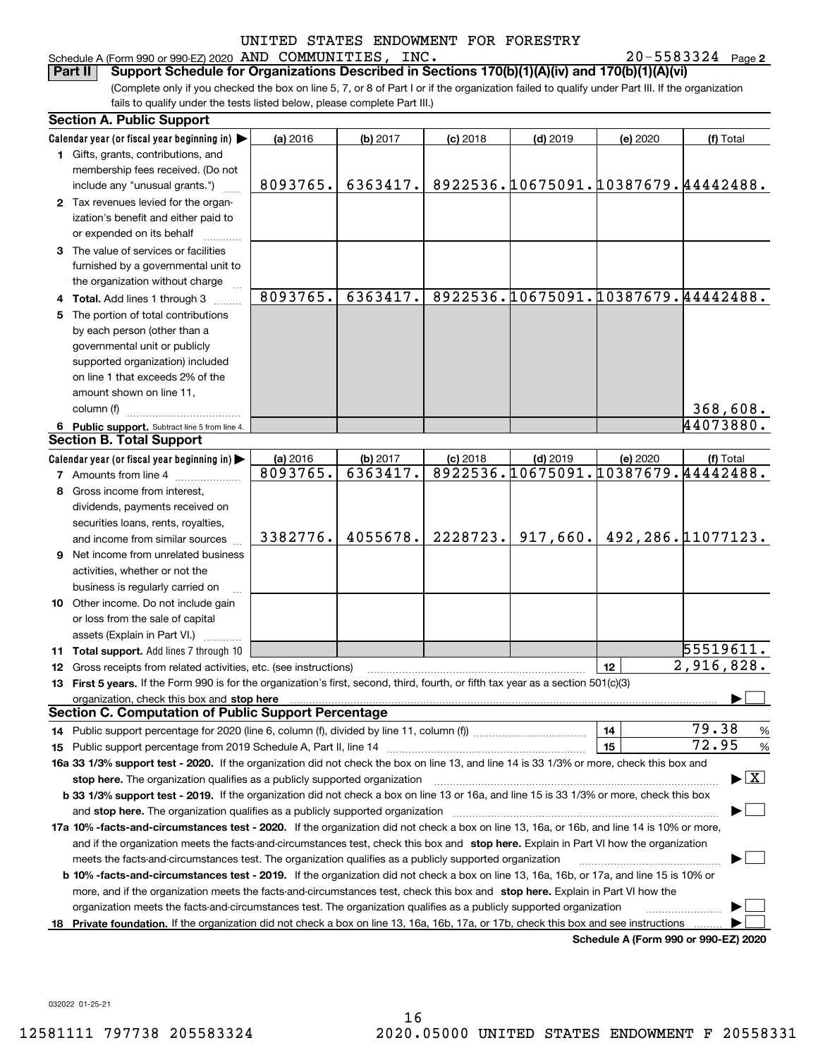#### Schedule A (Form 990 or 990-EZ) 2020 Page AND COMMUNITIES, INC. 20-5583324

20-5583324 Page 2

(Complete only if you checked the box on line 5, 7, or 8 of Part I or if the organization failed to qualify under Part III. If the organization fails to qualify under the tests listed below, please complete Part III.) **Part II Support Schedule for Organizations Described in Sections 170(b)(1)(A)(iv) and 170(b)(1)(A)(vi)**

|    | <b>Section A. Public Support</b>                                                                                                                                                                                               |          |          |            |            |          |                                         |
|----|--------------------------------------------------------------------------------------------------------------------------------------------------------------------------------------------------------------------------------|----------|----------|------------|------------|----------|-----------------------------------------|
|    | Calendar year (or fiscal year beginning in) $\blacktriangleright$                                                                                                                                                              | (a) 2016 | (b) 2017 | $(c)$ 2018 | $(d)$ 2019 | (e) 2020 | (f) Total                               |
|    | 1 Gifts, grants, contributions, and                                                                                                                                                                                            |          |          |            |            |          |                                         |
|    | membership fees received. (Do not                                                                                                                                                                                              |          |          |            |            |          |                                         |
|    | include any "unusual grants.")                                                                                                                                                                                                 | 8093765. | 6363417. |            |            |          | 8922536.10675091.10387679.44442488.     |
|    | 2 Tax revenues levied for the organ-                                                                                                                                                                                           |          |          |            |            |          |                                         |
|    | ization's benefit and either paid to                                                                                                                                                                                           |          |          |            |            |          |                                         |
|    | or expended on its behalf                                                                                                                                                                                                      |          |          |            |            |          |                                         |
|    | 3 The value of services or facilities                                                                                                                                                                                          |          |          |            |            |          |                                         |
|    | furnished by a governmental unit to                                                                                                                                                                                            |          |          |            |            |          |                                         |
|    | the organization without charge                                                                                                                                                                                                |          |          |            |            |          |                                         |
|    | 4 Total. Add lines 1 through 3                                                                                                                                                                                                 | 8093765. | 6363417. |            |            |          | 8922536.10675091.10387679.44442488.     |
|    | 5 The portion of total contributions                                                                                                                                                                                           |          |          |            |            |          |                                         |
|    | by each person (other than a                                                                                                                                                                                                   |          |          |            |            |          |                                         |
|    | governmental unit or publicly                                                                                                                                                                                                  |          |          |            |            |          |                                         |
|    |                                                                                                                                                                                                                                |          |          |            |            |          |                                         |
|    | supported organization) included                                                                                                                                                                                               |          |          |            |            |          |                                         |
|    | on line 1 that exceeds 2% of the                                                                                                                                                                                               |          |          |            |            |          |                                         |
|    | amount shown on line 11,                                                                                                                                                                                                       |          |          |            |            |          |                                         |
|    | column (f)                                                                                                                                                                                                                     |          |          |            |            |          | 368,608.                                |
|    | 6 Public support. Subtract line 5 from line 4.                                                                                                                                                                                 |          |          |            |            |          | 44073880.                               |
|    | <b>Section B. Total Support</b>                                                                                                                                                                                                |          |          |            |            |          |                                         |
|    | Calendar year (or fiscal year beginning in)                                                                                                                                                                                    | (a) 2016 | (b) 2017 | $(c)$ 2018 | $(d)$ 2019 | (e) 2020 | (f) Total                               |
|    | <b>7</b> Amounts from line 4                                                                                                                                                                                                   | 8093765. | 6363417. |            |            |          | 8922536.10675091.10387679.44442488.     |
|    | 8 Gross income from interest,                                                                                                                                                                                                  |          |          |            |            |          |                                         |
|    | dividends, payments received on                                                                                                                                                                                                |          |          |            |            |          |                                         |
|    | securities loans, rents, royalties,                                                                                                                                                                                            |          |          |            |            |          |                                         |
|    | and income from similar sources                                                                                                                                                                                                | 3382776. | 4055678. | 2228723.   | 917,660.   |          | 492, 286. 11077123.                     |
|    | 9 Net income from unrelated business                                                                                                                                                                                           |          |          |            |            |          |                                         |
|    | activities, whether or not the                                                                                                                                                                                                 |          |          |            |            |          |                                         |
|    | business is regularly carried on                                                                                                                                                                                               |          |          |            |            |          |                                         |
|    | <b>10</b> Other income. Do not include gain                                                                                                                                                                                    |          |          |            |            |          |                                         |
|    | or loss from the sale of capital                                                                                                                                                                                               |          |          |            |            |          |                                         |
|    | assets (Explain in Part VI.)                                                                                                                                                                                                   |          |          |            |            |          |                                         |
|    | <b>11 Total support.</b> Add lines 7 through 10                                                                                                                                                                                |          |          |            |            |          | 55519611.                               |
|    | 12 Gross receipts from related activities, etc. (see instructions)                                                                                                                                                             |          |          |            |            | 12       | 2,916,828.                              |
|    | 13 First 5 years. If the Form 990 is for the organization's first, second, third, fourth, or fifth tax year as a section 501(c)(3)                                                                                             |          |          |            |            |          |                                         |
|    | organization, check this box and stop here manufactured and according to the state of the state of the state of the state of the state of the state of the state of the state of the state of the state of the state of the st |          |          |            |            |          |                                         |
|    | <b>Section C. Computation of Public Support Percentage</b>                                                                                                                                                                     |          |          |            |            |          |                                         |
|    | 14 Public support percentage for 2020 (line 6, column (f), divided by line 11, column (f) <i>mummumumum</i>                                                                                                                    |          |          |            |            | 14       | 79.38<br>$\frac{9}{6}$                  |
|    |                                                                                                                                                                                                                                |          |          |            |            | 15       | 72.95<br>%                              |
|    | 16a 33 1/3% support test - 2020. If the organization did not check the box on line 13, and line 14 is 33 1/3% or more, check this box and                                                                                      |          |          |            |            |          |                                         |
|    | stop here. The organization qualifies as a publicly supported organization                                                                                                                                                     |          |          |            |            |          | $\blacktriangleright$ $\vert$ X $\vert$ |
|    | b 33 1/3% support test - 2019. If the organization did not check a box on line 13 or 16a, and line 15 is 33 1/3% or more, check this box                                                                                       |          |          |            |            |          |                                         |
|    |                                                                                                                                                                                                                                |          |          |            |            |          |                                         |
|    | and stop here. The organization qualifies as a publicly supported organization                                                                                                                                                 |          |          |            |            |          |                                         |
|    | 17a 10% -facts-and-circumstances test - 2020. If the organization did not check a box on line 13, 16a, or 16b, and line 14 is 10% or more,                                                                                     |          |          |            |            |          |                                         |
|    | and if the organization meets the facts-and-circumstances test, check this box and stop here. Explain in Part VI how the organization                                                                                          |          |          |            |            |          |                                         |
|    | meets the facts-and-circumstances test. The organization qualifies as a publicly supported organization                                                                                                                        |          |          |            |            |          |                                         |
|    | <b>b 10% -facts-and-circumstances test - 2019.</b> If the organization did not check a box on line 13, 16a, 16b, or 17a, and line 15 is 10% or                                                                                 |          |          |            |            |          |                                         |
|    | more, and if the organization meets the facts-and-circumstances test, check this box and stop here. Explain in Part VI how the                                                                                                 |          |          |            |            |          |                                         |
|    | organization meets the facts-and-circumstances test. The organization qualifies as a publicly supported organization                                                                                                           |          |          |            |            |          |                                         |
| 18 | Private foundation. If the organization did not check a box on line 13, 16a, 16b, 17a, or 17b, check this box and see instructions                                                                                             |          |          |            |            |          |                                         |
|    |                                                                                                                                                                                                                                |          |          |            |            |          | Schedule A (Form 990 or 990-F7) 2020    |

**Schedule A (Form 990 or 990-EZ) 2020**

032022 01-25-21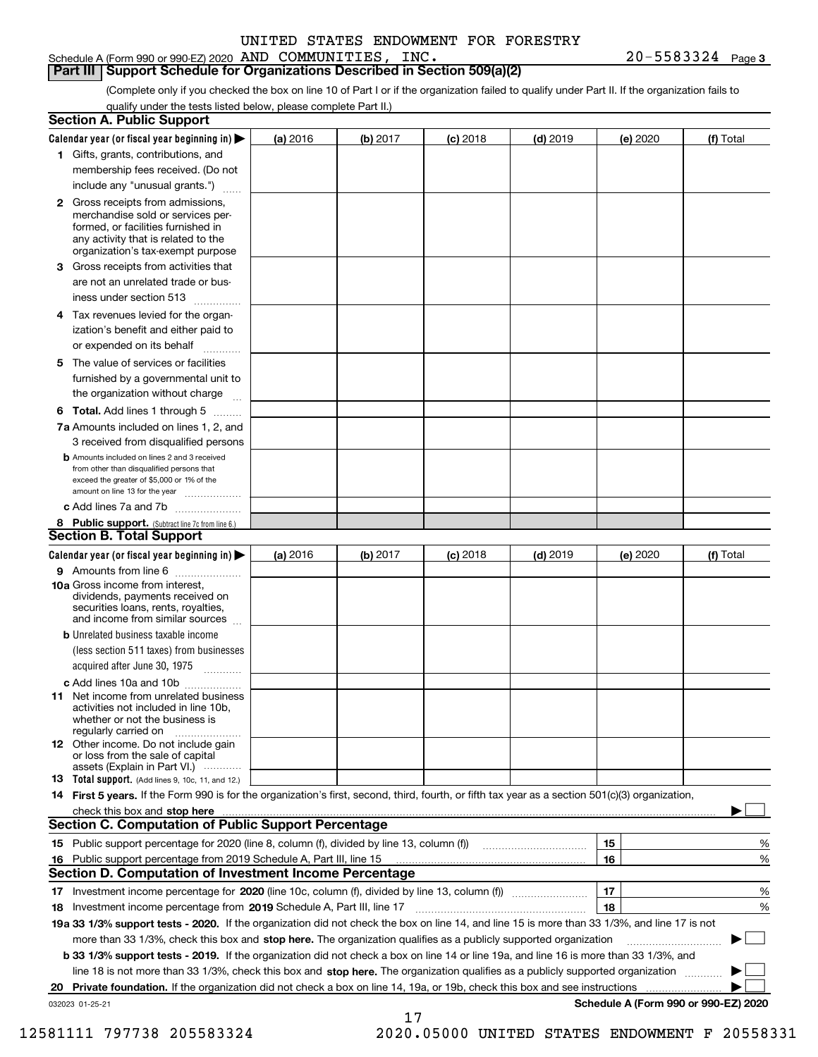|  |  | INC. | 20-5583324 | Page 3 |
|--|--|------|------------|--------|
|  |  |      |            |        |

**Part III Support Schedule for Organizations Described in Section 509(a)(2)** 

(Complete only if you checked the box on line 10 of Part I or if the organization failed to qualify under Part II. If the organization fails to qualify under the tests listed below, please complete Part II.)

| <b>Section A. Public Support</b>                                                                                                                                                                                                     |          |          |            |            |          |                                      |
|--------------------------------------------------------------------------------------------------------------------------------------------------------------------------------------------------------------------------------------|----------|----------|------------|------------|----------|--------------------------------------|
| Calendar year (or fiscal year beginning in) $\blacktriangleright$                                                                                                                                                                    | (a) 2016 | (b) 2017 | $(c)$ 2018 | $(d)$ 2019 | (e) 2020 | (f) Total                            |
| 1 Gifts, grants, contributions, and                                                                                                                                                                                                  |          |          |            |            |          |                                      |
| membership fees received. (Do not                                                                                                                                                                                                    |          |          |            |            |          |                                      |
| include any "unusual grants.")                                                                                                                                                                                                       |          |          |            |            |          |                                      |
| 2 Gross receipts from admissions,<br>merchandise sold or services per-<br>formed, or facilities furnished in<br>any activity that is related to the<br>organization's tax-exempt purpose                                             |          |          |            |            |          |                                      |
| 3 Gross receipts from activities that<br>are not an unrelated trade or bus-                                                                                                                                                          |          |          |            |            |          |                                      |
| iness under section 513                                                                                                                                                                                                              |          |          |            |            |          |                                      |
| 4 Tax revenues levied for the organ-<br>ization's benefit and either paid to<br>or expended on its behalf                                                                                                                            |          |          |            |            |          |                                      |
| .<br>5 The value of services or facilities<br>furnished by a governmental unit to                                                                                                                                                    |          |          |            |            |          |                                      |
| the organization without charge                                                                                                                                                                                                      |          |          |            |            |          |                                      |
| <b>6 Total.</b> Add lines 1 through 5                                                                                                                                                                                                |          |          |            |            |          |                                      |
| 7a Amounts included on lines 1, 2, and<br>3 received from disqualified persons                                                                                                                                                       |          |          |            |            |          |                                      |
| <b>b</b> Amounts included on lines 2 and 3 received<br>from other than disqualified persons that<br>exceed the greater of \$5,000 or 1% of the<br>amount on line 13 for the year                                                     |          |          |            |            |          |                                      |
| c Add lines 7a and 7b                                                                                                                                                                                                                |          |          |            |            |          |                                      |
| 8 Public support. (Subtract line 7c from line 6.)<br><b>Section B. Total Support</b>                                                                                                                                                 |          |          |            |            |          |                                      |
| Calendar year (or fiscal year beginning in)                                                                                                                                                                                          | (a) 2016 | (b) 2017 | $(c)$ 2018 | $(d)$ 2019 | (e) 2020 | (f) Total                            |
| 9 Amounts from line 6                                                                                                                                                                                                                |          |          |            |            |          |                                      |
| 10a Gross income from interest,<br>dividends, payments received on<br>securities loans, rents, royalties,<br>and income from similar sources                                                                                         |          |          |            |            |          |                                      |
| <b>b</b> Unrelated business taxable income<br>(less section 511 taxes) from businesses<br>acquired after June 30, 1975                                                                                                               |          |          |            |            |          |                                      |
| c Add lines 10a and 10b                                                                                                                                                                                                              |          |          |            |            |          |                                      |
| <b>11</b> Net income from unrelated business<br>activities not included in line 10b,<br>whether or not the business is<br>regularly carried on                                                                                       |          |          |            |            |          |                                      |
| <b>12</b> Other income. Do not include gain<br>or loss from the sale of capital<br>assets (Explain in Part VI.)                                                                                                                      |          |          |            |            |          |                                      |
| <b>13 Total support.</b> (Add lines 9, 10c, 11, and 12.)                                                                                                                                                                             |          |          |            |            |          |                                      |
| 14 First 5 years. If the Form 990 is for the organization's first, second, third, fourth, or fifth tax year as a section 501(c)(3) organization,                                                                                     |          |          |            |            |          |                                      |
| check this box and stop here <b>contract the contract of the contract of the state of the state of the state of the state of the state of the state of the state of the state of the state of the state of the state of the stat</b> |          |          |            |            |          |                                      |
| <b>Section C. Computation of Public Support Percentage</b>                                                                                                                                                                           |          |          |            |            |          |                                      |
|                                                                                                                                                                                                                                      |          |          |            |            | 15       | %                                    |
| 16 Public support percentage from 2019 Schedule A, Part III, line 15                                                                                                                                                                 |          |          |            |            | 16       | %                                    |
| <b>Section D. Computation of Investment Income Percentage</b>                                                                                                                                                                        |          |          |            |            |          |                                      |
| 17 Investment income percentage for 2020 (line 10c, column (f), divided by line 13, column (f))<br>18 Investment income percentage from 2019 Schedule A, Part III, line 17                                                           |          |          |            |            | 17<br>18 | %<br>%                               |
| 19a 33 1/3% support tests - 2020. If the organization did not check the box on line 14, and line 15 is more than 33 1/3%, and line 17 is not                                                                                         |          |          |            |            |          |                                      |
| more than 33 1/3%, check this box and stop here. The organization qualifies as a publicly supported organization                                                                                                                     |          |          |            |            |          | ▶                                    |
| b 33 1/3% support tests - 2019. If the organization did not check a box on line 14 or line 19a, and line 16 is more than 33 1/3%, and                                                                                                |          |          |            |            |          |                                      |
| line 18 is not more than 33 1/3%, check this box and stop here. The organization qualifies as a publicly supported organization                                                                                                      |          |          |            |            |          |                                      |
| 20 Private foundation. If the organization did not check a box on line 14, 19a, or 19b, check this box and see instructions                                                                                                          |          |          |            |            |          |                                      |
| 032023 01-25-21                                                                                                                                                                                                                      |          | 17       |            |            |          | Schedule A (Form 990 or 990-EZ) 2020 |

12581111 797738 205583324 2020.05000 UNITED STATES ENDOWMENT F 20558331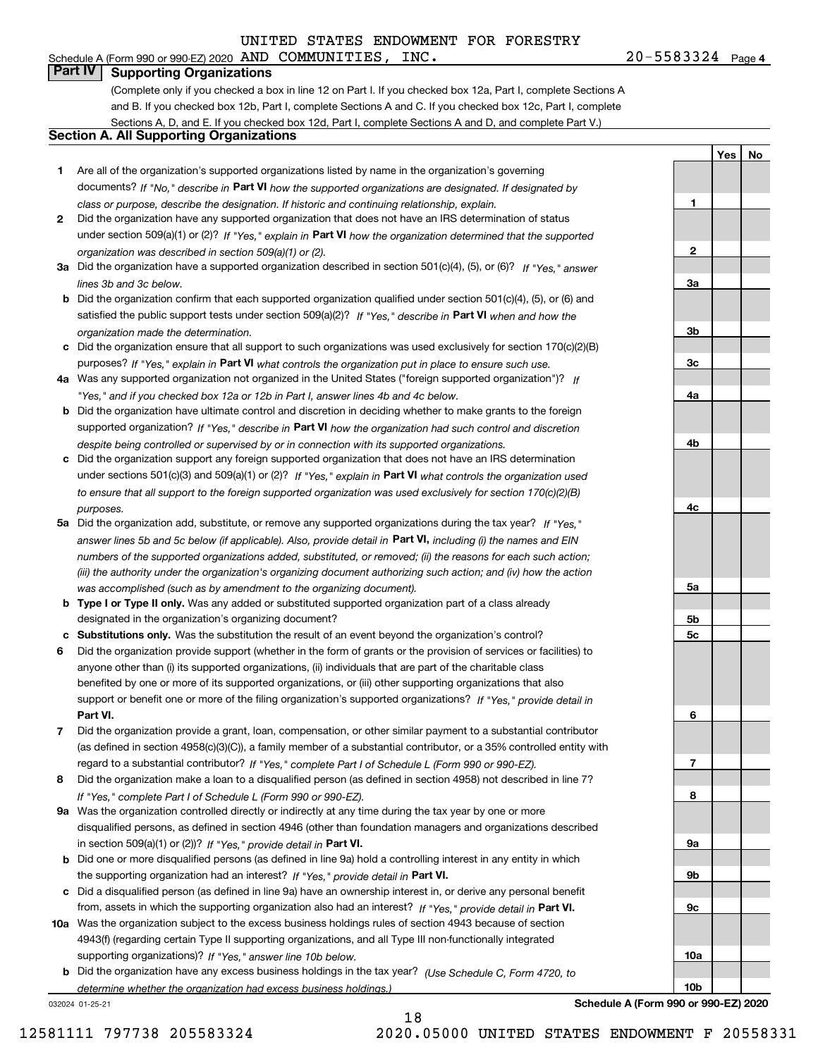#### 20-5583324 Page 4 Schedule A (Form 990 or 990-EZ) 2020 Page AND COMMUNITIES, INC. 20-5583324

**YesNo**

**1**

**2**

**3a**

**3b**

**3c**

**4a**

**4b**

**4c**

**5a**

**5b5c**

**6**

**7**

**8**

**9a**

**9b**

**9c**

**10a**

**10b**

## **Part IV Supporting Organizations**

(Complete only if you checked a box in line 12 on Part I. If you checked box 12a, Part I, complete Sections A and B. If you checked box 12b, Part I, complete Sections A and C. If you checked box 12c, Part I, complete Sections A, D, and E. If you checked box 12d, Part I, complete Sections A and D, and complete Part V.)

### **Section A. All Supporting Organizations**

- **1** Are all of the organization's supported organizations listed by name in the organization's governing documents? If "No," describe in **Part VI** how the supported organizations are designated. If designated by *class or purpose, describe the designation. If historic and continuing relationship, explain.*
- **2** Did the organization have any supported organization that does not have an IRS determination of status under section 509(a)(1) or (2)? If "Yes," explain in Part VI how the organization determined that the supported *organization was described in section 509(a)(1) or (2).*
- **3a** Did the organization have a supported organization described in section 501(c)(4), (5), or (6)? If "Yes," answer *lines 3b and 3c below.*
- **b** Did the organization confirm that each supported organization qualified under section 501(c)(4), (5), or (6) and satisfied the public support tests under section 509(a)(2)? If "Yes," describe in **Part VI** when and how the *organization made the determination.*
- **c**Did the organization ensure that all support to such organizations was used exclusively for section 170(c)(2)(B) purposes? If "Yes," explain in **Part VI** what controls the organization put in place to ensure such use.
- **4a***If* Was any supported organization not organized in the United States ("foreign supported organization")? *"Yes," and if you checked box 12a or 12b in Part I, answer lines 4b and 4c below.*
- **b** Did the organization have ultimate control and discretion in deciding whether to make grants to the foreign supported organization? If "Yes," describe in **Part VI** how the organization had such control and discretion *despite being controlled or supervised by or in connection with its supported organizations.*
- **c** Did the organization support any foreign supported organization that does not have an IRS determination under sections 501(c)(3) and 509(a)(1) or (2)? If "Yes," explain in **Part VI** what controls the organization used *to ensure that all support to the foreign supported organization was used exclusively for section 170(c)(2)(B) purposes.*
- **5a** Did the organization add, substitute, or remove any supported organizations during the tax year? If "Yes," answer lines 5b and 5c below (if applicable). Also, provide detail in **Part VI,** including (i) the names and EIN *numbers of the supported organizations added, substituted, or removed; (ii) the reasons for each such action; (iii) the authority under the organization's organizing document authorizing such action; and (iv) how the action was accomplished (such as by amendment to the organizing document).*
- **b** Type I or Type II only. Was any added or substituted supported organization part of a class already designated in the organization's organizing document?
- **cSubstitutions only.**  Was the substitution the result of an event beyond the organization's control?
- **6** Did the organization provide support (whether in the form of grants or the provision of services or facilities) to **Part VI.** *If "Yes," provide detail in* support or benefit one or more of the filing organization's supported organizations? anyone other than (i) its supported organizations, (ii) individuals that are part of the charitable class benefited by one or more of its supported organizations, or (iii) other supporting organizations that also
- **7**Did the organization provide a grant, loan, compensation, or other similar payment to a substantial contributor *If "Yes," complete Part I of Schedule L (Form 990 or 990-EZ).* regard to a substantial contributor? (as defined in section 4958(c)(3)(C)), a family member of a substantial contributor, or a 35% controlled entity with
- **8** Did the organization make a loan to a disqualified person (as defined in section 4958) not described in line 7? *If "Yes," complete Part I of Schedule L (Form 990 or 990-EZ).*
- **9a** Was the organization controlled directly or indirectly at any time during the tax year by one or more in section 509(a)(1) or (2))? If "Yes," *provide detail in* <code>Part VI.</code> disqualified persons, as defined in section 4946 (other than foundation managers and organizations described
- **b**the supporting organization had an interest? If "Yes," provide detail in P**art VI**. Did one or more disqualified persons (as defined in line 9a) hold a controlling interest in any entity in which
- **c**Did a disqualified person (as defined in line 9a) have an ownership interest in, or derive any personal benefit from, assets in which the supporting organization also had an interest? If "Yes," provide detail in P**art VI.**
- **10a** Was the organization subject to the excess business holdings rules of section 4943 because of section supporting organizations)? If "Yes," answer line 10b below. 4943(f) (regarding certain Type II supporting organizations, and all Type III non-functionally integrated
- **b** Did the organization have any excess business holdings in the tax year? (Use Schedule C, Form 4720, to *determine whether the organization had excess business holdings.)*

18

032024 01-25-21

**Schedule A (Form 990 or 990-EZ) 2020**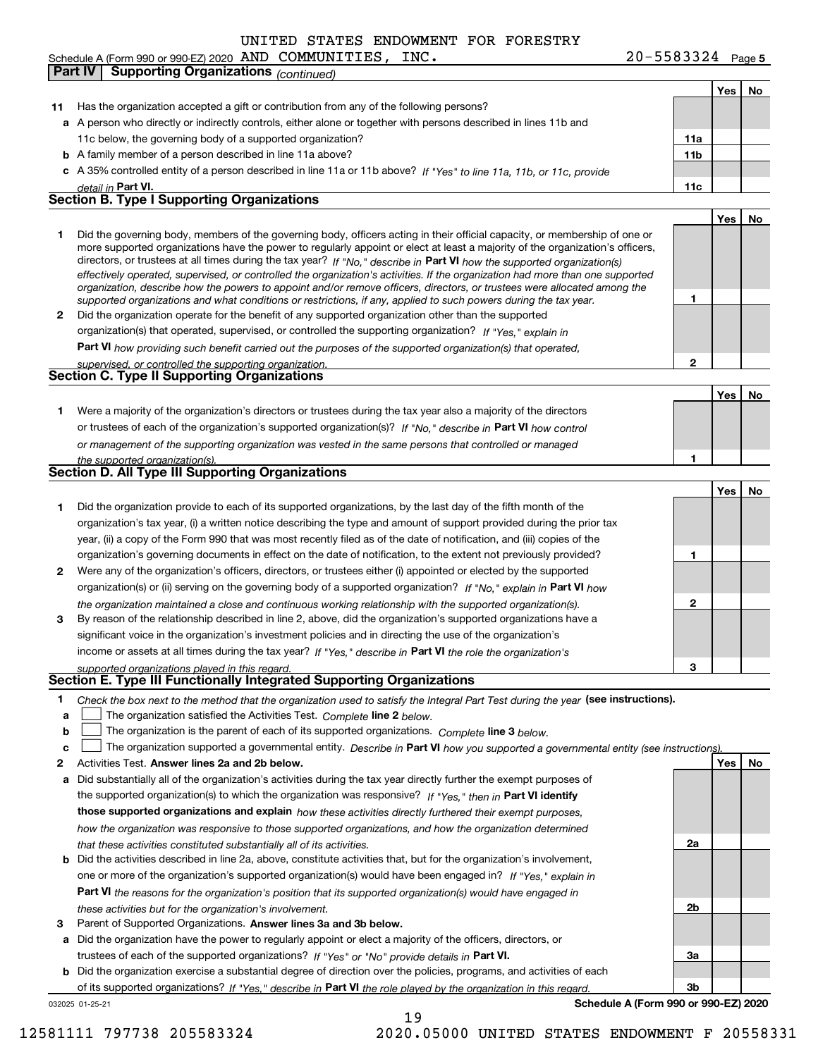Schedule A (Form 990 or 990-EZ) 2020 Page AND COMMUNITIES, INC. 20-5583324 **Part IV Supporting Organizations** *(continued)* **Continueding Continueding Continueding Continueding Continued)** 

**5**

|    |                                                                                                                                                                                                                                |                 | Yes | No |
|----|--------------------------------------------------------------------------------------------------------------------------------------------------------------------------------------------------------------------------------|-----------------|-----|----|
| 11 | Has the organization accepted a gift or contribution from any of the following persons?                                                                                                                                        |                 |     |    |
|    | a A person who directly or indirectly controls, either alone or together with persons described in lines 11b and                                                                                                               |                 |     |    |
|    | 11c below, the governing body of a supported organization?                                                                                                                                                                     | 11a             |     |    |
|    | <b>b</b> A family member of a person described in line 11a above?                                                                                                                                                              | 11 <sub>b</sub> |     |    |
|    | c A 35% controlled entity of a person described in line 11a or 11b above? If "Yes" to line 11a, 11b, or 11c, provide                                                                                                           |                 |     |    |
|    | detail in Part VI.                                                                                                                                                                                                             | 11c             |     |    |
|    | <b>Section B. Type I Supporting Organizations</b>                                                                                                                                                                              |                 |     |    |
|    |                                                                                                                                                                                                                                |                 | Yes | No |
| 1. | Did the governing body, members of the governing body, officers acting in their official capacity, or membership of one or                                                                                                     |                 |     |    |
|    | more supported organizations have the power to regularly appoint or elect at least a majority of the organization's officers,                                                                                                  |                 |     |    |
|    | directors, or trustees at all times during the tax year? If "No," describe in Part VI how the supported organization(s)                                                                                                        |                 |     |    |
|    | effectively operated, supervised, or controlled the organization's activities. If the organization had more than one supported                                                                                                 |                 |     |    |
|    | organization, describe how the powers to appoint and/or remove officers, directors, or trustees were allocated among the                                                                                                       |                 |     |    |
|    | supported organizations and what conditions or restrictions, if any, applied to such powers during the tax year.                                                                                                               | 1               |     |    |
| 2  | Did the organization operate for the benefit of any supported organization other than the supported                                                                                                                            |                 |     |    |
|    | organization(s) that operated, supervised, or controlled the supporting organization? If "Yes," explain in                                                                                                                     |                 |     |    |
|    | Part VI how providing such benefit carried out the purposes of the supported organization(s) that operated,                                                                                                                    |                 |     |    |
|    | supervised, or controlled the supporting organization.                                                                                                                                                                         | 2               |     |    |
|    | Section C. Type II Supporting Organizations                                                                                                                                                                                    |                 |     |    |
|    |                                                                                                                                                                                                                                |                 | Yes | No |
| 1. | Were a majority of the organization's directors or trustees during the tax year also a majority of the directors                                                                                                               |                 |     |    |
|    | or trustees of each of the organization's supported organization(s)? If "No," describe in Part VI how control                                                                                                                  |                 |     |    |
|    | or management of the supporting organization was vested in the same persons that controlled or managed                                                                                                                         |                 |     |    |
|    | the supported organization(s).                                                                                                                                                                                                 | 1               |     |    |
|    | Section D. All Type III Supporting Organizations                                                                                                                                                                               |                 |     |    |
|    |                                                                                                                                                                                                                                |                 | Yes | No |
| 1. | Did the organization provide to each of its supported organizations, by the last day of the fifth month of the                                                                                                                 |                 |     |    |
|    | organization's tax year, (i) a written notice describing the type and amount of support provided during the prior tax                                                                                                          |                 |     |    |
|    | year, (ii) a copy of the Form 990 that was most recently filed as of the date of notification, and (iii) copies of the                                                                                                         |                 |     |    |
|    | organization's governing documents in effect on the date of notification, to the extent not previously provided?                                                                                                               | 1               |     |    |
| 2  | Were any of the organization's officers, directors, or trustees either (i) appointed or elected by the supported                                                                                                               |                 |     |    |
|    | organization(s) or (ii) serving on the governing body of a supported organization? If "No," explain in Part VI how                                                                                                             |                 |     |    |
|    |                                                                                                                                                                                                                                | $\mathbf{2}$    |     |    |
| 3  | the organization maintained a close and continuous working relationship with the supported organization(s).<br>By reason of the relationship described in line 2, above, did the organization's supported organizations have a |                 |     |    |
|    |                                                                                                                                                                                                                                |                 |     |    |
|    | significant voice in the organization's investment policies and in directing the use of the organization's                                                                                                                     |                 |     |    |
|    | income or assets at all times during the tax year? If "Yes," describe in Part VI the role the organization's                                                                                                                   |                 |     |    |
|    | supported organizations played in this regard.<br>Section E. Type III Functionally Integrated Supporting Organizations                                                                                                         | з               |     |    |
|    |                                                                                                                                                                                                                                |                 |     |    |
| 1  | Check the box next to the method that the organization used to satisfy the Integral Part Test during the year (see instructions).                                                                                              |                 |     |    |
| a  | The organization satisfied the Activities Test. Complete line 2 below.                                                                                                                                                         |                 |     |    |
| b  | The organization is the parent of each of its supported organizations. Complete line 3 below.                                                                                                                                  |                 |     |    |
| c  | The organization supported a governmental entity. Describe in Part VI how you supported a governmental entity (see instructions).                                                                                              |                 |     |    |
| 2  | Activities Test. Answer lines 2a and 2b below.                                                                                                                                                                                 |                 | Yes | No |
| а  | Did substantially all of the organization's activities during the tax year directly further the exempt purposes of                                                                                                             |                 |     |    |
|    | the supported organization(s) to which the organization was responsive? If "Yes," then in Part VI identify                                                                                                                     |                 |     |    |
|    | those supported organizations and explain how these activities directly furthered their exempt purposes,                                                                                                                       |                 |     |    |
|    | how the organization was responsive to those supported organizations, and how the organization determined                                                                                                                      |                 |     |    |
|    | that these activities constituted substantially all of its activities.                                                                                                                                                         | 2a              |     |    |
| b  | Did the activities described in line 2a, above, constitute activities that, but for the organization's involvement,                                                                                                            |                 |     |    |
|    | one or more of the organization's supported organization(s) would have been engaged in? If "Yes," explain in                                                                                                                   |                 |     |    |
|    | <b>Part VI</b> the reasons for the organization's position that its supported organization(s) would have engaged in                                                                                                            |                 |     |    |
|    | these activities but for the organization's involvement.                                                                                                                                                                       | 2b              |     |    |
| з  | Parent of Supported Organizations. Answer lines 3a and 3b below.                                                                                                                                                               |                 |     |    |
| а  | Did the organization have the power to regularly appoint or elect a majority of the officers, directors, or                                                                                                                    |                 |     |    |
|    | trustees of each of the supported organizations? If "Yes" or "No" provide details in Part VI.                                                                                                                                  | За              |     |    |
| b  | Did the organization exercise a substantial degree of direction over the policies, programs, and activities of each                                                                                                            |                 |     |    |
|    | of its supported organizations? If "Yes," describe in Part VI the role played by the organization in this regard                                                                                                               | Зb              |     |    |
|    | Schedule A (Form 990 or 990-EZ) 2020<br>032025 01-25-21                                                                                                                                                                        |                 |     |    |
|    |                                                                                                                                                                                                                                |                 |     |    |

19

12581111 797738 205583324 2020.05000 UNITED STATES ENDOWMENT F 20558331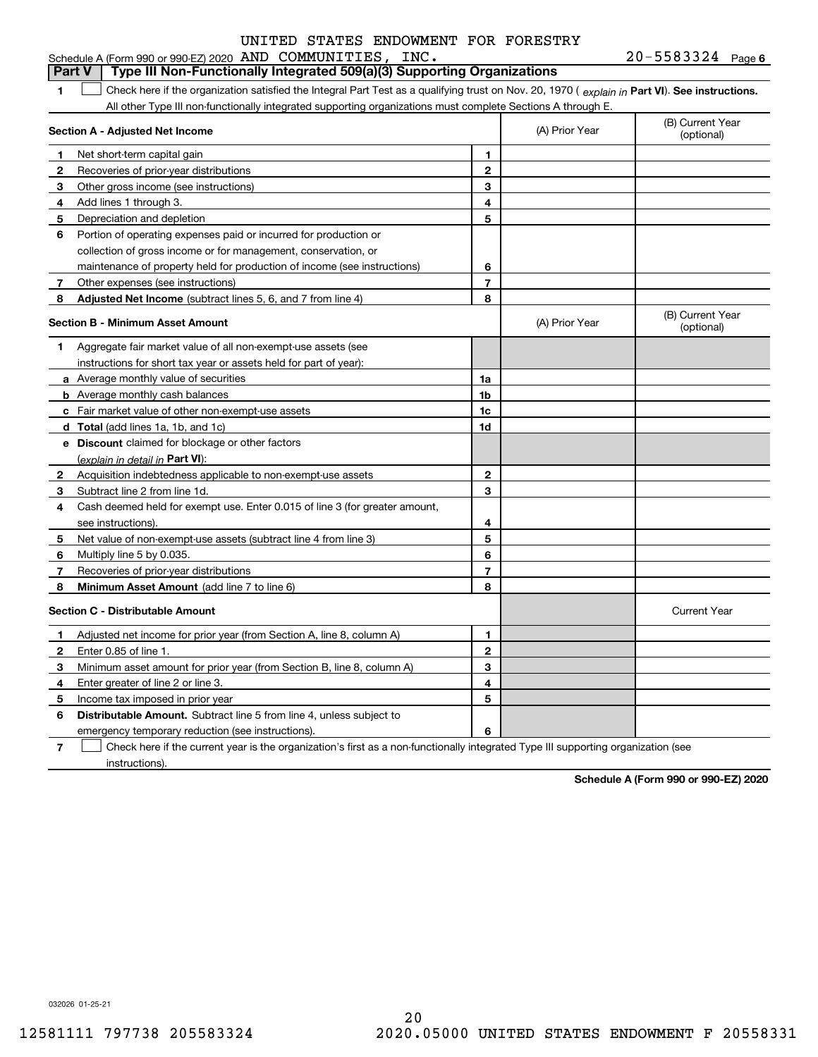#### **1Part VI** Check here if the organization satisfied the Integral Part Test as a qualifying trust on Nov. 20, 1970 ( explain in Part **VI**). See instructions. **Section A - Adjusted Net Income 12** Recoveries of prior-year distributions **3** Other gross income (see instructions) **4**Add lines 1 through 3. **56** Portion of operating expenses paid or incurred for production or **7** Other expenses (see instructions) **8** Adjusted Net Income (subtract lines 5, 6, and 7 from line 4) **8 8 1234567Section B - Minimum Asset Amount 1**Aggregate fair market value of all non-exempt-use assets (see **2**Acquisition indebtedness applicable to non-exempt-use assets **3** Subtract line 2 from line 1d. **4**Cash deemed held for exempt use. Enter 0.015 of line 3 (for greater amount, **5** Net value of non-exempt-use assets (subtract line 4 from line 3) **678a** Average monthly value of securities **b** Average monthly cash balances **c**Fair market value of other non-exempt-use assets **dTotal**  (add lines 1a, 1b, and 1c) **eDiscount** claimed for blockage or other factors **1a1b1c1d2345678**(explain in detail in Part VI): **Minimum Asset Amount**  (add line 7 to line 6) **Section C - Distributable Amount 12**Enter 0.85 of line 1. **3456123456Distributable Amount.** Subtract line 5 from line 4, unless subject to All other Type III non-functionally integrated supporting organizations must complete Sections A through E. (B) Current Year (optional)(A) Prior Year Net short-term capital gain Depreciation and depletion collection of gross income or for management, conservation, or maintenance of property held for production of income (see instructions) (B) Current Year (optional)(A) Prior Year instructions for short tax year or assets held for part of year): see instructions). Multiply line 5 by 0.035. Recoveries of prior-year distributions Current Year Adjusted net income for prior year (from Section A, line 8, column A) Minimum asset amount for prior year (from Section B, line 8, column A) Enter greater of line 2 or line 3. Income tax imposed in prior year emergency temporary reduction (see instructions). **Part V** Type III Non-Functionally Integrated 509(a)(3) Supporting Organizations  $\mathcal{L}^{\text{max}}$

**7**Check here if the current year is the organization's first as a non-functionally integrated Type III supporting organization (see instructions). $\mathcal{L}^{\text{max}}$ 

**Schedule A (Form 990 or 990-EZ) 2020**

032026 01-25-21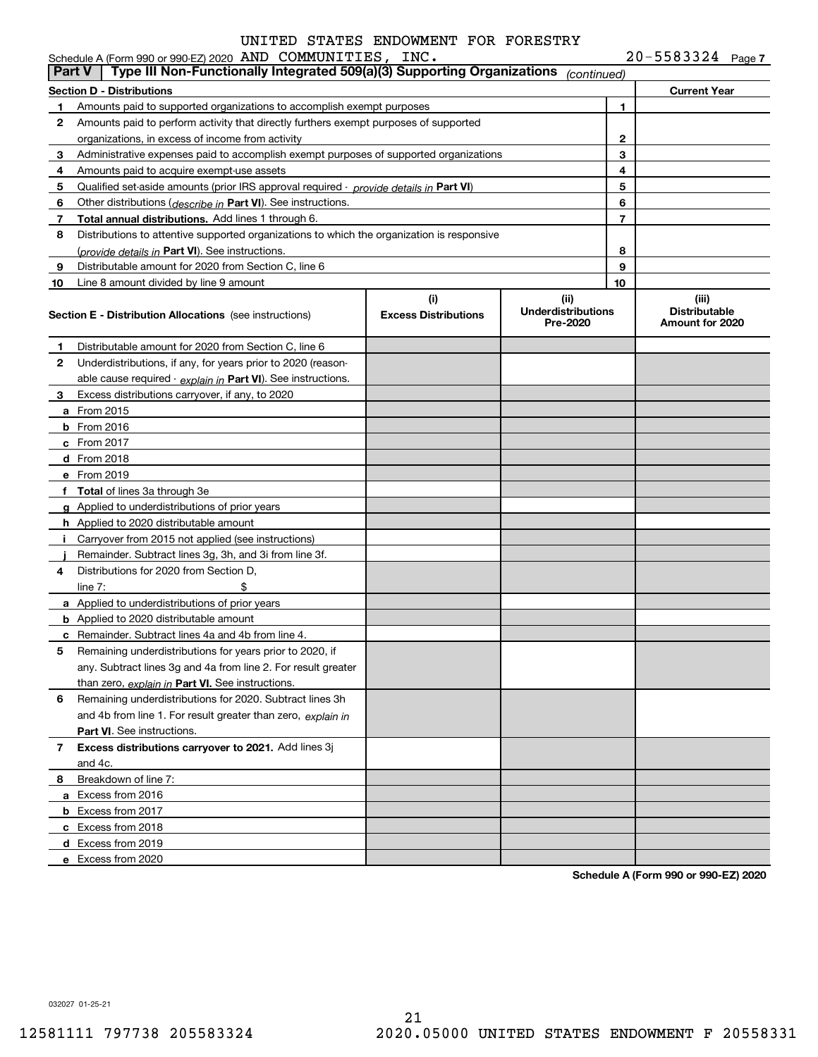|--|

| <b>Part V</b> | Schedule A (Form 990 or 990-EZ) 2020 AND COMMUNITIES, INC.<br>Type III Non-Functionally Integrated 509(a)(3) Supporting Organizations |                                    | (continued)                                   |                | $20 - 5583324$ Page 7                            |
|---------------|---------------------------------------------------------------------------------------------------------------------------------------|------------------------------------|-----------------------------------------------|----------------|--------------------------------------------------|
|               | Section D - Distributions                                                                                                             |                                    |                                               |                | <b>Current Year</b>                              |
| 1             | Amounts paid to supported organizations to accomplish exempt purposes                                                                 |                                    |                                               | 1              |                                                  |
| 2             | Amounts paid to perform activity that directly furthers exempt purposes of supported                                                  |                                    |                                               |                |                                                  |
|               | organizations, in excess of income from activity                                                                                      |                                    | 2                                             |                |                                                  |
| 3             | Administrative expenses paid to accomplish exempt purposes of supported organizations                                                 |                                    |                                               | 3              |                                                  |
| 4             | Amounts paid to acquire exempt-use assets                                                                                             |                                    |                                               | 4              |                                                  |
| 5             | Qualified set-aside amounts (prior IRS approval required - provide details in Part VI)                                                |                                    |                                               | 5              |                                                  |
| 6             | Other distributions ( <i>describe in</i> Part VI). See instructions.                                                                  |                                    |                                               | 6              |                                                  |
| 7             | Total annual distributions. Add lines 1 through 6.                                                                                    |                                    |                                               | $\overline{7}$ |                                                  |
| 8             | Distributions to attentive supported organizations to which the organization is responsive                                            |                                    |                                               |                |                                                  |
|               | (provide details in Part VI). See instructions.                                                                                       |                                    |                                               | 8              |                                                  |
| 9             | Distributable amount for 2020 from Section C, line 6                                                                                  |                                    |                                               | 9              |                                                  |
| 10            | Line 8 amount divided by line 9 amount                                                                                                |                                    |                                               | 10             |                                                  |
|               | <b>Section E - Distribution Allocations</b> (see instructions)                                                                        | (i)<br><b>Excess Distributions</b> | (ii)<br><b>Underdistributions</b><br>Pre-2020 |                | (iii)<br><b>Distributable</b><br>Amount for 2020 |
| 1             | Distributable amount for 2020 from Section C, line 6                                                                                  |                                    |                                               |                |                                                  |
| 2             | Underdistributions, if any, for years prior to 2020 (reason-                                                                          |                                    |                                               |                |                                                  |
|               | able cause required - explain in Part VI). See instructions.                                                                          |                                    |                                               |                |                                                  |
| 3             | Excess distributions carryover, if any, to 2020                                                                                       |                                    |                                               |                |                                                  |
|               | <b>a</b> From 2015                                                                                                                    |                                    |                                               |                |                                                  |
|               | $b$ From 2016                                                                                                                         |                                    |                                               |                |                                                  |
|               | c From 2017                                                                                                                           |                                    |                                               |                |                                                  |
|               | d From 2018                                                                                                                           |                                    |                                               |                |                                                  |
|               | e From 2019                                                                                                                           |                                    |                                               |                |                                                  |
|               | f Total of lines 3a through 3e                                                                                                        |                                    |                                               |                |                                                  |
|               | g Applied to underdistributions of prior years                                                                                        |                                    |                                               |                |                                                  |
|               | <b>h</b> Applied to 2020 distributable amount                                                                                         |                                    |                                               |                |                                                  |
|               | i Carryover from 2015 not applied (see instructions)                                                                                  |                                    |                                               |                |                                                  |
|               | Remainder. Subtract lines 3g, 3h, and 3i from line 3f.                                                                                |                                    |                                               |                |                                                  |
| 4             | Distributions for 2020 from Section D.                                                                                                |                                    |                                               |                |                                                  |
|               | \$<br>line $7:$                                                                                                                       |                                    |                                               |                |                                                  |
|               | a Applied to underdistributions of prior years                                                                                        |                                    |                                               |                |                                                  |
|               | <b>b</b> Applied to 2020 distributable amount                                                                                         |                                    |                                               |                |                                                  |
|               | <b>c</b> Remainder. Subtract lines 4a and 4b from line 4.                                                                             |                                    |                                               |                |                                                  |
|               | Remaining underdistributions for years prior to 2020, if                                                                              |                                    |                                               |                |                                                  |
|               | any. Subtract lines 3g and 4a from line 2. For result greater                                                                         |                                    |                                               |                |                                                  |
|               | than zero, explain in Part VI. See instructions.                                                                                      |                                    |                                               |                |                                                  |
| 6             | Remaining underdistributions for 2020. Subtract lines 3h                                                                              |                                    |                                               |                |                                                  |
|               | and 4b from line 1. For result greater than zero, explain in                                                                          |                                    |                                               |                |                                                  |
|               | <b>Part VI.</b> See instructions.                                                                                                     |                                    |                                               |                |                                                  |
| 7             | Excess distributions carryover to 2021. Add lines 3j                                                                                  |                                    |                                               |                |                                                  |
|               | and 4c.                                                                                                                               |                                    |                                               |                |                                                  |
| 8             | Breakdown of line 7:                                                                                                                  |                                    |                                               |                |                                                  |
|               | a Excess from 2016                                                                                                                    |                                    |                                               |                |                                                  |
|               | <b>b</b> Excess from 2017                                                                                                             |                                    |                                               |                |                                                  |
|               | c Excess from 2018                                                                                                                    |                                    |                                               |                |                                                  |
|               | d Excess from 2019                                                                                                                    |                                    |                                               |                |                                                  |
|               | e Excess from 2020                                                                                                                    |                                    |                                               |                |                                                  |
|               |                                                                                                                                       |                                    |                                               |                |                                                  |

**Schedule A (Form 990 or 990-EZ) 2020**

032027 01-25-21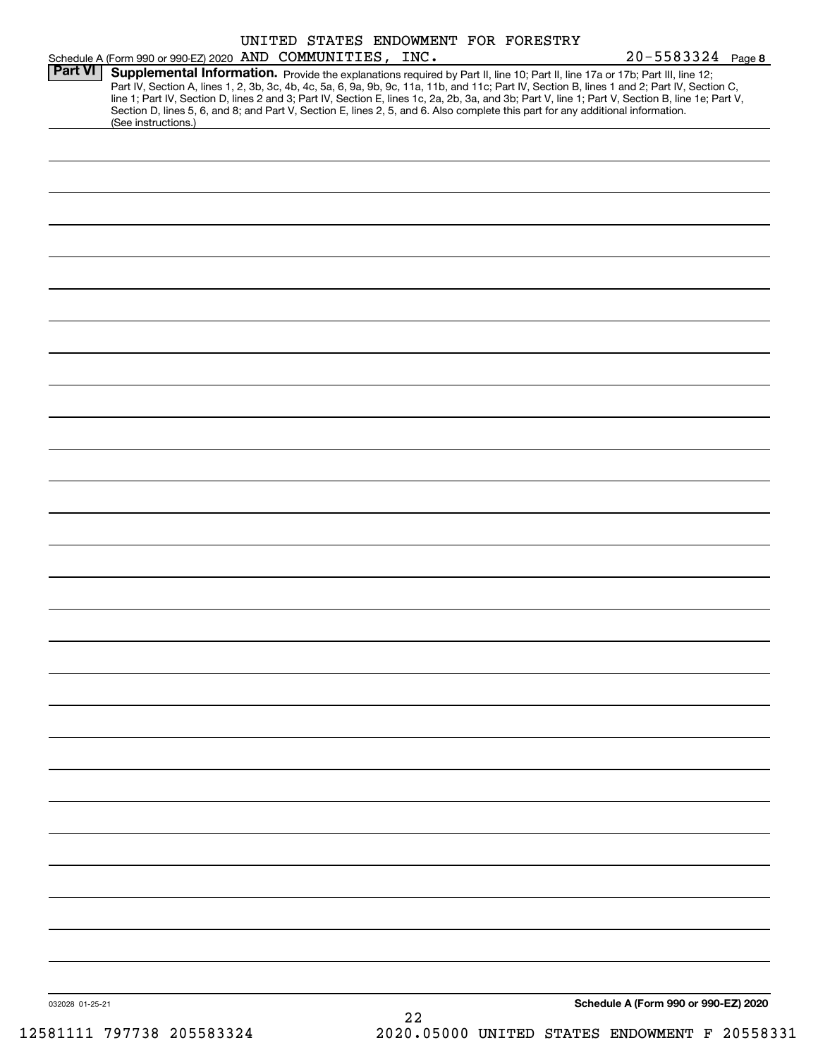|                 |                                                                                                                                                                                                                                                                                                                                                                                                                                                                                                                                                                                             |  |    | UNITED STATES ENDOWMENT FOR FORESTRY |                                      |  |
|-----------------|---------------------------------------------------------------------------------------------------------------------------------------------------------------------------------------------------------------------------------------------------------------------------------------------------------------------------------------------------------------------------------------------------------------------------------------------------------------------------------------------------------------------------------------------------------------------------------------------|--|----|--------------------------------------|--------------------------------------|--|
| <b>Part VI</b>  | Schedule A (Form 990 or 990-EZ) 2020 AND COMMUNITIES, INC.                                                                                                                                                                                                                                                                                                                                                                                                                                                                                                                                  |  |    |                                      | $20 - 5583324$ Page 8                |  |
|                 | Supplemental Information. Provide the explanations required by Part II, line 10; Part II, line 17a or 17b; Part III, line 12;<br>Part IV, Section A, lines 1, 2, 3b, 3c, 4b, 4c, 5a, 6, 9a, 9b, 9c, 11a, 11b, and 11c; Part IV, Section B, lines 1 and 2; Part IV, Section C,<br>line 1; Part IV, Section D, lines 2 and 3; Part IV, Section E, lines 1c, 2a, 2b, 3a, and 3b; Part V, line 1; Part V, Section B, line 1e; Part V,<br>Section D, lines 5, 6, and 8; and Part V, Section E, lines 2, 5, and 6. Also complete this part for any additional information.<br>(See instructions.) |  |    |                                      |                                      |  |
|                 |                                                                                                                                                                                                                                                                                                                                                                                                                                                                                                                                                                                             |  |    |                                      |                                      |  |
|                 |                                                                                                                                                                                                                                                                                                                                                                                                                                                                                                                                                                                             |  |    |                                      |                                      |  |
|                 |                                                                                                                                                                                                                                                                                                                                                                                                                                                                                                                                                                                             |  |    |                                      |                                      |  |
|                 |                                                                                                                                                                                                                                                                                                                                                                                                                                                                                                                                                                                             |  |    |                                      |                                      |  |
|                 |                                                                                                                                                                                                                                                                                                                                                                                                                                                                                                                                                                                             |  |    |                                      |                                      |  |
|                 |                                                                                                                                                                                                                                                                                                                                                                                                                                                                                                                                                                                             |  |    |                                      |                                      |  |
|                 |                                                                                                                                                                                                                                                                                                                                                                                                                                                                                                                                                                                             |  |    |                                      |                                      |  |
|                 |                                                                                                                                                                                                                                                                                                                                                                                                                                                                                                                                                                                             |  |    |                                      |                                      |  |
|                 |                                                                                                                                                                                                                                                                                                                                                                                                                                                                                                                                                                                             |  |    |                                      |                                      |  |
|                 |                                                                                                                                                                                                                                                                                                                                                                                                                                                                                                                                                                                             |  |    |                                      |                                      |  |
|                 |                                                                                                                                                                                                                                                                                                                                                                                                                                                                                                                                                                                             |  |    |                                      |                                      |  |
|                 |                                                                                                                                                                                                                                                                                                                                                                                                                                                                                                                                                                                             |  |    |                                      |                                      |  |
|                 |                                                                                                                                                                                                                                                                                                                                                                                                                                                                                                                                                                                             |  |    |                                      |                                      |  |
|                 |                                                                                                                                                                                                                                                                                                                                                                                                                                                                                                                                                                                             |  |    |                                      |                                      |  |
|                 |                                                                                                                                                                                                                                                                                                                                                                                                                                                                                                                                                                                             |  |    |                                      |                                      |  |
|                 |                                                                                                                                                                                                                                                                                                                                                                                                                                                                                                                                                                                             |  |    |                                      |                                      |  |
|                 |                                                                                                                                                                                                                                                                                                                                                                                                                                                                                                                                                                                             |  |    |                                      |                                      |  |
|                 |                                                                                                                                                                                                                                                                                                                                                                                                                                                                                                                                                                                             |  |    |                                      |                                      |  |
|                 |                                                                                                                                                                                                                                                                                                                                                                                                                                                                                                                                                                                             |  |    |                                      |                                      |  |
|                 |                                                                                                                                                                                                                                                                                                                                                                                                                                                                                                                                                                                             |  |    |                                      |                                      |  |
|                 |                                                                                                                                                                                                                                                                                                                                                                                                                                                                                                                                                                                             |  |    |                                      |                                      |  |
|                 |                                                                                                                                                                                                                                                                                                                                                                                                                                                                                                                                                                                             |  |    |                                      |                                      |  |
|                 |                                                                                                                                                                                                                                                                                                                                                                                                                                                                                                                                                                                             |  |    |                                      |                                      |  |
|                 |                                                                                                                                                                                                                                                                                                                                                                                                                                                                                                                                                                                             |  |    |                                      |                                      |  |
|                 |                                                                                                                                                                                                                                                                                                                                                                                                                                                                                                                                                                                             |  |    |                                      |                                      |  |
|                 |                                                                                                                                                                                                                                                                                                                                                                                                                                                                                                                                                                                             |  |    |                                      |                                      |  |
|                 |                                                                                                                                                                                                                                                                                                                                                                                                                                                                                                                                                                                             |  |    |                                      |                                      |  |
|                 |                                                                                                                                                                                                                                                                                                                                                                                                                                                                                                                                                                                             |  |    |                                      |                                      |  |
|                 |                                                                                                                                                                                                                                                                                                                                                                                                                                                                                                                                                                                             |  |    |                                      |                                      |  |
|                 |                                                                                                                                                                                                                                                                                                                                                                                                                                                                                                                                                                                             |  |    |                                      |                                      |  |
|                 |                                                                                                                                                                                                                                                                                                                                                                                                                                                                                                                                                                                             |  |    |                                      |                                      |  |
|                 |                                                                                                                                                                                                                                                                                                                                                                                                                                                                                                                                                                                             |  |    |                                      |                                      |  |
|                 |                                                                                                                                                                                                                                                                                                                                                                                                                                                                                                                                                                                             |  |    |                                      |                                      |  |
| 032028 01-25-21 |                                                                                                                                                                                                                                                                                                                                                                                                                                                                                                                                                                                             |  |    |                                      | Schedule A (Form 990 or 990-EZ) 2020 |  |
|                 |                                                                                                                                                                                                                                                                                                                                                                                                                                                                                                                                                                                             |  | 22 |                                      |                                      |  |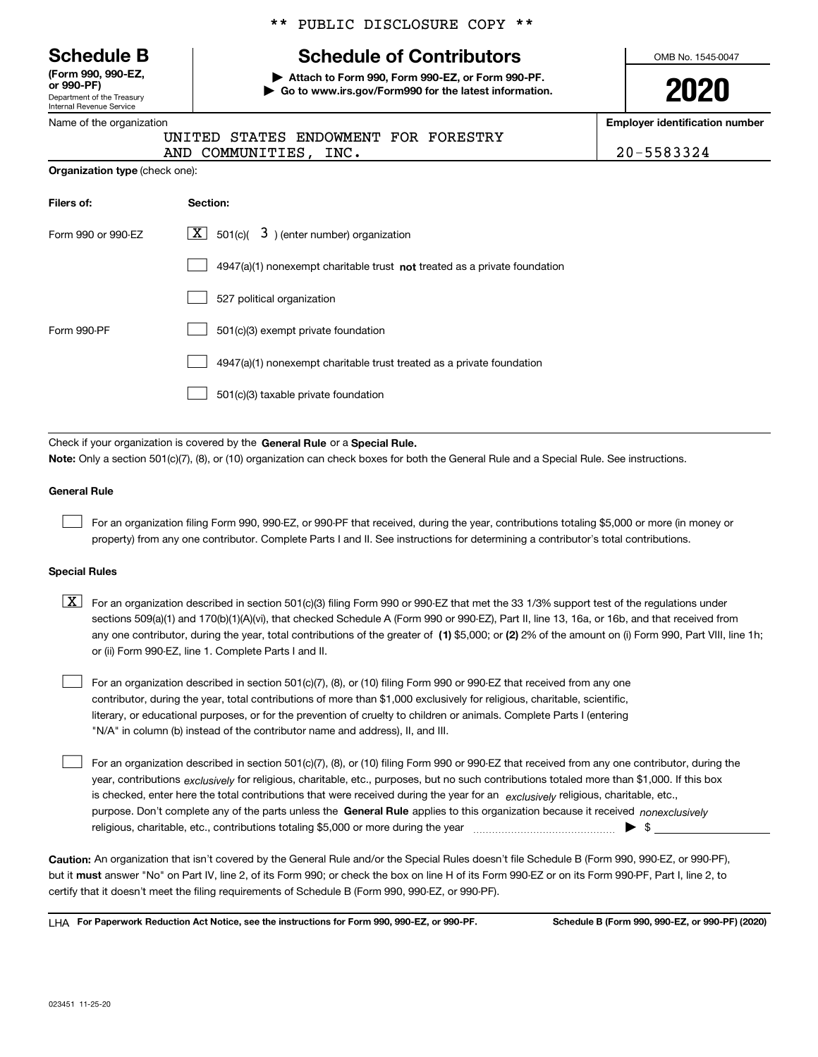Department of the Treasury Internal Revenue Service **(Form 990, 990-EZ, or 990-PF)**

#### Name of the organization

|  |  | ** PUBLIC DISCLOSURE COPY ** |  |  |
|--|--|------------------------------|--|--|
|--|--|------------------------------|--|--|

## **Schedule B Schedule of Contributors**

**| Attach to Form 990, Form 990-EZ, or Form 990-PF. | Go to www.irs.gov/Form990 for the latest information.** OMB No. 1545-0047

**2020**

**Employer identification number**

|  | 20-5583324 |  |  |  |  |  |  |  |
|--|------------|--|--|--|--|--|--|--|
|--|------------|--|--|--|--|--|--|--|

| Organization type (check one): |  |  |
|--------------------------------|--|--|
|                                |  |  |

AND COMMUNITIES, INC.

| Filers of:         | Section:                                                                    |  |  |  |  |
|--------------------|-----------------------------------------------------------------------------|--|--|--|--|
| Form 990 or 990-EZ | $\lfloor x \rfloor$ 501(c)( 3) (enter number) organization                  |  |  |  |  |
|                    | $4947(a)(1)$ nonexempt charitable trust not treated as a private foundation |  |  |  |  |
|                    | 527 political organization                                                  |  |  |  |  |
| Form 990-PF        | 501(c)(3) exempt private foundation                                         |  |  |  |  |
|                    | 4947(a)(1) nonexempt charitable trust treated as a private foundation       |  |  |  |  |
|                    | 501(c)(3) taxable private foundation                                        |  |  |  |  |

UNITED STATES ENDOWMENT FOR FORESTRY

Check if your organization is covered by the **General Rule** or a **Special Rule. Note:**  Only a section 501(c)(7), (8), or (10) organization can check boxes for both the General Rule and a Special Rule. See instructions.

#### **General Rule**

 $\mathcal{L}^{\text{max}}$ 

For an organization filing Form 990, 990-EZ, or 990-PF that received, during the year, contributions totaling \$5,000 or more (in money or property) from any one contributor. Complete Parts I and II. See instructions for determining a contributor's total contributions.

#### **Special Rules**

any one contributor, during the year, total contributions of the greater of  $\,$  (1) \$5,000; or **(2)** 2% of the amount on (i) Form 990, Part VIII, line 1h;  $\boxed{\textbf{X}}$  For an organization described in section 501(c)(3) filing Form 990 or 990-EZ that met the 33 1/3% support test of the regulations under sections 509(a)(1) and 170(b)(1)(A)(vi), that checked Schedule A (Form 990 or 990-EZ), Part II, line 13, 16a, or 16b, and that received from or (ii) Form 990-EZ, line 1. Complete Parts I and II.

For an organization described in section 501(c)(7), (8), or (10) filing Form 990 or 990-EZ that received from any one contributor, during the year, total contributions of more than \$1,000 exclusively for religious, charitable, scientific, literary, or educational purposes, or for the prevention of cruelty to children or animals. Complete Parts I (entering "N/A" in column (b) instead of the contributor name and address), II, and III.  $\mathcal{L}^{\text{max}}$ 

purpose. Don't complete any of the parts unless the **General Rule** applies to this organization because it received *nonexclusively* year, contributions <sub>exclusively</sub> for religious, charitable, etc., purposes, but no such contributions totaled more than \$1,000. If this box is checked, enter here the total contributions that were received during the year for an  $\;$ exclusively religious, charitable, etc., For an organization described in section 501(c)(7), (8), or (10) filing Form 990 or 990-EZ that received from any one contributor, during the religious, charitable, etc., contributions totaling \$5,000 or more during the year  $\Box$ — $\Box$   $\Box$  $\mathcal{L}^{\text{max}}$ 

**Caution:**  An organization that isn't covered by the General Rule and/or the Special Rules doesn't file Schedule B (Form 990, 990-EZ, or 990-PF),  **must** but it answer "No" on Part IV, line 2, of its Form 990; or check the box on line H of its Form 990-EZ or on its Form 990-PF, Part I, line 2, to certify that it doesn't meet the filing requirements of Schedule B (Form 990, 990-EZ, or 990-PF).

**For Paperwork Reduction Act Notice, see the instructions for Form 990, 990-EZ, or 990-PF. Schedule B (Form 990, 990-EZ, or 990-PF) (2020)** LHA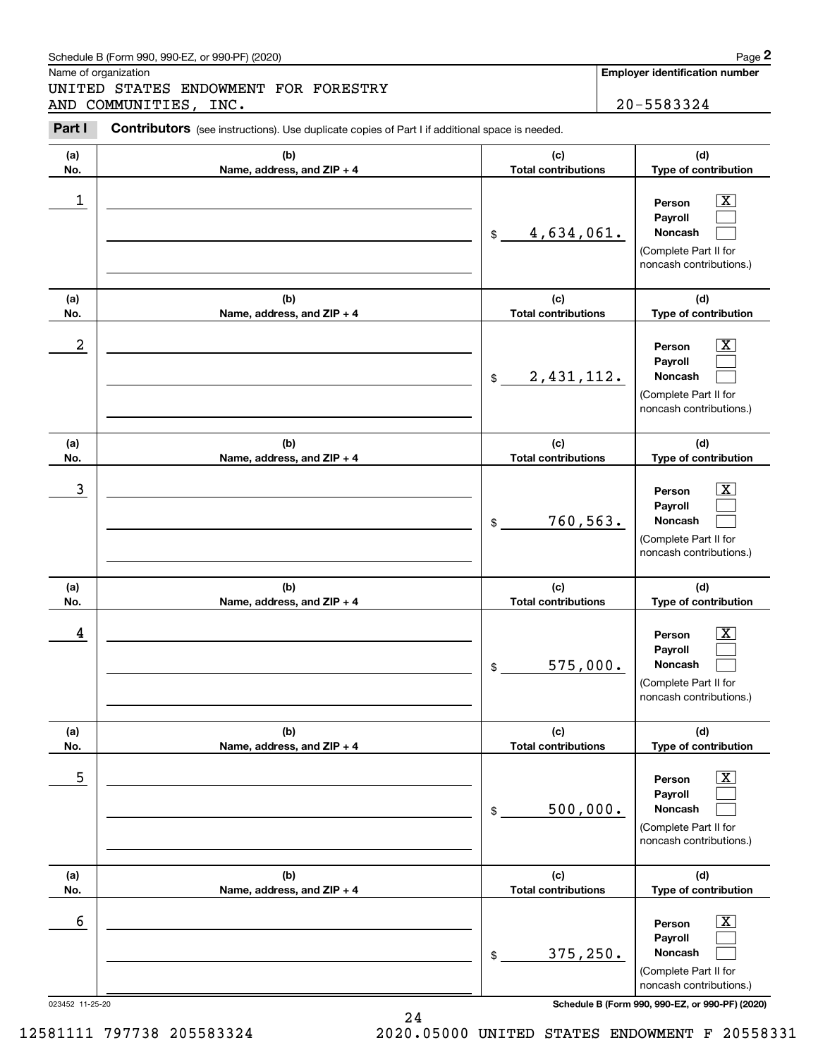#### Schedule B (Form 990, 990-EZ, or 990-PF) (2020) **Page 2** Page 2 and the state of the state of the state of the state of the state of the state of the state of the state of the state of the state of the state of the state o

Name of organization

UNITED STATES ENDOWMENT FOR FORESTRY AND COMMUNITIES, INC. 20-5583324

**Employer identification number**

#### **(a)No.(b)Name, address, and ZIP + 4 (c)Total contributions (d)Type of contribution PersonPayrollNoncash (a)No.(b)Name, address, and ZIP + 4 (c)Total contributions (d)Type of contribution PersonPayrollNoncash (a)No.(b)Name, address, and ZIP + 4 (c)Total contributions (d)Type of contribution PersonPayrollNoncash (a) No.(b) Name, address, and ZIP + 4 (c) Total contributions (d) Type of contribution PersonPayrollNoncash(a) No.(b)Name, address, and ZIP + 4 (c) Total contributions (d) Type of contribution PersonPayrollNoncash (a) No.(b)Name, address, and ZIP + 4 (c) Total contributions (d)Type of contribution PersonPayrollNoncash Contributors** (see instructions). Use duplicate copies of Part I if additional space is needed. \$(Complete Part II for noncash contributions.) \$(Complete Part II for noncash contributions.) \$(Complete Part II for noncash contributions.) \$(Complete Part II for noncash contributions.) \$(Complete Part II for noncash contributions.) \$(Complete Part II for noncash contributions.) Chedule B (Form 990, 990-EZ, or 990-PF) (2020)<br>
Iame of organization<br> **INITED STATES ENDOWMENT FOR FORESTRY**<br> **20-5583324**<br> **Part I** Contributors (see instructions). Use duplicate copies of Part I if additional space is ne  $|X|$  $\mathcal{L}^{\text{max}}$  $\mathcal{L}^{\text{max}}$  $\boxed{\text{X}}$  $\mathcal{L}^{\text{max}}$  $\mathcal{L}^{\text{max}}$  $|X|$  $\mathcal{L}^{\text{max}}$  $\mathcal{L}^{\text{max}}$  $|X|$  $\mathcal{L}^{\text{max}}$  $\mathcal{L}^{\text{max}}$  $\boxed{\text{X}}$  $\mathcal{L}^{\text{max}}$  $\mathcal{L}^{\text{max}}$  $\boxed{\text{X}}$  $\mathcal{L}^{\text{max}}$  $\mathcal{L}^{\text{max}}$  $\begin{array}{c|c|c|c|c|c} 1 & \hspace{1.5cm} & \hspace{1.5cm} & \hspace{1.5cm} & \hspace{1.5cm} & \hspace{1.5cm} & \hspace{1.5cm} & \hspace{1.5cm} & \hspace{1.5cm} & \hspace{1.5cm} & \hspace{1.5cm} & \hspace{1.5cm} & \hspace{1.5cm} & \hspace{1.5cm} & \hspace{1.5cm} & \hspace{1.5cm} & \hspace{1.5cm} & \hspace{1.5cm} & \hspace{1.5cm} & \hspace{1.5cm} & \hspace{1.5cm} &$ 4,634,061.  $2$  | Person  $\overline{\text{X}}$ 2,431,112.  $\overline{3}$  | Person  $\overline{X}$ 760,563.  $4$  | Person  $\overline{\text{X}}$ 575,000.  $\sim$  5 | Person X 500,000.  $\sim$  6 | Person X 375,250.

023452 11-25-20 **Schedule B (Form 990, 990-EZ, or 990-PF) (2020)**

12581111 797738 205583324 2020.05000 UNITED STATES ENDOWMENT F 20558331

24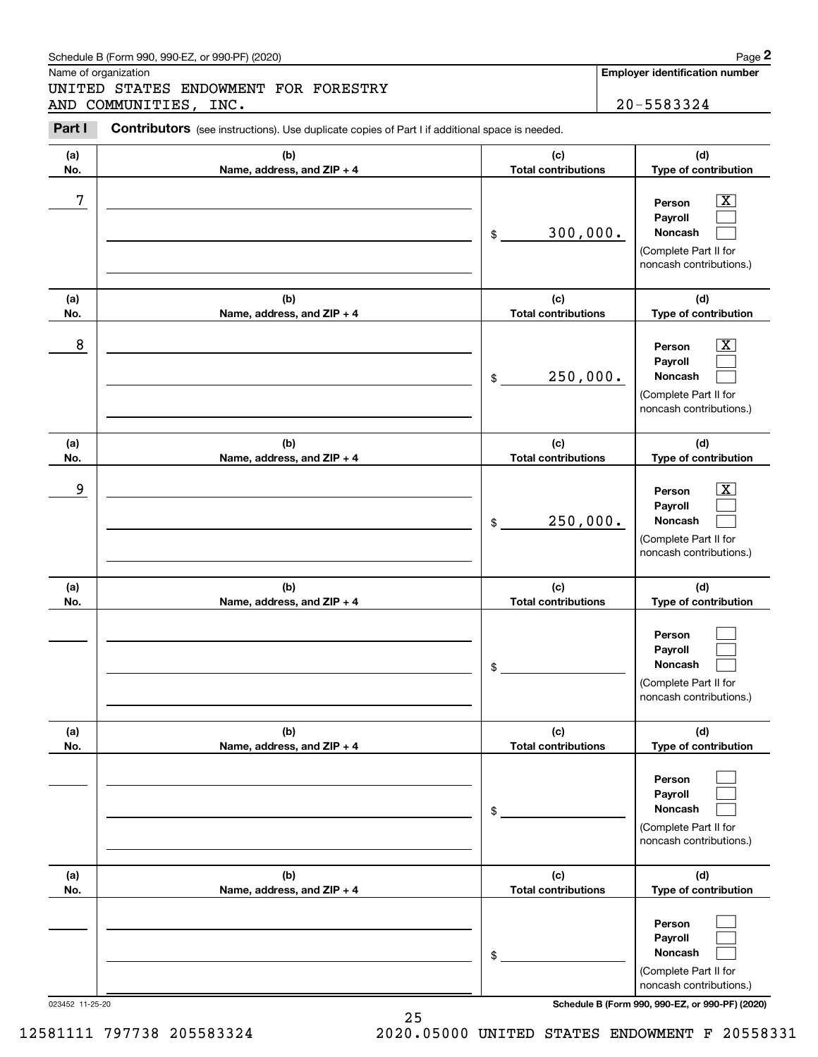**Noncash**

(Complete Part II for noncash contributions.)

 $\mathcal{L}^{\text{max}}$ 

| 023452 11-25-20 |  |
|-----------------|--|

023452 11-25-20 **Schedule B (Form 990, 990-EZ, or 990-PF) (2020)**

|            | Schedule B (Form 990, 990-EZ, or 990-PF) (2020)                                                |                                              | Page 2                                                                                                                                     |
|------------|------------------------------------------------------------------------------------------------|----------------------------------------------|--------------------------------------------------------------------------------------------------------------------------------------------|
|            | Name of organization<br>UNITED STATES ENDOWMENT FOR FORESTRY<br>AND COMMUNITIES, INC.          |                                              | <b>Employer identification number</b><br>20-5583324                                                                                        |
| Part I     | Contributors (see instructions). Use duplicate copies of Part I if additional space is needed. |                                              |                                                                                                                                            |
| (a)<br>No. | (b)<br>Name, address, and ZIP + 4                                                              | (c)<br><b>Total contributions</b>            | (d)<br>Type of contribution                                                                                                                |
| 7          |                                                                                                | 300,000.<br>\$                               | $\overline{\mathbf{X}}$<br>Person<br>Payroll<br>Noncash<br>(Complete Part II for<br>noncash contributions.)                                |
| (a)        | (b)                                                                                            | (c)                                          | (d)                                                                                                                                        |
| No.<br>8   | Name, address, and ZIP + 4                                                                     | <b>Total contributions</b><br>250,000.<br>\$ | Type of contribution<br>$\overline{\mathbf{x}}$<br>Person<br>Payroll<br><b>Noncash</b><br>(Complete Part II for<br>noncash contributions.) |
| (a)<br>No. | (b)<br>Name, address, and ZIP + 4                                                              | (c)<br><b>Total contributions</b>            | (d)<br>Type of contribution                                                                                                                |
| 9          |                                                                                                | 250,000.<br>\$                               | $\overline{\mathbf{x}}$<br>Person<br>Payroll<br>Noncash<br>(Complete Part II for<br>noncash contributions.)                                |
| (a)<br>No. | (b)<br>Name, address, and ZIP + 4                                                              | (c)<br><b>Total contributions</b>            | (d)<br>Type of contribution                                                                                                                |
|            |                                                                                                | \$                                           | Person<br>Payroll<br>Noncash<br>(Complete Part II for<br>noncash contributions.)                                                           |
| (a)<br>No. | (b)<br>Name, address, and ZIP + 4                                                              | (c)<br><b>Total contributions</b>            | (d)<br>Type of contribution                                                                                                                |
|            |                                                                                                | \$                                           | Person<br>Payroll<br><b>Noncash</b><br>(Complete Part II for<br>noncash contributions.)                                                    |
| (a)<br>No. | (b)<br>Name, address, and ZIP + 4                                                              | (c)<br><b>Total contributions</b>            | (d)<br>Type of contribution                                                                                                                |
|            |                                                                                                |                                              | Person<br>Payroll                                                                                                                          |

\$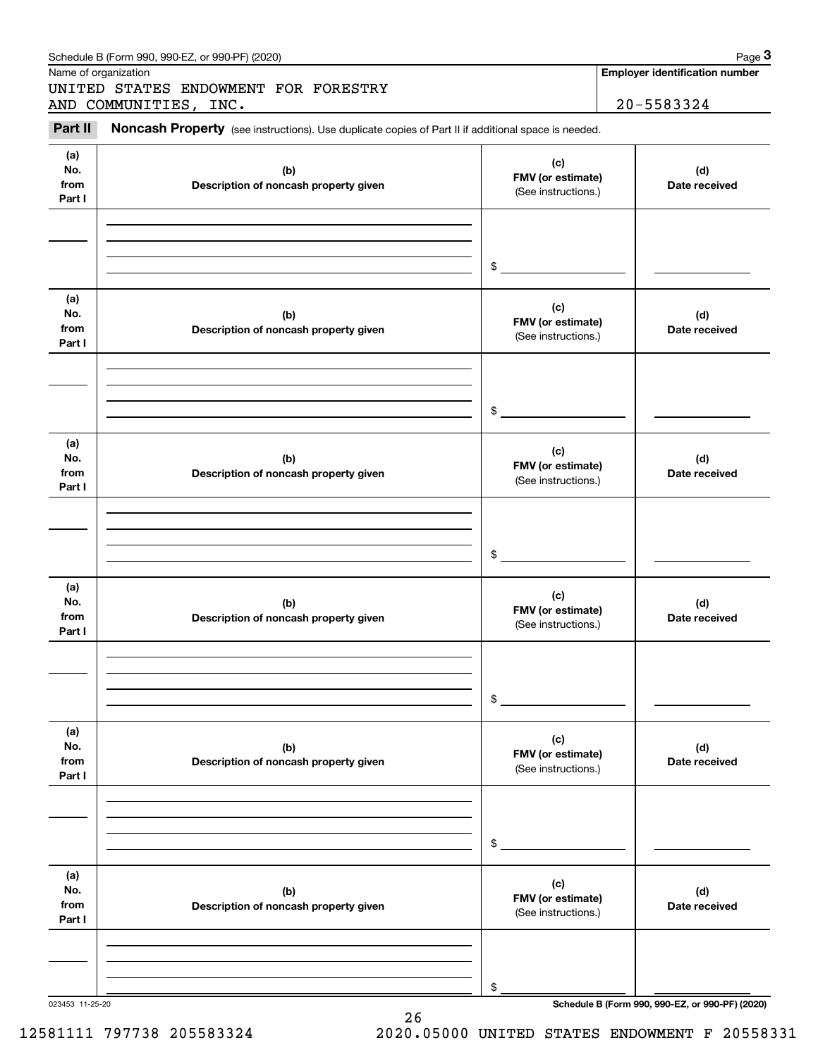|                              | UNITED STATES ENDOWMENT FOR FORESTRY<br>AND COMMUNITIES, INC.                                       |                                                 | 20-5583324           |
|------------------------------|-----------------------------------------------------------------------------------------------------|-------------------------------------------------|----------------------|
| Part II                      | Noncash Property (see instructions). Use duplicate copies of Part II if additional space is needed. |                                                 |                      |
| (a)<br>No.<br>from<br>Part I | (b)<br>Description of noncash property given                                                        | (c)<br>FMV (or estimate)<br>(See instructions.) | (d)<br>Date received |
|                              |                                                                                                     | $\$$                                            |                      |
| (a)<br>No.<br>from<br>Part I | (b)<br>Description of noncash property given                                                        | (c)<br>FMV (or estimate)<br>(See instructions.) | (d)<br>Date received |
|                              |                                                                                                     | $\mathfrak{S}$                                  |                      |
| (a)<br>No.<br>from<br>Part I | (b)<br>Description of noncash property given                                                        | (c)<br>FMV (or estimate)<br>(See instructions.) | (d)<br>Date received |
|                              |                                                                                                     | \$                                              |                      |
| (a)<br>No.<br>from<br>Part I | (b)<br>Description of noncash property given                                                        | (c)<br>FMV (or estimate)<br>(See instructions.) | (d)<br>Date received |
|                              |                                                                                                     | \$                                              |                      |
| (a)<br>No.<br>from<br>Part I | (b)<br>Description of noncash property given                                                        | (c)<br>FMV (or estimate)<br>(See instructions.) | (d)<br>Date received |
|                              |                                                                                                     | \$                                              |                      |
| (a)<br>No.<br>from<br>Part I | (b)<br>Description of noncash property given                                                        | (c)<br>FMV (or estimate)<br>(See instructions.) | (d)<br>Date received |
|                              |                                                                                                     |                                                 |                      |

26

023453 11-25-20 **Schedule B (Form 990, 990-EZ, or 990-PF) (2020)**

12581111 797738 205583324 2020.05000 UNITED STATES ENDOWMENT F 20558331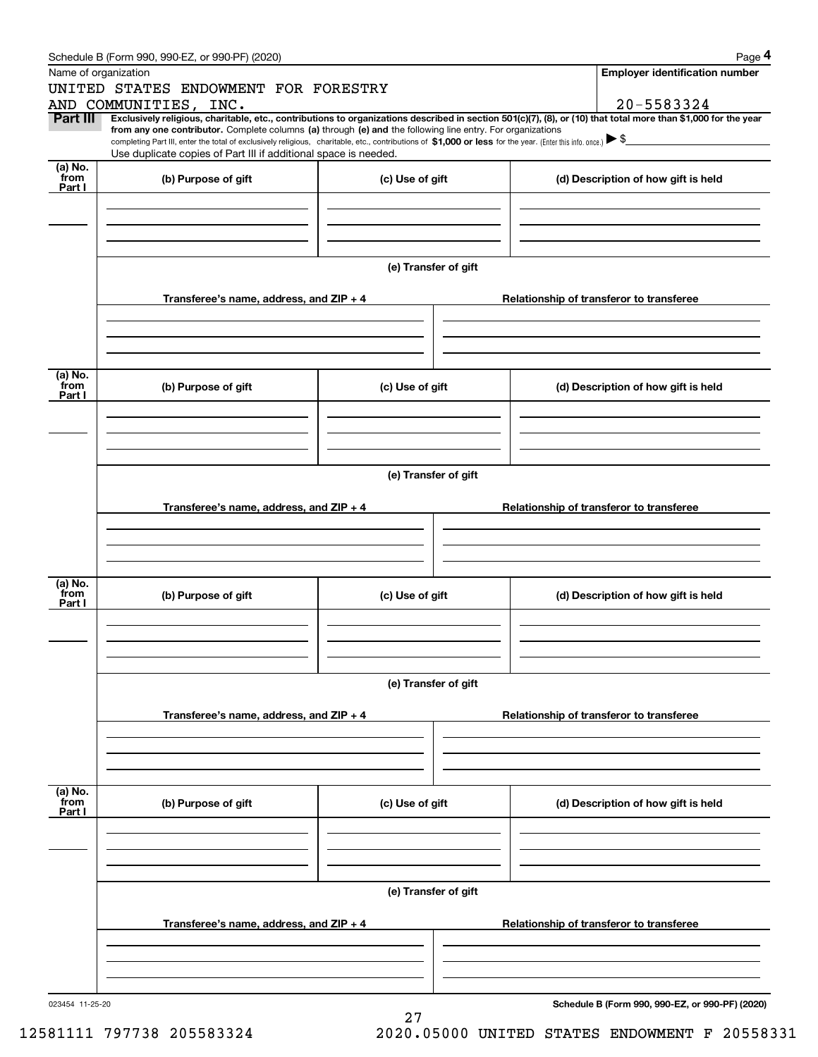|                 | Schedule B (Form 990, 990-EZ, or 990-PF) (2020)                                                                                                                                                                                                                                                 |                      |  |  | Page 4                                          |  |  |  |  |  |
|-----------------|-------------------------------------------------------------------------------------------------------------------------------------------------------------------------------------------------------------------------------------------------------------------------------------------------|----------------------|--|--|-------------------------------------------------|--|--|--|--|--|
|                 | Name of organization                                                                                                                                                                                                                                                                            |                      |  |  | <b>Employer identification number</b>           |  |  |  |  |  |
|                 | UNITED STATES ENDOWMENT FOR FORESTRY                                                                                                                                                                                                                                                            |                      |  |  |                                                 |  |  |  |  |  |
|                 | AND COMMUNITIES, INC.                                                                                                                                                                                                                                                                           |                      |  |  | 20-5583324                                      |  |  |  |  |  |
| Part III        | Exclusively religious, charitable, etc., contributions to organizations described in section 501(c)(7), (8), or (10) that total more than \$1,000 for the year                                                                                                                                  |                      |  |  |                                                 |  |  |  |  |  |
|                 | from any one contributor. Complete columns (a) through (e) and the following line entry. For organizations<br>completing Part III, enter the total of exclusively religious, charitable, etc., contributions of \$1,000 or less for the year. (Enter this info. once.) $\blacktriangleright$ \$ |                      |  |  |                                                 |  |  |  |  |  |
|                 | Use duplicate copies of Part III if additional space is needed.                                                                                                                                                                                                                                 |                      |  |  |                                                 |  |  |  |  |  |
| (a) No.         |                                                                                                                                                                                                                                                                                                 |                      |  |  |                                                 |  |  |  |  |  |
| from<br>Part I  | (b) Purpose of gift                                                                                                                                                                                                                                                                             | (c) Use of gift      |  |  | (d) Description of how gift is held             |  |  |  |  |  |
|                 |                                                                                                                                                                                                                                                                                                 |                      |  |  |                                                 |  |  |  |  |  |
|                 |                                                                                                                                                                                                                                                                                                 |                      |  |  |                                                 |  |  |  |  |  |
|                 |                                                                                                                                                                                                                                                                                                 |                      |  |  |                                                 |  |  |  |  |  |
|                 |                                                                                                                                                                                                                                                                                                 |                      |  |  |                                                 |  |  |  |  |  |
|                 |                                                                                                                                                                                                                                                                                                 | (e) Transfer of gift |  |  |                                                 |  |  |  |  |  |
|                 |                                                                                                                                                                                                                                                                                                 |                      |  |  |                                                 |  |  |  |  |  |
|                 | Transferee's name, address, and ZIP + 4                                                                                                                                                                                                                                                         |                      |  |  | Relationship of transferor to transferee        |  |  |  |  |  |
|                 |                                                                                                                                                                                                                                                                                                 |                      |  |  |                                                 |  |  |  |  |  |
|                 |                                                                                                                                                                                                                                                                                                 |                      |  |  |                                                 |  |  |  |  |  |
|                 |                                                                                                                                                                                                                                                                                                 |                      |  |  |                                                 |  |  |  |  |  |
|                 |                                                                                                                                                                                                                                                                                                 |                      |  |  |                                                 |  |  |  |  |  |
| (a) No.<br>from | (b) Purpose of gift                                                                                                                                                                                                                                                                             | (c) Use of gift      |  |  | (d) Description of how gift is held             |  |  |  |  |  |
| Part I          |                                                                                                                                                                                                                                                                                                 |                      |  |  |                                                 |  |  |  |  |  |
|                 |                                                                                                                                                                                                                                                                                                 |                      |  |  |                                                 |  |  |  |  |  |
|                 |                                                                                                                                                                                                                                                                                                 |                      |  |  |                                                 |  |  |  |  |  |
|                 |                                                                                                                                                                                                                                                                                                 |                      |  |  |                                                 |  |  |  |  |  |
|                 |                                                                                                                                                                                                                                                                                                 |                      |  |  |                                                 |  |  |  |  |  |
|                 | (e) Transfer of gift                                                                                                                                                                                                                                                                            |                      |  |  |                                                 |  |  |  |  |  |
|                 |                                                                                                                                                                                                                                                                                                 |                      |  |  |                                                 |  |  |  |  |  |
|                 | Transferee's name, address, and ZIP + 4                                                                                                                                                                                                                                                         |                      |  |  | Relationship of transferor to transferee        |  |  |  |  |  |
|                 |                                                                                                                                                                                                                                                                                                 |                      |  |  |                                                 |  |  |  |  |  |
|                 |                                                                                                                                                                                                                                                                                                 |                      |  |  |                                                 |  |  |  |  |  |
|                 |                                                                                                                                                                                                                                                                                                 |                      |  |  |                                                 |  |  |  |  |  |
| (a) No.         |                                                                                                                                                                                                                                                                                                 |                      |  |  |                                                 |  |  |  |  |  |
| from<br>Part I  | (b) Purpose of gift                                                                                                                                                                                                                                                                             | (c) Use of gift      |  |  | (d) Description of how gift is held             |  |  |  |  |  |
|                 |                                                                                                                                                                                                                                                                                                 |                      |  |  |                                                 |  |  |  |  |  |
|                 |                                                                                                                                                                                                                                                                                                 |                      |  |  |                                                 |  |  |  |  |  |
|                 |                                                                                                                                                                                                                                                                                                 |                      |  |  |                                                 |  |  |  |  |  |
|                 |                                                                                                                                                                                                                                                                                                 |                      |  |  |                                                 |  |  |  |  |  |
|                 |                                                                                                                                                                                                                                                                                                 | (e) Transfer of gift |  |  |                                                 |  |  |  |  |  |
|                 |                                                                                                                                                                                                                                                                                                 |                      |  |  |                                                 |  |  |  |  |  |
|                 | Transferee's name, address, and ZIP + 4                                                                                                                                                                                                                                                         |                      |  |  | Relationship of transferor to transferee        |  |  |  |  |  |
|                 |                                                                                                                                                                                                                                                                                                 |                      |  |  |                                                 |  |  |  |  |  |
|                 |                                                                                                                                                                                                                                                                                                 |                      |  |  |                                                 |  |  |  |  |  |
|                 |                                                                                                                                                                                                                                                                                                 |                      |  |  |                                                 |  |  |  |  |  |
| (a) No.         |                                                                                                                                                                                                                                                                                                 |                      |  |  |                                                 |  |  |  |  |  |
| from            | (b) Purpose of gift                                                                                                                                                                                                                                                                             | (c) Use of gift      |  |  | (d) Description of how gift is held             |  |  |  |  |  |
| Part I          |                                                                                                                                                                                                                                                                                                 |                      |  |  |                                                 |  |  |  |  |  |
|                 |                                                                                                                                                                                                                                                                                                 |                      |  |  |                                                 |  |  |  |  |  |
|                 |                                                                                                                                                                                                                                                                                                 |                      |  |  |                                                 |  |  |  |  |  |
|                 |                                                                                                                                                                                                                                                                                                 |                      |  |  |                                                 |  |  |  |  |  |
|                 |                                                                                                                                                                                                                                                                                                 | (e) Transfer of gift |  |  |                                                 |  |  |  |  |  |
|                 |                                                                                                                                                                                                                                                                                                 |                      |  |  |                                                 |  |  |  |  |  |
|                 | Transferee's name, address, and $ZIP + 4$                                                                                                                                                                                                                                                       |                      |  |  | Relationship of transferor to transferee        |  |  |  |  |  |
|                 |                                                                                                                                                                                                                                                                                                 |                      |  |  |                                                 |  |  |  |  |  |
|                 |                                                                                                                                                                                                                                                                                                 |                      |  |  |                                                 |  |  |  |  |  |
|                 |                                                                                                                                                                                                                                                                                                 |                      |  |  |                                                 |  |  |  |  |  |
|                 |                                                                                                                                                                                                                                                                                                 |                      |  |  |                                                 |  |  |  |  |  |
| 023454 11-25-20 |                                                                                                                                                                                                                                                                                                 |                      |  |  | Schedule B (Form 990, 990-EZ, or 990-PF) (2020) |  |  |  |  |  |

27

**Schedule B (Form 990, 990-EZ, or 990-PF) (2020)**

12581111 797738 205583324 2020.05000 UNITED STATES ENDOWMENT F 20558331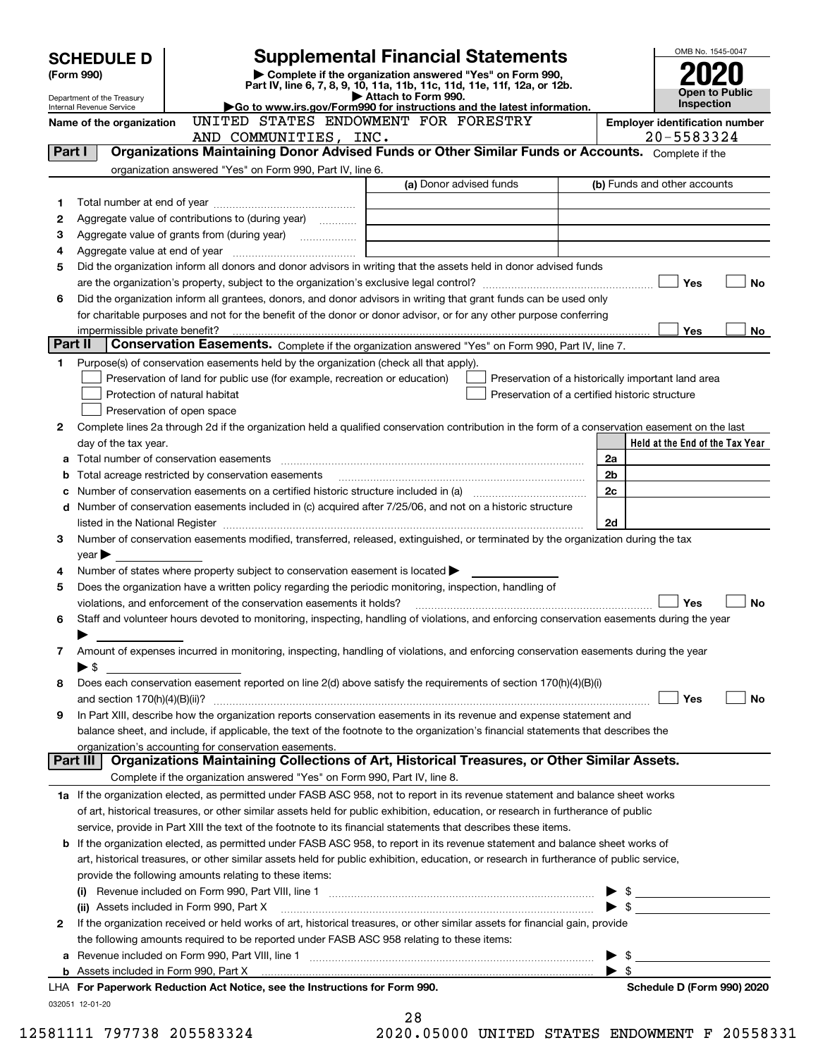|         | <b>Supplemental Financial Statements</b><br><b>SCHEDULE D</b>                                                                                                                                                                                                                   |                                                                                                                                      |                                                     |  |  |  |  |  |  |  |
|---------|---------------------------------------------------------------------------------------------------------------------------------------------------------------------------------------------------------------------------------------------------------------------------------|--------------------------------------------------------------------------------------------------------------------------------------|-----------------------------------------------------|--|--|--|--|--|--|--|
|         | (Form 990)                                                                                                                                                                                                                                                                      | Complete if the organization answered "Yes" on Form 990,<br>Part IV, line 6, 7, 8, 9, 10, 11a, 11b, 11c, 11d, 11e, 11f, 12a, or 12b. |                                                     |  |  |  |  |  |  |  |
|         | Department of the Treasury                                                                                                                                                                                                                                                      | Attach to Form 990.                                                                                                                  | <b>Open to Public</b><br>Inspection                 |  |  |  |  |  |  |  |
|         | Internal Revenue Service                                                                                                                                                                                                                                                        | Go to www.irs.gov/Form990 for instructions and the latest information.<br>UNITED STATES ENDOWMENT FOR FORESTRY                       |                                                     |  |  |  |  |  |  |  |
|         | Name of the organization                                                                                                                                                                                                                                                        |                                                                                                                                      | <b>Employer identification number</b><br>20-5583324 |  |  |  |  |  |  |  |
|         | AND COMMUNITIES, INC.<br>Organizations Maintaining Donor Advised Funds or Other Similar Funds or Accounts. Complete if the<br>Part I                                                                                                                                            |                                                                                                                                      |                                                     |  |  |  |  |  |  |  |
|         | organization answered "Yes" on Form 990, Part IV, line 6.                                                                                                                                                                                                                       |                                                                                                                                      |                                                     |  |  |  |  |  |  |  |
|         |                                                                                                                                                                                                                                                                                 | (a) Donor advised funds                                                                                                              | (b) Funds and other accounts                        |  |  |  |  |  |  |  |
| 1       |                                                                                                                                                                                                                                                                                 |                                                                                                                                      |                                                     |  |  |  |  |  |  |  |
| 2       | Aggregate value of contributions to (during year)                                                                                                                                                                                                                               |                                                                                                                                      |                                                     |  |  |  |  |  |  |  |
| з       | Aggregate value of grants from (during year)                                                                                                                                                                                                                                    |                                                                                                                                      |                                                     |  |  |  |  |  |  |  |
| 4       |                                                                                                                                                                                                                                                                                 |                                                                                                                                      |                                                     |  |  |  |  |  |  |  |
| 5       | Did the organization inform all donors and donor advisors in writing that the assets held in donor advised funds                                                                                                                                                                |                                                                                                                                      |                                                     |  |  |  |  |  |  |  |
|         |                                                                                                                                                                                                                                                                                 |                                                                                                                                      | Yes<br>No                                           |  |  |  |  |  |  |  |
| 6       | Did the organization inform all grantees, donors, and donor advisors in writing that grant funds can be used only                                                                                                                                                               |                                                                                                                                      |                                                     |  |  |  |  |  |  |  |
|         | for charitable purposes and not for the benefit of the donor or donor advisor, or for any other purpose conferring                                                                                                                                                              |                                                                                                                                      |                                                     |  |  |  |  |  |  |  |
|         | impermissible private benefit?                                                                                                                                                                                                                                                  |                                                                                                                                      | <b>Yes</b><br>No                                    |  |  |  |  |  |  |  |
| Part II |                                                                                                                                                                                                                                                                                 | Conservation Easements. Complete if the organization answered "Yes" on Form 990, Part IV, line 7.                                    |                                                     |  |  |  |  |  |  |  |
| 1       | Purpose(s) of conservation easements held by the organization (check all that apply).                                                                                                                                                                                           |                                                                                                                                      |                                                     |  |  |  |  |  |  |  |
|         | Preservation of land for public use (for example, recreation or education)                                                                                                                                                                                                      |                                                                                                                                      | Preservation of a historically important land area  |  |  |  |  |  |  |  |
|         | Protection of natural habitat                                                                                                                                                                                                                                                   | Preservation of a certified historic structure                                                                                       |                                                     |  |  |  |  |  |  |  |
|         | Preservation of open space                                                                                                                                                                                                                                                      |                                                                                                                                      |                                                     |  |  |  |  |  |  |  |
| 2       | Complete lines 2a through 2d if the organization held a qualified conservation contribution in the form of a conservation easement on the last                                                                                                                                  |                                                                                                                                      |                                                     |  |  |  |  |  |  |  |
|         | day of the tax year.                                                                                                                                                                                                                                                            |                                                                                                                                      | Held at the End of the Tax Year                     |  |  |  |  |  |  |  |
| а       | Total number of conservation easements [111] matter conservation conservation of conservation easements [11] matter conservation easements [11] matter conservation easements [11] matter conservation entries in the conserva                                                  |                                                                                                                                      | 2a                                                  |  |  |  |  |  |  |  |
|         |                                                                                                                                                                                                                                                                                 |                                                                                                                                      | 2b                                                  |  |  |  |  |  |  |  |
|         |                                                                                                                                                                                                                                                                                 |                                                                                                                                      | 2c                                                  |  |  |  |  |  |  |  |
| d       | Number of conservation easements included in (c) acquired after 7/25/06, and not on a historic structure                                                                                                                                                                        |                                                                                                                                      |                                                     |  |  |  |  |  |  |  |
|         | listed in the National Register [[11] matter contract the National Register of the National Register [11] matter of the National Register [11] matter of the National Register [11] matter of the National Register [11] matte                                                  |                                                                                                                                      | 2d                                                  |  |  |  |  |  |  |  |
| з       | Number of conservation easements modified, transferred, released, extinguished, or terminated by the organization during the tax                                                                                                                                                |                                                                                                                                      |                                                     |  |  |  |  |  |  |  |
|         | year                                                                                                                                                                                                                                                                            |                                                                                                                                      |                                                     |  |  |  |  |  |  |  |
| 4       | Number of states where property subject to conservation easement is located $\blacktriangleright$                                                                                                                                                                               |                                                                                                                                      |                                                     |  |  |  |  |  |  |  |
| 5       | Does the organization have a written policy regarding the periodic monitoring, inspection, handling of                                                                                                                                                                          |                                                                                                                                      |                                                     |  |  |  |  |  |  |  |
|         | violations, and enforcement of the conservation easements it holds?                                                                                                                                                                                                             |                                                                                                                                      | Yes<br><b>No</b>                                    |  |  |  |  |  |  |  |
| 6       | Staff and volunteer hours devoted to monitoring, inspecting, handling of violations, and enforcing conservation easements during the year                                                                                                                                       |                                                                                                                                      |                                                     |  |  |  |  |  |  |  |
|         |                                                                                                                                                                                                                                                                                 |                                                                                                                                      |                                                     |  |  |  |  |  |  |  |
| 7       | Amount of expenses incurred in monitoring, inspecting, handling of violations, and enforcing conservation easements during the year                                                                                                                                             |                                                                                                                                      |                                                     |  |  |  |  |  |  |  |
|         | ▶ \$                                                                                                                                                                                                                                                                            |                                                                                                                                      |                                                     |  |  |  |  |  |  |  |
| 8       | Does each conservation easement reported on line 2(d) above satisfy the requirements of section 170(h)(4)(B)(i)                                                                                                                                                                 |                                                                                                                                      | Yes<br>No                                           |  |  |  |  |  |  |  |
| 9       | In Part XIII, describe how the organization reports conservation easements in its revenue and expense statement and                                                                                                                                                             |                                                                                                                                      |                                                     |  |  |  |  |  |  |  |
|         | balance sheet, and include, if applicable, the text of the footnote to the organization's financial statements that describes the                                                                                                                                               |                                                                                                                                      |                                                     |  |  |  |  |  |  |  |
|         | organization's accounting for conservation easements.                                                                                                                                                                                                                           |                                                                                                                                      |                                                     |  |  |  |  |  |  |  |
|         | Part III                                                                                                                                                                                                                                                                        | Organizations Maintaining Collections of Art, Historical Treasures, or Other Similar Assets.                                         |                                                     |  |  |  |  |  |  |  |
|         | Complete if the organization answered "Yes" on Form 990, Part IV, line 8.                                                                                                                                                                                                       |                                                                                                                                      |                                                     |  |  |  |  |  |  |  |
|         | 1a If the organization elected, as permitted under FASB ASC 958, not to report in its revenue statement and balance sheet works                                                                                                                                                 |                                                                                                                                      |                                                     |  |  |  |  |  |  |  |
|         | of art, historical treasures, or other similar assets held for public exhibition, education, or research in furtherance of public                                                                                                                                               |                                                                                                                                      |                                                     |  |  |  |  |  |  |  |
|         | service, provide in Part XIII the text of the footnote to its financial statements that describes these items.                                                                                                                                                                  |                                                                                                                                      |                                                     |  |  |  |  |  |  |  |
|         |                                                                                                                                                                                                                                                                                 |                                                                                                                                      |                                                     |  |  |  |  |  |  |  |
|         | <b>b</b> If the organization elected, as permitted under FASB ASC 958, to report in its revenue statement and balance sheet works of<br>art, historical treasures, or other similar assets held for public exhibition, education, or research in furtherance of public service, |                                                                                                                                      |                                                     |  |  |  |  |  |  |  |
|         | provide the following amounts relating to these items:                                                                                                                                                                                                                          |                                                                                                                                      |                                                     |  |  |  |  |  |  |  |
|         |                                                                                                                                                                                                                                                                                 |                                                                                                                                      |                                                     |  |  |  |  |  |  |  |
|         | (ii) Assets included in Form 990, Part X                                                                                                                                                                                                                                        |                                                                                                                                      | $\bullet$ \$                                        |  |  |  |  |  |  |  |
| 2       | If the organization received or held works of art, historical treasures, or other similar assets for financial gain, provide                                                                                                                                                    |                                                                                                                                      |                                                     |  |  |  |  |  |  |  |
|         | the following amounts required to be reported under FASB ASC 958 relating to these items:                                                                                                                                                                                       |                                                                                                                                      |                                                     |  |  |  |  |  |  |  |
| а       |                                                                                                                                                                                                                                                                                 |                                                                                                                                      | $\blacktriangleright$ \$                            |  |  |  |  |  |  |  |
|         |                                                                                                                                                                                                                                                                                 |                                                                                                                                      | $\blacktriangleright$ \$                            |  |  |  |  |  |  |  |
|         | LHA For Paperwork Reduction Act Notice, see the Instructions for Form 990.                                                                                                                                                                                                      |                                                                                                                                      | Schedule D (Form 990) 2020                          |  |  |  |  |  |  |  |
|         | 032051 12-01-20                                                                                                                                                                                                                                                                 |                                                                                                                                      |                                                     |  |  |  |  |  |  |  |
|         |                                                                                                                                                                                                                                                                                 | 28                                                                                                                                   |                                                     |  |  |  |  |  |  |  |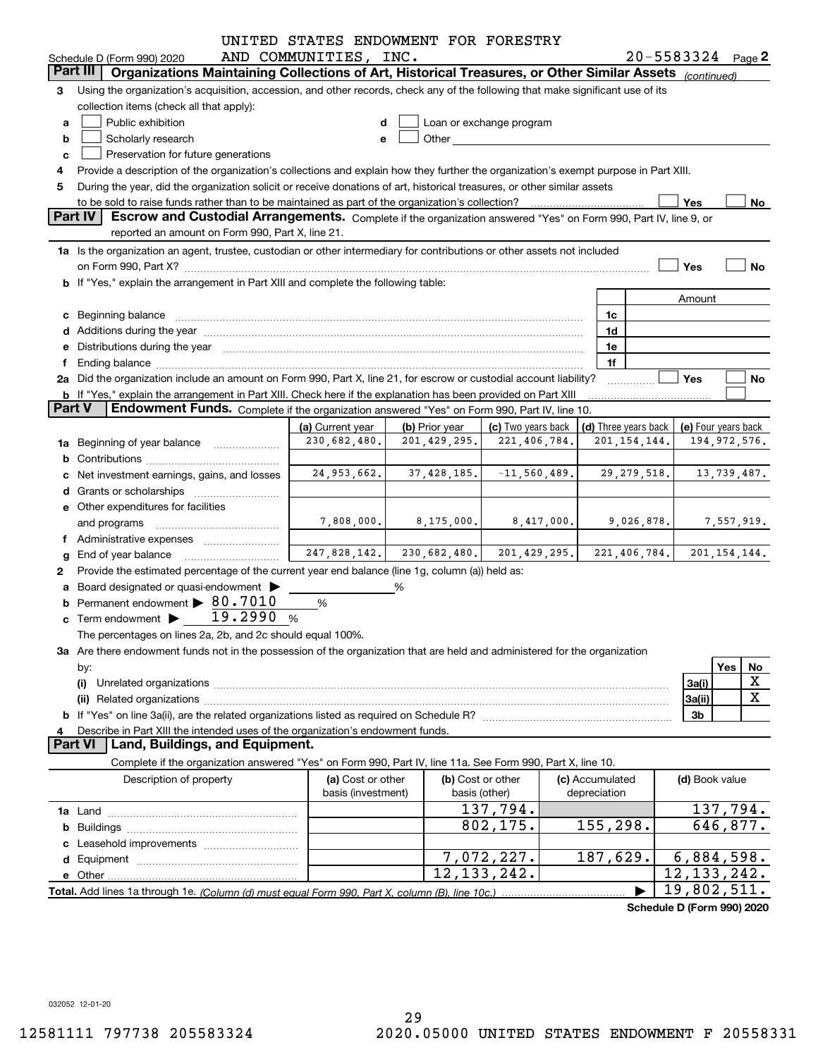|                 |                                                                                                                                                                                                                                                                                      | UNITED STATES ENDOWMENT FOR FORESTRY     |   |                              |                    |            |                      |                |                |                            |  |
|-----------------|--------------------------------------------------------------------------------------------------------------------------------------------------------------------------------------------------------------------------------------------------------------------------------------|------------------------------------------|---|------------------------------|--------------------|------------|----------------------|----------------|----------------|----------------------------|--|
|                 | Schedule D (Form 990) 2020                                                                                                                                                                                                                                                           | AND COMMUNITIES, INC.                    |   |                              |                    |            |                      |                |                | $20 - 5583324$ Page 2      |  |
| <b>Part III</b> | Organizations Maintaining Collections of Art, Historical Treasures, or Other Similar Assets (continued)                                                                                                                                                                              |                                          |   |                              |                    |            |                      |                |                |                            |  |
| 3               | Using the organization's acquisition, accession, and other records, check any of the following that make significant use of its                                                                                                                                                      |                                          |   |                              |                    |            |                      |                |                |                            |  |
|                 | collection items (check all that apply):                                                                                                                                                                                                                                             |                                          |   |                              |                    |            |                      |                |                |                            |  |
|                 | Public exhibition<br>Loan or exchange program<br>a<br>Other and the control of the control of the control of the control of the control of the control of the control of the control of the control of the control of the control of the control of the control of the control of th |                                          |   |                              |                    |            |                      |                |                |                            |  |
| b               | Scholarly research                                                                                                                                                                                                                                                                   | е                                        |   |                              |                    |            |                      |                |                |                            |  |
| c               | Preservation for future generations                                                                                                                                                                                                                                                  |                                          |   |                              |                    |            |                      |                |                |                            |  |
|                 | Provide a description of the organization's collections and explain how they further the organization's exempt purpose in Part XIII.                                                                                                                                                 |                                          |   |                              |                    |            |                      |                |                |                            |  |
|                 | During the year, did the organization solicit or receive donations of art, historical treasures, or other similar assets<br>5                                                                                                                                                        |                                          |   |                              |                    |            |                      |                |                |                            |  |
|                 | Yes<br>to be sold to raise funds rather than to be maintained as part of the organization's collection?<br>No                                                                                                                                                                        |                                          |   |                              |                    |            |                      |                |                |                            |  |
|                 | <b>Part IV</b><br>Escrow and Custodial Arrangements. Complete if the organization answered "Yes" on Form 990, Part IV, line 9, or                                                                                                                                                    |                                          |   |                              |                    |            |                      |                |                |                            |  |
|                 | reported an amount on Form 990, Part X, line 21.                                                                                                                                                                                                                                     |                                          |   |                              |                    |            |                      |                |                |                            |  |
|                 | 1a Is the organization an agent, trustee, custodian or other intermediary for contributions or other assets not included                                                                                                                                                             |                                          |   |                              |                    |            |                      |                |                |                            |  |
|                 |                                                                                                                                                                                                                                                                                      |                                          |   |                              |                    |            |                      |                | Yes            | No                         |  |
|                 | b If "Yes," explain the arrangement in Part XIII and complete the following table:                                                                                                                                                                                                   |                                          |   |                              |                    |            |                      |                |                |                            |  |
|                 |                                                                                                                                                                                                                                                                                      |                                          |   |                              |                    |            |                      |                | Amount         |                            |  |
|                 |                                                                                                                                                                                                                                                                                      |                                          |   |                              |                    |            | 1c                   |                |                |                            |  |
|                 |                                                                                                                                                                                                                                                                                      |                                          |   |                              |                    |            | 1d                   |                |                |                            |  |
|                 | e Distributions during the year manufactured and continuum and contract the year manufactured and contract the                                                                                                                                                                       |                                          |   |                              |                    |            | 1e                   |                |                |                            |  |
|                 | Ending balance manufactured and contract the contract of the contract of the contract of the contract of the contract of the contract of the contract of the contract of the contract of the contract of the contract of the c                                                       |                                          |   |                              |                    |            | 1f                   |                |                |                            |  |
|                 | 2a Did the organization include an amount on Form 990, Part X, line 21, for escrow or custodial account liability?                                                                                                                                                                   |                                          |   |                              |                    |            |                      |                | Yes            | No                         |  |
|                 | <b>b</b> If "Yes," explain the arrangement in Part XIII. Check here if the explanation has been provided on Part XIII                                                                                                                                                                |                                          |   |                              |                    |            |                      |                |                |                            |  |
| <b>Part V</b>   | Endowment Funds. Complete if the organization answered "Yes" on Form 990, Part IV, line 10.                                                                                                                                                                                          |                                          |   |                              |                    |            |                      |                |                |                            |  |
|                 |                                                                                                                                                                                                                                                                                      | (a) Current year                         |   | (b) Prior year               | (c) Two years back |            | (d) Three years back |                |                | (e) Four years back        |  |
|                 | 1a Beginning of year balance                                                                                                                                                                                                                                                         | 230,682,480.                             |   | 201, 429, 295.               | 221,406,784.       |            |                      | 201, 154, 144. |                | 194, 972, 576.             |  |
| b               |                                                                                                                                                                                                                                                                                      |                                          |   |                              |                    |            |                      |                |                |                            |  |
|                 | Net investment earnings, gains, and losses                                                                                                                                                                                                                                           | 24,953,662.                              |   | $37,428,185.$ $-11,560,489.$ |                    |            |                      | 29, 279, 518.  |                | 13,739,487.                |  |
|                 |                                                                                                                                                                                                                                                                                      |                                          |   |                              |                    |            |                      |                |                |                            |  |
|                 | e Other expenditures for facilities                                                                                                                                                                                                                                                  |                                          |   |                              |                    |            |                      |                |                |                            |  |
|                 | and programs                                                                                                                                                                                                                                                                         | 7,808,000.                               |   | 8,175,000.                   |                    | 8,417,000. |                      | 9,026,878.     |                | 7,557,919.                 |  |
|                 |                                                                                                                                                                                                                                                                                      |                                          |   |                              |                    |            |                      |                |                |                            |  |
|                 | End of year balance                                                                                                                                                                                                                                                                  | $247,828,142.$ 230,682,480. 201,429,295. |   |                              |                    |            |                      |                |                | 221,406,784. 201,154,144.  |  |
| 2               | Provide the estimated percentage of the current year end balance (line 1g, column (a)) held as:                                                                                                                                                                                      |                                          |   |                              |                    |            |                      |                |                |                            |  |
|                 | Board designated or quasi-endowment                                                                                                                                                                                                                                                  |                                          | % |                              |                    |            |                      |                |                |                            |  |
|                 | Permanent endowment > 80.7010                                                                                                                                                                                                                                                        | %                                        |   |                              |                    |            |                      |                |                |                            |  |
|                 | c Term endowment $\blacktriangleright$ $\boxed{ }$ 19.2990                                                                                                                                                                                                                           | %                                        |   |                              |                    |            |                      |                |                |                            |  |
|                 | The percentages on lines 2a, 2b, and 2c should equal 100%.                                                                                                                                                                                                                           |                                          |   |                              |                    |            |                      |                |                |                            |  |
|                 | 3a Are there endowment funds not in the possession of the organization that are held and administered for the organization                                                                                                                                                           |                                          |   |                              |                    |            |                      |                |                |                            |  |
|                 | by:                                                                                                                                                                                                                                                                                  |                                          |   |                              |                    |            |                      |                |                | Yes<br>No                  |  |
|                 | (i)                                                                                                                                                                                                                                                                                  |                                          |   |                              |                    |            |                      |                | 3a(i)          | X                          |  |
|                 | (ii)                                                                                                                                                                                                                                                                                 |                                          |   |                              |                    |            |                      |                | 3a(ii)         | $\mathbf X$                |  |
|                 |                                                                                                                                                                                                                                                                                      |                                          |   |                              |                    |            |                      |                | 3b             |                            |  |
| 4               | Describe in Part XIII the intended uses of the organization's endowment funds.                                                                                                                                                                                                       |                                          |   |                              |                    |            |                      |                |                |                            |  |
|                 | Land, Buildings, and Equipment.<br><b>Part VI</b>                                                                                                                                                                                                                                    |                                          |   |                              |                    |            |                      |                |                |                            |  |
|                 | Complete if the organization answered "Yes" on Form 990, Part IV, line 11a. See Form 990, Part X, line 10.                                                                                                                                                                           |                                          |   |                              |                    |            |                      |                |                |                            |  |
|                 | Description of property                                                                                                                                                                                                                                                              | (a) Cost or other                        |   | (b) Cost or other            |                    |            | (c) Accumulated      |                | (d) Book value |                            |  |
|                 |                                                                                                                                                                                                                                                                                      | basis (investment)                       |   |                              | basis (other)      |            | depreciation         |                |                |                            |  |
|                 |                                                                                                                                                                                                                                                                                      |                                          |   |                              | 137,794.           |            |                      |                |                | 137,794.                   |  |
| b               |                                                                                                                                                                                                                                                                                      |                                          |   |                              | 802,175.           |            | 155,298.             |                |                | $\overline{646}$ , 877.    |  |
|                 |                                                                                                                                                                                                                                                                                      |                                          |   |                              |                    |            |                      |                |                |                            |  |
|                 |                                                                                                                                                                                                                                                                                      |                                          |   |                              | 7,072,227.         |            | 187,629.             |                |                | 6,884,598.                 |  |
|                 |                                                                                                                                                                                                                                                                                      |                                          |   |                              | 12, 133, 242.      |            |                      |                | 12, 133, 242.  |                            |  |
|                 |                                                                                                                                                                                                                                                                                      |                                          |   |                              |                    |            |                      |                | 19,802,511.    |                            |  |
|                 |                                                                                                                                                                                                                                                                                      |                                          |   |                              |                    |            |                      |                |                | Schedule D (Form 990) 2020 |  |
|                 |                                                                                                                                                                                                                                                                                      |                                          |   |                              |                    |            |                      |                |                |                            |  |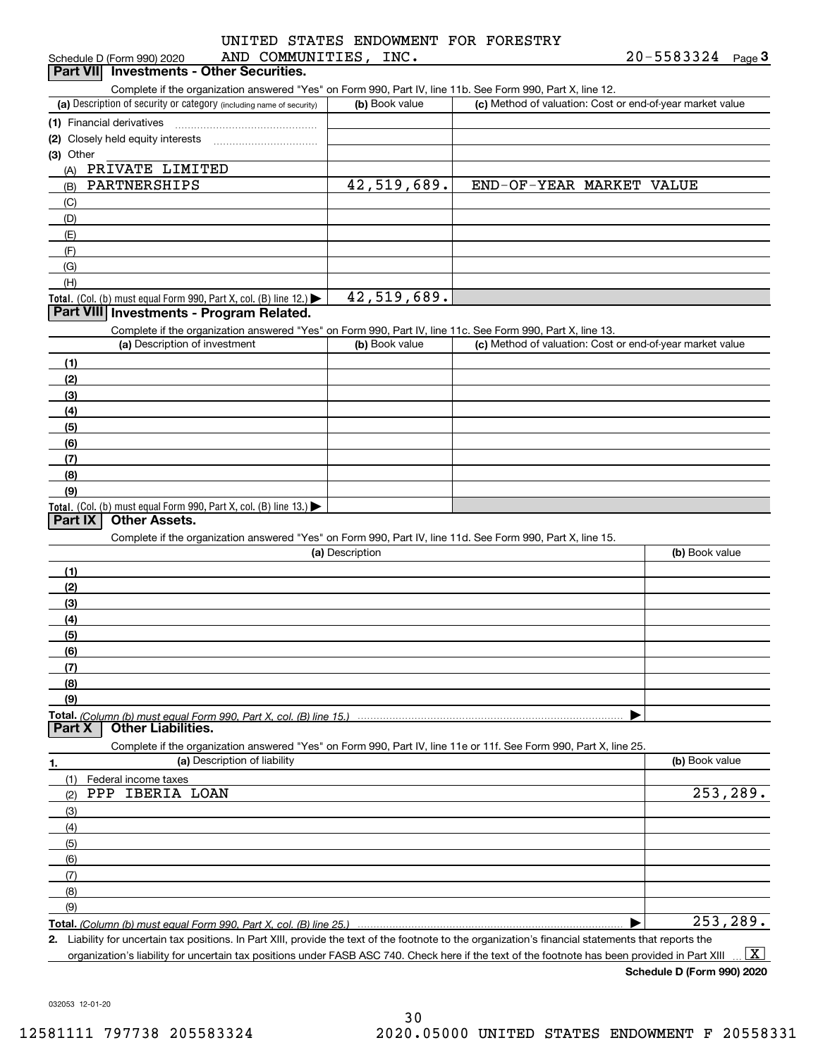|  |                       |  | UNITED STATES ENDOWMENT FOR FORESTRY |
|--|-----------------------|--|--------------------------------------|
|  | AND COMMUNITIES, INC. |  |                                      |

| AND COMMUNITIES, INC.<br>Schedule D (Form 990) 2020                                                                                                  |                 |                                                           | $20 - 5583324$ Page 3 |
|------------------------------------------------------------------------------------------------------------------------------------------------------|-----------------|-----------------------------------------------------------|-----------------------|
| Part VII Investments - Other Securities.                                                                                                             |                 |                                                           |                       |
| Complete if the organization answered "Yes" on Form 990, Part IV, line 11b. See Form 990, Part X, line 12.                                           |                 |                                                           |                       |
| (a) Description of security or category (including name of security)                                                                                 | (b) Book value  | (c) Method of valuation: Cost or end-of-year market value |                       |
| (1) Financial derivatives                                                                                                                            |                 |                                                           |                       |
|                                                                                                                                                      |                 |                                                           |                       |
| (3) Other                                                                                                                                            |                 |                                                           |                       |
| PRIVATE LIMITED<br>(A)                                                                                                                               |                 |                                                           |                       |
| PARTNERSHIPS<br>(B)                                                                                                                                  | 42,519,689.     | END-OF-YEAR MARKET VALUE                                  |                       |
| (C)                                                                                                                                                  |                 |                                                           |                       |
| (D)                                                                                                                                                  |                 |                                                           |                       |
| (E)                                                                                                                                                  |                 |                                                           |                       |
| (F)                                                                                                                                                  |                 |                                                           |                       |
| (G)                                                                                                                                                  |                 |                                                           |                       |
| (H)                                                                                                                                                  |                 |                                                           |                       |
| Total. (Col. (b) must equal Form 990, Part X, col. (B) line 12.)                                                                                     | 42,519,689.     |                                                           |                       |
| Part VIII Investments - Program Related.                                                                                                             |                 |                                                           |                       |
| Complete if the organization answered "Yes" on Form 990, Part IV, line 11c. See Form 990, Part X, line 13.                                           |                 |                                                           |                       |
| (a) Description of investment                                                                                                                        | (b) Book value  | (c) Method of valuation: Cost or end-of-year market value |                       |
| (1)                                                                                                                                                  |                 |                                                           |                       |
| (2)                                                                                                                                                  |                 |                                                           |                       |
| (3)                                                                                                                                                  |                 |                                                           |                       |
| (4)                                                                                                                                                  |                 |                                                           |                       |
| (5)                                                                                                                                                  |                 |                                                           |                       |
|                                                                                                                                                      |                 |                                                           |                       |
| (6)<br>(7)                                                                                                                                           |                 |                                                           |                       |
|                                                                                                                                                      |                 |                                                           |                       |
| (8)                                                                                                                                                  |                 |                                                           |                       |
| (9)                                                                                                                                                  |                 |                                                           |                       |
| Total. (Col. (b) must equal Form 990, Part X, col. (B) line 13.)<br>Part IX<br><b>Other Assets.</b>                                                  |                 |                                                           |                       |
| Complete if the organization answered "Yes" on Form 990, Part IV, line 11d. See Form 990, Part X, line 15.                                           |                 |                                                           |                       |
|                                                                                                                                                      | (a) Description |                                                           | (b) Book value        |
| (1)                                                                                                                                                  |                 |                                                           |                       |
|                                                                                                                                                      |                 |                                                           |                       |
| (2)                                                                                                                                                  |                 |                                                           |                       |
| (3)                                                                                                                                                  |                 |                                                           |                       |
| (4)                                                                                                                                                  |                 |                                                           |                       |
| (5)                                                                                                                                                  |                 |                                                           |                       |
| (6)                                                                                                                                                  |                 |                                                           |                       |
| (7)                                                                                                                                                  |                 |                                                           |                       |
| (8)                                                                                                                                                  |                 |                                                           |                       |
| (9)                                                                                                                                                  |                 |                                                           |                       |
| Total. (Column (b) must equal Form 990. Part X, col. (B) line 15.)<br>Part X<br><b>Other Liabilities.</b>                                            |                 |                                                           |                       |
|                                                                                                                                                      |                 |                                                           |                       |
| Complete if the organization answered "Yes" on Form 990, Part IV, line 11e or 11f. See Form 990, Part X, line 25.                                    |                 |                                                           |                       |
| (a) Description of liability<br>1.                                                                                                                   |                 |                                                           | (b) Book value        |
| Federal income taxes<br>(1)                                                                                                                          |                 |                                                           |                       |
| PPP IBERIA LOAN<br>(2)                                                                                                                               |                 |                                                           | 253,289.              |
| (3)                                                                                                                                                  |                 |                                                           |                       |
| (4)                                                                                                                                                  |                 |                                                           |                       |
| (5)                                                                                                                                                  |                 |                                                           |                       |
| (6)                                                                                                                                                  |                 |                                                           |                       |
| (7)                                                                                                                                                  |                 |                                                           |                       |
| (8)                                                                                                                                                  |                 |                                                           |                       |
| (9)                                                                                                                                                  |                 |                                                           |                       |
| Total. (Column (b) must equal Form 990, Part X, col. (B) line 25.)                                                                                   |                 |                                                           | 253,289.              |
| 2. Liability for uncertain tax positions. In Part XIII, provide the text of the footnote to the organization's financial statements that reports the |                 |                                                           |                       |

organization's liability for uncertain tax positions under FASB ASC 740. Check here if the text of the footnote has been provided in Part XIII  $\boxed{\text{X}}$ 

**Schedule D (Form 990) 2020**

032053 12-01-20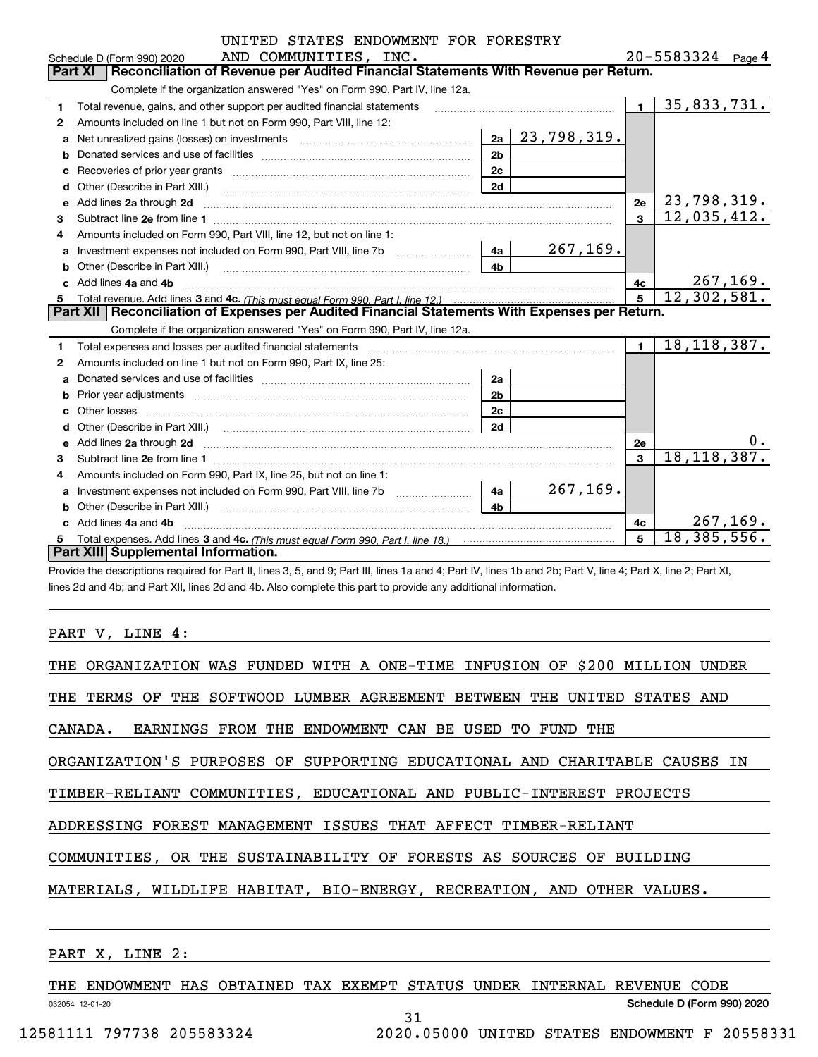|    | UNITED STATES ENDOWMENT FOR FORESTRY                                                                                                                                                                                                |                |                       |              |                          |
|----|-------------------------------------------------------------------------------------------------------------------------------------------------------------------------------------------------------------------------------------|----------------|-----------------------|--------------|--------------------------|
|    | AND COMMUNITIES, INC.<br>Schedule D (Form 990) 2020                                                                                                                                                                                 |                | $20 - 5583324$ Page 4 |              |                          |
|    | Reconciliation of Revenue per Audited Financial Statements With Revenue per Return.<br>Part XI                                                                                                                                      |                |                       |              |                          |
|    | Complete if the organization answered "Yes" on Form 990, Part IV, line 12a.                                                                                                                                                         |                |                       |              |                          |
| 1  | Total revenue, gains, and other support per audited financial statements                                                                                                                                                            |                |                       | $\mathbf{1}$ | $\overline{35,833,731.}$ |
| 2  | Amounts included on line 1 but not on Form 990, Part VIII, line 12:                                                                                                                                                                 |                |                       |              |                          |
| a  |                                                                                                                                                                                                                                     | 2a             | 23,798,319.           |              |                          |
| b  |                                                                                                                                                                                                                                     | 2 <sub>b</sub> |                       |              |                          |
|    |                                                                                                                                                                                                                                     | 2 <sub>c</sub> |                       |              |                          |
| d  | Other (Describe in Part XIII.) <b>Construction Contract Construction</b> Chemistry Chemistry Chemistry Chemistry Chemistry                                                                                                          | 2d             |                       |              |                          |
| e  | Add lines 2a through 2d                                                                                                                                                                                                             |                |                       | 2e           | 23,798,319.              |
| 3  |                                                                                                                                                                                                                                     |                |                       | $\mathbf{a}$ | 12,035,412.              |
| 4  | Amounts included on Form 990, Part VIII, line 12, but not on line 1:                                                                                                                                                                |                |                       |              |                          |
| a  |                                                                                                                                                                                                                                     | 4a             | 267, 169.             |              |                          |
| b  | Other (Describe in Part XIII.) <b>Construction Contract Construction</b> Chemical Construction Chemical Chemical Chemical Chemical Chemical Chemical Chemical Chemical Chemical Chemical Chemical Chemical Chemical Chemical Chemic | 4 <sub>h</sub> |                       |              |                          |
|    | Add lines 4a and 4b                                                                                                                                                                                                                 |                |                       | 4c           | <u>267,169.</u>          |
| 5  |                                                                                                                                                                                                                                     |                |                       |              | 12,302,581.              |
|    | Part XII   Reconciliation of Expenses per Audited Financial Statements With Expenses per Return.                                                                                                                                    |                |                       |              |                          |
|    | Complete if the organization answered "Yes" on Form 990, Part IV, line 12a.                                                                                                                                                         |                |                       |              |                          |
| 1. | Total expenses and losses per audited financial statements [11] [11] Total expenses and losses per audited financial statements [11] [11] Total expenses and losses per audited financial statements                                |                |                       | $\mathbf{1}$ | 18, 118, 387.            |
| 2  | Amounts included on line 1 but not on Form 990, Part IX, line 25:                                                                                                                                                                   |                |                       |              |                          |
| a  |                                                                                                                                                                                                                                     | 2a             |                       |              |                          |
|    |                                                                                                                                                                                                                                     | 2 <sub>b</sub> |                       |              |                          |
|    |                                                                                                                                                                                                                                     | 2c             |                       |              |                          |
|    |                                                                                                                                                                                                                                     | 2d             |                       |              |                          |
| е  | Add lines 2a through 2d <b>contained a contained a contained a contained a</b> contained a contact the state of the state of the state of the state of the state of the state of the state of the state of the state of the state o |                |                       | 2e           | О.                       |
| 3  |                                                                                                                                                                                                                                     |                |                       | 3            | 18, 118, 387.            |
| 4  | Amounts included on Form 990, Part IX, line 25, but not on line 1:                                                                                                                                                                  |                |                       |              |                          |
|    |                                                                                                                                                                                                                                     | 4a             | 267, 169.             |              |                          |
|    |                                                                                                                                                                                                                                     | 4 <sub>b</sub> |                       |              |                          |
|    | c Add lines 4a and 4b                                                                                                                                                                                                               |                |                       | 4с           | 267, 169.                |
|    |                                                                                                                                                                                                                                     |                |                       | 5            | 18, 385, 556.            |
|    | Part XIII Supplemental Information.                                                                                                                                                                                                 |                |                       |              |                          |

Provide the descriptions required for Part II, lines 3, 5, and 9; Part III, lines 1a and 4; Part IV, lines 1b and 2b; Part V, line 4; Part X, line 2; Part XI, lines 2d and 4b; and Part XII, lines 2d and 4b. Also complete this part to provide any additional information.

#### PART V, LINE 4:

| THE ORGANIZATION WAS FUNDED WITH A ONE-TIME INFUSION OF \$200 MILLION UNDER |  |  |  |  |  |  |  |
|-----------------------------------------------------------------------------|--|--|--|--|--|--|--|
| THE TERMS OF THE SOFTWOOD LUMBER AGREEMENT BETWEEN THE UNITED STATES AND    |  |  |  |  |  |  |  |
| CANADA. EARNINGS FROM THE ENDOWMENT CAN BE USED TO FUND THE                 |  |  |  |  |  |  |  |
| ORGANIZATION'S PURPOSES OF SUPPORTING EDUCATIONAL AND CHARITABLE CAUSES IN  |  |  |  |  |  |  |  |
| TIMBER-RELIANT COMMUNITIES, EDUCATIONAL AND PUBLIC-INTEREST PROJECTS        |  |  |  |  |  |  |  |
| ADDRESSING FOREST MANAGEMENT ISSUES THAT AFFECT TIMBER-RELIANT              |  |  |  |  |  |  |  |
| COMMUNITIES, OR THE SUSTAINABILITY OF FORESTS AS SOURCES OF BUILDING        |  |  |  |  |  |  |  |
| MATERIALS, WILDLIFE HABITAT, BIO-ENERGY, RECREATION, AND OTHER VALUES.      |  |  |  |  |  |  |  |
|                                                                             |  |  |  |  |  |  |  |

## PART X, LINE 2:

THE ENDOWMENT HAS OBTAINED TAX EXEMPT STATUS UNDER INTERNAL REVENUE CODE

31

032054 12-01-20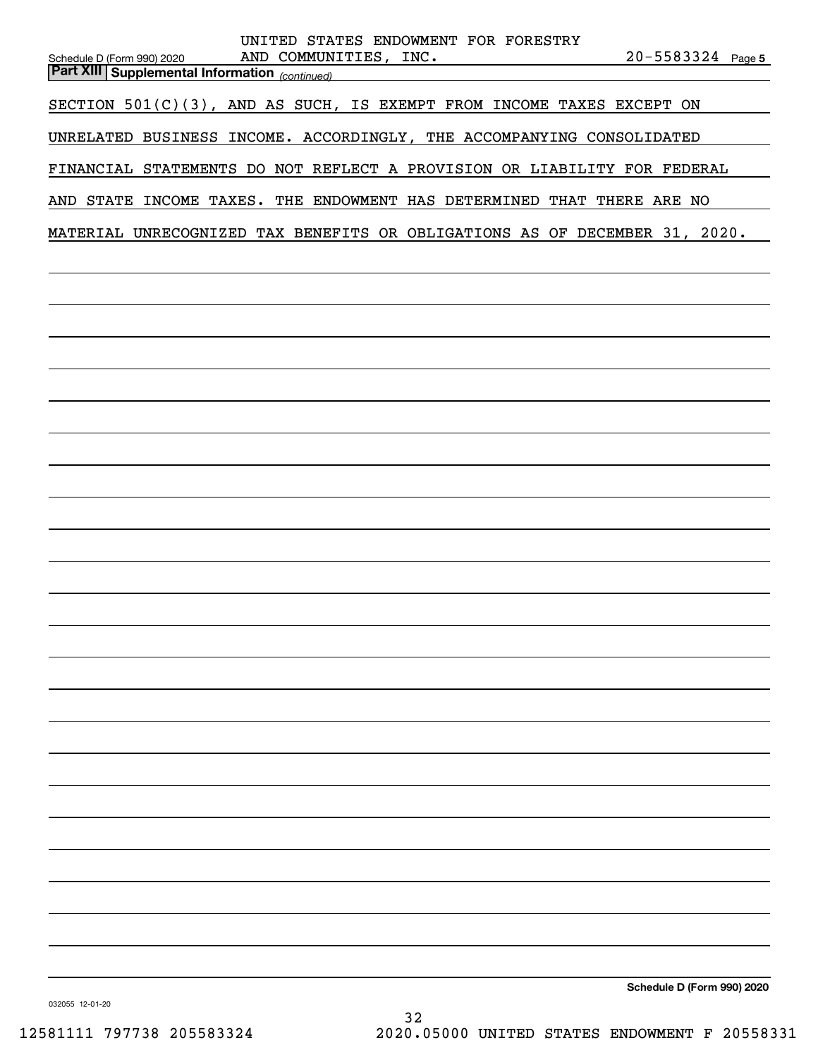| UNITED STATES ENDOWMENT FOR FORESTRY<br>AND COMMUNITIES, INC.<br>$20 - 5583324$ Page 5<br>Schedule D (Form 990) 2020<br><b>Part XIII Supplemental Information</b> (continued) |
|-------------------------------------------------------------------------------------------------------------------------------------------------------------------------------|
|                                                                                                                                                                               |
| SECTION 501(C)(3), AND AS SUCH, IS EXEMPT FROM INCOME TAXES EXCEPT ON                                                                                                         |
| UNRELATED BUSINESS INCOME. ACCORDINGLY, THE ACCOMPANYING CONSOLIDATED                                                                                                         |
| FINANCIAL STATEMENTS DO NOT REFLECT A PROVISION OR LIABILITY FOR FEDERAL                                                                                                      |
| AND STATE INCOME TAXES. THE ENDOWMENT HAS DETERMINED THAT THERE ARE NO                                                                                                        |
| MATERIAL UNRECOGNIZED TAX BENEFITS OR OBLIGATIONS AS OF DECEMBER 31, 2020.                                                                                                    |
|                                                                                                                                                                               |
|                                                                                                                                                                               |
|                                                                                                                                                                               |
|                                                                                                                                                                               |
|                                                                                                                                                                               |
|                                                                                                                                                                               |
|                                                                                                                                                                               |
|                                                                                                                                                                               |
|                                                                                                                                                                               |
|                                                                                                                                                                               |
|                                                                                                                                                                               |
|                                                                                                                                                                               |
|                                                                                                                                                                               |
|                                                                                                                                                                               |
|                                                                                                                                                                               |
|                                                                                                                                                                               |
|                                                                                                                                                                               |
|                                                                                                                                                                               |
|                                                                                                                                                                               |
|                                                                                                                                                                               |
|                                                                                                                                                                               |
|                                                                                                                                                                               |
|                                                                                                                                                                               |
|                                                                                                                                                                               |
|                                                                                                                                                                               |
| Schedule D (Form 990) 2020                                                                                                                                                    |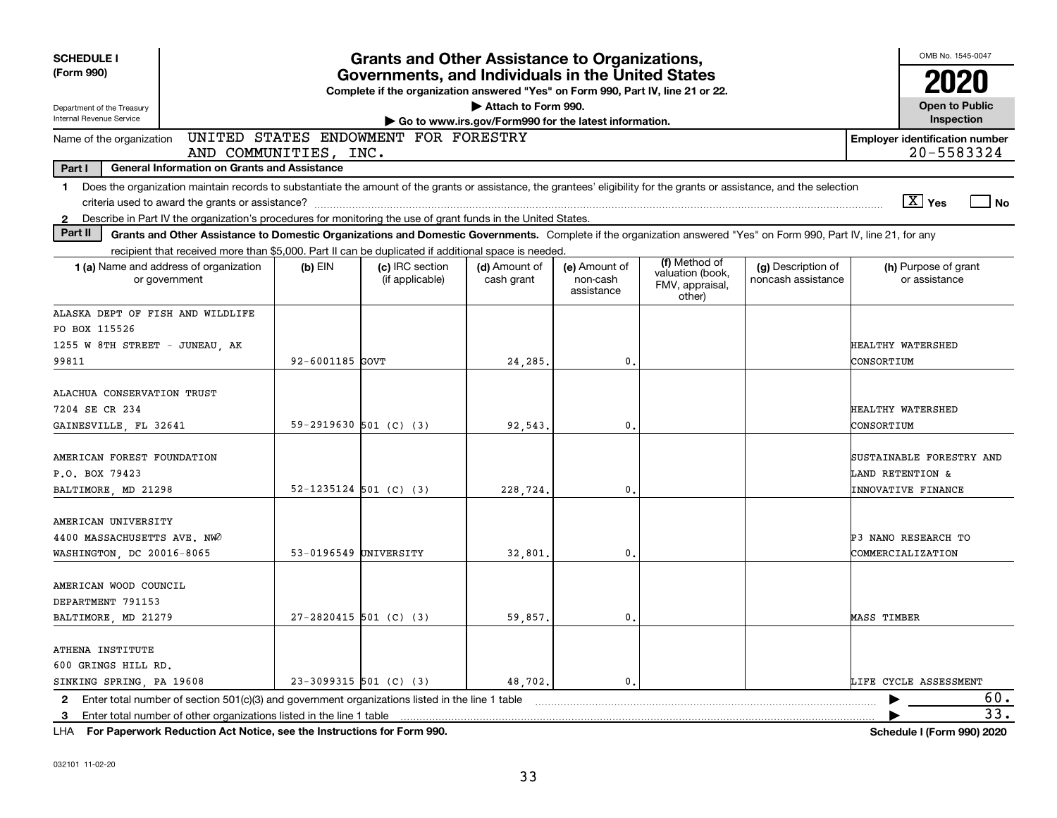| <b>SCHEDULE I</b><br><b>Grants and Other Assistance to Organizations,</b>                                                                                                                                                                                                                                                                                        |                                                                              |                                                                                                                                       |                             |                                         |                                               |                                          |                                          |  |  |  |  |
|------------------------------------------------------------------------------------------------------------------------------------------------------------------------------------------------------------------------------------------------------------------------------------------------------------------------------------------------------------------|------------------------------------------------------------------------------|---------------------------------------------------------------------------------------------------------------------------------------|-----------------------------|-----------------------------------------|-----------------------------------------------|------------------------------------------|------------------------------------------|--|--|--|--|
| (Form 990)                                                                                                                                                                                                                                                                                                                                                       |                                                                              | Governments, and Individuals in the United States<br>Complete if the organization answered "Yes" on Form 990, Part IV, line 21 or 22. |                             |                                         |                                               |                                          |                                          |  |  |  |  |
| Department of the Treasury<br>Internal Revenue Service                                                                                                                                                                                                                                                                                                           | Attach to Form 990.<br>Go to www.irs.gov/Form990 for the latest information. |                                                                                                                                       |                             |                                         |                                               |                                          |                                          |  |  |  |  |
| UNITED STATES ENDOWMENT FOR FORESTRY<br><b>Employer identification number</b><br>Name of the organization<br>AND COMMUNITIES, INC.                                                                                                                                                                                                                               |                                                                              |                                                                                                                                       |                             |                                         |                                               |                                          |                                          |  |  |  |  |
| 20-5583324<br>Part I<br><b>General Information on Grants and Assistance</b>                                                                                                                                                                                                                                                                                      |                                                                              |                                                                                                                                       |                             |                                         |                                               |                                          |                                          |  |  |  |  |
| Does the organization maintain records to substantiate the amount of the grants or assistance, the grantees' eligibility for the grants or assistance, and the selection<br>$\mathbf{1}$<br>$\boxed{\text{X}}$ Yes<br>$\Box$ No<br>Describe in Part IV the organization's procedures for monitoring the use of grant funds in the United States.<br>$\mathbf{2}$ |                                                                              |                                                                                                                                       |                             |                                         |                                               |                                          |                                          |  |  |  |  |
| Part II<br>Grants and Other Assistance to Domestic Organizations and Domestic Governments. Complete if the organization answered "Yes" on Form 990, Part IV, line 21, for any                                                                                                                                                                                    |                                                                              |                                                                                                                                       |                             |                                         |                                               |                                          |                                          |  |  |  |  |
| recipient that received more than \$5,000. Part II can be duplicated if additional space is needed.                                                                                                                                                                                                                                                              |                                                                              |                                                                                                                                       |                             |                                         | (f) Method of                                 |                                          |                                          |  |  |  |  |
| 1 (a) Name and address of organization<br>or government                                                                                                                                                                                                                                                                                                          | $(b)$ EIN                                                                    | (c) IRC section<br>(if applicable)                                                                                                    | (d) Amount of<br>cash grant | (e) Amount of<br>non-cash<br>assistance | valuation (book,<br>FMV, appraisal,<br>other) | (g) Description of<br>noncash assistance | (h) Purpose of grant<br>or assistance    |  |  |  |  |
| ALASKA DEPT OF FISH AND WILDLIFE                                                                                                                                                                                                                                                                                                                                 |                                                                              |                                                                                                                                       |                             |                                         |                                               |                                          |                                          |  |  |  |  |
| PO BOX 115526                                                                                                                                                                                                                                                                                                                                                    |                                                                              |                                                                                                                                       |                             |                                         |                                               |                                          |                                          |  |  |  |  |
| 1255 W 8TH STREET - JUNEAU, AK<br>99811                                                                                                                                                                                                                                                                                                                          | 92-6001185 GOVT                                                              |                                                                                                                                       | 24,285                      | $\mathbf{0}$                            |                                               |                                          | HEALTHY WATERSHED<br>CONSORTIUM          |  |  |  |  |
|                                                                                                                                                                                                                                                                                                                                                                  |                                                                              |                                                                                                                                       |                             |                                         |                                               |                                          |                                          |  |  |  |  |
| ALACHUA CONSERVATION TRUST                                                                                                                                                                                                                                                                                                                                       |                                                                              |                                                                                                                                       |                             |                                         |                                               |                                          |                                          |  |  |  |  |
| 7204 SE CR 234                                                                                                                                                                                                                                                                                                                                                   |                                                                              |                                                                                                                                       |                             |                                         |                                               |                                          | HEALTHY WATERSHED                        |  |  |  |  |
| GAINESVILLE, FL 32641                                                                                                                                                                                                                                                                                                                                            | 59-2919630 501 (C) (3)                                                       |                                                                                                                                       | 92,543                      | $\mathbf{0}$                            |                                               |                                          | CONSORTIUM                               |  |  |  |  |
| AMERICAN FOREST FOUNDATION                                                                                                                                                                                                                                                                                                                                       |                                                                              |                                                                                                                                       |                             |                                         |                                               |                                          | SUSTAINABLE FORESTRY AND                 |  |  |  |  |
| P.O. BOX 79423                                                                                                                                                                                                                                                                                                                                                   |                                                                              |                                                                                                                                       |                             |                                         |                                               |                                          | LAND RETENTION &                         |  |  |  |  |
| BALTIMORE, MD 21298                                                                                                                                                                                                                                                                                                                                              | $52 - 1235124$ 501 (C) (3)                                                   |                                                                                                                                       | 228,724.                    | $\mathbf{0}$                            |                                               |                                          | <b>INNOVATIVE FINANCE</b>                |  |  |  |  |
|                                                                                                                                                                                                                                                                                                                                                                  |                                                                              |                                                                                                                                       |                             |                                         |                                               |                                          |                                          |  |  |  |  |
| AMERICAN UNIVERSITY                                                                                                                                                                                                                                                                                                                                              |                                                                              |                                                                                                                                       |                             |                                         |                                               |                                          |                                          |  |  |  |  |
| 4400 MASSACHUSETTS AVE. NWO<br>WASHINGTON, DC 20016-8065                                                                                                                                                                                                                                                                                                         | 53-0196549 UNIVERSITY                                                        |                                                                                                                                       | 32,801                      | 0.                                      |                                               |                                          | P3 NANO RESEARCH TO<br>COMMERCIALIZATION |  |  |  |  |
|                                                                                                                                                                                                                                                                                                                                                                  |                                                                              |                                                                                                                                       |                             |                                         |                                               |                                          |                                          |  |  |  |  |
| AMERICAN WOOD COUNCIL                                                                                                                                                                                                                                                                                                                                            |                                                                              |                                                                                                                                       |                             |                                         |                                               |                                          |                                          |  |  |  |  |
| DEPARTMENT 791153                                                                                                                                                                                                                                                                                                                                                |                                                                              |                                                                                                                                       |                             |                                         |                                               |                                          |                                          |  |  |  |  |
| BALTIMORE, MD 21279                                                                                                                                                                                                                                                                                                                                              | $27 - 2820415$ 501 (C) (3)                                                   |                                                                                                                                       | 59,857.                     | $\mathbf{0}$ .                          |                                               |                                          | <b>MASS TIMBER</b>                       |  |  |  |  |
| ATHENA INSTITUTE                                                                                                                                                                                                                                                                                                                                                 |                                                                              |                                                                                                                                       |                             |                                         |                                               |                                          |                                          |  |  |  |  |
| 600 GRINGS HILL RD.                                                                                                                                                                                                                                                                                                                                              |                                                                              |                                                                                                                                       |                             |                                         |                                               |                                          |                                          |  |  |  |  |
| SINKING SPRING, PA 19608                                                                                                                                                                                                                                                                                                                                         | $23-3099315$ 501 (C) (3)                                                     |                                                                                                                                       | 48,702.                     | $\mathbf{0}$ .                          |                                               |                                          | LIFE CYCLE ASSESSMENT                    |  |  |  |  |
| Enter total number of section $501(c)(3)$ and government organizations listed in the line 1 table<br>$\mathbf{2}$                                                                                                                                                                                                                                                |                                                                              |                                                                                                                                       |                             |                                         |                                               |                                          | 60.                                      |  |  |  |  |
| Enter total number of other organizations listed in the line 1 table<br>3                                                                                                                                                                                                                                                                                        |                                                                              |                                                                                                                                       |                             |                                         |                                               |                                          | 33.                                      |  |  |  |  |

**For Paperwork Reduction Act Notice, see the Instructions for Form 990. Schedule I (Form 990) 2020** LHA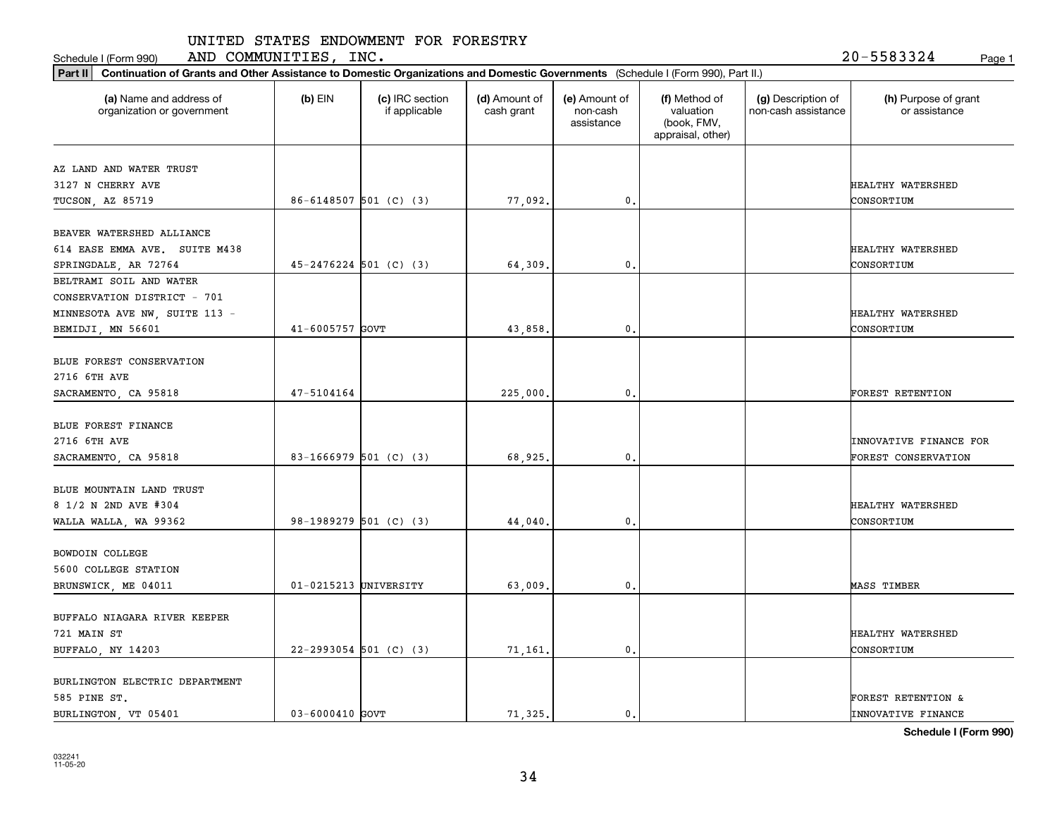Schedule I (Form 990) Page 1 AND COMMUNITIES, INC. 20-5583324

**Part II Continuation of Grants and Other Assistance to Domestic Organizations and Domestic Governments**  (Schedule I (Form 990), Part II.)

| <b>Communication</b> of any city resolutive to Domestic Organizations and Domestic Governments (Conceation (Form coo), Farein, |                            |                                  |                             |                                         |                                                                |                                           |                                       |
|--------------------------------------------------------------------------------------------------------------------------------|----------------------------|----------------------------------|-----------------------------|-----------------------------------------|----------------------------------------------------------------|-------------------------------------------|---------------------------------------|
| (a) Name and address of<br>organization or government                                                                          | $(b)$ EIN                  | (c) IRC section<br>if applicable | (d) Amount of<br>cash grant | (e) Amount of<br>non-cash<br>assistance | (f) Method of<br>valuation<br>(book, FMV,<br>appraisal, other) | (g) Description of<br>non-cash assistance | (h) Purpose of grant<br>or assistance |
|                                                                                                                                |                            |                                  |                             |                                         |                                                                |                                           |                                       |
| AZ LAND AND WATER TRUST                                                                                                        |                            |                                  |                             |                                         |                                                                |                                           |                                       |
| 3127 N CHERRY AVE                                                                                                              |                            |                                  |                             |                                         |                                                                |                                           | HEALTHY WATERSHED                     |
| TUCSON, AZ 85719                                                                                                               | $86-6148507$ 501 (C) (3)   |                                  | 77,092.                     | $\mathbf{0}$ .                          |                                                                |                                           | CONSORTIUM                            |
| BEAVER WATERSHED ALLIANCE                                                                                                      |                            |                                  |                             |                                         |                                                                |                                           |                                       |
| 614 EASE EMMA AVE. SUITE M438                                                                                                  |                            |                                  |                             |                                         |                                                                |                                           | HEALTHY WATERSHED                     |
| SPRINGDALE, AR 72764                                                                                                           | $45 - 2476224$ 501 (C) (3) |                                  | 64.309.                     | $\mathbf{0}$ .                          |                                                                |                                           | CONSORTIUM                            |
| BELTRAMI SOIL AND WATER                                                                                                        |                            |                                  |                             |                                         |                                                                |                                           |                                       |
| CONSERVATION DISTRICT - 701                                                                                                    |                            |                                  |                             |                                         |                                                                |                                           |                                       |
| MINNESOTA AVE NW, SUITE 113 -                                                                                                  |                            |                                  |                             |                                         |                                                                |                                           | HEALTHY WATERSHED                     |
| BEMIDJI, MN 56601                                                                                                              | 41-6005757 GOVT            |                                  | 43,858.                     | 0.                                      |                                                                |                                           | CONSORTIUM                            |
|                                                                                                                                |                            |                                  |                             |                                         |                                                                |                                           |                                       |
| BLUE FOREST CONSERVATION                                                                                                       |                            |                                  |                             |                                         |                                                                |                                           |                                       |
| 2716 6TH AVE                                                                                                                   |                            |                                  |                             |                                         |                                                                |                                           |                                       |
| SACRAMENTO, CA 95818                                                                                                           | 47-5104164                 |                                  | 225,000.                    | 0.                                      |                                                                |                                           | FOREST RETENTION                      |
|                                                                                                                                |                            |                                  |                             |                                         |                                                                |                                           |                                       |
| BLUE FOREST FINANCE                                                                                                            |                            |                                  |                             |                                         |                                                                |                                           |                                       |
| 2716 6TH AVE                                                                                                                   |                            |                                  |                             |                                         |                                                                |                                           | INNOVATIVE FINANCE FOR                |
| SACRAMENTO, CA 95818                                                                                                           | 83-1666979 501 (C) (3)     |                                  | 68,925.                     | $\mathbf{0}$ .                          |                                                                |                                           | FOREST CONSERVATION                   |
|                                                                                                                                |                            |                                  |                             |                                         |                                                                |                                           |                                       |
| BLUE MOUNTAIN LAND TRUST                                                                                                       |                            |                                  |                             |                                         |                                                                |                                           |                                       |
| 8 1/2 N 2ND AVE #304                                                                                                           |                            |                                  |                             |                                         |                                                                |                                           | HEALTHY WATERSHED                     |
| WALLA WALLA, WA 99362                                                                                                          | 98-1989279 501 (C) (3)     |                                  | 44,040.                     | $\mathbf{0}$ .                          |                                                                |                                           | CONSORTIUM                            |
|                                                                                                                                |                            |                                  |                             |                                         |                                                                |                                           |                                       |
| BOWDOIN COLLEGE                                                                                                                |                            |                                  |                             |                                         |                                                                |                                           |                                       |
| 5600 COLLEGE STATION                                                                                                           |                            |                                  |                             |                                         |                                                                |                                           |                                       |
| BRUNSWICK, ME 04011                                                                                                            | $01 - 0215213$ UNIVERSITY  |                                  | 63,009.                     | $\mathbf{0}$ .                          |                                                                |                                           | MASS TIMBER                           |
|                                                                                                                                |                            |                                  |                             |                                         |                                                                |                                           |                                       |
| BUFFALO NIAGARA RIVER KEEPER                                                                                                   |                            |                                  |                             |                                         |                                                                |                                           |                                       |
| 721 MAIN ST                                                                                                                    |                            |                                  |                             |                                         |                                                                |                                           | HEALTHY WATERSHED                     |
| BUFFALO, NY 14203                                                                                                              | 22-2993054 501 (C) (3)     |                                  | 71,161.                     | $\mathbf{0}$ .                          |                                                                |                                           | CONSORTIUM                            |
| BURLINGTON ELECTRIC DEPARTMENT                                                                                                 |                            |                                  |                             |                                         |                                                                |                                           |                                       |
| 585 PINE ST.                                                                                                                   |                            |                                  |                             |                                         |                                                                |                                           | <b>FOREST RETENTION &amp;</b>         |
| BURLINGTON, VT 05401                                                                                                           | $03 - 6000410$ GOVT        |                                  | 71.325.                     | $\mathbf{0}$ .                          |                                                                |                                           | <b>INNOVATIVE FINANCE</b>             |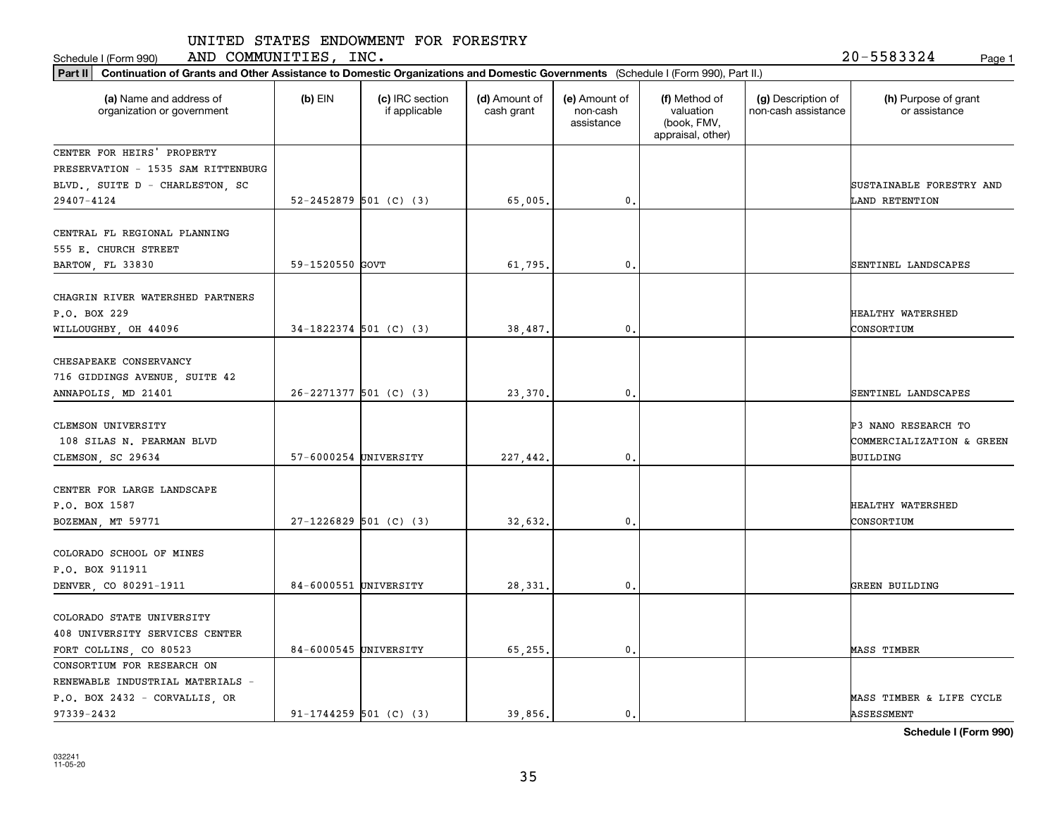Schedule I (Form 990) Page 1 AND COMMUNITIES, INC. 20-5583324

| Part II   Continuation of Grants and Other Assistance to Domestic Organizations and Domestic Governments (Schedule I (Form 990), Part II.) |                       |                                  |                             |                                         |                                                                |                                           |                                                  |  |
|--------------------------------------------------------------------------------------------------------------------------------------------|-----------------------|----------------------------------|-----------------------------|-----------------------------------------|----------------------------------------------------------------|-------------------------------------------|--------------------------------------------------|--|
| (a) Name and address of<br>organization or government                                                                                      | $(b)$ EIN             | (c) IRC section<br>if applicable | (d) Amount of<br>cash grant | (e) Amount of<br>non-cash<br>assistance | (f) Method of<br>valuation<br>(book, FMV,<br>appraisal, other) | (g) Description of<br>non-cash assistance | (h) Purpose of grant<br>or assistance            |  |
| CENTER FOR HEIRS' PROPERTY                                                                                                                 |                       |                                  |                             |                                         |                                                                |                                           |                                                  |  |
| PRESERVATION - 1535 SAM RITTENBURG                                                                                                         |                       |                                  |                             |                                         |                                                                |                                           |                                                  |  |
| BLVD., SUITE D - CHARLESTON, SC                                                                                                            |                       |                                  |                             |                                         |                                                                |                                           | SUSTAINABLE FORESTRY AND                         |  |
| 29407-4124                                                                                                                                 |                       | $52 - 2452879$ 501 (C) (3)       | 65,005.                     | 0.                                      |                                                                |                                           | LAND RETENTION                                   |  |
| CENTRAL FL REGIONAL PLANNING<br>555 E. CHURCH STREET<br>BARTOW, FL 33830                                                                   | 59-1520550 GOVT       |                                  | 61.795.                     | 0.                                      |                                                                |                                           | SENTINEL LANDSCAPES                              |  |
|                                                                                                                                            |                       |                                  |                             |                                         |                                                                |                                           |                                                  |  |
| CHAGRIN RIVER WATERSHED PARTNERS<br>P.O. BOX 229<br>WILLOUGHBY, OH 44096                                                                   |                       | $34-1822374$ 501 (C) (3)         | 38,487.                     | $\mathfrak{o}$ .                        |                                                                |                                           | HEALTHY WATERSHED<br>CONSORTIUM                  |  |
|                                                                                                                                            |                       |                                  |                             |                                         |                                                                |                                           |                                                  |  |
| CHESAPEAKE CONSERVANCY<br>716 GIDDINGS AVENUE, SUITE 42                                                                                    |                       |                                  |                             |                                         |                                                                |                                           |                                                  |  |
| ANNAPOLIS, MD 21401                                                                                                                        |                       | $26 - 2271377$ 501 (C) (3)       | 23,370.                     | 0.                                      |                                                                |                                           | SENTINEL LANDSCAPES                              |  |
| CLEMSON UNIVERSITY<br>108 SILAS N. PEARMAN BLVD                                                                                            |                       |                                  |                             |                                         |                                                                |                                           | P3 NANO RESEARCH TO<br>COMMERCIALIZATION & GREEN |  |
| CLEMSON, SC 29634                                                                                                                          | 57-6000254 UNIVERSITY |                                  | 227,442.                    | 0.                                      |                                                                |                                           | BUILDING                                         |  |
| CENTER FOR LARGE LANDSCAPE<br>P.O. BOX 1587<br>BOZEMAN, MT 59771                                                                           |                       | $27-1226829$ 501 (C) (3)         | 32,632.                     | 0.                                      |                                                                |                                           | HEALTHY WATERSHED<br>CONSORTIUM                  |  |
| COLORADO SCHOOL OF MINES<br>P.O. BOX 911911                                                                                                |                       |                                  |                             |                                         |                                                                |                                           |                                                  |  |
| DENVER, CO 80291-1911                                                                                                                      | 84-6000551 UNIVERSITY |                                  | 28,331                      | $^{\circ}$ .                            |                                                                |                                           | GREEN BUILDING                                   |  |
| COLORADO STATE UNIVERSITY<br>408 UNIVERSITY SERVICES CENTER<br>FORT COLLINS, CO 80523                                                      | 84-6000545 UNIVERSITY |                                  | 65,255.                     | $\mathbf{0}$ .                          |                                                                |                                           | <b>MASS TIMBER</b>                               |  |
| CONSORTIUM FOR RESEARCH ON                                                                                                                 |                       |                                  |                             |                                         |                                                                |                                           |                                                  |  |
| RENEWABLE INDUSTRIAL MATERIALS -<br>P.O. BOX 2432 - CORVALLIS, OR<br>97339-2432                                                            |                       | $91-1744259$ 501 (C) (3)         | 39.856.                     | $\mathbf{0}$ .                          |                                                                |                                           | MASS TIMBER & LIFE CYCLE<br>ASSESSMENT           |  |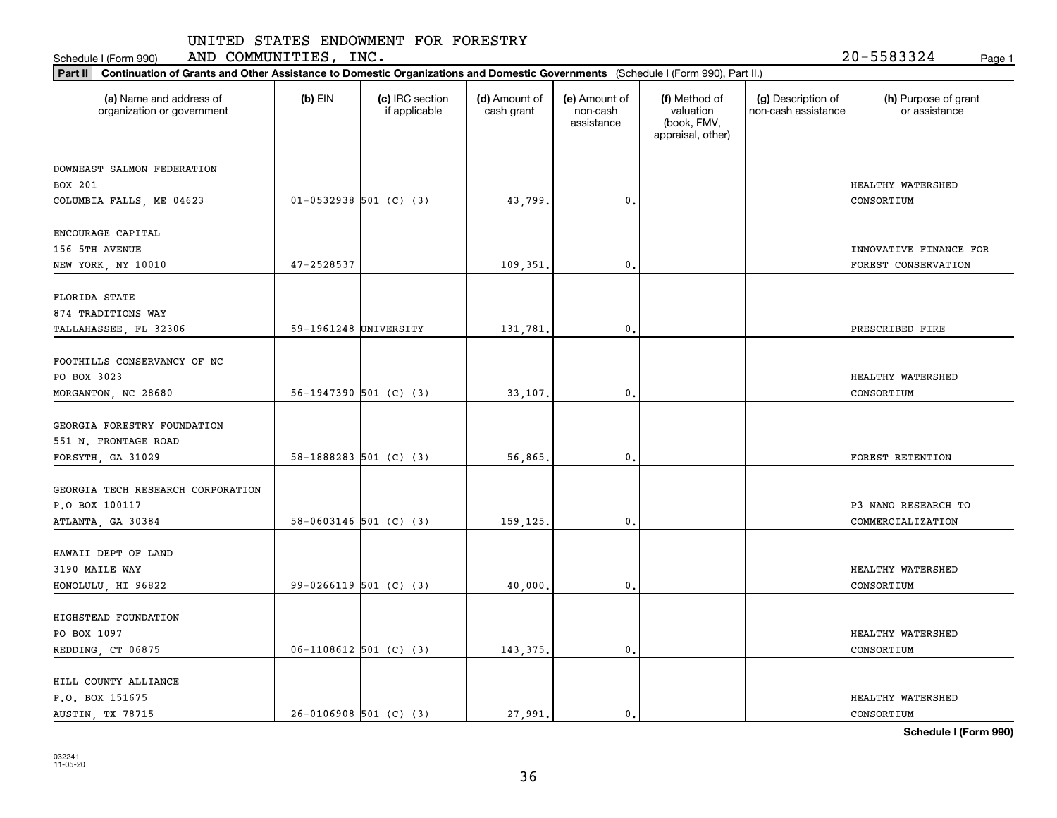Schedule I (Form 990) Page 1 AND COMMUNITIES, INC. 20-5583324

| (a) Name and address of<br>organization or government | $(b)$ EIN                | (c) IRC section<br>if applicable | (d) Amount of<br>cash grant | (e) Amount of<br>non-cash<br>assistance | (f) Method of<br>valuation<br>(book, FMV,<br>appraisal, other) | (g) Description of<br>non-cash assistance | (h) Purpose of grant<br>or assistance |
|-------------------------------------------------------|--------------------------|----------------------------------|-----------------------------|-----------------------------------------|----------------------------------------------------------------|-------------------------------------------|---------------------------------------|
| DOWNEAST SALMON FEDERATION                            |                          |                                  |                             |                                         |                                                                |                                           |                                       |
| BOX 201                                               |                          |                                  |                             |                                         |                                                                |                                           | HEALTHY WATERSHED                     |
| COLUMBIA FALLS, ME 04623                              | $01-0532938$ 501 (C) (3) |                                  | 43,799.                     | $\mathbf{0}$ .                          |                                                                |                                           | CONSORTIUM                            |
| ENCOURAGE CAPITAL                                     |                          |                                  |                             |                                         |                                                                |                                           |                                       |
| 156 5TH AVENUE                                        |                          |                                  |                             |                                         |                                                                |                                           | INNOVATIVE FINANCE FOR                |
| NEW YORK, NY 10010                                    | 47-2528537               |                                  | 109,351                     | 0.                                      |                                                                |                                           | FOREST CONSERVATION                   |
| FLORIDA STATE                                         |                          |                                  |                             |                                         |                                                                |                                           |                                       |
| 874 TRADITIONS WAY                                    |                          |                                  |                             |                                         |                                                                |                                           |                                       |
| TALLAHASSEE, FL 32306                                 | 59-1961248 UNIVERSITY    |                                  | 131,781.                    | $\mathbf{0}$ .                          |                                                                |                                           | PRESCRIBED FIRE                       |
|                                                       |                          |                                  |                             |                                         |                                                                |                                           |                                       |
| FOOTHILLS CONSERVANCY OF NC                           |                          |                                  |                             |                                         |                                                                |                                           |                                       |
| PO BOX 3023                                           |                          |                                  |                             |                                         |                                                                |                                           | HEALTHY WATERSHED                     |
| MORGANTON, NC 28680                                   |                          | $56-1947390$ 501 (C) (3)         | 33,107.                     | $\mathbf{0}$ .                          |                                                                |                                           | CONSORTIUM                            |
| GEORGIA FORESTRY FOUNDATION                           |                          |                                  |                             |                                         |                                                                |                                           |                                       |
| 551 N. FRONTAGE ROAD                                  |                          |                                  |                             |                                         |                                                                |                                           |                                       |
| FORSYTH, GA 31029                                     |                          | $58-1888283$ 501 (C) (3)         | 56,865.                     | 0.                                      |                                                                |                                           | FOREST RETENTION                      |
| GEORGIA TECH RESEARCH CORPORATION                     |                          |                                  |                             |                                         |                                                                |                                           |                                       |
| P.O BOX 100117                                        |                          |                                  |                             |                                         |                                                                |                                           | P3 NANO RESEARCH TO                   |
| ATLANTA, GA 30384                                     |                          | $58-0603146$ 501 (C) (3)         | 159,125.                    | 0.                                      |                                                                |                                           | COMMERCIALIZATION                     |
| HAWAII DEPT OF LAND                                   |                          |                                  |                             |                                         |                                                                |                                           |                                       |
| 3190 MAILE WAY                                        |                          |                                  |                             |                                         |                                                                |                                           | HEALTHY WATERSHED                     |
| HONOLULU, HI 96822                                    |                          | $99-0266119$ 501 (C) (3)         | 40,000                      | $\mathfrak o$ .                         |                                                                |                                           | CONSORTIUM                            |
|                                                       |                          |                                  |                             |                                         |                                                                |                                           |                                       |
| HIGHSTEAD FOUNDATION                                  |                          |                                  |                             |                                         |                                                                |                                           |                                       |
| PO BOX 1097                                           |                          |                                  |                             |                                         |                                                                |                                           | HEALTHY WATERSHED                     |
| REDDING, CT 06875                                     |                          | $06-1108612$ 501 (C) (3)         | 143, 375.                   | $\mathfrak o$ .                         |                                                                |                                           | CONSORTIUM                            |
| HILL COUNTY ALLIANCE                                  |                          |                                  |                             |                                         |                                                                |                                           |                                       |
| P.O. BOX 151675                                       |                          |                                  |                             |                                         |                                                                |                                           | HEALTHY WATERSHED                     |
| AUSTIN, TX 78715                                      | $26-0106908$ 501 (C) (3) |                                  | 27.991.                     | 0.                                      |                                                                |                                           | CONSORTIUM                            |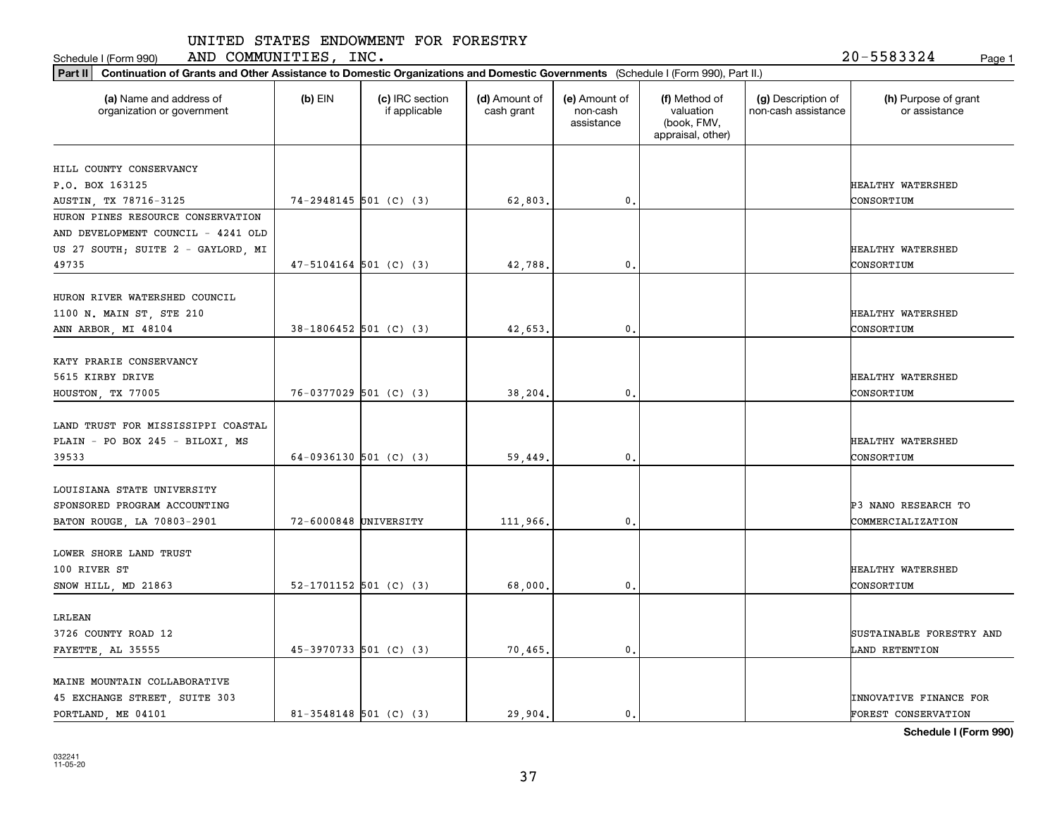Schedule I (Form 990) Page 1 AND COMMUNITIES, INC. 20-5583324

| (a) Name and address of<br>organization or government | $(b)$ EIN                  | (c) IRC section<br>if applicable | (d) Amount of<br>cash grant | (e) Amount of<br>non-cash<br>assistance | (f) Method of<br>valuation<br>(book, FMV, | (g) Description of<br>non-cash assistance | (h) Purpose of grant<br>or assistance |
|-------------------------------------------------------|----------------------------|----------------------------------|-----------------------------|-----------------------------------------|-------------------------------------------|-------------------------------------------|---------------------------------------|
|                                                       |                            |                                  |                             |                                         | appraisal, other)                         |                                           |                                       |
| HILL COUNTY CONSERVANCY                               |                            |                                  |                             |                                         |                                           |                                           |                                       |
| P.O. BOX 163125                                       |                            |                                  |                             |                                         |                                           |                                           | HEALTHY WATERSHED                     |
| AUSTIN, TX 78716-3125                                 | $74-2948145$ 501 (C) (3)   |                                  | 62,803                      | 0.                                      |                                           |                                           | CONSORTIUM                            |
| HURON PINES RESOURCE CONSERVATION                     |                            |                                  |                             |                                         |                                           |                                           |                                       |
| AND DEVELOPMENT COUNCIL - 4241 OLD                    |                            |                                  |                             |                                         |                                           |                                           |                                       |
| US 27 SOUTH; SUITE 2 - GAYLORD, MI                    |                            |                                  |                             |                                         |                                           |                                           | HEALTHY WATERSHED                     |
| 49735                                                 | $47 - 5104164$ 501 (C) (3) |                                  | 42,788                      | 0.                                      |                                           |                                           | CONSORTIUM                            |
| HURON RIVER WATERSHED COUNCIL                         |                            |                                  |                             |                                         |                                           |                                           |                                       |
| 1100 N. MAIN ST, STE 210                              |                            |                                  |                             |                                         |                                           |                                           | HEALTHY WATERSHED                     |
| ANN ARBOR, MI 48104                                   | 38-1806452 501 (C) (3)     |                                  | 42,653                      | 0.                                      |                                           |                                           | CONSORTIUM                            |
|                                                       |                            |                                  |                             |                                         |                                           |                                           |                                       |
| KATY PRARIE CONSERVANCY                               |                            |                                  |                             |                                         |                                           |                                           |                                       |
| 5615 KIRBY DRIVE                                      |                            |                                  |                             |                                         |                                           |                                           | HEALTHY WATERSHED                     |
| HOUSTON, TX 77005                                     | $76-0377029$ 501 (C) (3)   |                                  | 38,204                      | $\mathbf{0}$                            |                                           |                                           | CONSORTIUM                            |
| LAND TRUST FOR MISSISSIPPI COASTAL                    |                            |                                  |                             |                                         |                                           |                                           |                                       |
| PLAIN - PO BOX 245 - BILOXI, MS                       |                            |                                  |                             |                                         |                                           |                                           | HEALTHY WATERSHED                     |
| 39533                                                 | 64-0936130 501 (C) (3)     |                                  | 59,449                      | $\mathbf{0}$ .                          |                                           |                                           | CONSORTIUM                            |
|                                                       |                            |                                  |                             |                                         |                                           |                                           |                                       |
| LOUISIANA STATE UNIVERSITY                            |                            |                                  |                             |                                         |                                           |                                           |                                       |
| SPONSORED PROGRAM ACCOUNTING                          |                            |                                  |                             |                                         |                                           |                                           | P3 NANO RESEARCH TO                   |
| BATON ROUGE, LA 70803-2901                            | 72-6000848 UNIVERSITY      |                                  | 111,966                     | 0.                                      |                                           |                                           | COMMERCIALIZATION                     |
| LOWER SHORE LAND TRUST                                |                            |                                  |                             |                                         |                                           |                                           |                                       |
| 100 RIVER ST                                          |                            |                                  |                             |                                         |                                           |                                           | HEALTHY WATERSHED                     |
| SNOW HILL, MD 21863                                   | 52-1701152 501 (C) (3)     |                                  | 68,000                      | 0.                                      |                                           |                                           | CONSORTIUM                            |
| LRLEAN                                                |                            |                                  |                             |                                         |                                           |                                           |                                       |
|                                                       |                            |                                  |                             |                                         |                                           |                                           |                                       |
| 3726 COUNTY ROAD 12                                   |                            |                                  |                             | 0.                                      |                                           |                                           | SUSTAINABLE FORESTRY AND              |
| FAYETTE, AL 35555                                     | $45-3970733$ 501 (C) (3)   |                                  | 70,465                      |                                         |                                           |                                           | LAND RETENTION                        |
| MAINE MOUNTAIN COLLABORATIVE                          |                            |                                  |                             |                                         |                                           |                                           |                                       |
| 45 EXCHANGE STREET, SUITE 303                         |                            |                                  |                             |                                         |                                           |                                           | INNOVATIVE FINANCE FOR                |
| PORTLAND, ME 04101                                    | $81-3548148$ 501 (C) (3)   |                                  | 29.904.                     | 0.                                      |                                           |                                           | <b>FOREST CONSERVATION</b>            |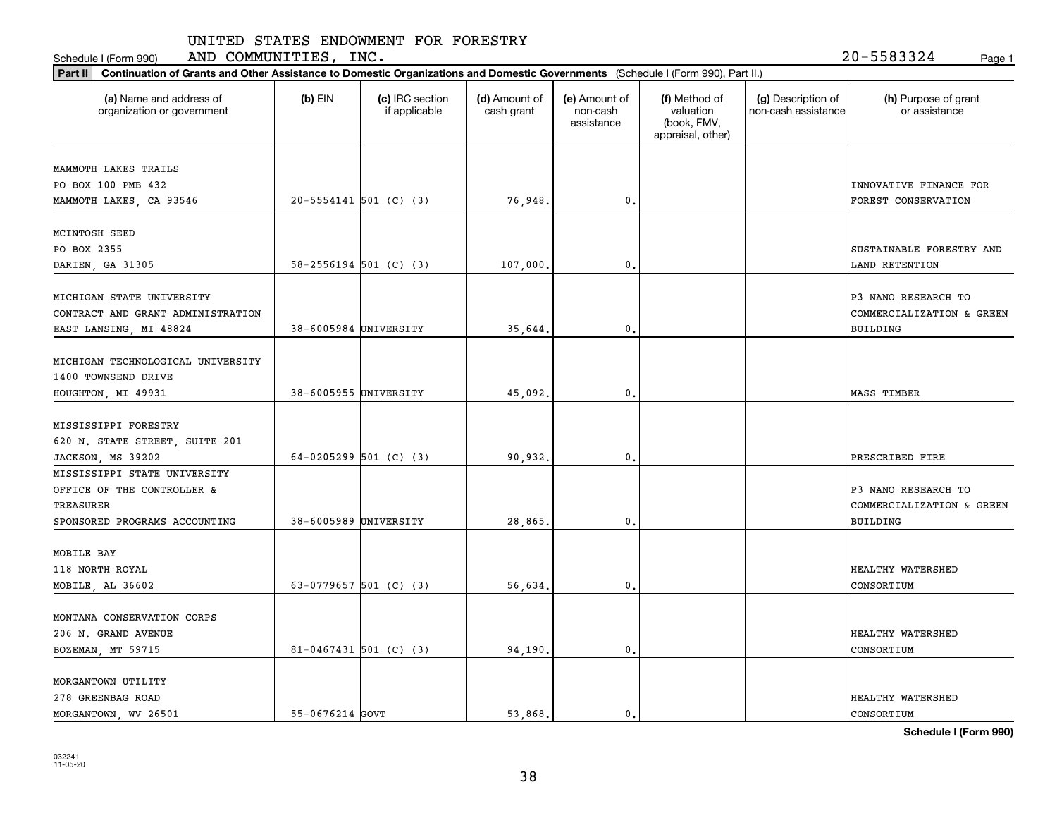Schedule I (Form 990) Page 1 AND COMMUNITIES, INC. 20-5583324

| Part II   Continuation of Grants and Other Assistance to Domestic Organizations and Domestic Governments (Schedule I (Form 990), Part II.) |                       |                                  |                             |                                         |                                                                |                                           |                                       |
|--------------------------------------------------------------------------------------------------------------------------------------------|-----------------------|----------------------------------|-----------------------------|-----------------------------------------|----------------------------------------------------------------|-------------------------------------------|---------------------------------------|
| (a) Name and address of<br>organization or government                                                                                      | $(b)$ EIN             | (c) IRC section<br>if applicable | (d) Amount of<br>cash grant | (e) Amount of<br>non-cash<br>assistance | (f) Method of<br>valuation<br>(book, FMV,<br>appraisal, other) | (g) Description of<br>non-cash assistance | (h) Purpose of grant<br>or assistance |
| MAMMOTH LAKES TRAILS                                                                                                                       |                       |                                  |                             |                                         |                                                                |                                           |                                       |
| PO BOX 100 PMB 432                                                                                                                         |                       |                                  |                             |                                         |                                                                |                                           | INNOVATIVE FINANCE FOR                |
| MAMMOTH LAKES, CA 93546                                                                                                                    |                       | $20 - 5554141$ 501 (C) (3)       | 76,948.                     | 0.                                      |                                                                |                                           | FOREST CONSERVATION                   |
| MCINTOSH SEED                                                                                                                              |                       |                                  |                             |                                         |                                                                |                                           |                                       |
| PO BOX 2355                                                                                                                                |                       |                                  |                             |                                         |                                                                |                                           | SUSTAINABLE FORESTRY AND              |
| DARIEN, GA 31305                                                                                                                           |                       | $58 - 2556194$ 501 (C) (3)       | 107,000                     | 0.                                      |                                                                |                                           | LAND RETENTION                        |
| MICHIGAN STATE UNIVERSITY                                                                                                                  |                       |                                  |                             |                                         |                                                                |                                           | <b>P3 NANO RESEARCH TO</b>            |
| CONTRACT AND GRANT ADMINISTRATION                                                                                                          |                       |                                  |                             |                                         |                                                                |                                           | COMMERCIALIZATION & GREEN             |
| EAST LANSING, MI 48824                                                                                                                     | 38-6005984 UNIVERSITY |                                  | 35,644                      | $\mathbf{0}$ .                          |                                                                |                                           | BUILDING                              |
|                                                                                                                                            |                       |                                  |                             |                                         |                                                                |                                           |                                       |
| MICHIGAN TECHNOLOGICAL UNIVERSITY                                                                                                          |                       |                                  |                             |                                         |                                                                |                                           |                                       |
| 1400 TOWNSEND DRIVE                                                                                                                        |                       |                                  |                             |                                         |                                                                |                                           |                                       |
| HOUGHTON, MI 49931                                                                                                                         | 38-6005955 UNIVERSITY |                                  | 45,092.                     | $\mathbf{0}$ .                          |                                                                |                                           | <b>MASS TIMBER</b>                    |
| MISSISSIPPI FORESTRY                                                                                                                       |                       |                                  |                             |                                         |                                                                |                                           |                                       |
| 620 N. STATE STREET, SUITE 201                                                                                                             |                       |                                  |                             |                                         |                                                                |                                           |                                       |
| JACKSON, MS 39202                                                                                                                          |                       | 64-0205299 501 (C) (3)           | 90,932.                     | 0.                                      |                                                                |                                           | PRESCRIBED FIRE                       |
| MISSISSIPPI STATE UNIVERSITY                                                                                                               |                       |                                  |                             |                                         |                                                                |                                           |                                       |
| OFFICE OF THE CONTROLLER &                                                                                                                 |                       |                                  |                             |                                         |                                                                |                                           | <b>P3 NANO RESEARCH TO</b>            |
| TREASURER                                                                                                                                  |                       |                                  |                             |                                         |                                                                |                                           | COMMERCIALIZATION & GREEN             |
| SPONSORED PROGRAMS ACCOUNTING                                                                                                              | 38-6005989 UNIVERSITY |                                  | 28,865                      | 0.                                      |                                                                |                                           | BUILDING                              |
| MOBILE BAY                                                                                                                                 |                       |                                  |                             |                                         |                                                                |                                           |                                       |
| 118 NORTH ROYAL                                                                                                                            |                       |                                  |                             |                                         |                                                                |                                           | HEALTHY WATERSHED                     |
| MOBILE, AL 36602                                                                                                                           |                       | 63-0779657 501 (C) (3)           | 56,634                      | $\mathbf{0}$ .                          |                                                                |                                           | CONSORTIUM                            |
| MONTANA CONSERVATION CORPS                                                                                                                 |                       |                                  |                             |                                         |                                                                |                                           |                                       |
| 206 N. GRAND AVENUE                                                                                                                        |                       |                                  |                             |                                         |                                                                |                                           | HEALTHY WATERSHED                     |
| BOZEMAN, MT 59715                                                                                                                          |                       | 81-0467431 501 (C) (3)           | 94,190.                     | $\mathbf{0}$ .                          |                                                                |                                           | CONSORTIUM                            |
|                                                                                                                                            |                       |                                  |                             |                                         |                                                                |                                           |                                       |
| MORGANTOWN UTILITY                                                                                                                         |                       |                                  |                             |                                         |                                                                |                                           |                                       |
| 278 GREENBAG ROAD                                                                                                                          |                       |                                  |                             |                                         |                                                                |                                           | HEALTHY WATERSHED                     |
| MORGANTOWN, WV 26501                                                                                                                       | 55-0676214 GOVT       |                                  | 53.868.                     | $\mathbf{0}$ .                          |                                                                |                                           | CONSORTIUM                            |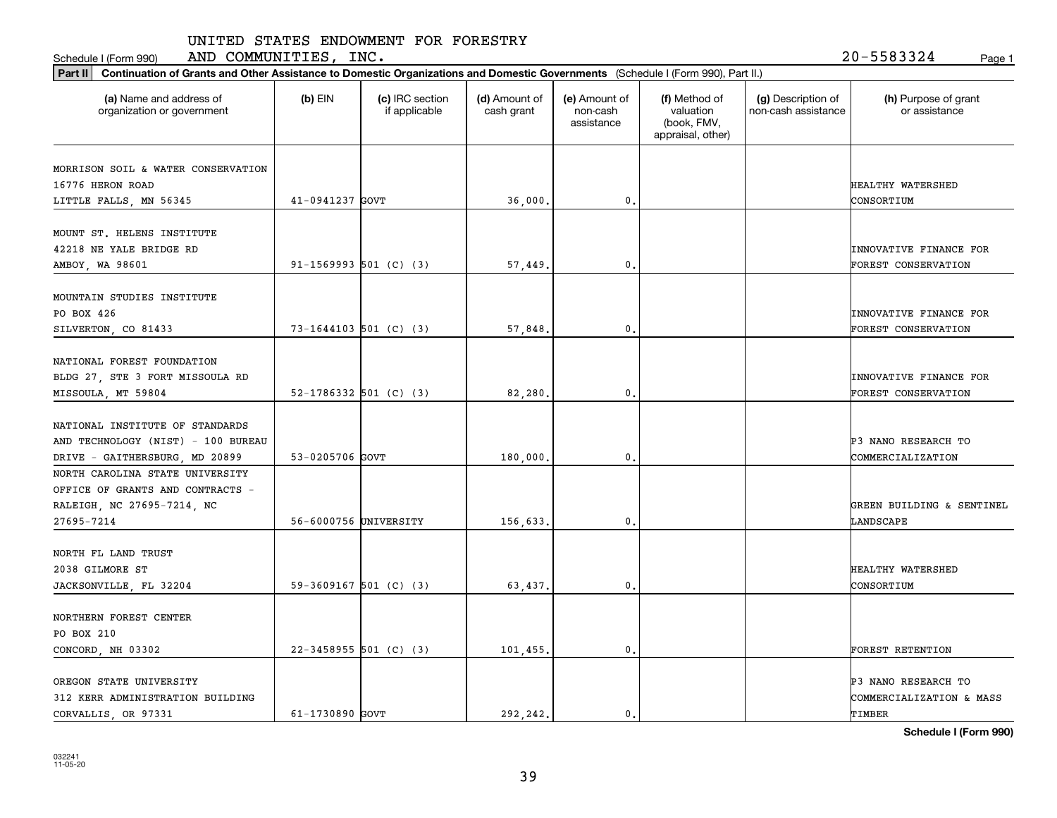Schedule I (Form 990) Page 1 AND COMMUNITIES, INC. 20-5583324

| Part II   Continuation of Grants and Other Assistance to Domestic Organizations and Domestic Governments (Schedule I (Form 990), Part II.) |                       |                                  |                             |                                         |                                                                |                                           |                                       |
|--------------------------------------------------------------------------------------------------------------------------------------------|-----------------------|----------------------------------|-----------------------------|-----------------------------------------|----------------------------------------------------------------|-------------------------------------------|---------------------------------------|
| (a) Name and address of<br>organization or government                                                                                      | $(b)$ EIN             | (c) IRC section<br>if applicable | (d) Amount of<br>cash grant | (e) Amount of<br>non-cash<br>assistance | (f) Method of<br>valuation<br>(book, FMV,<br>appraisal, other) | (g) Description of<br>non-cash assistance | (h) Purpose of grant<br>or assistance |
|                                                                                                                                            |                       |                                  |                             |                                         |                                                                |                                           |                                       |
| MORRISON SOIL & WATER CONSERVATION<br>16776 HERON ROAD                                                                                     |                       |                                  |                             |                                         |                                                                |                                           | HEALTHY WATERSHED                     |
| LITTLE FALLS, MN 56345                                                                                                                     | 41-0941237 GOVT       |                                  | 36,000.                     | 0.                                      |                                                                |                                           | CONSORTIUM                            |
|                                                                                                                                            |                       |                                  |                             |                                         |                                                                |                                           |                                       |
| MOUNT ST. HELENS INSTITUTE                                                                                                                 |                       |                                  |                             |                                         |                                                                |                                           |                                       |
| 42218 NE YALE BRIDGE RD                                                                                                                    |                       |                                  |                             |                                         |                                                                |                                           | INNOVATIVE FINANCE FOR                |
| AMBOY, WA 98601                                                                                                                            |                       | $91-1569993$ 501 (C) (3)         | 57,449.                     | 0.                                      |                                                                |                                           | FOREST CONSERVATION                   |
|                                                                                                                                            |                       |                                  |                             |                                         |                                                                |                                           |                                       |
| MOUNTAIN STUDIES INSTITUTE                                                                                                                 |                       |                                  |                             |                                         |                                                                |                                           |                                       |
| PO BOX 426                                                                                                                                 |                       |                                  |                             |                                         |                                                                |                                           | INNOVATIVE FINANCE FOR                |
| SILVERTON, CO 81433                                                                                                                        |                       | $73 - 1644103$ 501 (C) (3)       | 57,848.                     | 0.                                      |                                                                |                                           | FOREST CONSERVATION                   |
|                                                                                                                                            |                       |                                  |                             |                                         |                                                                |                                           |                                       |
| NATIONAL FOREST FOUNDATION                                                                                                                 |                       |                                  |                             |                                         |                                                                |                                           |                                       |
| BLDG 27, STE 3 FORT MISSOULA RD                                                                                                            |                       |                                  |                             |                                         |                                                                |                                           | <b>INNOVATIVE FINANCE FOR</b>         |
| MISSOULA, MT 59804                                                                                                                         |                       | $52-1786332$ 501 (C) (3)         | 82,280.                     | 0.                                      |                                                                |                                           | FOREST CONSERVATION                   |
|                                                                                                                                            |                       |                                  |                             |                                         |                                                                |                                           |                                       |
| NATIONAL INSTITUTE OF STANDARDS                                                                                                            |                       |                                  |                             |                                         |                                                                |                                           |                                       |
| AND TECHNOLOGY (NIST) - 100 BUREAU                                                                                                         |                       |                                  |                             |                                         |                                                                |                                           | P3 NANO RESEARCH TO                   |
| DRIVE - GAITHERSBURG, MD 20899                                                                                                             | 53-0205706 GOVT       |                                  | 180,000.                    | 0.                                      |                                                                |                                           | COMMERCIALIZATION                     |
| NORTH CAROLINA STATE UNIVERSITY                                                                                                            |                       |                                  |                             |                                         |                                                                |                                           |                                       |
| OFFICE OF GRANTS AND CONTRACTS -                                                                                                           |                       |                                  |                             |                                         |                                                                |                                           |                                       |
| RALEIGH, NC 27695-7214, NC                                                                                                                 | 56-6000756 UNIVERSITY |                                  |                             |                                         |                                                                |                                           | GREEN BUILDING & SENTINEL             |
| 27695-7214                                                                                                                                 |                       |                                  | 156,633.                    | 0.                                      |                                                                |                                           | LANDSCAPE                             |
| NORTH FL LAND TRUST                                                                                                                        |                       |                                  |                             |                                         |                                                                |                                           |                                       |
| 2038 GILMORE ST                                                                                                                            |                       |                                  |                             |                                         |                                                                |                                           | HEALTHY WATERSHED                     |
|                                                                                                                                            |                       | 59-3609167 501 (C) (3)           |                             | $\mathbf{0}$ .                          |                                                                |                                           | CONSORTIUM                            |
| JACKSONVILLE, FL 32204                                                                                                                     |                       |                                  | 63,437.                     |                                         |                                                                |                                           |                                       |
| NORTHERN FOREST CENTER                                                                                                                     |                       |                                  |                             |                                         |                                                                |                                           |                                       |
| PO BOX 210                                                                                                                                 |                       |                                  |                             |                                         |                                                                |                                           |                                       |
| CONCORD, NH 03302                                                                                                                          |                       | $22 - 3458955$ 501 (C) (3)       | 101,455.                    | $\mathfrak o$ .                         |                                                                |                                           | FOREST RETENTION                      |
|                                                                                                                                            |                       |                                  |                             |                                         |                                                                |                                           |                                       |
| OREGON STATE UNIVERSITY                                                                                                                    |                       |                                  |                             |                                         |                                                                |                                           | P3 NANO RESEARCH TO                   |
| 312 KERR ADMINISTRATION BUILDING                                                                                                           |                       |                                  |                             |                                         |                                                                |                                           | COMMERCIALIZATION & MASS              |
| CORVALLIS, OR 97331                                                                                                                        | 61-1730890 GOVT       |                                  | 292.242.                    | $\mathbf{0}$ .                          |                                                                |                                           | TIMBER                                |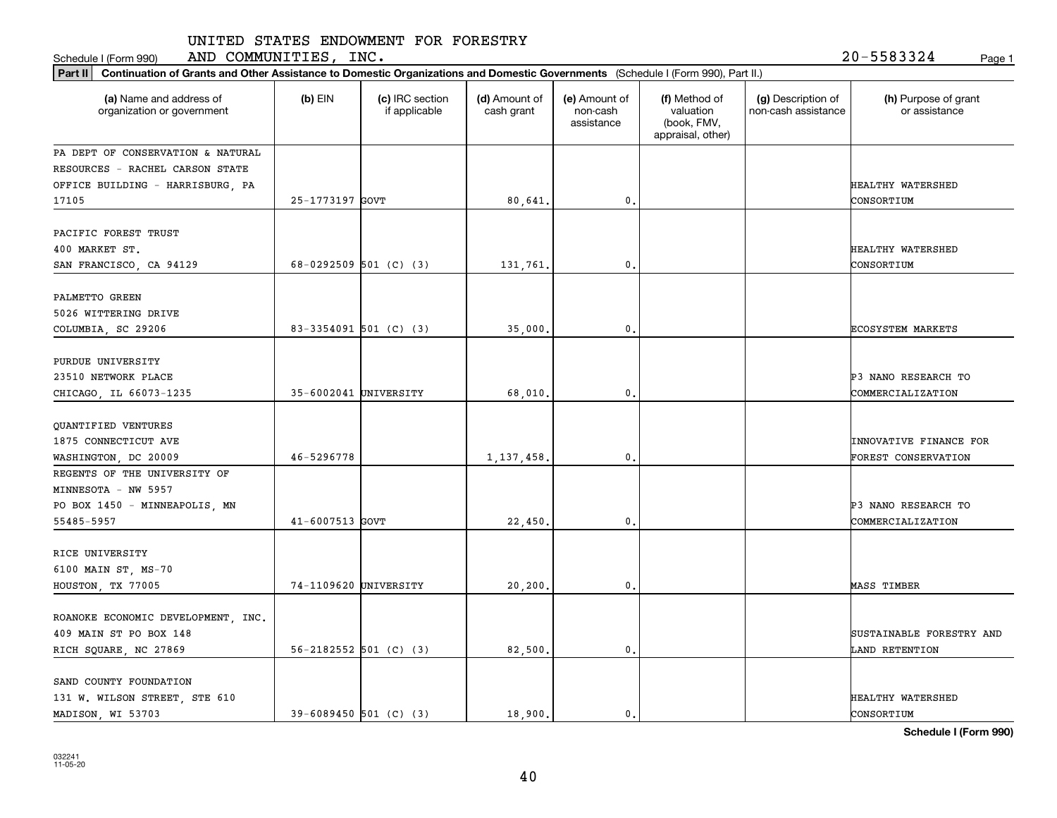Schedule I (Form 990) Page 1 AND COMMUNITIES, INC. 20-5583324

|                                                       | Part II   Continuation of Grants and Other Assistance to Domestic Organizations and Domestic Governments (Schedule I (Form 990), Part II.) |                                  |                             |                                         |                                                                |                                           |                                       |  |  |
|-------------------------------------------------------|--------------------------------------------------------------------------------------------------------------------------------------------|----------------------------------|-----------------------------|-----------------------------------------|----------------------------------------------------------------|-------------------------------------------|---------------------------------------|--|--|
| (a) Name and address of<br>organization or government | $(b)$ EIN                                                                                                                                  | (c) IRC section<br>if applicable | (d) Amount of<br>cash grant | (e) Amount of<br>non-cash<br>assistance | (f) Method of<br>valuation<br>(book, FMV,<br>appraisal, other) | (g) Description of<br>non-cash assistance | (h) Purpose of grant<br>or assistance |  |  |
| PA DEPT OF CONSERVATION & NATURAL                     |                                                                                                                                            |                                  |                             |                                         |                                                                |                                           |                                       |  |  |
| RESOURCES - RACHEL CARSON STATE                       |                                                                                                                                            |                                  |                             |                                         |                                                                |                                           |                                       |  |  |
| OFFICE BUILDING - HARRISBURG, PA                      |                                                                                                                                            |                                  |                             |                                         |                                                                |                                           | HEALTHY WATERSHED                     |  |  |
| 17105                                                 | 25-1773197 GOVT                                                                                                                            |                                  | 80,641.                     | 0.                                      |                                                                |                                           | CONSORTIUM                            |  |  |
| PACIFIC FOREST TRUST                                  |                                                                                                                                            |                                  |                             |                                         |                                                                |                                           |                                       |  |  |
| 400 MARKET ST.                                        |                                                                                                                                            |                                  |                             |                                         |                                                                |                                           | HEALTHY WATERSHED                     |  |  |
| SAN FRANCISCO, CA 94129                               |                                                                                                                                            | 68-0292509 501 (C) (3)           | 131,761                     | $\mathbf{0}$                            |                                                                |                                           | CONSORTIUM                            |  |  |
|                                                       |                                                                                                                                            |                                  |                             |                                         |                                                                |                                           |                                       |  |  |
| PALMETTO GREEN                                        |                                                                                                                                            |                                  |                             |                                         |                                                                |                                           |                                       |  |  |
| 5026 WITTERING DRIVE                                  |                                                                                                                                            |                                  |                             |                                         |                                                                |                                           |                                       |  |  |
| COLUMBIA, SC 29206                                    |                                                                                                                                            | 83-3354091 501 (C) (3)           | 35,000                      | $\mathbf{0}$ .                          |                                                                |                                           | <b>ECOSYSTEM MARKETS</b>              |  |  |
| PURDUE UNIVERSITY                                     |                                                                                                                                            |                                  |                             |                                         |                                                                |                                           |                                       |  |  |
| 23510 NETWORK PLACE                                   |                                                                                                                                            |                                  |                             |                                         |                                                                |                                           | P3 NANO RESEARCH TO                   |  |  |
| CHICAGO, IL 66073-1235                                | 35-6002041 UNIVERSITY                                                                                                                      |                                  | 68,010                      | 0.                                      |                                                                |                                           | COMMERCIALIZATION                     |  |  |
|                                                       |                                                                                                                                            |                                  |                             |                                         |                                                                |                                           |                                       |  |  |
| QUANTIFIED VENTURES                                   |                                                                                                                                            |                                  |                             |                                         |                                                                |                                           |                                       |  |  |
| 1875 CONNECTICUT AVE                                  |                                                                                                                                            |                                  |                             |                                         |                                                                |                                           | INNOVATIVE FINANCE FOR                |  |  |
| WASHINGTON, DC 20009                                  | 46-5296778                                                                                                                                 |                                  | 1,137,458                   | $\mathbf{0}$                            |                                                                |                                           | FOREST CONSERVATION                   |  |  |
| REGENTS OF THE UNIVERSITY OF                          |                                                                                                                                            |                                  |                             |                                         |                                                                |                                           |                                       |  |  |
| MINNESOTA - NW 5957                                   |                                                                                                                                            |                                  |                             |                                         |                                                                |                                           |                                       |  |  |
| PO BOX 1450 - MINNEAPOLIS, MN                         |                                                                                                                                            |                                  |                             |                                         |                                                                |                                           | P3 NANO RESEARCH TO                   |  |  |
| 55485-5957                                            | 41-6007513 GOVT                                                                                                                            |                                  | 22,450                      | $\mathbf{0}$                            |                                                                |                                           | COMMERCIALIZATION                     |  |  |
| RICE UNIVERSITY                                       |                                                                                                                                            |                                  |                             |                                         |                                                                |                                           |                                       |  |  |
| 6100 MAIN ST, MS-70                                   |                                                                                                                                            |                                  |                             |                                         |                                                                |                                           |                                       |  |  |
| HOUSTON, TX 77005                                     | 74-1109620 UNIVERSITY                                                                                                                      |                                  | 20,200                      | 0.                                      |                                                                |                                           | <b>MASS TIMBER</b>                    |  |  |
|                                                       |                                                                                                                                            |                                  |                             |                                         |                                                                |                                           |                                       |  |  |
| ROANOKE ECONOMIC DEVELOPMENT, INC.                    |                                                                                                                                            |                                  |                             |                                         |                                                                |                                           |                                       |  |  |
| 409 MAIN ST PO BOX 148                                |                                                                                                                                            |                                  |                             |                                         |                                                                |                                           | SUSTAINABLE FORESTRY AND              |  |  |
| RICH SQUARE, NC 27869                                 |                                                                                                                                            | $56 - 2182552$ 501 (C) (3)       | 82,500.                     | 0.                                      |                                                                |                                           | LAND RETENTION                        |  |  |
| SAND COUNTY FOUNDATION                                |                                                                                                                                            |                                  |                             |                                         |                                                                |                                           |                                       |  |  |
| 131 W. WILSON STREET, STE 610                         |                                                                                                                                            |                                  |                             |                                         |                                                                |                                           | HEALTHY WATERSHED                     |  |  |
| MADISON, WI 53703                                     |                                                                                                                                            | $39 - 6089450$ 501 (C) (3)       | 18,900.                     | 0.                                      |                                                                |                                           | CONSORTIUM                            |  |  |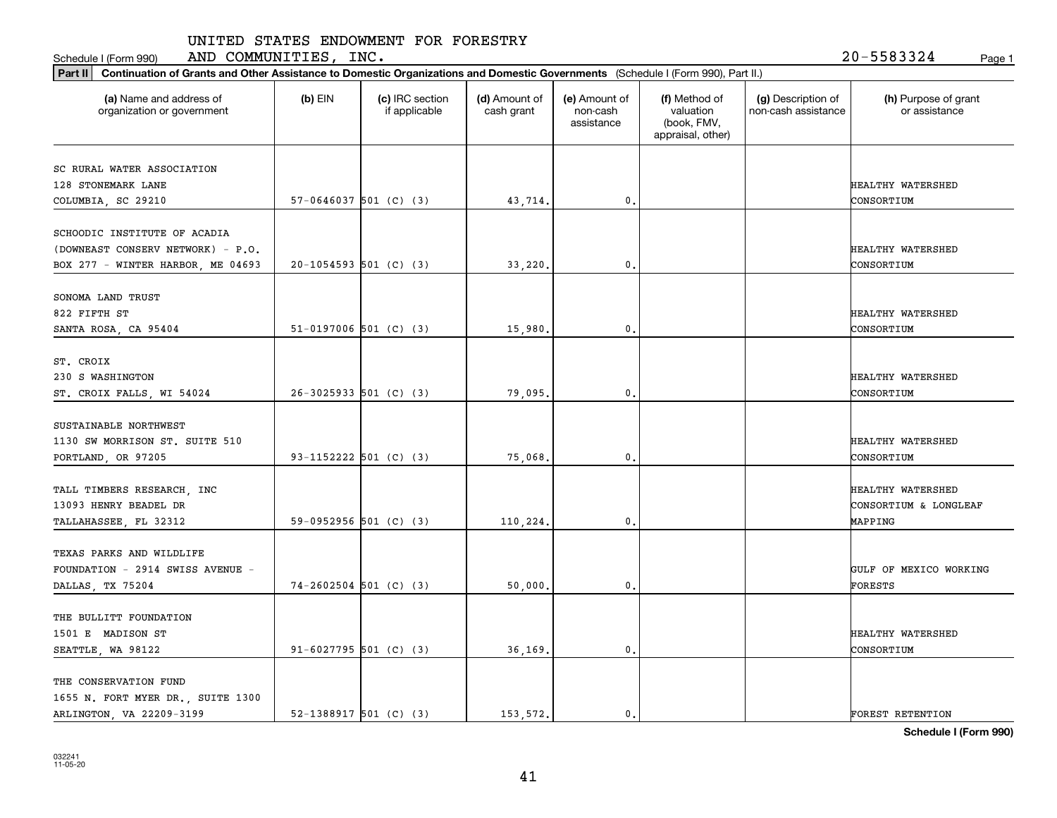Schedule I (Form 990) Page 1 AND COMMUNITIES, INC. 20-5583324

| Part II   Continuation of Grants and Other Assistance to Domestic Organizations and Domestic Governments (Schedule I (Form 990), Part II.) |           |                                  |                             |                                         |                                                                |                                           |                                            |
|--------------------------------------------------------------------------------------------------------------------------------------------|-----------|----------------------------------|-----------------------------|-----------------------------------------|----------------------------------------------------------------|-------------------------------------------|--------------------------------------------|
| (a) Name and address of<br>organization or government                                                                                      | $(b)$ EIN | (c) IRC section<br>if applicable | (d) Amount of<br>cash grant | (e) Amount of<br>non-cash<br>assistance | (f) Method of<br>valuation<br>(book, FMV,<br>appraisal, other) | (g) Description of<br>non-cash assistance | (h) Purpose of grant<br>or assistance      |
| SC RURAL WATER ASSOCIATION                                                                                                                 |           |                                  |                             |                                         |                                                                |                                           |                                            |
| 128 STONEMARK LANE                                                                                                                         |           |                                  |                             |                                         |                                                                |                                           | HEALTHY WATERSHED                          |
| COLUMBIA, SC 29210                                                                                                                         |           | $57-0646037$ 501 (C) (3)         | 43,714.                     | 0.                                      |                                                                |                                           | CONSORTIUM                                 |
|                                                                                                                                            |           |                                  |                             |                                         |                                                                |                                           |                                            |
| SCHOODIC INSTITUTE OF ACADIA                                                                                                               |           |                                  |                             |                                         |                                                                |                                           |                                            |
| (DOWNEAST CONSERV NETWORK) - P.O.                                                                                                          |           | $20-1054593$ 501 (C) (3)         |                             | 0.                                      |                                                                |                                           | HEALTHY WATERSHED<br>CONSORTIUM            |
| BOX 277 - WINTER HARBOR, ME 04693                                                                                                          |           |                                  | 33,220                      |                                         |                                                                |                                           |                                            |
| SONOMA LAND TRUST                                                                                                                          |           |                                  |                             |                                         |                                                                |                                           |                                            |
| 822 FIFTH ST                                                                                                                               |           |                                  |                             |                                         |                                                                |                                           | HEALTHY WATERSHED                          |
| SANTA ROSA, CA 95404                                                                                                                       |           | $51-0197006$ 501 (C) (3)         | 15,980                      | 0.                                      |                                                                |                                           | CONSORTIUM                                 |
| ST. CROIX                                                                                                                                  |           |                                  |                             |                                         |                                                                |                                           |                                            |
| 230 S WASHINGTON                                                                                                                           |           |                                  |                             |                                         |                                                                |                                           | HEALTHY WATERSHED                          |
| ST. CROIX FALLS, WI 54024                                                                                                                  |           | $26-3025933$ 501 (C) (3)         | 79,095.                     | 0.                                      |                                                                |                                           | CONSORTIUM                                 |
|                                                                                                                                            |           |                                  |                             |                                         |                                                                |                                           |                                            |
| SUSTAINABLE NORTHWEST                                                                                                                      |           |                                  |                             |                                         |                                                                |                                           |                                            |
| 1130 SW MORRISON ST. SUITE 510                                                                                                             |           |                                  |                             |                                         |                                                                |                                           | HEALTHY WATERSHED                          |
| PORTLAND, OR 97205                                                                                                                         |           | 93-1152222 501 (C) (3)           | 75,068                      | 0.                                      |                                                                |                                           | CONSORTIUM                                 |
|                                                                                                                                            |           |                                  |                             |                                         |                                                                |                                           |                                            |
| TALL TIMBERS RESEARCH, INC<br>13093 HENRY BEADEL DR                                                                                        |           |                                  |                             |                                         |                                                                |                                           | HEALTHY WATERSHED<br>CONSORTIUM & LONGLEAF |
|                                                                                                                                            |           | 59-0952956 501 (C) (3)           |                             | 0.                                      |                                                                |                                           | MAPPING                                    |
| TALLAHASSEE, FL 32312                                                                                                                      |           |                                  | 110,224.                    |                                         |                                                                |                                           |                                            |
| TEXAS PARKS AND WILDLIFE                                                                                                                   |           |                                  |                             |                                         |                                                                |                                           |                                            |
| FOUNDATION - 2914 SWISS AVENUE -                                                                                                           |           |                                  |                             |                                         |                                                                |                                           | GULF OF MEXICO WORKING                     |
| DALLAS, TX 75204                                                                                                                           |           | $74 - 2602504$ 501 (C) (3)       | 50,000                      | $\mathbf{0}$ .                          |                                                                |                                           | FORESTS                                    |
|                                                                                                                                            |           |                                  |                             |                                         |                                                                |                                           |                                            |
| THE BULLITT FOUNDATION                                                                                                                     |           |                                  |                             |                                         |                                                                |                                           |                                            |
| 1501 E MADISON ST                                                                                                                          |           |                                  |                             |                                         |                                                                |                                           | HEALTHY WATERSHED                          |
| SEATTLE, WA 98122                                                                                                                          |           | $91 - 6027795$ 501 (C) (3)       | 36,169.                     | $\mathbf{0}$ .                          |                                                                |                                           | CONSORTIUM                                 |
| THE CONSERVATION FUND                                                                                                                      |           |                                  |                             |                                         |                                                                |                                           |                                            |
| 1655 N. FORT MYER DR., SUITE 1300                                                                                                          |           |                                  |                             |                                         |                                                                |                                           |                                            |
| ARLINGTON, VA 22209-3199                                                                                                                   |           | 52-1388917 501 (C) (3)           | 153.572.                    | 0.                                      |                                                                |                                           | <b>FOREST RETENTION</b>                    |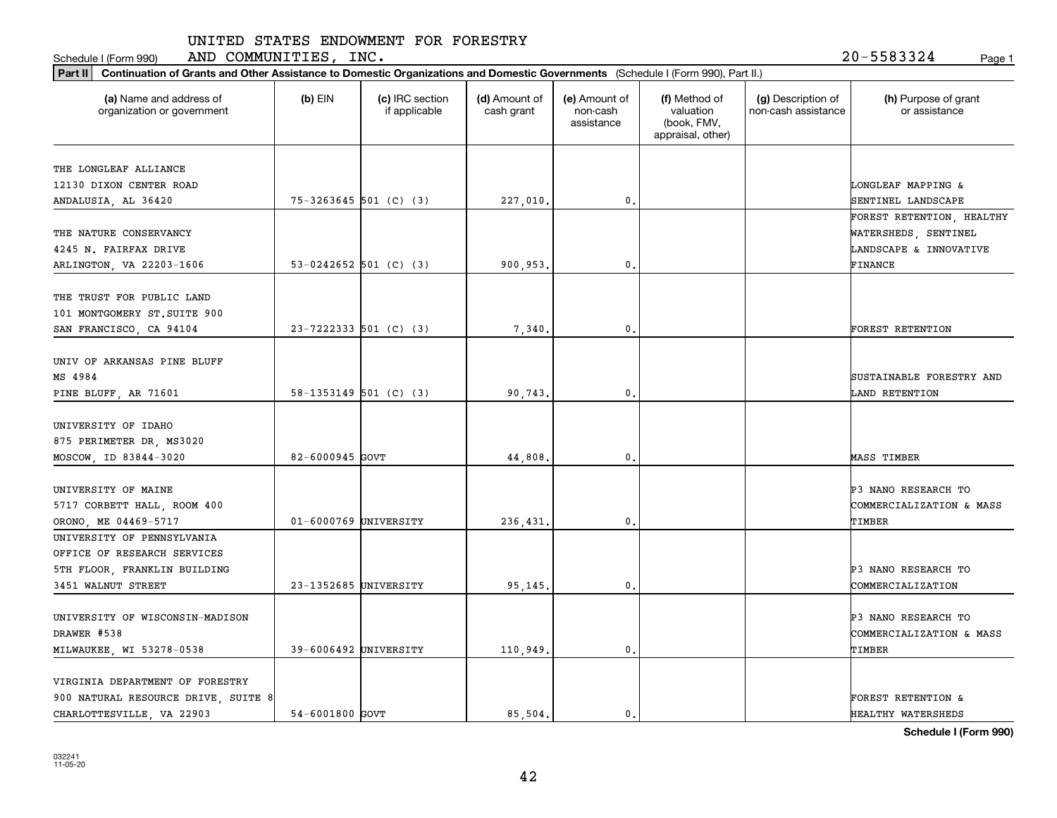Schedule I (Form 990) Page 1 AND COMMUNITIES, INC. 20-5583324

| Part II   Continuation of Grants and Other Assistance to Domestic Organizations and Domestic Governments (Schedule I (Form 990), Part II.) |                       |                                  |                             |                                         |                                                                |                                           |                                                 |
|--------------------------------------------------------------------------------------------------------------------------------------------|-----------------------|----------------------------------|-----------------------------|-----------------------------------------|----------------------------------------------------------------|-------------------------------------------|-------------------------------------------------|
| (a) Name and address of<br>organization or government                                                                                      | $(b)$ EIN             | (c) IRC section<br>if applicable | (d) Amount of<br>cash grant | (e) Amount of<br>non-cash<br>assistance | (f) Method of<br>valuation<br>(book, FMV,<br>appraisal, other) | (g) Description of<br>non-cash assistance | (h) Purpose of grant<br>or assistance           |
| THE LONGLEAF ALLIANCE                                                                                                                      |                       |                                  |                             |                                         |                                                                |                                           |                                                 |
| 12130 DIXON CENTER ROAD                                                                                                                    |                       |                                  |                             |                                         |                                                                |                                           | LONGLEAF MAPPING &                              |
| ANDALUSIA, AL 36420                                                                                                                        |                       | $75-3263645$ 501 (C) (3)         | 227,010.                    | 0.                                      |                                                                |                                           | SENTINEL LANDSCAPE                              |
|                                                                                                                                            |                       |                                  |                             |                                         |                                                                |                                           | FOREST RETENTION, HEALTHY                       |
| THE NATURE CONSERVANCY                                                                                                                     |                       |                                  |                             |                                         |                                                                |                                           | WATERSHEDS, SENTINEL                            |
| 4245 N. FAIRFAX DRIVE                                                                                                                      |                       |                                  |                             |                                         |                                                                |                                           | LANDSCAPE & INNOVATIVE                          |
| ARLINGTON, VA 22203-1606                                                                                                                   |                       | 53-0242652 501 (C) (3)           | 900,953.                    | 0.                                      |                                                                |                                           | FINANCE                                         |
|                                                                                                                                            |                       |                                  |                             |                                         |                                                                |                                           |                                                 |
| THE TRUST FOR PUBLIC LAND<br>101 MONTGOMERY ST. SUITE 900                                                                                  |                       |                                  |                             |                                         |                                                                |                                           |                                                 |
| SAN FRANCISCO, CA 94104                                                                                                                    |                       | $23 - 7222333$ 501 (C) (3)       | 7,340.                      | $\mathfrak{o}$ .                        |                                                                |                                           | FOREST RETENTION                                |
|                                                                                                                                            |                       |                                  |                             |                                         |                                                                |                                           |                                                 |
| UNIV OF ARKANSAS PINE BLUFF                                                                                                                |                       |                                  |                             |                                         |                                                                |                                           |                                                 |
| MS 4984                                                                                                                                    |                       |                                  |                             |                                         |                                                                |                                           | SUSTAINABLE FORESTRY AND                        |
| PINE BLUFF, AR 71601                                                                                                                       |                       | $58-1353149$ 501 (C) (3)         | 90,743.                     | $\mathbf{0}$ .                          |                                                                |                                           | LAND RETENTION                                  |
|                                                                                                                                            |                       |                                  |                             |                                         |                                                                |                                           |                                                 |
| UNIVERSITY OF IDAHO                                                                                                                        |                       |                                  |                             |                                         |                                                                |                                           |                                                 |
| 875 PERIMETER DR, MS3020                                                                                                                   |                       |                                  |                             |                                         |                                                                |                                           |                                                 |
| MOSCOW, ID 83844-3020                                                                                                                      | 82-6000945 GOVT       |                                  | 44,808.                     | 0.                                      |                                                                |                                           | MASS TIMBER                                     |
| UNIVERSITY OF MAINE                                                                                                                        |                       |                                  |                             |                                         |                                                                |                                           | <b>P3 NANO RESEARCH TO</b>                      |
| 5717 CORBETT HALL, ROOM 400                                                                                                                |                       |                                  |                             |                                         |                                                                |                                           | COMMERCIALIZATION & MASS                        |
| ORONO, ME 04469-5717                                                                                                                       | 01-6000769 UNIVERSITY |                                  | 236,431.                    | $\mathfrak{o}$ .                        |                                                                |                                           | TIMBER                                          |
| UNIVERSITY OF PENNSYLVANIA                                                                                                                 |                       |                                  |                             |                                         |                                                                |                                           |                                                 |
| OFFICE OF RESEARCH SERVICES                                                                                                                |                       |                                  |                             |                                         |                                                                |                                           |                                                 |
| 5TH FLOOR, FRANKLIN BUILDING                                                                                                               |                       |                                  |                             |                                         |                                                                |                                           | P3 NANO RESEARCH TO                             |
| 3451 WALNUT STREET                                                                                                                         | 23-1352685 UNIVERSITY |                                  | 95,145.                     | $\mathbf{0}$ .                          |                                                                |                                           | COMMERCIALIZATION                               |
|                                                                                                                                            |                       |                                  |                             |                                         |                                                                |                                           |                                                 |
| UNIVERSITY OF WISCONSIN-MADISON<br>DRAWER #538                                                                                             |                       |                                  |                             |                                         |                                                                |                                           | P3 NANO RESEARCH TO<br>COMMERCIALIZATION & MASS |
| MILWAUKEE, WI 53278-0538                                                                                                                   | 39-6006492 UNIVERSITY |                                  | 110,949.                    | 0.                                      |                                                                |                                           | TIMBER                                          |
|                                                                                                                                            |                       |                                  |                             |                                         |                                                                |                                           |                                                 |
| VIRGINIA DEPARTMENT OF FORESTRY                                                                                                            |                       |                                  |                             |                                         |                                                                |                                           |                                                 |
| 900 NATURAL RESOURCE DRIVE, SUITE 8                                                                                                        |                       |                                  |                             |                                         |                                                                |                                           | FOREST RETENTION &                              |
| CHARLOTTESVILLE, VA 22903                                                                                                                  | 54-6001800 GOVT       |                                  | 85.504.                     | 0.                                      |                                                                |                                           | HEALTHY WATERSHEDS                              |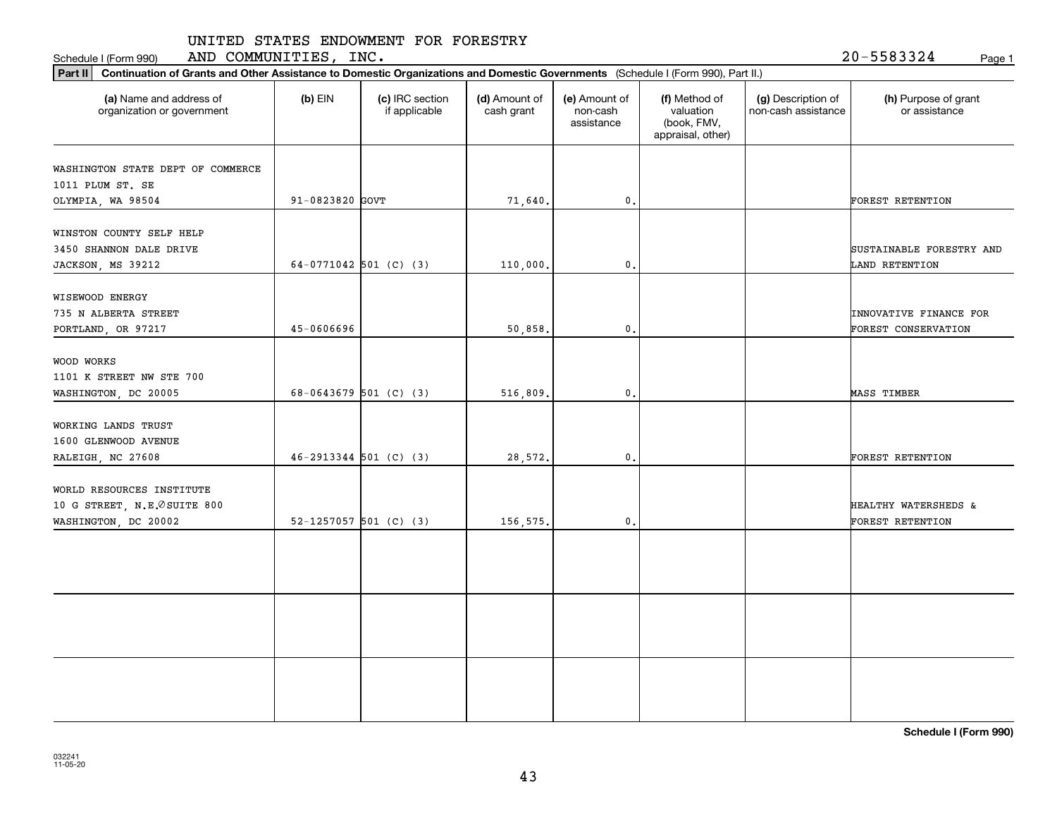Schedule I (Form 990) AND COMMUNITIES, INC. 2 0-5583324 <sub>Page 1</sub>

20-5583324

| Part II   Continuation of Grants and Other Assistance to Domestic Organizations and Domestic Governments (Schedule I (Form 990), Part II.) |                            |                                  |                             |                                         |                                                                |                                           |                                               |
|--------------------------------------------------------------------------------------------------------------------------------------------|----------------------------|----------------------------------|-----------------------------|-----------------------------------------|----------------------------------------------------------------|-------------------------------------------|-----------------------------------------------|
| (a) Name and address of<br>organization or government                                                                                      | $(b)$ EIN                  | (c) IRC section<br>if applicable | (d) Amount of<br>cash grant | (e) Amount of<br>non-cash<br>assistance | (f) Method of<br>valuation<br>(book, FMV,<br>appraisal, other) | (g) Description of<br>non-cash assistance | (h) Purpose of grant<br>or assistance         |
| WASHINGTON STATE DEPT OF COMMERCE                                                                                                          |                            |                                  |                             |                                         |                                                                |                                           |                                               |
| 1011 PLUM ST. SE                                                                                                                           |                            |                                  |                             |                                         |                                                                |                                           |                                               |
| OLYMPIA, WA 98504                                                                                                                          | 91-0823820 GOVT            |                                  | 71,640.                     | 0.                                      |                                                                |                                           | <b>FOREST RETENTION</b>                       |
| WINSTON COUNTY SELF HELP<br>3450 SHANNON DALE DRIVE                                                                                        |                            |                                  |                             |                                         |                                                                |                                           | SUSTAINABLE FORESTRY AND                      |
| JACKSON, MS 39212                                                                                                                          | 64-0771042 501 (C) (3)     |                                  | 110,000.                    | 0.                                      |                                                                |                                           | LAND RETENTION                                |
| WISEWOOD ENERGY<br>735 N ALBERTA STREET<br>PORTLAND, OR 97217                                                                              | 45-0606696                 |                                  | 50,858.                     | $\mathbf{0}$ .                          |                                                                |                                           | INNOVATIVE FINANCE FOR<br>FOREST CONSERVATION |
|                                                                                                                                            |                            |                                  |                             |                                         |                                                                |                                           |                                               |
| WOOD WORKS<br>1101 K STREET NW STE 700                                                                                                     |                            |                                  |                             |                                         |                                                                |                                           |                                               |
| WASHINGTON, DC 20005                                                                                                                       | 68-0643679 501 (C) (3)     |                                  | 516,809.                    | $\mathbf{0}$ .                          |                                                                |                                           | MASS TIMBER                                   |
| WORKING LANDS TRUST<br>1600 GLENWOOD AVENUE                                                                                                |                            |                                  |                             |                                         |                                                                |                                           |                                               |
| RALEIGH, NC 27608                                                                                                                          | $46 - 2913344$ 501 (C) (3) |                                  | 28,572.                     | $\mathbf{0}$ .                          |                                                                |                                           | FOREST RETENTION                              |
| WORLD RESOURCES INSTITUTE<br>10 G STREET, N.E. OSUITE 800<br>WASHINGTON, DC 20002                                                          | 52-1257057 501 (C) (3)     |                                  | 156,575.                    | $\mathbf{0}$ .                          |                                                                |                                           | HEALTHY WATERSHEDS &<br>FOREST RETENTION      |
|                                                                                                                                            |                            |                                  |                             |                                         |                                                                |                                           |                                               |
|                                                                                                                                            |                            |                                  |                             |                                         |                                                                |                                           |                                               |
|                                                                                                                                            |                            |                                  |                             |                                         |                                                                |                                           |                                               |
|                                                                                                                                            |                            |                                  |                             |                                         |                                                                |                                           |                                               |
|                                                                                                                                            |                            |                                  |                             |                                         |                                                                |                                           |                                               |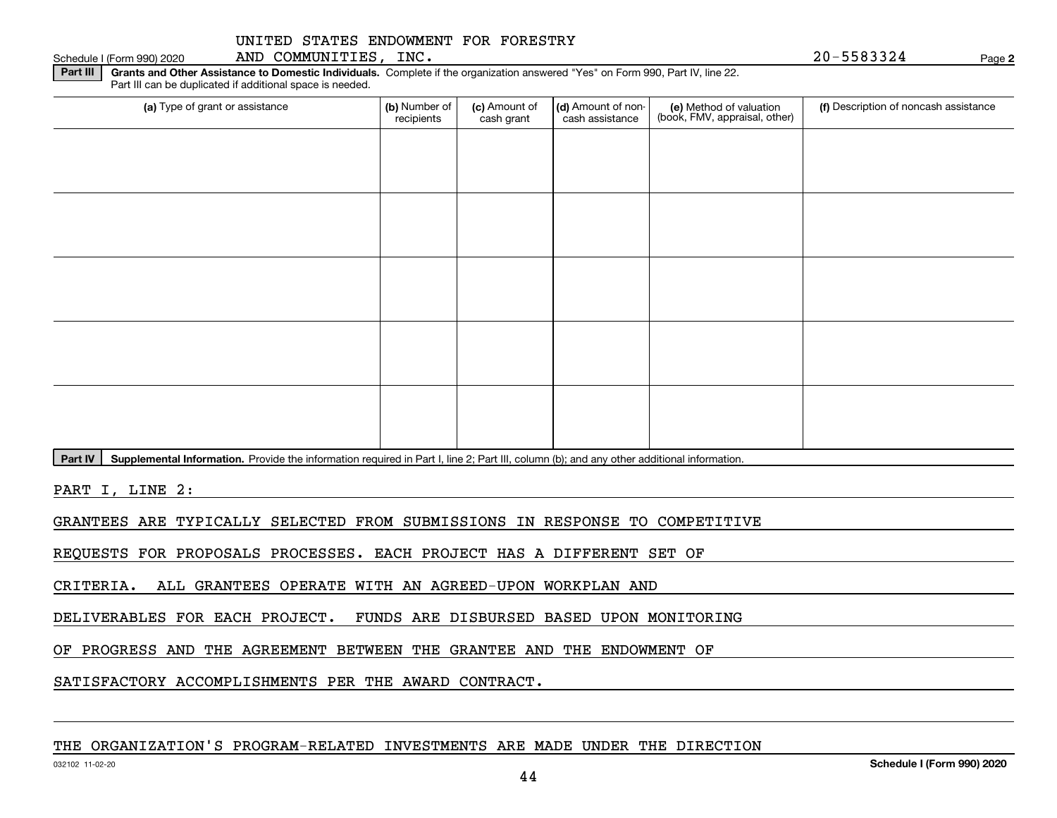**Part III | Grants and Other Assistance to Domestic Individuals. Complete if the organization answered "Yes" on Form 990, Part IV, line 22.** Part III can be duplicated if additional space is needed.

| (a) Type of grant or assistance | (b) Number of<br>recipients | (c) Amount of<br>cash grant | (d) Amount of non-<br>cash assistance | (e) Method of valuation<br>(book, FMV, appraisal, other) | (f) Description of noncash assistance |
|---------------------------------|-----------------------------|-----------------------------|---------------------------------------|----------------------------------------------------------|---------------------------------------|
|                                 |                             |                             |                                       |                                                          |                                       |
|                                 |                             |                             |                                       |                                                          |                                       |
|                                 |                             |                             |                                       |                                                          |                                       |
|                                 |                             |                             |                                       |                                                          |                                       |
|                                 |                             |                             |                                       |                                                          |                                       |
|                                 |                             |                             |                                       |                                                          |                                       |
|                                 |                             |                             |                                       |                                                          |                                       |
|                                 |                             |                             |                                       |                                                          |                                       |
|                                 |                             |                             |                                       |                                                          |                                       |
|                                 |                             |                             |                                       |                                                          |                                       |

Part IV | Supplemental Information. Provide the information required in Part I, line 2; Part III, column (b); and any other additional information.

PART I, LINE 2:

GRANTEES ARE TYPICALLY SELECTED FROM SUBMISSIONS IN RESPONSE TO COMPETITIVE

REQUESTS FOR PROPOSALS PROCESSES. EACH PROJECT HAS A DIFFERENT SET OF

CRITERIA. ALL GRANTEES OPERATE WITH AN AGREED-UPON WORKPLAN AND

DELIVERABLES FOR EACH PROJECT. FUNDS ARE DISBURSED BASED UPON MONITORING

OF PROGRESS AND THE AGREEMENT BETWEEN THE GRANTEE AND THE ENDOWMENT OF

SATISFACTORY ACCOMPLISHMENTS PER THE AWARD CONTRACT.

### THE ORGANIZATION'S PROGRAM-RELATED INVESTMENTS ARE MADE UNDER THE DIRECTION

Schedule I (Form 990) 2020 Page AND COMMUNITIES, INC. 20-5583324

**2**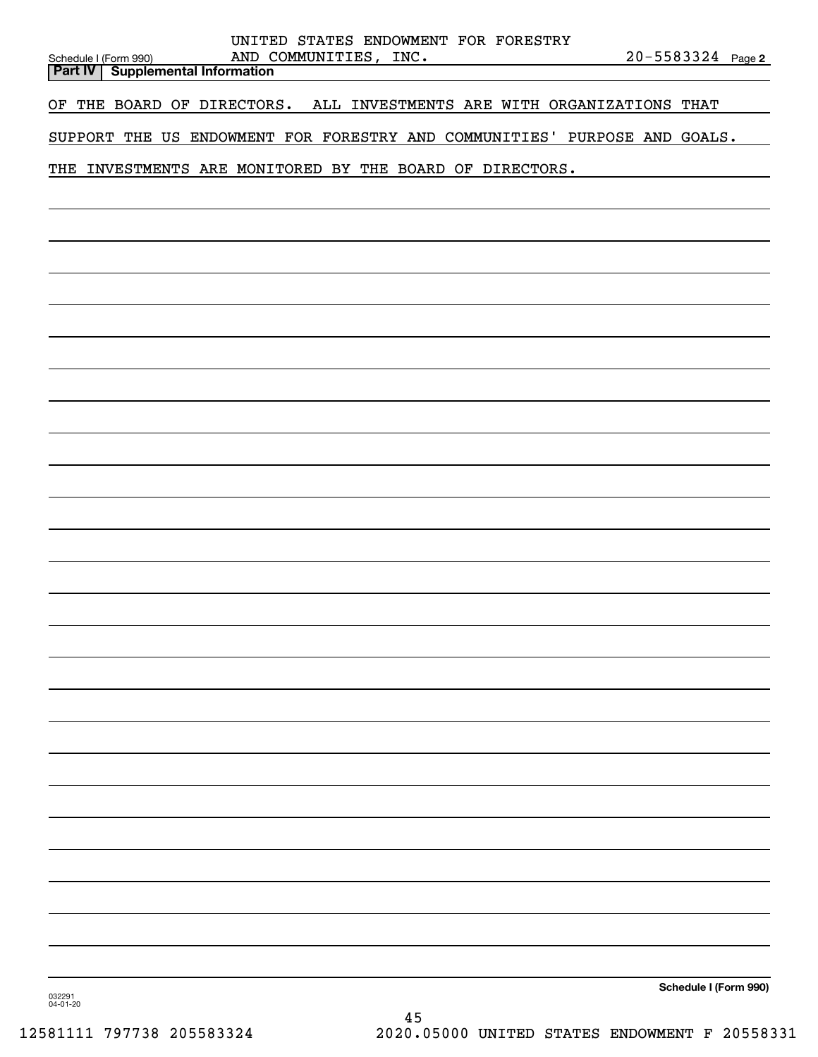| UNITED STATES ENDOWMENT FOR FORESTRY<br>AND COMMUNITIES, INC.<br>Schedule I (Form 990)<br>Part IV Supplemental Information | $20 - 5583324$ Page 2 |
|----------------------------------------------------------------------------------------------------------------------------|-----------------------|
| OF THE BOARD OF DIRECTORS. ALL INVESTMENTS ARE WITH ORGANIZATIONS THAT                                                     |                       |
| SUPPORT THE US ENDOWMENT FOR FORESTRY AND COMMUNITIES' PURPOSE AND GOALS.                                                  |                       |
| THE INVESTMENTS ARE MONITORED BY THE BOARD OF DIRECTORS.                                                                   |                       |
|                                                                                                                            |                       |
|                                                                                                                            |                       |
|                                                                                                                            |                       |
|                                                                                                                            |                       |
|                                                                                                                            |                       |
|                                                                                                                            |                       |
|                                                                                                                            |                       |
|                                                                                                                            |                       |
|                                                                                                                            |                       |
|                                                                                                                            |                       |
|                                                                                                                            |                       |
|                                                                                                                            |                       |
|                                                                                                                            |                       |
|                                                                                                                            |                       |
|                                                                                                                            |                       |
|                                                                                                                            |                       |
|                                                                                                                            |                       |
|                                                                                                                            |                       |
|                                                                                                                            |                       |
|                                                                                                                            |                       |
|                                                                                                                            |                       |
|                                                                                                                            |                       |
|                                                                                                                            |                       |
| 032291<br>04-01-20                                                                                                         | Schedule I (Form 990) |

45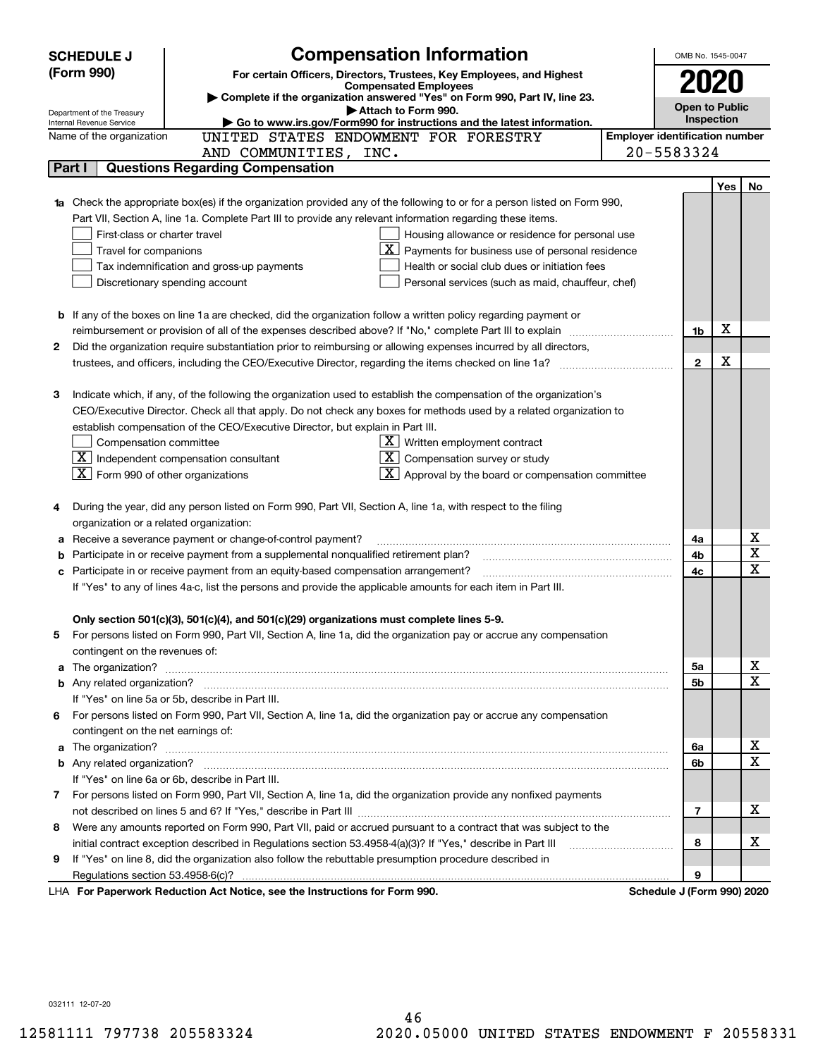|        | <b>Compensation Information</b><br><b>SCHEDULE J</b>                                                                             |                                       | OMB No. 1545-0047     |            |                         |
|--------|----------------------------------------------------------------------------------------------------------------------------------|---------------------------------------|-----------------------|------------|-------------------------|
|        | (Form 990)<br>For certain Officers, Directors, Trustees, Key Employees, and Highest                                              |                                       |                       |            |                         |
|        | <b>Compensated Employees</b>                                                                                                     |                                       |                       |            |                         |
|        | Complete if the organization answered "Yes" on Form 990, Part IV, line 23.<br>Attach to Form 990.                                |                                       | <b>Open to Public</b> |            |                         |
|        | Department of the Treasury<br>Go to www.irs.gov/Form990 for instructions and the latest information.<br>Internal Revenue Service |                                       | Inspection            |            |                         |
|        | UNITED STATES ENDOWMENT FOR FORESTRY<br>Name of the organization                                                                 | <b>Employer identification number</b> |                       |            |                         |
|        | AND COMMUNITIES, INC.                                                                                                            | 20-5583324                            |                       |            |                         |
| Part I | <b>Questions Regarding Compensation</b>                                                                                          |                                       |                       |            |                         |
|        |                                                                                                                                  |                                       |                       | <b>Yes</b> | No                      |
|        | 1a Check the appropriate box(es) if the organization provided any of the following to or for a person listed on Form 990,        |                                       |                       |            |                         |
|        | Part VII, Section A, line 1a. Complete Part III to provide any relevant information regarding these items.                       |                                       |                       |            |                         |
|        | First-class or charter travel<br>Housing allowance or residence for personal use                                                 |                                       |                       |            |                         |
|        | $\boxed{\text{X}}$ Payments for business use of personal residence<br>Travel for companions                                      |                                       |                       |            |                         |
|        | Tax indemnification and gross-up payments<br>Health or social club dues or initiation fees                                       |                                       |                       |            |                         |
|        | Discretionary spending account<br>Personal services (such as maid, chauffeur, chef)                                              |                                       |                       |            |                         |
|        |                                                                                                                                  |                                       |                       |            |                         |
|        | <b>b</b> If any of the boxes on line 1a are checked, did the organization follow a written policy regarding payment or           |                                       |                       |            |                         |
|        | reimbursement or provision of all of the expenses described above? If "No," complete Part III to explain                         |                                       | 1b                    | х          |                         |
| 2      | Did the organization require substantiation prior to reimbursing or allowing expenses incurred by all directors,                 |                                       |                       |            |                         |
|        | trustees, and officers, including the CEO/Executive Director, regarding the items checked on line 1a?                            |                                       | $\mathbf{2}$          | х          |                         |
|        |                                                                                                                                  |                                       |                       |            |                         |
| з      | Indicate which, if any, of the following the organization used to establish the compensation of the organization's               |                                       |                       |            |                         |
|        | CEO/Executive Director. Check all that apply. Do not check any boxes for methods used by a related organization to               |                                       |                       |            |                         |
|        | establish compensation of the CEO/Executive Director, but explain in Part III.                                                   |                                       |                       |            |                         |
|        | Compensation committee<br>$X$ Written employment contract                                                                        |                                       |                       |            |                         |
|        | $\boxed{\text{X}}$ Independent compensation consultant<br>$X$ Compensation survey or study                                       |                                       |                       |            |                         |
|        | $ \mathbf{X} $ Form 990 of other organizations<br>$\lfloor x \rfloor$ Approval by the board or compensation committee            |                                       |                       |            |                         |
|        | During the year, did any person listed on Form 990, Part VII, Section A, line 1a, with respect to the filing                     |                                       |                       |            |                         |
|        | organization or a related organization:                                                                                          |                                       |                       |            |                         |
| а      | Receive a severance payment or change-of-control payment?                                                                        |                                       | 4a                    |            | х                       |
| b      | Participate in or receive payment from a supplemental nonqualified retirement plan?                                              |                                       | 4b                    |            | $\overline{\mathbf{x}}$ |
| с      | Participate in or receive payment from an equity-based compensation arrangement?                                                 |                                       | 4c                    |            | $\overline{\mathbf{x}}$ |
|        | If "Yes" to any of lines 4a-c, list the persons and provide the applicable amounts for each item in Part III.                    |                                       |                       |            |                         |
|        |                                                                                                                                  |                                       |                       |            |                         |
|        | Only section 501(c)(3), 501(c)(4), and 501(c)(29) organizations must complete lines 5-9.                                         |                                       |                       |            |                         |
|        | For persons listed on Form 990, Part VII, Section A, line 1a, did the organization pay or accrue any compensation                |                                       |                       |            |                         |
|        | contingent on the revenues of:                                                                                                   |                                       |                       |            |                         |
|        | a The organization? <b>Entitation</b> and the organization?                                                                      |                                       | 5a                    |            | x                       |
|        |                                                                                                                                  |                                       | 5b                    |            | $\mathbf x$             |
|        | If "Yes" on line 5a or 5b, describe in Part III.                                                                                 |                                       |                       |            |                         |
| 6.     | For persons listed on Form 990, Part VII, Section A, line 1a, did the organization pay or accrue any compensation                |                                       |                       |            |                         |
|        | contingent on the net earnings of:                                                                                               |                                       |                       |            |                         |
| a      |                                                                                                                                  |                                       | 6a                    |            | х                       |
|        |                                                                                                                                  |                                       | 6b                    |            | $\mathbf x$             |
|        | If "Yes" on line 6a or 6b, describe in Part III.                                                                                 |                                       |                       |            |                         |
|        | 7 For persons listed on Form 990, Part VII, Section A, line 1a, did the organization provide any nonfixed payments               |                                       |                       |            |                         |
|        |                                                                                                                                  |                                       | 7                     |            | х                       |
| 8      | Were any amounts reported on Form 990, Part VII, paid or accrued pursuant to a contract that was subject to the                  |                                       |                       |            |                         |
|        | initial contract exception described in Regulations section 53.4958-4(a)(3)? If "Yes," describe in Part III                      |                                       | 8                     |            | х                       |
| 9      | If "Yes" on line 8, did the organization also follow the rebuttable presumption procedure described in                           |                                       |                       |            |                         |
|        | Regulations section 53.4958-6(c)?                                                                                                |                                       | 9                     |            |                         |
|        | LHA For Paperwork Reduction Act Notice, see the Instructions for Form 990.                                                       | Schedule J (Form 990) 2020            |                       |            |                         |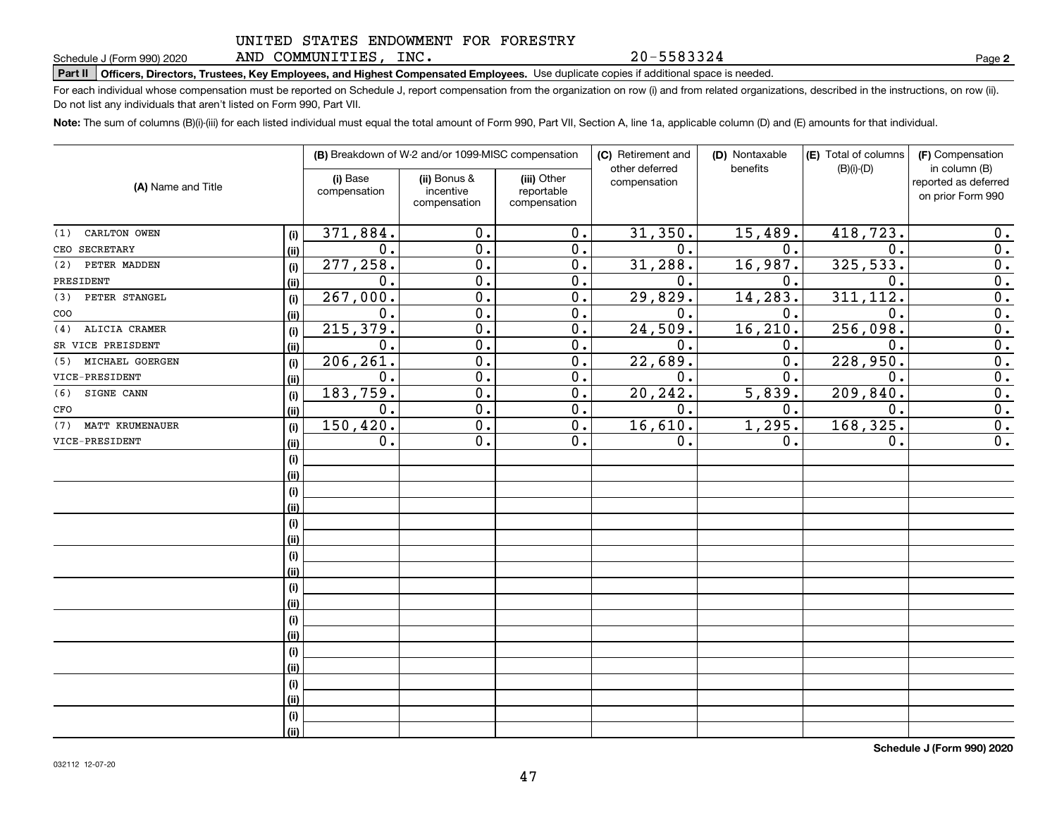AND COMMUNITIES, INC.

20-5583324

**2**

# **Part II Officers, Directors, Trustees, Key Employees, and Highest Compensated Employees.**  Schedule J (Form 990) 2020 Page Use duplicate copies if additional space is needed.

For each individual whose compensation must be reported on Schedule J, report compensation from the organization on row (i) and from related organizations, described in the instructions, on row (ii). Do not list any individuals that aren't listed on Form 990, Part VII.

**Note:**  The sum of columns (B)(i)-(iii) for each listed individual must equal the total amount of Form 990, Part VII, Section A, line 1a, applicable column (D) and (E) amounts for that individual.

|                        |      |                          | (B) Breakdown of W-2 and/or 1099-MISC compensation |                                           | (C) Retirement and<br>other deferred | (D) Nontaxable<br>benefits | (E) Total of columns<br>$(B)(i)-(D)$ | (F) Compensation<br>in column (B)         |
|------------------------|------|--------------------------|----------------------------------------------------|-------------------------------------------|--------------------------------------|----------------------------|--------------------------------------|-------------------------------------------|
| (A) Name and Title     |      | (i) Base<br>compensation | (ii) Bonus &<br>incentive<br>compensation          | (iii) Other<br>reportable<br>compensation | compensation                         |                            |                                      | reported as deferred<br>on prior Form 990 |
| CARLTON OWEN<br>(1)    | (i)  | 371,884.                 | 0.                                                 | 0.                                        | 31,350.                              | 15,489.                    | 418,723.                             | 0.                                        |
| CEO SECRETARY          | (ii) | 0.                       | 0.                                                 | 0.                                        | 0.                                   | 0.                         | $\mathbf 0$ .                        | 0.                                        |
| PETER MADDEN<br>(2)    | (i)  | 277,258.                 | 0.                                                 | 0.                                        | 31,288.                              | 16,987.                    | 325,533.                             | $\overline{0}$ .                          |
| PRESIDENT              | (ii) | 0.                       | 0.                                                 | 0.                                        | 0.                                   | 0.                         | $\mathbf 0$ .                        | $\overline{0}$ .                          |
| (3)<br>PETER STANGEL   | (i)  | 267,000.                 | $\overline{0}$ .                                   | $\overline{0}$ .                          | 29,829.                              | 14, 283.                   | 311, 112.                            | $\overline{0}$ .                          |
| COO                    | (ii) | $\overline{0}$ .         | $\overline{0}$ .                                   | $\overline{0}$ .                          | $\overline{0}$ .                     | 0.                         | $\overline{0}$ .                     | $\overline{0}$ .                          |
| ALICIA CRAMER<br>(4)   | (i)  | 215,379.                 | $\overline{0}$ .                                   | $\overline{0}$ .                          | 24,509.                              | 16, 210.                   | 256,098.                             | $\overline{0}$ .                          |
| SR VICE PREISDENT      | (ii) | 0.                       | $\overline{0}$ .                                   | $\overline{0}$ .                          | 0.                                   | 0.                         | $\mathbf 0$ .                        | $\overline{0}$ .                          |
| MICHAEL GOERGEN<br>(5) | (i)  | 206, 261.                | $\overline{0}$ .                                   | $\overline{0}$ .                          | 22,689.                              | $\overline{0}$ .           | 228,950                              | $\overline{0}$ .                          |
| VICE-PRESIDENT         | (ii) | 0.                       | $\overline{0}$ .                                   | 0.                                        | 0.                                   | $\overline{0}$ .           | $\mathbf 0$                          | $\overline{0}$ .                          |
| SIGNE CANN<br>(6)      | (i)  | 183,759.                 | $\overline{0}$ .                                   | 0.                                        | 20, 242.                             | 5,839.                     | 209,840                              | $\overline{0}$ .                          |
| CFO                    | (ii) | $0$ .                    | $\mathbf 0$ .                                      | 0.                                        | 0.                                   | 0.                         | $\mathbf 0$ .                        | $\overline{0}$ .                          |
| MATT KRUMENAUER<br>(7) | (i)  | 150,420.                 | 0.                                                 | 0.                                        | 16,610.                              | 1,295.                     | 168,325.                             | 0.                                        |
| VICE-PRESIDENT         | (ii) | $0$ .                    | 0.                                                 | 0.                                        | 0.                                   | 0.                         | 0.                                   | $\overline{0}$ .                          |
|                        | (i)  |                          |                                                    |                                           |                                      |                            |                                      |                                           |
|                        | (ii) |                          |                                                    |                                           |                                      |                            |                                      |                                           |
|                        | (i)  |                          |                                                    |                                           |                                      |                            |                                      |                                           |
|                        | (ii) |                          |                                                    |                                           |                                      |                            |                                      |                                           |
|                        | (i)  |                          |                                                    |                                           |                                      |                            |                                      |                                           |
|                        | (ii) |                          |                                                    |                                           |                                      |                            |                                      |                                           |
|                        | (i)  |                          |                                                    |                                           |                                      |                            |                                      |                                           |
|                        | (ii) |                          |                                                    |                                           |                                      |                            |                                      |                                           |
|                        | (i)  |                          |                                                    |                                           |                                      |                            |                                      |                                           |
|                        | (ii) |                          |                                                    |                                           |                                      |                            |                                      |                                           |
|                        | (i)  |                          |                                                    |                                           |                                      |                            |                                      |                                           |
|                        | (ii) |                          |                                                    |                                           |                                      |                            |                                      |                                           |
|                        | (i)  |                          |                                                    |                                           |                                      |                            |                                      |                                           |
|                        | (ii) |                          |                                                    |                                           |                                      |                            |                                      |                                           |
|                        | (i)  |                          |                                                    |                                           |                                      |                            |                                      |                                           |
|                        | (ii) |                          |                                                    |                                           |                                      |                            |                                      |                                           |
|                        | (i)  |                          |                                                    |                                           |                                      |                            |                                      |                                           |
|                        | (ii) |                          |                                                    |                                           |                                      |                            |                                      |                                           |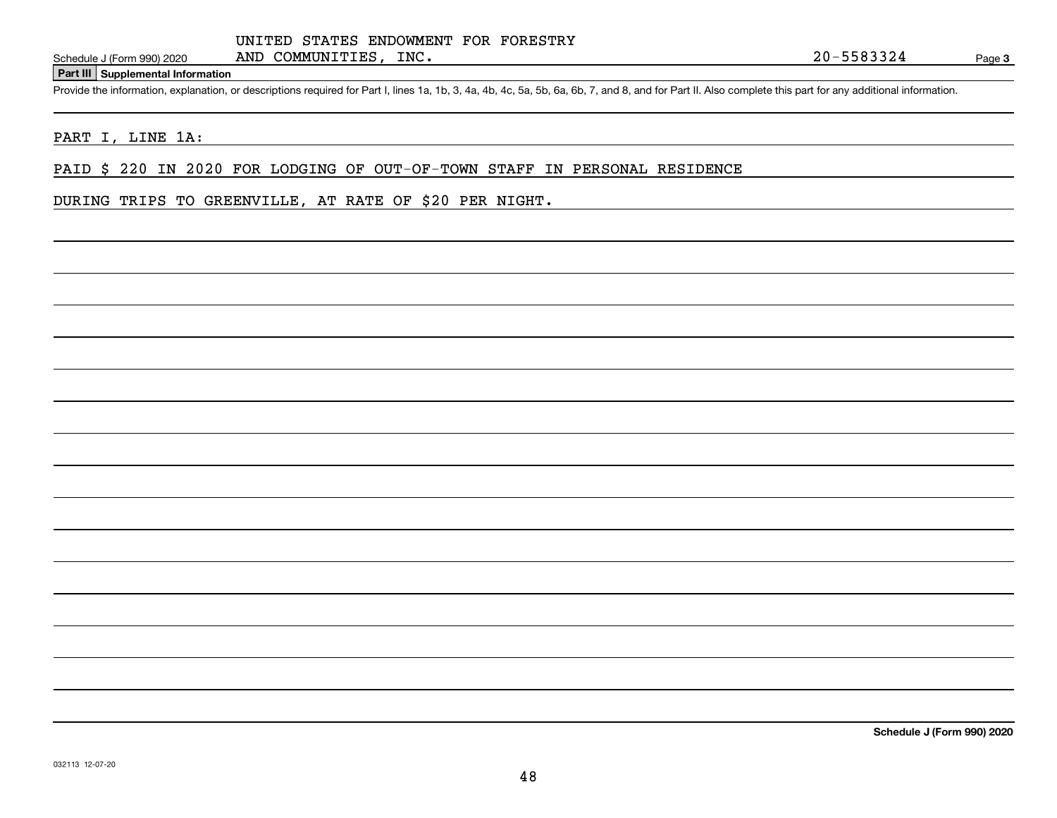#### **Part III Supplemental Information**

Schedule J (Form 990) 2020 AND COMMUNITIES, INC.<br>
Part III Supplemental Information<br>
Provide the information, explanation, or descriptions required for Part I, lines 1a, 1b, 3, 4a, 4b, 4c, 5a, 5b, 6a, 6b, 7, and 8, and for

#### PART I, LINE 1A:

PAID \$ 220 IN 2020 FOR LODGING OF OUT-OF-TOWN STAFF IN PERSONAL RESIDENCE

### DURING TRIPS TO GREENVILLE, AT RATE OF \$20 PER NIGHT.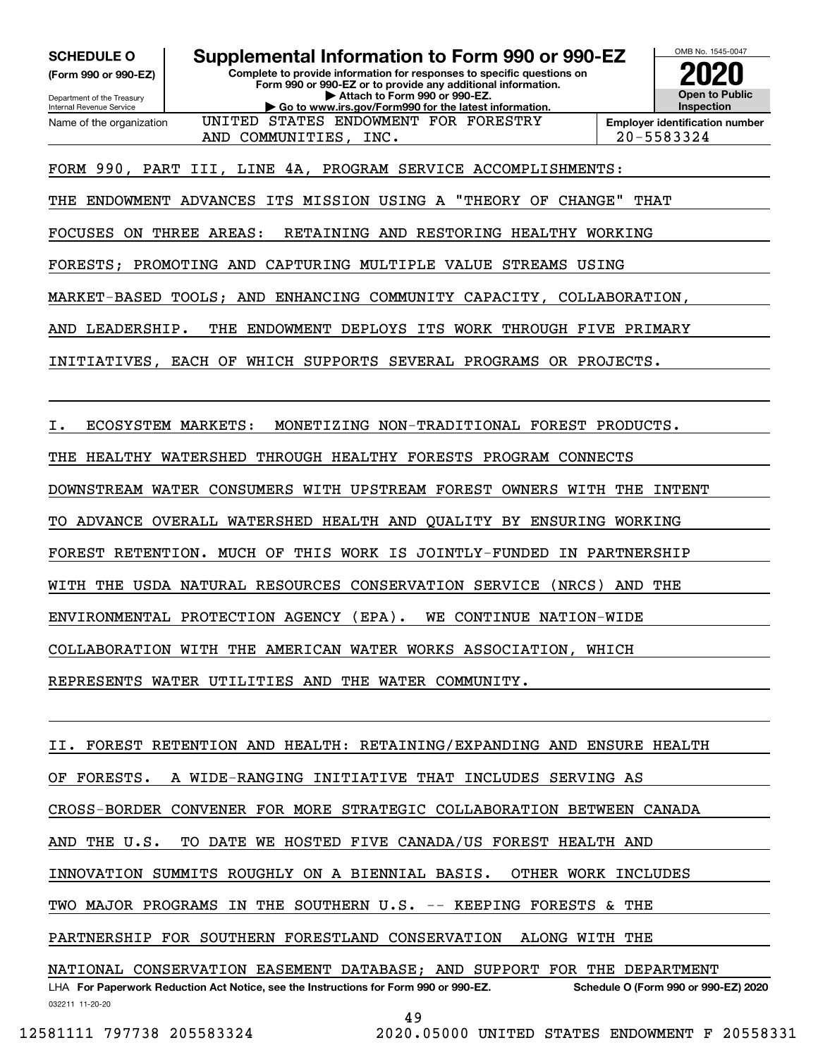**(Form 990 or 990-EZ)**

Department of the Treasury Internal Revenue Service Name of the organization

**Complete to provide information for responses to specific questions on Form 990 or 990-EZ or to provide any additional information. | Attach to Form 990 or 990-EZ. | Go to www.irs.gov/Form990 for the latest information. SCHEDULE O Supplemental Information to Form 990 or 990-EZ**

AND COMMUNITIES, INC. 20-5583324



FORM 990, PART III, LINE 4A, PROGRAM SERVICE ACCOMPLISHMENTS:

THE ENDOWMENT ADVANCES ITS MISSION USING A "THEORY OF CHANGE" THAT

UNITED STATES ENDOWMENT FOR FORESTRY

FOCUSES ON THREE AREAS: RETAINING AND RESTORING HEALTHY WORKING

FORESTS; PROMOTING AND CAPTURING MULTIPLE VALUE STREAMS USING

MARKET-BASED TOOLS; AND ENHANCING COMMUNITY CAPACITY, COLLABORATION,

AND LEADERSHIP. THE ENDOWMENT DEPLOYS ITS WORK THROUGH FIVE PRIMARY

INITIATIVES, EACH OF WHICH SUPPORTS SEVERAL PROGRAMS OR PROJECTS.

I. ECOSYSTEM MARKETS: MONETIZING NON-TRADITIONAL FOREST PRODUCTS.

THE HEALTHY WATERSHED THROUGH HEALTHY FORESTS PROGRAM CONNECTS

DOWNSTREAM WATER CONSUMERS WITH UPSTREAM FOREST OWNERS WITH THE INTENT

TO ADVANCE OVERALL WATERSHED HEALTH AND QUALITY BY ENSURING WORKING

FOREST RETENTION. MUCH OF THIS WORK IS JOINTLY-FUNDED IN PARTNERSHIP

WITH THE USDA NATURAL RESOURCES CONSERVATION SERVICE (NRCS) AND THE

ENVIRONMENTAL PROTECTION AGENCY (EPA). WE CONTINUE NATION-WIDE

COLLABORATION WITH THE AMERICAN WATER WORKS ASSOCIATION, WHICH

REPRESENTS WATER UTILITIES AND THE WATER COMMUNITY.

LHA For Paperwork Reduction Act Notice, see the Instructions for Form 990 or 990-EZ. Schedule O (Form 990 or 990-EZ) 2020 FOREST RETENTION AND HEALTH: RETAINING/EXPANDING AND ENSURE HEALTH OF FORESTS. A WIDE-RANGING INITIATIVE THAT INCLUDES SERVING AS CROSS-BORDER CONVENER FOR MORE STRATEGIC COLLABORATION BETWEEN CANADA AND THE U.S. TO DATE WE HOSTED FIVE CANADA/US FOREST HEALTH AND INNOVATION SUMMITS ROUGHLY ON A BIENNIAL BASIS. OTHER WORK INCLUDES TWO MAJOR PROGRAMS IN THE SOUTHERN U.S. -- KEEPING FORESTS & THE PARTNERSHIP FOR SOUTHERN FORESTLAND CONSERVATION ALONG WITH THE NATIONAL CONSERVATION EASEMENT DATABASE; AND SUPPORT FOR THE DEPARTMENT

032211 11-20-20

49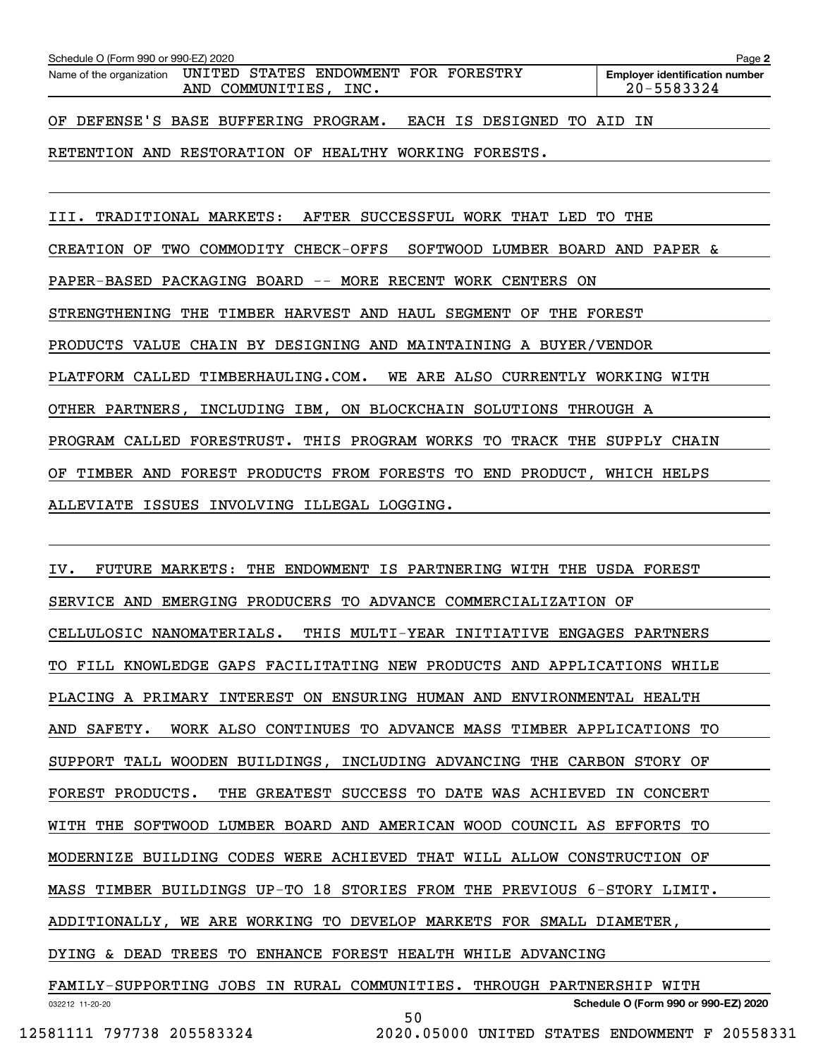| Schedule O (Form 990 or 990-EZ) 2020<br>Page 2 |  |                       |                                                               |  |  |                            |  |  |                                                     |  |
|------------------------------------------------|--|-----------------------|---------------------------------------------------------------|--|--|----------------------------|--|--|-----------------------------------------------------|--|
|                                                |  | AND COMMUNITIES, INC. | Name of the organization UNITED STATES ENDOWMENT FOR FORESTRY |  |  |                            |  |  | <b>Employer identification number</b><br>20-5583324 |  |
| OF DEFENSE'S BASE BUFFERING PROGRAM.           |  |                       |                                                               |  |  | EACH IS DESIGNED TO AID IN |  |  |                                                     |  |

RETENTION AND RESTORATION OF HEALTHY WORKING FORESTS.

III. TRADITIONAL MARKETS: AFTER SUCCESSFUL WORK THAT LED TO THE

CREATION OF TWO COMMODITY CHECK-OFFS SOFTWOOD LUMBER BOARD AND PAPER &

PAPER-BASED PACKAGING BOARD -- MORE RECENT WORK CENTERS ON

STRENGTHENING THE TIMBER HARVEST AND HAUL SEGMENT OF THE FOREST

PRODUCTS VALUE CHAIN BY DESIGNING AND MAINTAINING A BUYER/VENDOR

PLATFORM CALLED TIMBERHAULING.COM. WE ARE ALSO CURRENTLY WORKING WITH

OTHER PARTNERS, INCLUDING IBM, ON BLOCKCHAIN SOLUTIONS THROUGH A

PROGRAM CALLED FORESTRUST. THIS PROGRAM WORKS TO TRACK THE SUPPLY CHAIN

OF TIMBER AND FOREST PRODUCTS FROM FORESTS TO END PRODUCT, WHICH HELPS

ALLEVIATE ISSUES INVOLVING ILLEGAL LOGGING.

IV. FUTURE MARKETS: THE ENDOWMENT IS PARTNERING WITH THE USDA FOREST SERVICE AND EMERGING PRODUCERS TO ADVANCE COMMERCIALIZATION OF CELLULOSIC NANOMATERIALS. THIS MULTI-YEAR INITIATIVE ENGAGES PARTNERS TO FILL KNOWLEDGE GAPS FACILITATING NEW PRODUCTS AND APPLICATIONS WHILE PLACING A PRIMARY INTEREST ON ENSURING HUMAN AND ENVIRONMENTAL HEALTH AND SAFETY. WORK ALSO CONTINUES TO ADVANCE MASS TIMBER APPLICATIONS TO SUPPORT TALL WOODEN BUILDINGS, INCLUDING ADVANCING THE CARBON STORY OF FOREST PRODUCTS. THE GREATEST SUCCESS TO DATE WAS ACHIEVED IN CONCERT WITH THE SOFTWOOD LUMBER BOARD AND AMERICAN WOOD COUNCIL AS EFFORTS TO MODERNIZE BUILDING CODES WERE ACHIEVED THAT WILL ALLOW CONSTRUCTION OF MASS TIMBER BUILDINGS UP-TO 18 STORIES FROM THE PREVIOUS 6-STORY LIMIT. ADDITIONALLY, WE ARE WORKING TO DEVELOP MARKETS FOR SMALL DIAMETER, DYING & DEAD TREES TO ENHANCE FOREST HEALTH WHILE ADVANCING FAMILY-SUPPORTING JOBS IN RURAL COMMUNITIES. THROUGH PARTNERSHIP WITH

032212 11-20-20 **Schedule O (Form 990 or 990-EZ) 2020** 50

12581111 797738 205583324 2020.05000 UNITED STATES ENDOWMENT F 20558331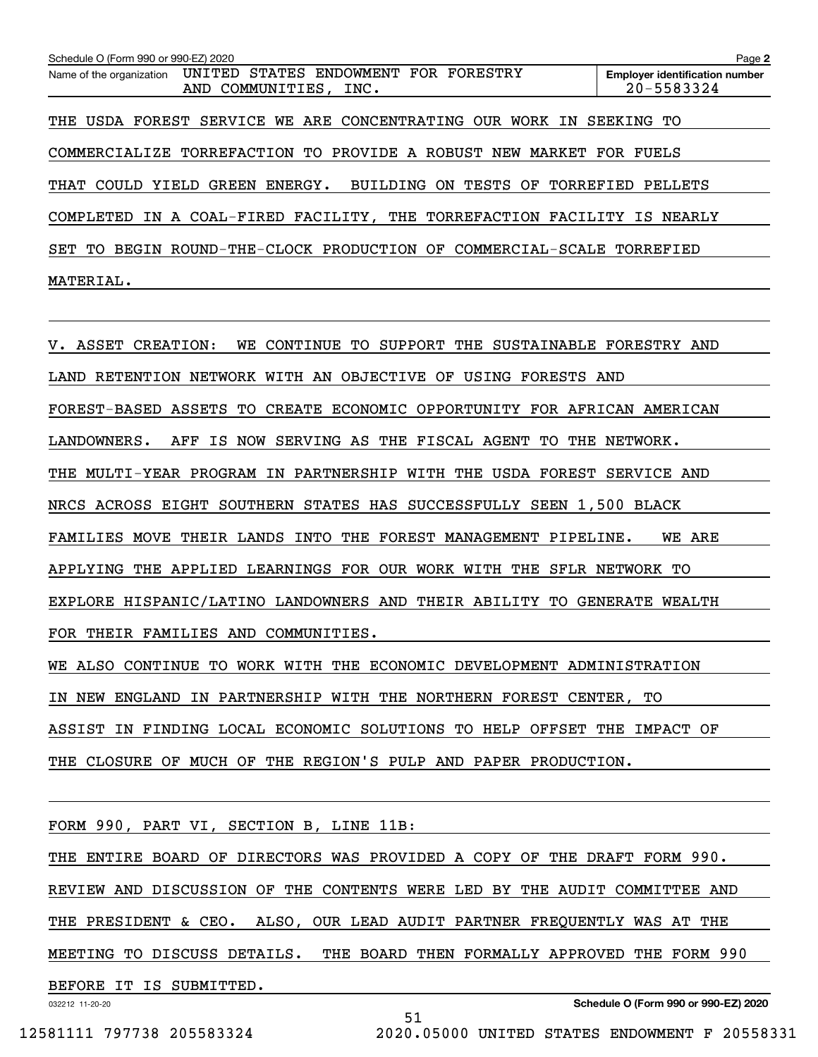| Schedule O (Form 990 or 990-EZ) 2020 |                                                                         | Page 2                                              |
|--------------------------------------|-------------------------------------------------------------------------|-----------------------------------------------------|
| Name of the organization             | STATES<br>UNITED<br>ENDOWMENT FOR FORESTRY<br>AND COMMUNITIES, INC.     | <b>Employer identification number</b><br>20-5583324 |
|                                      | THE USDA FOREST SERVICE WE ARE CONCENTRATING OUR WORK IN                | SEEKING TO                                          |
|                                      | COMMERCIALIZE TORREFACTION TO PROVIDE A ROBUST NEW MARKET               | FOR FUELS                                           |
| THAT COULD YIELD                     | GREEN ENERGY. BUILDING<br>TESTS<br>TORREFIED<br>ON<br>OF                | PELLETS                                             |
|                                      | COMPLETED IN A COAL-FIRED FACILITY, THE TORREFACTION FACILITY IS NEARLY |                                                     |
| SET<br>TO.                           | BEGIN ROUND-THE-CLOCK PRODUCTION OF COMMERCIAL-SCALE TORREFIED          |                                                     |
| MATERIAL.                            |                                                                         |                                                     |

V. ASSET CREATION: WE CONTINUE TO SUPPORT THE SUSTAINABLE FORESTRY AND LAND RETENTION NETWORK WITH AN OBJECTIVE OF USING FORESTS AND FOREST-BASED ASSETS TO CREATE ECONOMIC OPPORTUNITY FOR AFRICAN AMERICAN LANDOWNERS. AFF IS NOW SERVING AS THE FISCAL AGENT TO THE NETWORK. THE MULTI-YEAR PROGRAM IN PARTNERSHIP WITH THE USDA FOREST SERVICE AND NRCS ACROSS EIGHT SOUTHERN STATES HAS SUCCESSFULLY SEEN 1,500 BLACK FAMILIES MOVE THEIR LANDS INTO THE FOREST MANAGEMENT PIPELINE. WE ARE APPLYING THE APPLIED LEARNINGS FOR OUR WORK WITH THE SFLR NETWORK TO EXPLORE HISPANIC/LATINO LANDOWNERS AND THEIR ABILITY TO GENERATE WEALTH FOR THEIR FAMILIES AND COMMUNITIES.

WE ALSO CONTINUE TO WORK WITH THE ECONOMIC DEVELOPMENT ADMINISTRATION IN NEW ENGLAND IN PARTNERSHIP WITH THE NORTHERN FOREST CENTER, TO ASSIST IN FINDING LOCAL ECONOMIC SOLUTIONS TO HELP OFFSET THE IMPACT OF THE CLOSURE OF MUCH OF THE REGION'S PULP AND PAPER PRODUCTION.

| FORM 990, PART VI, SECTION B, LINE 11B:                                   |  |  |  |  |  |  |
|---------------------------------------------------------------------------|--|--|--|--|--|--|
| THE ENTIRE BOARD OF DIRECTORS WAS PROVIDED A COPY OF THE DRAFT FORM 990.  |  |  |  |  |  |  |
| REVIEW AND DISCUSSION OF THE CONTENTS WERE LED BY THE AUDIT COMMITTEE AND |  |  |  |  |  |  |
| THE PRESIDENT & CEO. ALSO, OUR LEAD AUDIT PARTNER FREQUENTLY WAS AT THE   |  |  |  |  |  |  |
| MEETING TO DISCUSS DETAILS. THE BOARD THEN FORMALLY APPROVED THE FORM 990 |  |  |  |  |  |  |
| BEFORE IT IS SUBMITTED.                                                   |  |  |  |  |  |  |
| <b>Coloration O. (France 000 cm 000 F.7) 0000</b>                         |  |  |  |  |  |  |

51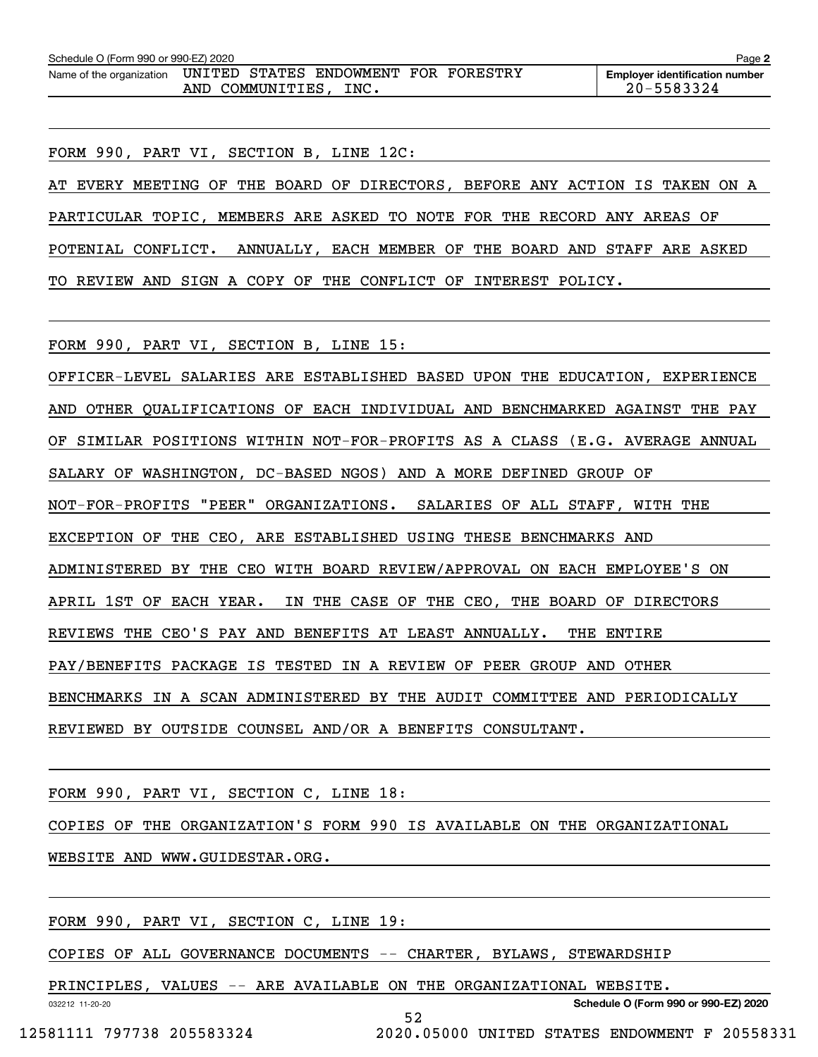| Schedule O (Form 990 or 990-EZ) 2020<br>Page 2 |  |                  |                                              |  |  |                                                     |  |  |
|------------------------------------------------|--|------------------|----------------------------------------------|--|--|-----------------------------------------------------|--|--|
| Name of the organization                       |  | AND COMMUNITIES, | UNITED STATES ENDOWMENT FOR FORESTRY<br>INC. |  |  | <b>Employer identification number</b><br>20-5583324 |  |  |

FORM 990, PART VI, SECTION B, LINE 12C: AT EVERY MEETING OF THE BOARD OF DIRECTORS, BEFORE ANY ACTION IS TAKEN ON A PARTICULAR TOPIC, MEMBERS ARE ASKED TO NOTE FOR THE RECORD ANY AREAS OF POTENIAL CONFLICT. ANNUALLY, EACH MEMBER OF THE BOARD AND STAFF ARE ASKED TO REVIEW AND SIGN A COPY OF THE CONFLICT OF INTEREST POLICY.

FORM 990, PART VI, SECTION B, LINE 15:

OFFICER-LEVEL SALARIES ARE ESTABLISHED BASED UPON THE EDUCATION, EXPERIENCE AND OTHER QUALIFICATIONS OF EACH INDIVIDUAL AND BENCHMARKED AGAINST THE PAY OF SIMILAR POSITIONS WITHIN NOT-FOR-PROFITS AS A CLASS (E.G. AVERAGE ANNUAL SALARY OF WASHINGTON, DC-BASED NGOS) AND A MORE DEFINED GROUP OF NOT-FOR-PROFITS "PEER" ORGANIZATIONS. SALARIES OF ALL STAFF, WITH THE EXCEPTION OF THE CEO, ARE ESTABLISHED USING THESE BENCHMARKS AND ADMINISTERED BY THE CEO WITH BOARD REVIEW/APPROVAL ON EACH EMPLOYEE'S ON APRIL 1ST OF EACH YEAR. IN THE CASE OF THE CEO, THE BOARD OF DIRECTORS REVIEWS THE CEO'S PAY AND BENEFITS AT LEAST ANNUALLY. THE ENTIRE PAY/BENEFITS PACKAGE IS TESTED IN A REVIEW OF PEER GROUP AND OTHER BENCHMARKS IN A SCAN ADMINISTERED BY THE AUDIT COMMITTEE AND PERIODICALLY REVIEWED BY OUTSIDE COUNSEL AND/OR A BENEFITS CONSULTANT.

FORM 990, PART VI, SECTION C, LINE 18:

COPIES OF THE ORGANIZATION'S FORM 990 IS AVAILABLE ON THE ORGANIZATIONAL

WEBSITE AND WWW.GUIDESTAR.ORG.

FORM 990, PART VI, SECTION C, LINE 19:

COPIES OF ALL GOVERNANCE DOCUMENTS -- CHARTER, BYLAWS, STEWARDSHIP

PRINCIPLES, VALUES -- ARE AVAILABLE ON THE ORGANIZATIONAL WEBSITE.

52

032212 11-20-20

**Schedule O (Form 990 or 990-EZ) 2020**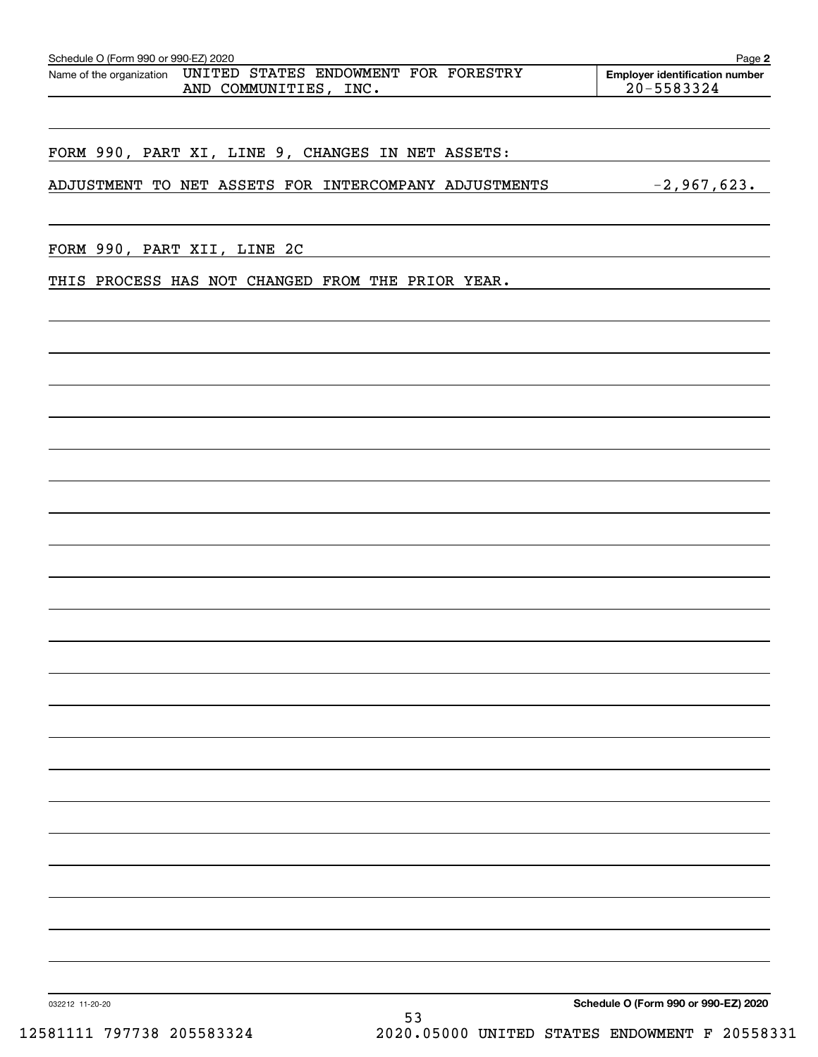| Schedule O (Form 990 or 990-EZ) 2020<br>Page 2 |  |  |                                                               |  |  |  |                                                     |  |
|------------------------------------------------|--|--|---------------------------------------------------------------|--|--|--|-----------------------------------------------------|--|
| Name of the organization                       |  |  | UNITED STATES ENDOWMENT FOR FORESTRY<br>AND COMMUNITIES, INC. |  |  |  | <b>Employer identification number</b><br>20-5583324 |  |
|                                                |  |  |                                                               |  |  |  |                                                     |  |

## FORM 990, PART XI, LINE 9, CHANGES IN NET ASSETS:

ADJUSTMENT TO NET ASSETS FOR INTERCOMPANY ADJUSTMENTS -2,967,623.

FORM 990, PART XII, LINE 2C

THIS PROCESS HAS NOT CHANGED FROM THE PRIOR YEAR.

**Schedule O (Form 990 or 990-EZ) 2020**

032212 11-20-20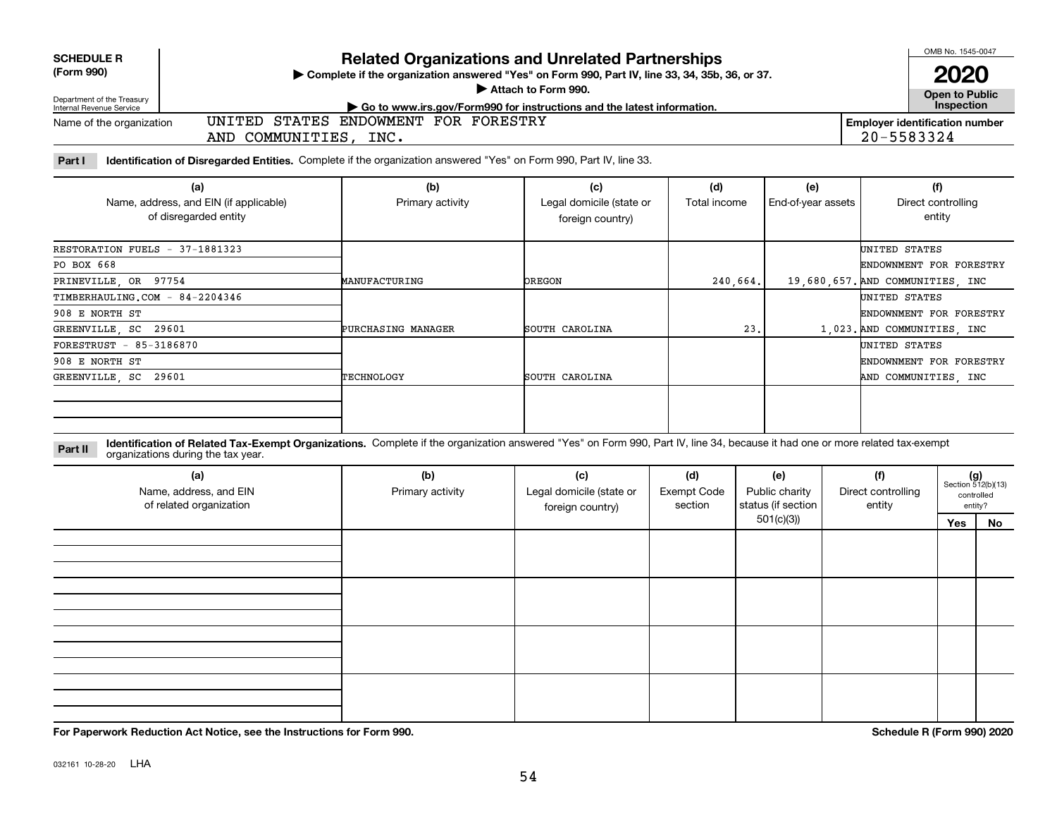| <b>Related Organizations and Unrelated Partnerships</b><br><b>SCHEDULE R</b><br>(Form 990)<br>> Complete if the organization answered "Yes" on Form 990, Part IV, line 33, 34, 35b, 36, or 37.<br>Attach to Form 990.<br>Department of the Treasury<br>Go to www.irs.gov/Form990 for instructions and the latest information.<br>Internal Revenue Service<br>ENDOWMENT FOR FORESTRY<br>UNITED<br>STATES<br><b>Employer identification number</b><br>Name of the organization<br>20-5583324<br>AND COMMUNITIES, INC. |                                                                        |                                                                                                                    |                                                     |                     |                           |                                     |  |
|---------------------------------------------------------------------------------------------------------------------------------------------------------------------------------------------------------------------------------------------------------------------------------------------------------------------------------------------------------------------------------------------------------------------------------------------------------------------------------------------------------------------|------------------------------------------------------------------------|--------------------------------------------------------------------------------------------------------------------|-----------------------------------------------------|---------------------|---------------------------|-------------------------------------|--|
| Part I                                                                                                                                                                                                                                                                                                                                                                                                                                                                                                              |                                                                        | Identification of Disregarded Entities. Complete if the organization answered "Yes" on Form 990, Part IV, line 33. |                                                     |                     |                           |                                     |  |
|                                                                                                                                                                                                                                                                                                                                                                                                                                                                                                                     | (a)<br>Name, address, and EIN (if applicable)<br>of disregarded entity | (b)<br>Primary activity                                                                                            | (c)<br>Legal domicile (state or<br>foreign country) | (d)<br>Total income | (e)<br>End-of-year assets | (f)<br>Direct controlling<br>entity |  |
| RESTORATION FUELS - 37-1881323                                                                                                                                                                                                                                                                                                                                                                                                                                                                                      |                                                                        |                                                                                                                    |                                                     |                     |                           | UNITED STATES                       |  |
| PO BOX 668                                                                                                                                                                                                                                                                                                                                                                                                                                                                                                          |                                                                        |                                                                                                                    |                                                     |                     |                           | ENDOWNMENT FOR FORESTRY             |  |
| PRINEVILLE, OR 97754                                                                                                                                                                                                                                                                                                                                                                                                                                                                                                |                                                                        | MANUFACTURING                                                                                                      | <b>OREGON</b>                                       | 240.664.            |                           | 19,680,657. AND COMMUNITIES, INC    |  |
| TIMBERHAULING.COM - 84-2204346                                                                                                                                                                                                                                                                                                                                                                                                                                                                                      |                                                                        |                                                                                                                    |                                                     |                     |                           | UNITED STATES                       |  |
| 908 E NORTH ST                                                                                                                                                                                                                                                                                                                                                                                                                                                                                                      |                                                                        |                                                                                                                    |                                                     |                     |                           | ENDOWNMENT FOR FORESTRY             |  |
| GREENVILLE SC 29601                                                                                                                                                                                                                                                                                                                                                                                                                                                                                                 |                                                                        | PURCHASING MANAGER                                                                                                 | SOUTH CAROLINA                                      | 23.                 |                           | 1,023. AND COMMUNITIES, INC         |  |
| FORESTRUST - 85-3186870                                                                                                                                                                                                                                                                                                                                                                                                                                                                                             |                                                                        |                                                                                                                    |                                                     |                     |                           | UNITED STATES                       |  |
| 908 E NORTH ST                                                                                                                                                                                                                                                                                                                                                                                                                                                                                                      |                                                                        |                                                                                                                    |                                                     |                     |                           | ENDOWNMENT FOR FORESTRY             |  |
| GREENVILLE SC 29601                                                                                                                                                                                                                                                                                                                                                                                                                                                                                                 |                                                                        | TECHNOLOGY                                                                                                         | SOUTH CAROLINA                                      |                     |                           | AND COMMUNITIES, INC                |  |
|                                                                                                                                                                                                                                                                                                                                                                                                                                                                                                                     |                                                                        |                                                                                                                    |                                                     |                     |                           |                                     |  |

**Identification of Related Tax-Exempt Organizations.** Complete if the organization answered "Yes" on Form 990, Part IV, line 34, because it had one or more related tax-exempt **Part II** organizations during the tax year.

| (a)<br>Name, address, and EIN<br>of related organization | (b)<br>Primary activity | (c)<br>Legal domicile (state or<br>foreign country) | (d)<br><b>Exempt Code</b><br>section | (e)<br>Public charity<br>status (if section | (f)<br>Direct controlling<br>entity |     | $(g)$<br>Section 512(b)(13)<br>controlled<br>entity? |
|----------------------------------------------------------|-------------------------|-----------------------------------------------------|--------------------------------------|---------------------------------------------|-------------------------------------|-----|------------------------------------------------------|
|                                                          |                         |                                                     |                                      | 501(c)(3)                                   |                                     | Yes | No                                                   |
|                                                          |                         |                                                     |                                      |                                             |                                     |     |                                                      |
|                                                          |                         |                                                     |                                      |                                             |                                     |     |                                                      |
|                                                          |                         |                                                     |                                      |                                             |                                     |     |                                                      |

**For Paperwork Reduction Act Notice, see the Instructions for Form 990. Schedule R (Form 990) 2020**

OMB No. 1545-0047

 $\mathbf{I}$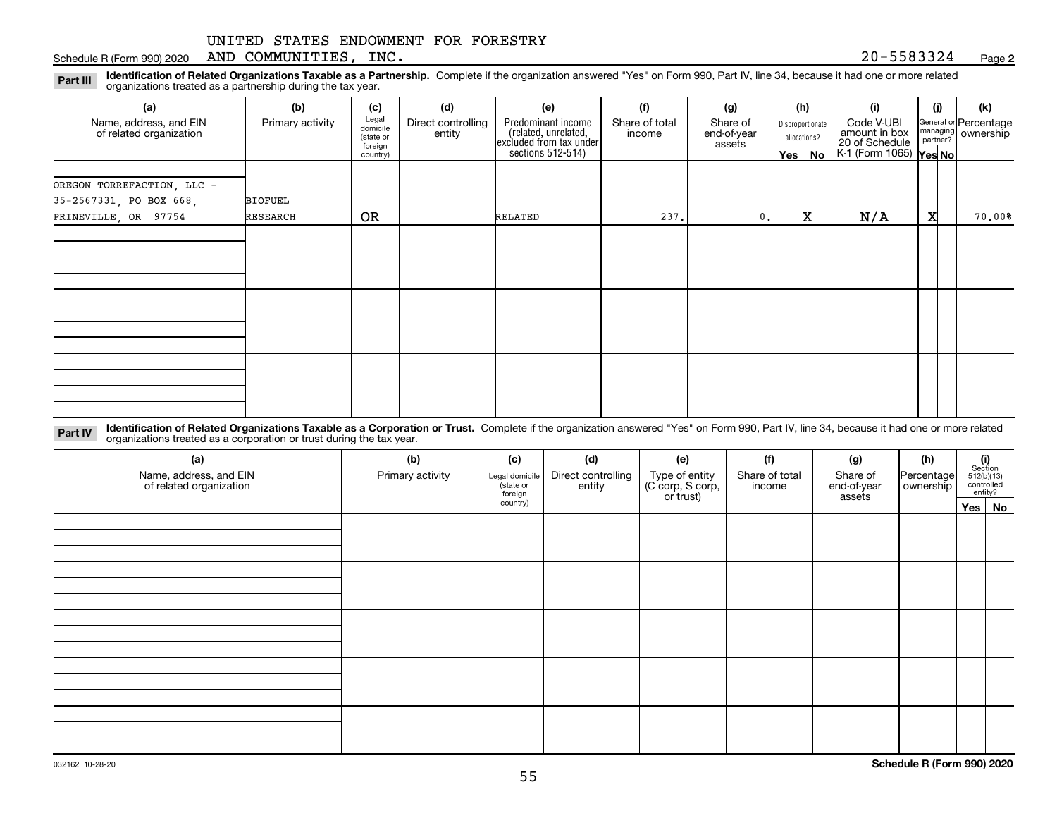#### Schedule R (Form 990) 2020 Page AND COMMUNITIES, INC. 20-5583324

**2**

**Identification of Related Organizations Taxable as a Partnership.** Complete if the organization answered "Yes" on Form 990, Part IV, line 34, because it had one or more related **Part III** organizations treated as a partnership during the tax year.

| (a)                                               | (b)              | (c)                                       | (d)                          | (e)                                                                                        | (f)                      | (g)                               |                                  | (h)      | (i)                                                                     | (i) | (k)                                                       |
|---------------------------------------------------|------------------|-------------------------------------------|------------------------------|--------------------------------------------------------------------------------------------|--------------------------|-----------------------------------|----------------------------------|----------|-------------------------------------------------------------------------|-----|-----------------------------------------------------------|
| Name, address, and EIN<br>of related organization | Primary activity | Legal<br>domicile<br>(state or<br>foreign | Direct controlling<br>entity | Predominant income<br>(related, unrelated,<br>excluded from tax under<br>sections 512-514) | Share of total<br>income | Share of<br>end-of-year<br>assets | Disproportionate<br>allocations? |          | Code V-UBI<br>amount in box<br>20 of Schedule<br>K-1 (Form 1065) Yes No |     | General or Percentage<br>managing<br>partner?<br>partner? |
|                                                   |                  | country)                                  |                              |                                                                                            |                          |                                   |                                  | Yes   No |                                                                         |     |                                                           |
| OREGON TORREFACTION, LLC -                        |                  |                                           |                              |                                                                                            |                          |                                   |                                  |          |                                                                         |     |                                                           |
| 35-2567331, PO BOX 668,                           | BIOFUEL          |                                           |                              |                                                                                            |                          |                                   |                                  |          |                                                                         |     |                                                           |
| PRINEVILLE, OR 97754                              | RESEARCH         | <b>OR</b>                                 |                              | RELATED                                                                                    | 237.                     | $\mathbf{0}$ .                    |                                  | x        | N/A                                                                     | X   | 70.00%                                                    |
|                                                   |                  |                                           |                              |                                                                                            |                          |                                   |                                  |          |                                                                         |     |                                                           |
|                                                   |                  |                                           |                              |                                                                                            |                          |                                   |                                  |          |                                                                         |     |                                                           |
|                                                   |                  |                                           |                              |                                                                                            |                          |                                   |                                  |          |                                                                         |     |                                                           |
|                                                   |                  |                                           |                              |                                                                                            |                          |                                   |                                  |          |                                                                         |     |                                                           |
|                                                   |                  |                                           |                              |                                                                                            |                          |                                   |                                  |          |                                                                         |     |                                                           |
|                                                   |                  |                                           |                              |                                                                                            |                          |                                   |                                  |          |                                                                         |     |                                                           |
|                                                   |                  |                                           |                              |                                                                                            |                          |                                   |                                  |          |                                                                         |     |                                                           |
|                                                   |                  |                                           |                              |                                                                                            |                          |                                   |                                  |          |                                                                         |     |                                                           |
|                                                   |                  |                                           |                              |                                                                                            |                          |                                   |                                  |          |                                                                         |     |                                                           |
|                                                   |                  |                                           |                              |                                                                                            |                          |                                   |                                  |          |                                                                         |     |                                                           |
|                                                   |                  |                                           |                              |                                                                                            |                          |                                   |                                  |          |                                                                         |     |                                                           |

**Identification of Related Organizations Taxable as a Corporation or Trust.** Complete if the organization answered "Yes" on Form 990, Part IV, line 34, because it had one or more related **Part IV** organizations treated as a corporation or trust during the tax year.

| (a)<br>Name, address, and EIN<br>of related organization | (b)<br>Primary activity | (c)<br>Legal domicile<br>(state or<br>foreign | (d)<br>Direct controlling<br>entity | (e)<br>Type of entity<br>(C corp, S corp,<br>or trust) | (f)<br>Share of total<br>income | (g)<br>Share of<br>end-of-year<br>assets | (h)<br> Percentage <br>ownership | $\begin{array}{c} \textbf{(i)}\\ \text{Section}\\ 512 \text{(b)} \text{(13)}\\ \text{controlled}\\ \text{entity?} \end{array}$ |
|----------------------------------------------------------|-------------------------|-----------------------------------------------|-------------------------------------|--------------------------------------------------------|---------------------------------|------------------------------------------|----------------------------------|--------------------------------------------------------------------------------------------------------------------------------|
|                                                          |                         | country)                                      |                                     |                                                        |                                 |                                          |                                  | Yes No                                                                                                                         |
|                                                          |                         |                                               |                                     |                                                        |                                 |                                          |                                  |                                                                                                                                |
|                                                          |                         |                                               |                                     |                                                        |                                 |                                          |                                  |                                                                                                                                |
|                                                          |                         |                                               |                                     |                                                        |                                 |                                          |                                  |                                                                                                                                |
|                                                          |                         |                                               |                                     |                                                        |                                 |                                          |                                  |                                                                                                                                |
|                                                          |                         |                                               |                                     |                                                        |                                 |                                          |                                  |                                                                                                                                |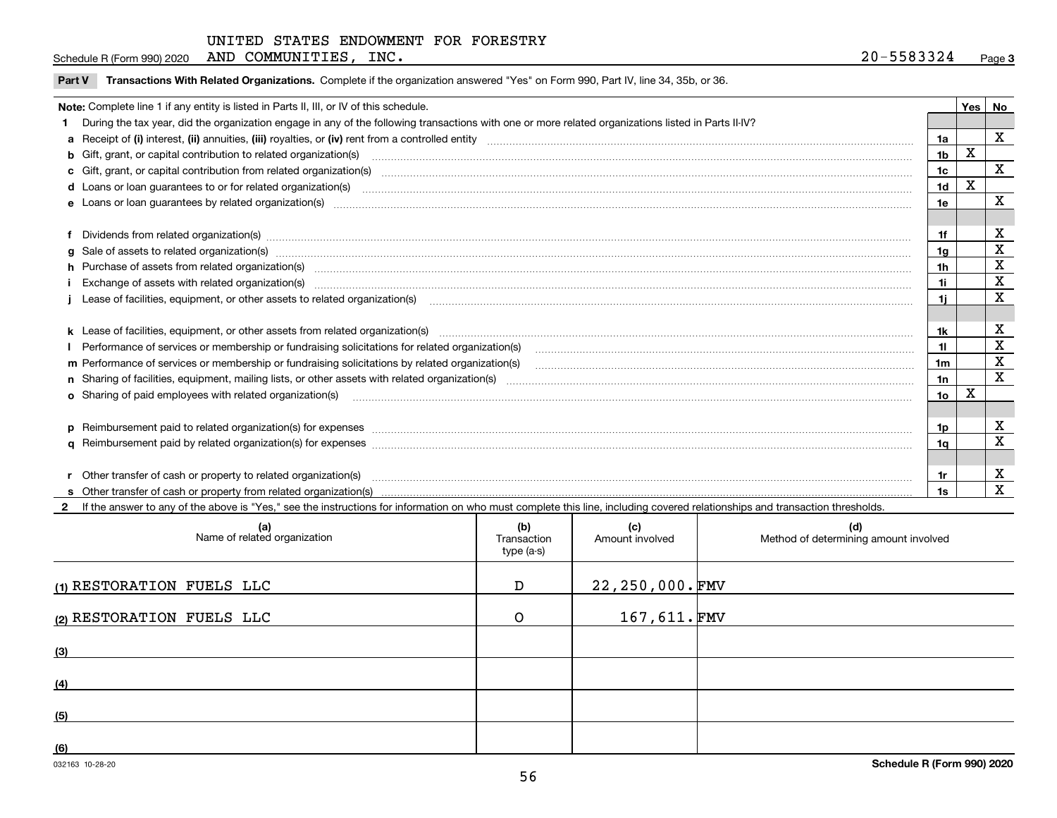| INC.<br>AND<br>COMMUNITIES<br>Schedule R (Form 990) 2020 | 20۰<br>5583324 | Page |
|----------------------------------------------------------|----------------|------|
|----------------------------------------------------------|----------------|------|

 $\overline{\phantom{a}}$ 

**Part V** T**ransactions With Related Organizations.** Complete if the organization answered "Yes" on Form 990, Part IV, line 34, 35b, or 36.

| Note: Complete line 1 if any entity is listed in Parts II, III, or IV of this schedule.                                                                                                                                        |                | Yes | No           |
|--------------------------------------------------------------------------------------------------------------------------------------------------------------------------------------------------------------------------------|----------------|-----|--------------|
| 1 During the tax year, did the organization engage in any of the following transactions with one or more related organizations listed in Parts II-IV?                                                                          |                |     |              |
|                                                                                                                                                                                                                                | 1a             |     | $\mathbf{x}$ |
| <b>b</b> Gift, grant, or capital contribution to related organization(s)                                                                                                                                                       | 1 <sub>b</sub> | X   |              |
| c Gift, grant, or capital contribution from related organization(s)                                                                                                                                                            | 1c             |     | X            |
|                                                                                                                                                                                                                                | 1d             | X   |              |
| e Loans or loan quarantees by related organization(s)                                                                                                                                                                          | 1e             |     | X            |
|                                                                                                                                                                                                                                |                |     |              |
| f Dividends from related organization(s) www.communicallycommunicallycommunicallycommunicallycommunicallycommunicallycommunicallycommunicallycommunicallycommunicallycommunicallycommunicallycommunicallycommunicallycommunica |                |     | х            |
| g Sale of assets to related organization(s) www.assettion.com/www.assettion.com/www.assettion.com/www.assettion.com/www.assettion.com/www.assettion.com/www.assettion.com/www.assettion.com/www.assettion.com/www.assettion.co | 1a             |     | X            |
| h Purchase of assets from related organization(s) manufactured content to content the content of the content of the content of the content of the content of the content of the content of the content of the content of the c | 1h             |     | X            |
| Exchange of assets with related organization(s) www.assettion.com/www.assettion.com/www.assettion.com/www.assettion.com/www.assettion.com/www.assettion.com/www.assettion.com/www.assettion.com/www.assettion.com/www.assettio | 1i.            |     | X            |
|                                                                                                                                                                                                                                | 1i.            |     | X            |
|                                                                                                                                                                                                                                |                |     |              |
| k Lease of facilities, equipment, or other assets from related organization(s) manufaction content and content to the content of facilities, equipment, or other assets from related organization(s) manufaction content and c | 1k             |     | X            |
| Performance of services or membership or fundraising solicitations for related organization(s)                                                                                                                                 | 11.            |     | X            |
| m Performance of services or membership or fundraising solicitations by related organization(s)                                                                                                                                | 1m             |     | X            |
|                                                                                                                                                                                                                                | 1n             |     | $\mathbf x$  |
| <b>o</b> Sharing of paid employees with related organization(s)                                                                                                                                                                | 1o             | X   |              |
|                                                                                                                                                                                                                                |                |     |              |
| p Reimbursement paid to related organization(s) for expenses [1111] and the content of the content of the content of the content of the content of the content of the content of the content of the content of the content of  | 1p             |     | X            |
|                                                                                                                                                                                                                                | 1q             |     | X            |
|                                                                                                                                                                                                                                |                |     |              |
| r Other transfer of cash or property to related organization(s)                                                                                                                                                                |                |     | x            |
|                                                                                                                                                                                                                                |                |     | X            |

**2**If the answer to any of the above is "Yes," see the instructions for information on who must complete this line, including covered relationships and transaction thresholds.

| (a)<br>Name of related organization | (b)<br>Transaction<br>type (a-s) | (c)<br>Amount involved | (d)<br>Method of determining amount involved |
|-------------------------------------|----------------------------------|------------------------|----------------------------------------------|
| (1) RESTORATION FUELS LLC           | D                                | $22, 250, 000$ . FMV   |                                              |
| (2) RESTORATION FUELS LLC           | $\circ$                          | 167,611.FMV            |                                              |
| (3)                                 |                                  |                        |                                              |
| (4)                                 |                                  |                        |                                              |
| (5)                                 |                                  |                        |                                              |
| (6)                                 |                                  |                        |                                              |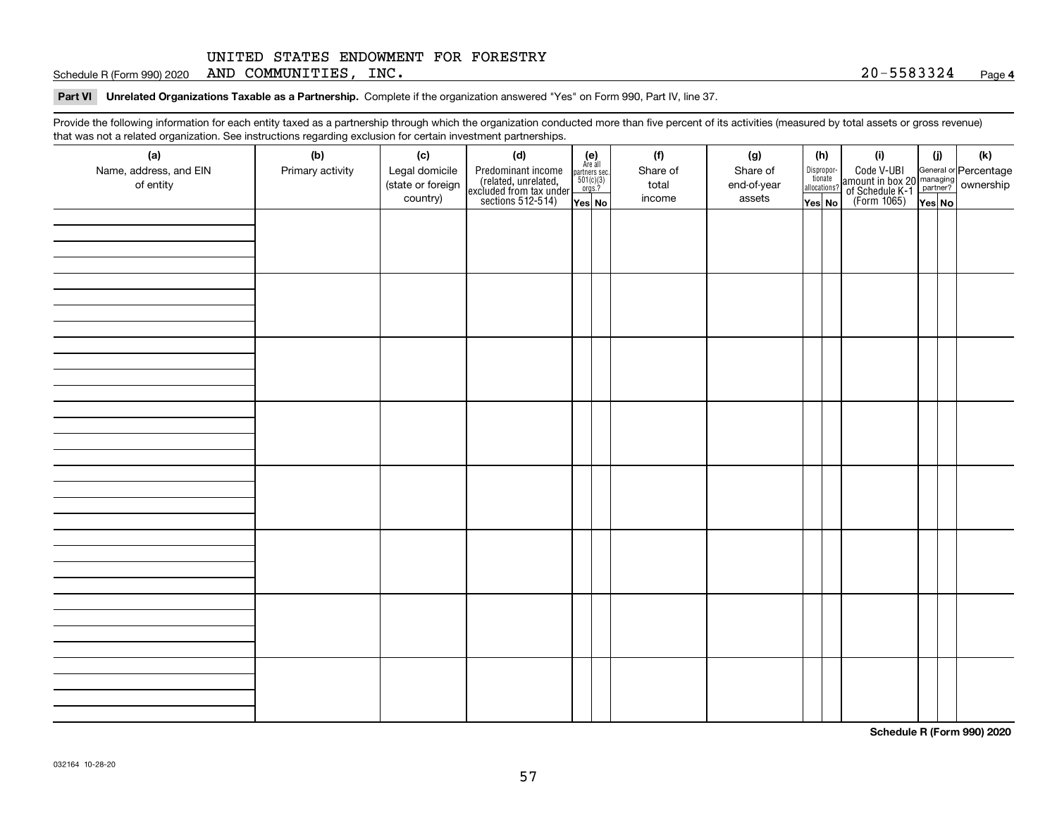Schedule R (Form 990) 2020 Page AND COMMUNITIES, INC. 20-5583324

**Part VI Unrelated Organizations Taxable as a Partnership. Complete if the organization answered "Yes" on Form 990, Part IV, line 37.** 

Provide the following information for each entity taxed as a partnership through which the organization conducted more than five percent of its activities (measured by total assets or gross revenue) that was not a related organization. See instructions regarding exclusion for certain investment partnerships.

| (a)<br>Name, address, and EIN<br>of entity | (b)<br>Primary activity | (c)<br>Legal domicile<br>(state or foreign<br>country) | (d)<br>Predominant income<br>(related, unrelated,<br>excluded from tax under<br>sections 512-514) | $\begin{array}{c} \textbf{(e)}\\ \text{Are all} \\ \text{partners sec.}\\ 501(c)(3)\\ \text{orgs.?} \end{array}$<br>$Yes$ No | (f)<br>Share of<br>total<br>income | (g)<br>Share of<br>end-of-year<br>assets | (h)<br>Dispropor-<br>tionate<br>allocations?<br>Yes No | (i)<br>Code V-UBI<br>amount in box 20 managing<br>of Schedule K-1 partner? ownership<br>(Form 1065)<br>ves No | (i)<br>Yes No | (k) |
|--------------------------------------------|-------------------------|--------------------------------------------------------|---------------------------------------------------------------------------------------------------|------------------------------------------------------------------------------------------------------------------------------|------------------------------------|------------------------------------------|--------------------------------------------------------|---------------------------------------------------------------------------------------------------------------|---------------|-----|
|                                            |                         |                                                        |                                                                                                   |                                                                                                                              |                                    |                                          |                                                        |                                                                                                               |               |     |
|                                            |                         |                                                        |                                                                                                   |                                                                                                                              |                                    |                                          |                                                        |                                                                                                               |               |     |
|                                            |                         |                                                        |                                                                                                   |                                                                                                                              |                                    |                                          |                                                        |                                                                                                               |               |     |
|                                            |                         |                                                        |                                                                                                   |                                                                                                                              |                                    |                                          |                                                        |                                                                                                               |               |     |
|                                            |                         |                                                        |                                                                                                   |                                                                                                                              |                                    |                                          |                                                        |                                                                                                               |               |     |
|                                            |                         |                                                        |                                                                                                   |                                                                                                                              |                                    |                                          |                                                        |                                                                                                               |               |     |
|                                            |                         |                                                        |                                                                                                   |                                                                                                                              |                                    |                                          |                                                        |                                                                                                               |               |     |
|                                            |                         |                                                        |                                                                                                   |                                                                                                                              |                                    |                                          |                                                        |                                                                                                               |               |     |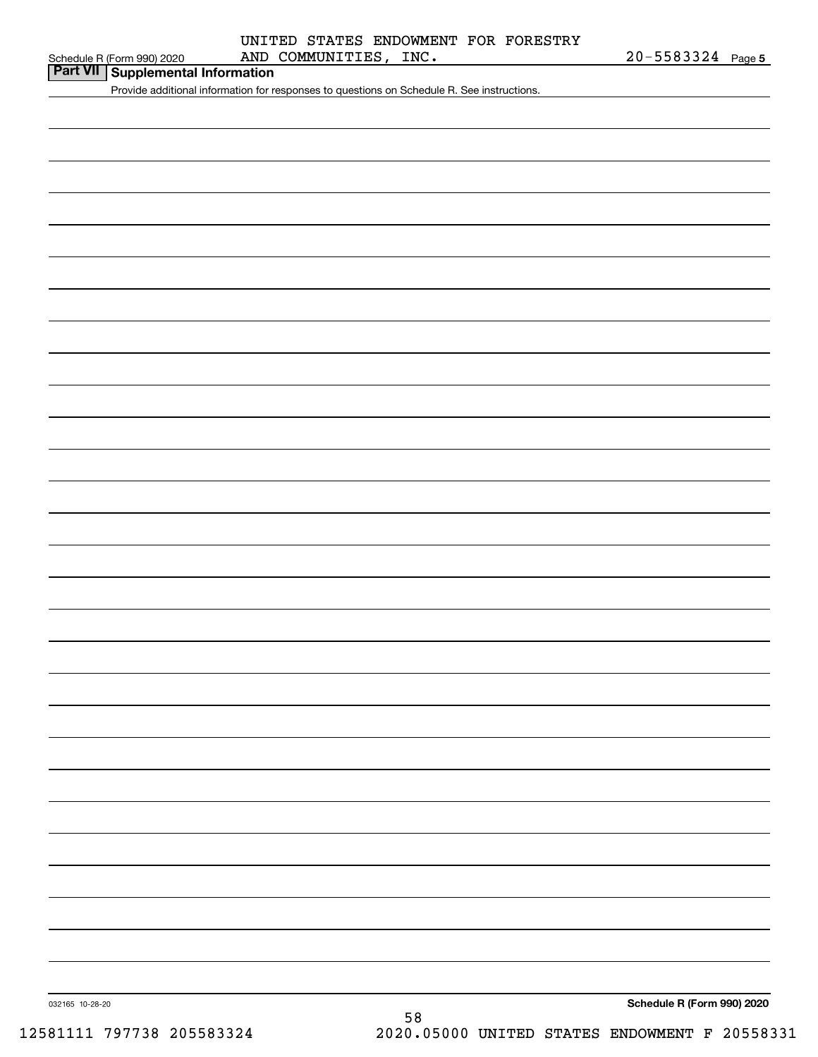| Part VII Supplemental Information |
|-----------------------------------|
|                                   |

Provide additional information for responses to questions on Schedule R. See instructions.

**Schedule R (Form 990) 2020**

032165 10-28-20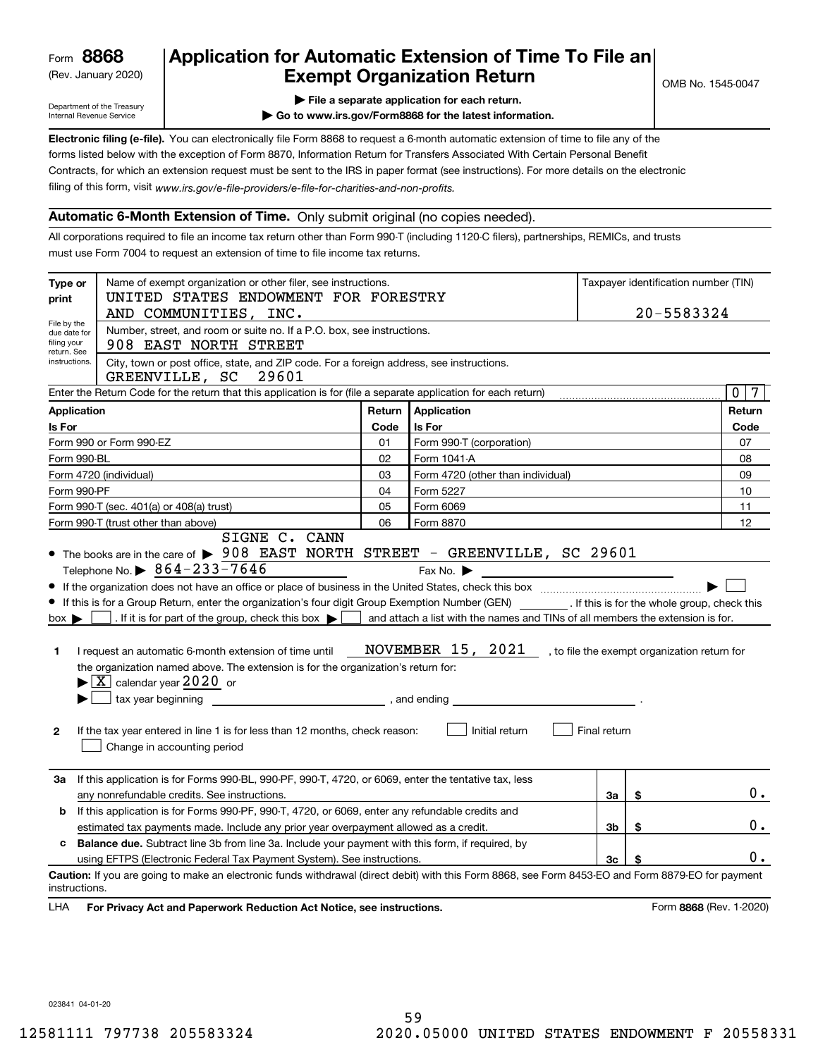(Rev. January 2020)

## **Application for Automatic Extension of Time To File an Exempt Organization Return**

Department of the Treasury Internal Revenue Service

**| File a separate application for each return.**

**| Go to www.irs.gov/Form8868 for the latest information.**

**Electronic filing (e-file).**  You can electronically file Form 8868 to request a 6-month automatic extension of time to file any of the filing of this form, visit www.irs.gov/e-file-providers/e-file-for-charities-and-non-profits. forms listed below with the exception of Form 8870, Information Return for Transfers Associated With Certain Personal Benefit Contracts, for which an extension request must be sent to the IRS in paper format (see instructions). For more details on the electronic

#### **Automatic 6-Month Extension of Time.** Only submit original (no copies needed).

All corporations required to file an income tax return other than Form 990-T (including 1120-C filers), partnerships, REMICs, and trusts must use Form 7004 to request an extension of time to file income tax returns.

| Type or<br>print                                          | Name of exempt organization or other filer, see instructions.<br>UNITED STATES ENDOWMENT FOR FORESTRY<br>AND COMMUNITIES, INC.                                                                                                                                                                                                                                                                                                                                                                                                                                                                                 |        |                                                                                                                       |                | 20-5583324 | Taxpayer identification number (TIN)         |                 |
|-----------------------------------------------------------|----------------------------------------------------------------------------------------------------------------------------------------------------------------------------------------------------------------------------------------------------------------------------------------------------------------------------------------------------------------------------------------------------------------------------------------------------------------------------------------------------------------------------------------------------------------------------------------------------------------|--------|-----------------------------------------------------------------------------------------------------------------------|----------------|------------|----------------------------------------------|-----------------|
| File by the<br>due date for<br>filing your<br>return. See | Number, street, and room or suite no. If a P.O. box, see instructions.<br>908 EAST NORTH STREET                                                                                                                                                                                                                                                                                                                                                                                                                                                                                                                |        |                                                                                                                       |                |            |                                              |                 |
| instructions.                                             | City, town or post office, state, and ZIP code. For a foreign address, see instructions.<br>GREENVILLE, SC<br>29601                                                                                                                                                                                                                                                                                                                                                                                                                                                                                            |        |                                                                                                                       |                |            |                                              |                 |
|                                                           | Enter the Return Code for the return that this application is for (file a separate application for each return)                                                                                                                                                                                                                                                                                                                                                                                                                                                                                                |        |                                                                                                                       |                |            | $\mathbf{0}$                                 | $7\phantom{.0}$ |
| <b>Application</b>                                        |                                                                                                                                                                                                                                                                                                                                                                                                                                                                                                                                                                                                                | Return | Application                                                                                                           |                |            | Return                                       |                 |
| Is For                                                    |                                                                                                                                                                                                                                                                                                                                                                                                                                                                                                                                                                                                                | Code   | Is For                                                                                                                |                |            | Code                                         |                 |
|                                                           | Form 990 or Form 990-EZ                                                                                                                                                                                                                                                                                                                                                                                                                                                                                                                                                                                        | 01     | Form 990-T (corporation)                                                                                              |                |            | 07                                           |                 |
| Form 990-BL                                               |                                                                                                                                                                                                                                                                                                                                                                                                                                                                                                                                                                                                                | 02     | Form 1041-A                                                                                                           |                |            | 08                                           |                 |
|                                                           | Form 4720 (individual)                                                                                                                                                                                                                                                                                                                                                                                                                                                                                                                                                                                         | 03     | Form 4720 (other than individual)                                                                                     |                |            | 09                                           |                 |
| Form 990-PF                                               |                                                                                                                                                                                                                                                                                                                                                                                                                                                                                                                                                                                                                | 04     | Form 5227                                                                                                             |                |            | 10                                           |                 |
|                                                           | Form 990-T (sec. 401(a) or 408(a) trust)                                                                                                                                                                                                                                                                                                                                                                                                                                                                                                                                                                       | 05     | Form 6069                                                                                                             |                |            | 11                                           |                 |
|                                                           | Form 990-T (trust other than above)<br>SIGNE C. CANN                                                                                                                                                                                                                                                                                                                                                                                                                                                                                                                                                           | 06     | Form 8870                                                                                                             |                |            | 12                                           |                 |
| $box \blacktriangleright$<br>1<br>$\mathbf{2}$            | If this is for a Group Return, enter the organization's four digit Group Exemption Number (GEN) _________. If this is for the whole group, check this<br>. If it is for part of the group, check this box $\blacktriangleright$<br>I request an automatic 6-month extension of time until<br>the organization named above. The extension is for the organization's return for:<br>$\blacktriangleright$ $\boxed{\text{X}}$ calendar year 2020 or<br>tax year beginning<br>and ending, and ending<br>If the tax year entered in line 1 is for less than 12 months, check reason:<br>Change in accounting period |        | and attach a list with the names and TINs of all members the extension is for.<br>NOVEMBER 15, 2021<br>Initial return | Final return   |            | , to file the exempt organization return for |                 |
| За                                                        | If this application is for Forms 990-BL, 990-PF, 990-T, 4720, or 6069, enter the tentative tax, less<br>any nonrefundable credits. See instructions.                                                                                                                                                                                                                                                                                                                                                                                                                                                           |        |                                                                                                                       | За             | \$         |                                              | 0.              |
| b                                                         | If this application is for Forms 990-PF, 990-T, 4720, or 6069, enter any refundable credits and                                                                                                                                                                                                                                                                                                                                                                                                                                                                                                                |        |                                                                                                                       |                |            |                                              |                 |
|                                                           | estimated tax payments made. Include any prior year overpayment allowed as a credit.                                                                                                                                                                                                                                                                                                                                                                                                                                                                                                                           |        |                                                                                                                       | 3 <sub>b</sub> | \$         |                                              | 0.              |
| C.                                                        | <b>Balance due.</b> Subtract line 3b from line 3a. Include your payment with this form, if required, by                                                                                                                                                                                                                                                                                                                                                                                                                                                                                                        |        |                                                                                                                       |                |            |                                              |                 |
|                                                           | using EFTPS (Electronic Federal Tax Payment System). See instructions.                                                                                                                                                                                                                                                                                                                                                                                                                                                                                                                                         |        |                                                                                                                       | 3 <sub>c</sub> |            |                                              | 0.              |
| instructions.<br>LHA                                      | Caution: If you are going to make an electronic funds withdrawal (direct debit) with this Form 8868, see Form 8453-EO and Form 8879-EO for payment<br>For Privacy Act and Paperwork Reduction Act Notice, see instructions.                                                                                                                                                                                                                                                                                                                                                                                    |        |                                                                                                                       |                |            | Form 8868 (Rev. 1-2020)                      |                 |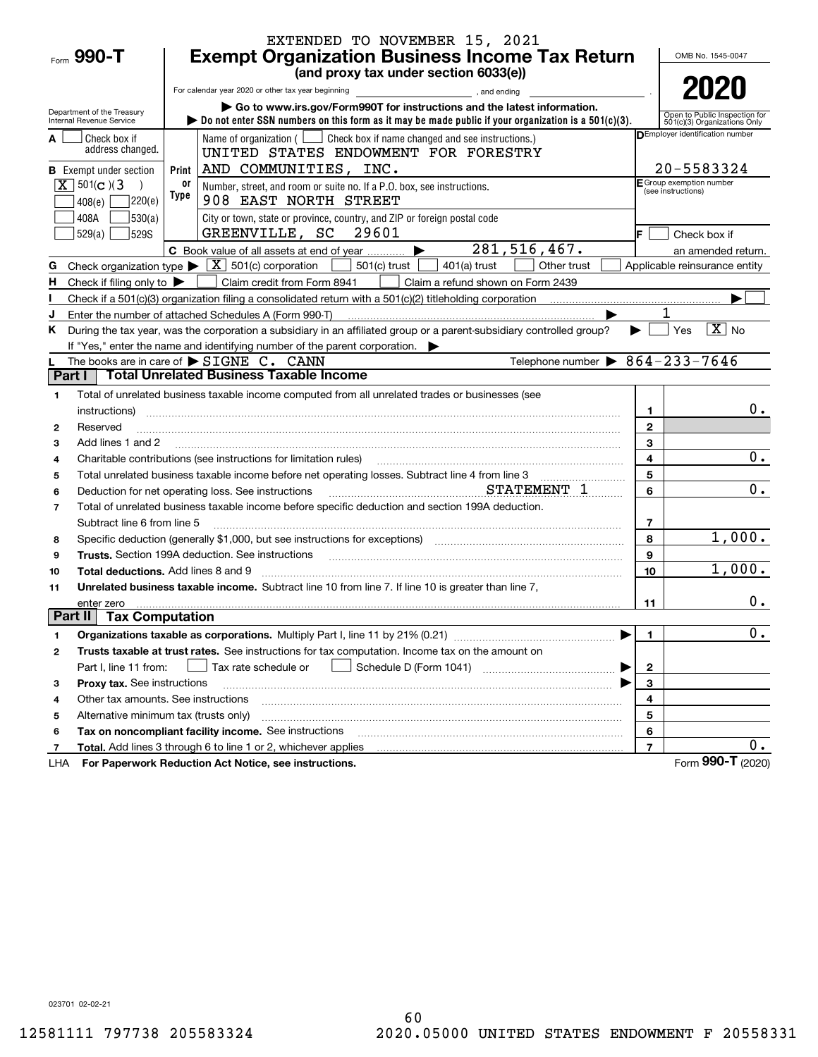|                |                                               |            | EXTENDED TO NOVEMBER 15, 2021                                                                                                                                                                                                  |                              |                                                     |
|----------------|-----------------------------------------------|------------|--------------------------------------------------------------------------------------------------------------------------------------------------------------------------------------------------------------------------------|------------------------------|-----------------------------------------------------|
|                | Form 990-T                                    |            | <b>Exempt Organization Business Income Tax Return</b>                                                                                                                                                                          |                              | OMB No. 1545-0047                                   |
|                |                                               |            | (and proxy tax under section 6033(e))                                                                                                                                                                                          |                              |                                                     |
|                |                                               |            | For calendar year 2020 or other tax year beginning<br>, and ending                                                                                                                                                             |                              | 2020                                                |
|                | Department of the Treasury                    |            | Go to www.irs.gov/Form990T for instructions and the latest information.                                                                                                                                                        |                              | Open to Public Inspection for                       |
|                | Internal Revenue Service                      |            | bo not enter SSN numbers on this form as it may be made public if your organization is a $501(c)(3)$ .                                                                                                                         |                              | 501(c)(3) Organizations Only                        |
|                | Check box if<br>address changed.              |            | Name of organization ( $\Box$ Check box if name changed and see instructions.)                                                                                                                                                 |                              | DEmployer identification number                     |
|                |                                               |            | UNITED STATES ENDOWMENT FOR FORESTRY                                                                                                                                                                                           |                              |                                                     |
|                | <b>B</b> Exempt under section                 | Print      | AND COMMUNITIES, INC.                                                                                                                                                                                                          |                              | 20-5583324<br>E Group exemption number              |
|                | $\boxed{\mathbf{X}}$ 501(c)(3                 | 0ľ<br>Type | Number, street, and room or suite no. If a P.O. box, see instructions.                                                                                                                                                         |                              | (see instructions)                                  |
|                | ]220(e)<br>408(e)                             |            | 908 EAST NORTH STREET                                                                                                                                                                                                          |                              |                                                     |
|                | 530(a) <br>408A<br>529(a)<br>529S             |            | City or town, state or province, country, and ZIP or foreign postal code<br>GREENVILLE, SC 29601                                                                                                                               |                              |                                                     |
|                |                                               |            | 281,516,467.<br>▶                                                                                                                                                                                                              |                              | Check box if                                        |
| G              |                                               |            | C Book value of all assets at end of year<br>Check organization type $\blacktriangleright \boxed{\text{X}}$ 501(c) corporation<br>501(c) trust<br>$401(a)$ trust<br>Other trust                                                |                              | an amended return.<br>Applicable reinsurance entity |
| н.             | Check if filing only to $\blacktriangleright$ |            | Claim credit from Form 8941<br>Claim a refund shown on Form 2439                                                                                                                                                               |                              |                                                     |
|                |                                               |            | Check if a 501(c)(3) organization filing a consolidated return with a 501(c)(2) titleholding corporation <i>manumeration</i> manumeration                                                                                      |                              |                                                     |
| J              |                                               |            | Enter the number of attached Schedules A (Form 990-T)                                                                                                                                                                          |                              |                                                     |
| K.             |                                               |            | During the tax year, was the corporation a subsidiary in an affiliated group or a parent-subsidiary controlled group?                                                                                                          |                              | $\boxed{\text{X}}$ No<br>Yes                        |
|                |                                               |            | If "Yes," enter the name and identifying number of the parent corporation.                                                                                                                                                     |                              |                                                     |
|                |                                               |            | Telephone number $\triangleright$ 864-233-7646<br>The books are in care of $\triangleright$ SIGNE $\circ$ . CANN                                                                                                               |                              |                                                     |
| Part I         |                                               |            | <b>Total Unrelated Business Taxable Income</b>                                                                                                                                                                                 |                              |                                                     |
| 1              |                                               |            | Total of unrelated business taxable income computed from all unrelated trades or businesses (see                                                                                                                               |                              |                                                     |
|                | instructions)                                 |            |                                                                                                                                                                                                                                | 1                            | $0$ .                                               |
| 2              | Reserved                                      |            |                                                                                                                                                                                                                                | $\mathbf{2}$                 |                                                     |
| 3              | Add lines 1 and 2                             |            |                                                                                                                                                                                                                                | 3                            |                                                     |
| 4              |                                               |            | Charitable contributions (see instructions for limitation rules)                                                                                                                                                               | 4                            | 0.                                                  |
| 5              |                                               |            | Total unrelated business taxable income before net operating losses. Subtract line 4 from line 3                                                                                                                               | 5                            |                                                     |
| 6              |                                               |            | STATEMENT 1<br>Deduction for net operating loss. See instructions                                                                                                                                                              | 6                            | 0.                                                  |
| $\overline{7}$ |                                               |            | Total of unrelated business taxable income before specific deduction and section 199A deduction.                                                                                                                               |                              |                                                     |
|                | Subtract line 6 from line 5                   |            |                                                                                                                                                                                                                                | 7                            |                                                     |
| 8              |                                               |            | Specific deduction (generally \$1,000, but see instructions for exceptions) manufactured controller and the set                                                                                                                | 8                            | 1,000.                                              |
| 9              |                                               |            | Trusts. Section 199A deduction. See instructions [11] material content content and the intervention of the intervention of the intervention of the intervention of the intervention of the intervention of the intervention of | 9                            |                                                     |
| 10             | <b>Total deductions.</b> Add lines 8 and 9    |            |                                                                                                                                                                                                                                | 10                           | 1,000.                                              |
| 11             |                                               |            | Unrelated business taxable income. Subtract line 10 from line 7. If line 10 is greater than line 7,                                                                                                                            |                              |                                                     |
|                | enter zero                                    |            |                                                                                                                                                                                                                                | 11                           | 0.                                                  |
| Part II        | <b>Tax Computation</b>                        |            |                                                                                                                                                                                                                                |                              |                                                     |
| 1              |                                               |            |                                                                                                                                                                                                                                | 1.                           | $\overline{0}$ .                                    |
| 2              |                                               |            | Trusts taxable at trust rates. See instructions for tax computation. Income tax on the amount on                                                                                                                               |                              |                                                     |
|                | Part I, line 11 from:                         |            | Tax rate schedule or                                                                                                                                                                                                           | $\mathbf 2$                  |                                                     |
| з              | Proxy tax. See instructions                   |            |                                                                                                                                                                                                                                | 3                            |                                                     |
| 4              | Other tax amounts. See instructions           |            |                                                                                                                                                                                                                                | 4                            |                                                     |
| 5              | Alternative minimum tax (trusts only)         |            |                                                                                                                                                                                                                                | 5                            |                                                     |
| 6              |                                               |            | Tax on noncompliant facility income. See instructions                                                                                                                                                                          | 6<br>$\overline{\mathbf{r}}$ | 0.                                                  |
| 7              |                                               |            | Total. Add lines 3 through 6 to line 1 or 2, whichever applies<br>For Paperwork Reduction Act Notice, see instructions.                                                                                                        |                              | Form 990-T (2020)                                   |
| LHA            |                                               |            |                                                                                                                                                                                                                                |                              |                                                     |

023701 02-02-21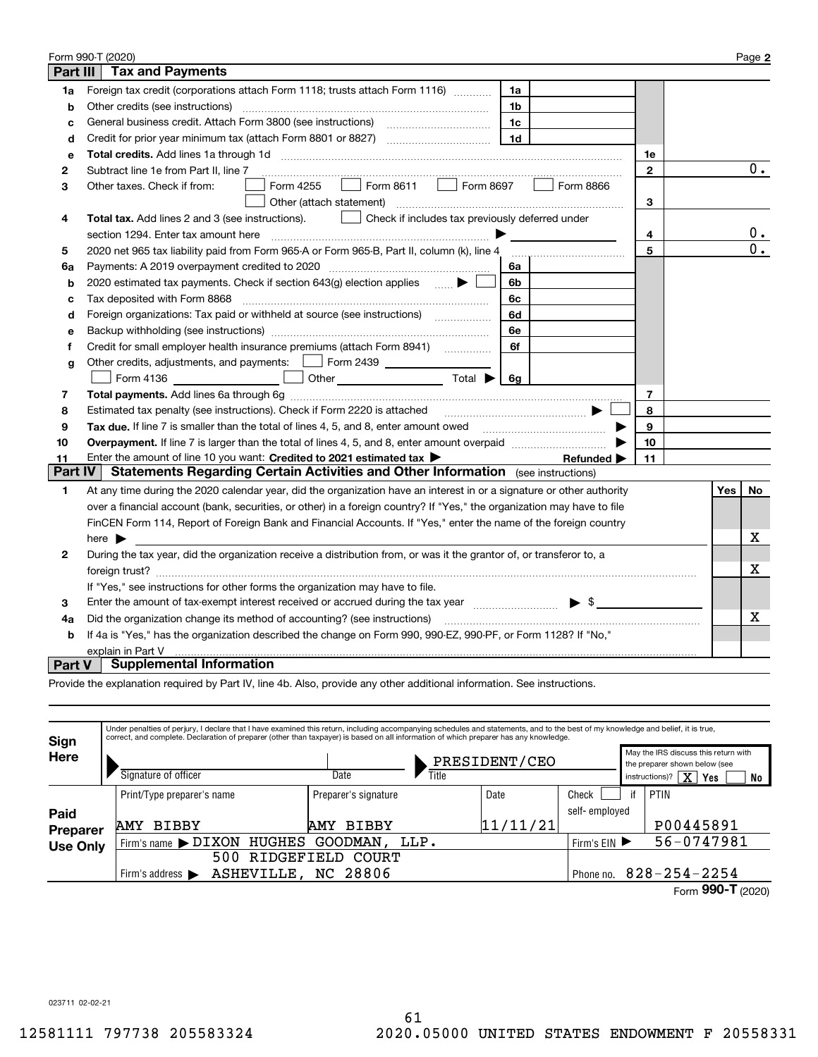|                 | Form 990-T (2020)                                                                                                                     |              |     | Page 2           |
|-----------------|---------------------------------------------------------------------------------------------------------------------------------------|--------------|-----|------------------|
| <b>Part III</b> | <b>Tax and Payments</b>                                                                                                               |              |     |                  |
| 1a              | Foreign tax credit (corporations attach Form 1118; trusts attach Form 1116)<br>1a                                                     |              |     |                  |
| b               | Other credits (see instructions)<br>1b                                                                                                |              |     |                  |
| C               | 1c                                                                                                                                    |              |     |                  |
| d               | 1 <sub>d</sub>                                                                                                                        |              |     |                  |
| e               |                                                                                                                                       | 1e           |     |                  |
| 2               | Subtract line 1e from Part II, line 7                                                                                                 | $\mathbf{2}$ |     | $0$ .            |
| 3               | Form 8611<br>Form 8697<br>Form 4255<br>Form 8866<br>Other taxes. Check if from:<br>$\mathbf{1}$                                       |              |     |                  |
|                 | Other (attach statement)                                                                                                              | 3            |     |                  |
| 4               | Check if includes tax previously deferred under<br><b>Total tax.</b> Add lines 2 and 3 (see instructions).                            |              |     |                  |
|                 | section 1294. Enter tax amount here                                                                                                   | 4            |     | $\mathbf{0}$ .   |
| 5               | 2020 net 965 tax liability paid from Form 965-A or Form 965-B, Part II, column (k), line 4                                            | 5            |     | $\overline{0}$ . |
| 6a              | Payments: A 2019 overpayment credited to 2020 [11] [11] maximum materials: A 2019 overpayment credited to 2020<br>6a                  |              |     |                  |
| b               | 2020 estimated tax payments. Check if section 643(g) election applies<br>6b                                                           |              |     |                  |
| c               | Tax deposited with Form 8868<br>6c                                                                                                    |              |     |                  |
| d               | Foreign organizations: Tax paid or withheld at source (see instructions) [<br>6d                                                      |              |     |                  |
| е               | 6e                                                                                                                                    |              |     |                  |
| f               | Credit for small employer health insurance premiums (attach Form 8941) [<br>6f                                                        |              |     |                  |
| g               | Other credits, adjustments, and payments:   Form 2439                                                                                 |              |     |                  |
|                 | Other $\overline{\hspace{1cm}}$ Total $\blacktriangleright$ $\begin{array}{ c c c c }\hline \hspace{1.2cm}6g\end{array}$<br>Form 4136 |              |     |                  |
| 7               |                                                                                                                                       | 7            |     |                  |
| 8               | Estimated tax penalty (see instructions). Check if Form 2220 is attached                                                              | 8            |     |                  |
| 9               | Tax due. If line 7 is smaller than the total of lines 4, 5, and 8, enter amount owed <i>manumenon containers</i>                      | 9            |     |                  |
| 10              |                                                                                                                                       | 10           |     |                  |
| 11              | Enter the amount of line 10 you want: Credited to 2021 estimated tax ><br>Refunded $\blacktriangleright$                              | 11           |     |                  |
| <b>Part IV</b>  | Statements Regarding Certain Activities and Other Information (see instructions)                                                      |              |     |                  |
| 1               | At any time during the 2020 calendar year, did the organization have an interest in or a signature or other authority                 |              | Yes | No               |
|                 | over a financial account (bank, securities, or other) in a foreign country? If "Yes," the organization may have to file               |              |     |                  |
|                 | FinCEN Form 114, Report of Foreign Bank and Financial Accounts. If "Yes," enter the name of the foreign country                       |              |     |                  |
|                 | here $\blacktriangleright$                                                                                                            |              |     | х                |
| 2               | During the tax year, did the organization receive a distribution from, or was it the grantor of, or transferor to, a                  |              |     |                  |
|                 |                                                                                                                                       |              |     | Х                |
|                 | If "Yes," see instructions for other forms the organization may have to file.                                                         |              |     |                  |
| 3               | Enter the amount of tax-exempt interest received or accrued during the tax year manufactured $\bullet$ \$                             |              |     |                  |
| 4a              | Did the organization change its method of accounting? (see instructions)                                                              |              |     | x                |
| b               | If 4a is "Yes," has the organization described the change on Form 990, 990-EZ, 990-PF, or Form 1128? If "No,"                         |              |     |                  |
|                 | explain in Part V                                                                                                                     |              |     |                  |
| <b>Part V</b>   | <b>Supplemental Information</b>                                                                                                       |              |     |                  |

Provide the explanation required by Part IV, line 4b. Also, provide any other additional information. See instructions.

| Sign            | Under penalties of perjury, I declare that I have examined this return, including accompanying schedules and statements, and to the best of my knowledge and belief, it is true,<br>correct, and complete. Declaration of preparer (other than taxpayer) is based on all information of which preparer has any knowledge. |                      |       |               |               |    |                                                                       |
|-----------------|---------------------------------------------------------------------------------------------------------------------------------------------------------------------------------------------------------------------------------------------------------------------------------------------------------------------------|----------------------|-------|---------------|---------------|----|-----------------------------------------------------------------------|
| Here            |                                                                                                                                                                                                                                                                                                                           |                      |       | PRESIDENT/CEO |               |    | May the IRS discuss this return with<br>the preparer shown below (see |
|                 | Signature of officer                                                                                                                                                                                                                                                                                                      | Date                 | Title |               |               |    | $\overline{\mathrm{x}}$<br>instructions)?<br>Yes<br>No                |
|                 | Print/Type preparer's name                                                                                                                                                                                                                                                                                                | Preparer's signature |       | Date          | Check         | if | <b>PTIN</b>                                                           |
| Paid            |                                                                                                                                                                                                                                                                                                                           |                      |       |               | self-employed |    |                                                                       |
| <b>Preparer</b> | <b>BIBBY</b><br><b>AMY</b>                                                                                                                                                                                                                                                                                                | <b>BIBBY</b><br>AMY  |       | 11/11/21      |               |    | P00445891                                                             |
| <b>Use Only</b> | HUGHES<br>$'$ Firm's name $\blacktriangleright$ DIXON                                                                                                                                                                                                                                                                     | GOODMAN.             | LLP.  |               | Firm's $EIN$  |    | 56-0747981                                                            |
|                 | 500                                                                                                                                                                                                                                                                                                                       | RIDGEFIELD COURT     |       |               |               |    |                                                                       |
|                 | ASHEVILLE, NC 28806<br>Firm's address $\blacktriangleright$                                                                                                                                                                                                                                                               |                      |       |               | Phone no.     |    | $828 - 254 - 2254$                                                    |
|                 |                                                                                                                                                                                                                                                                                                                           |                      |       |               |               |    | 000T                                                                  |

Form (2020)  **990-T**

023711 02-02-21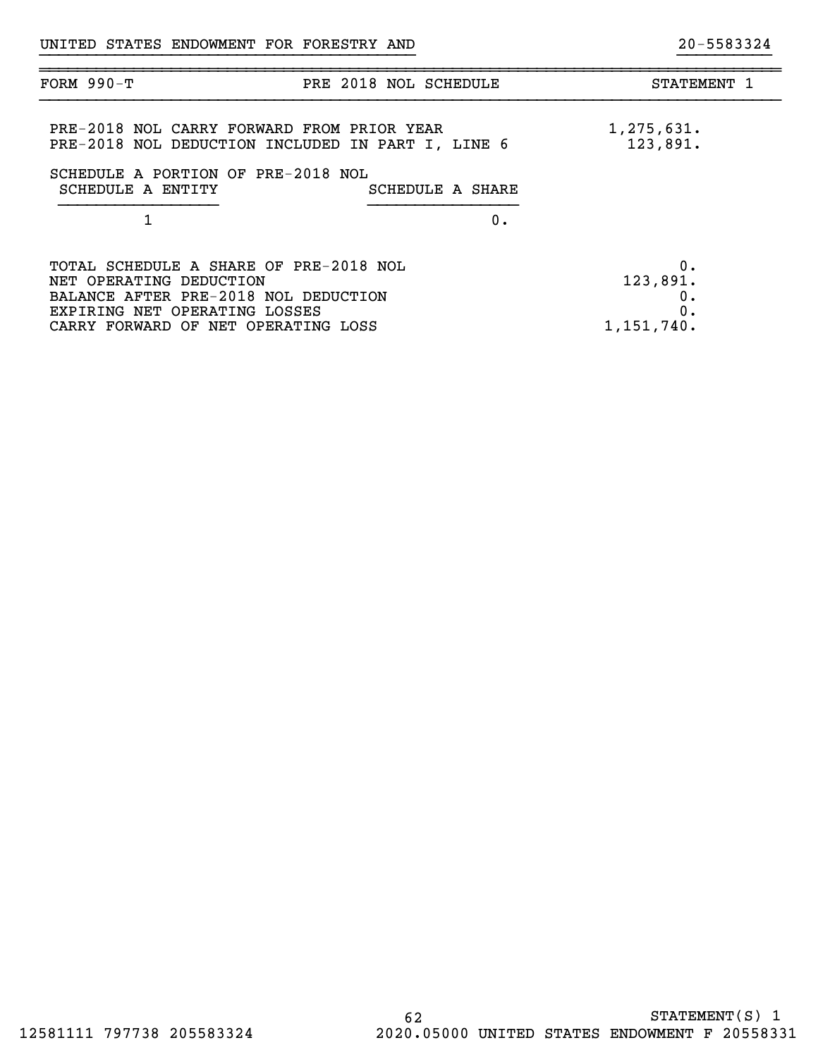| <b>FORM 990-T</b>                                                                                                                                          | PRE 2018 NOL SCHEDULE | STATEMENT 1                |
|------------------------------------------------------------------------------------------------------------------------------------------------------------|-----------------------|----------------------------|
| PRE-2018 NOL CARRY FORWARD FROM PRIOR YEAR<br>PRE-2018 NOL DEDUCTION INCLUDED IN PART I, LINE 6<br>SCHEDULE A PORTION OF PRE-2018 NOL<br>SCHEDULE A ENTITY | SCHEDULE A SHARE      | 1,275,631.<br>123,891.     |
|                                                                                                                                                            |                       |                            |
|                                                                                                                                                            | 0.                    |                            |
| TOTAL SCHEDULE A SHARE OF PRE-2018 NOL<br>NET OPERATING DEDUCTION<br>BALANCE AFTER PRE-2018 NOL DEDUCTION<br>EXPIRING NET OPERATING LOSSES                 |                       | 0.<br>123,891.<br>0.<br>0. |
| CARRY FORWARD OF NET OPERATING LOSS                                                                                                                        |                       | 1,151,740.                 |

}}}}}}}}}}}}}}}}}}}}}}}}}}}}}}}}}}}}}}}} }}}}}}}}}}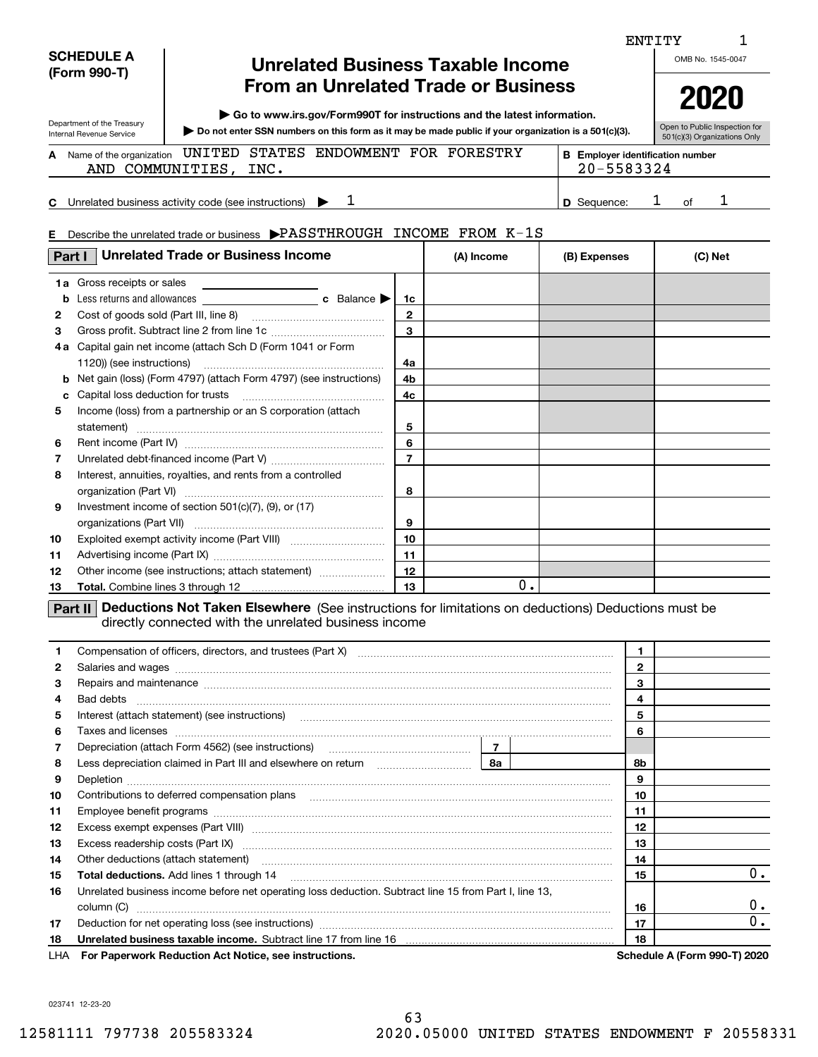| <b>SCHEDULE A</b><br>(Form 990-T)                      | <b>Unrelated Business Taxable Income</b>                                                                                |                   |                                                       | OMB No. 1545-0047                                             |
|--------------------------------------------------------|-------------------------------------------------------------------------------------------------------------------------|-------------------|-------------------------------------------------------|---------------------------------------------------------------|
|                                                        | <b>From an Unrelated Trade or Business</b><br>► Go to www.irs.gov/Form990T for instructions and the latest information. |                   |                                                       | 2020                                                          |
| Department of the Treasury<br>Internal Revenue Service | $\triangleright$ Do not enter SSN numbers on this form as it may be made public if your organization is a 501(c)(3).    |                   |                                                       | Open to Public Inspection for<br>501(c)(3) Organizations Only |
| A Name of the organization<br>AND COMMUNITIES,         | ENDOWMENT<br>STATES<br>UNITED<br>INC.                                                                                   | FORESTRY<br>FOR . | <b>B</b> Employer identification number<br>20-5583324 |                                                               |
|                                                        | <b>C</b> Unrelated business activity code (see instructions)                                                            |                   | <b>D</b> Sequence:                                    | റf                                                            |
|                                                        | E Describe the unrelated trade or business PASSTHROUGH                                                                  | INCOME FROM K-1S  |                                                       |                                                               |
| Part I                                                 | <b>Unrelated Trade or Business Income</b>                                                                               | (A) Income        | (B) Expenses                                          | (C) Net                                                       |

1

ENTITY

| b            | <b>1a</b> Gross receipts or sales                                          | 1c             |    |  |
|--------------|----------------------------------------------------------------------------|----------------|----|--|
| $\mathbf{2}$ |                                                                            | $\mathbf{2}$   |    |  |
| З            |                                                                            | 3              |    |  |
| 4 a          | Capital gain net income (attach Sch D (Form 1041 or Form                   |                |    |  |
|              | 1120)) (see instructions)                                                  | 4a             |    |  |
|              | <b>b</b> Net gain (loss) (Form 4797) (attach Form 4797) (see instructions) | 4b             |    |  |
| c.           |                                                                            | 4c             |    |  |
| 5            | Income (loss) from a partnership or an S corporation (attach               |                |    |  |
|              | statement)                                                                 | 5              |    |  |
| 6            |                                                                            | 6              |    |  |
| 7            |                                                                            | $\overline{7}$ |    |  |
| 8            | Interest, annuities, royalties, and rents from a controlled                |                |    |  |
|              |                                                                            | 8              |    |  |
| 9            | Investment income of section $501(c)(7)$ , (9), or (17)                    |                |    |  |
|              |                                                                            | 9              |    |  |
| 10           |                                                                            | 10             |    |  |
| 11           |                                                                            | 11             |    |  |
| 12           | Other income (see instructions; attach statement)                          | 12             |    |  |
| 13           |                                                                            | 13             | 0. |  |

#### **Part II Deductions Not Taken Elsewhere** (See instructions for limitations on deductions) Deductions must be directly connected with the unrelated business income

| 1   |                                                                                                                                                                                                                                |  | 1            |                                     |
|-----|--------------------------------------------------------------------------------------------------------------------------------------------------------------------------------------------------------------------------------|--|--------------|-------------------------------------|
| 2   | Salaries and wages with the continuum control of the control of the control of the control of the control of the control of the control of the control of the control of the control of the control of the control of the cont |  | $\mathbf{2}$ |                                     |
| 3   | Repairs and maintenance measurements are all the contract of the contract of the contract of the contract of the contract of the contract of the contract of the contract of the contract of the contract of the contract of t |  | 3            |                                     |
| 4   |                                                                                                                                                                                                                                |  | 4            |                                     |
| 5   | Interest (attach statement) (see instructions) [11] material content in the statement of the statement of statement of the statement of the statement of the statement of the statement of the statement of the statement of t |  | 5            |                                     |
| 6   |                                                                                                                                                                                                                                |  | 6            |                                     |
| 7   |                                                                                                                                                                                                                                |  |              |                                     |
| 8   | Less depreciation claimed in Part III and elsewhere on return <i>manumeranomical</i>   8a                                                                                                                                      |  | 8b           |                                     |
| 9   |                                                                                                                                                                                                                                |  | 9            |                                     |
| 10  | Contributions to deferred compensation plans                                                                                                                                                                                   |  | 10           |                                     |
| 11  |                                                                                                                                                                                                                                |  | 11           |                                     |
| 12  |                                                                                                                                                                                                                                |  | 12           |                                     |
| 13  | Excess readership costs (Part IX) [11] [2000] [2000] [2010] [3000] [3000] [3000] [3000] [3000] [3000] [3000] [                                                                                                                 |  | 13           |                                     |
| 14  |                                                                                                                                                                                                                                |  | 14           |                                     |
| 15  |                                                                                                                                                                                                                                |  | 15           | 0.                                  |
| 16  | Unrelated business income before net operating loss deduction. Subtract line 15 from Part I, line 13,                                                                                                                          |  |              |                                     |
|     | column (C)                                                                                                                                                                                                                     |  | 16           | $0 \cdot$                           |
| 17  |                                                                                                                                                                                                                                |  | 17           | 0.                                  |
| 18  | Unrelated business taxable income. Subtract line 17 from line 16 [11] manuscription contracts in the United St                                                                                                                 |  | 18           |                                     |
| LHA | For Paperwork Reduction Act Notice, see instructions.                                                                                                                                                                          |  |              | <b>Schedule A (Form 990-T) 2020</b> |

023741 12-23-20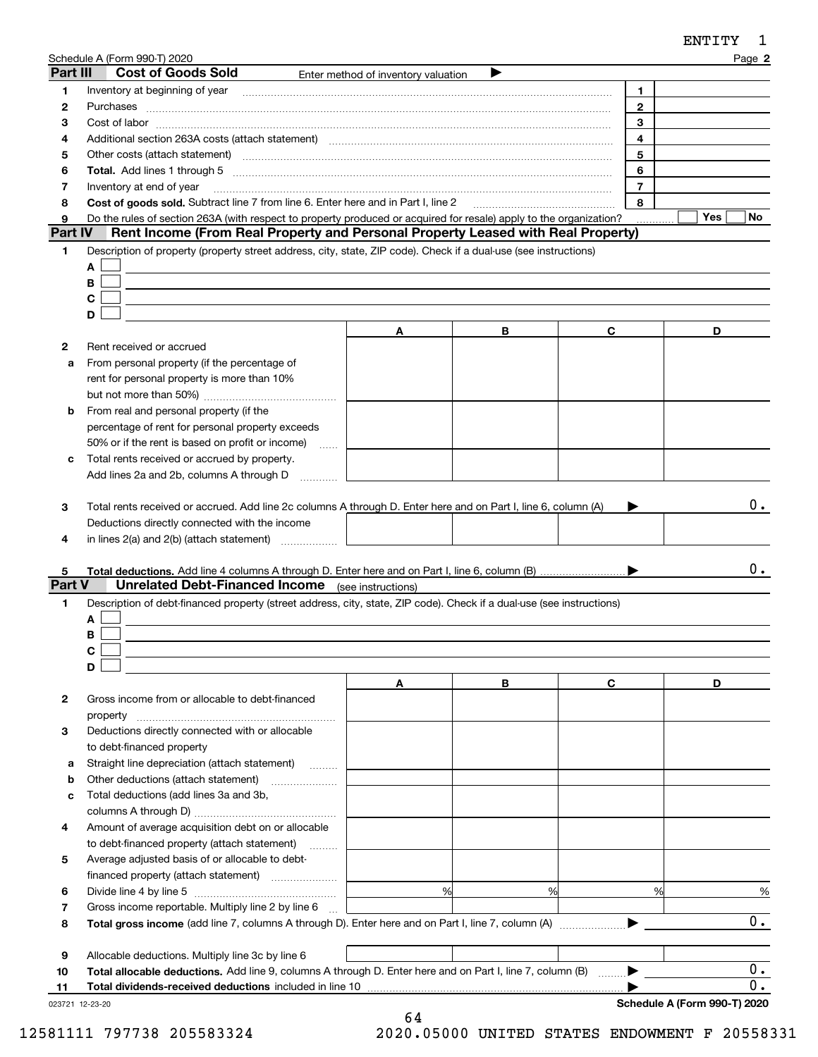|          | Schedule A (Form 990-T) 2020                                                                                                                                                                                                   |                                     |   |                | Page 2           |
|----------|--------------------------------------------------------------------------------------------------------------------------------------------------------------------------------------------------------------------------------|-------------------------------------|---|----------------|------------------|
| Part III | <b>Cost of Goods Sold</b>                                                                                                                                                                                                      | Enter method of inventory valuation |   |                |                  |
| 1        |                                                                                                                                                                                                                                |                                     |   | 1.             |                  |
| 2        | Purchases                                                                                                                                                                                                                      |                                     |   | $\mathbf{2}$   |                  |
| з        |                                                                                                                                                                                                                                |                                     |   | 3              |                  |
| 4        |                                                                                                                                                                                                                                |                                     |   | 4              |                  |
| 5        | Other costs (attach statement) manufactured and contract and contract and contract and contract and contract and contract and contract and contract and contract and contract and contract and contract and contract and contr |                                     |   | 5              |                  |
| 6        |                                                                                                                                                                                                                                |                                     |   | 6              |                  |
| 7        | Inventory at end of year                                                                                                                                                                                                       |                                     |   | $\overline{7}$ |                  |
| 8        | Cost of goods sold. Subtract line 7 from line 6. Enter here and in Part I, line 2                                                                                                                                              |                                     |   | 8              |                  |
| 9        | Do the rules of section 263A (with respect to property produced or acquired for resale) apply to the organization?                                                                                                             |                                     |   |                | Yes<br>No.       |
| Part IV  | Rent Income (From Real Property and Personal Property Leased with Real Property)                                                                                                                                               |                                     |   |                |                  |
| 1        | Description of property (property street address, city, state, ZIP code). Check if a dual-use (see instructions)                                                                                                               |                                     |   |                |                  |
|          | A                                                                                                                                                                                                                              |                                     |   |                |                  |
|          | B                                                                                                                                                                                                                              |                                     |   |                |                  |
|          | С                                                                                                                                                                                                                              |                                     |   |                |                  |
|          | D                                                                                                                                                                                                                              |                                     |   |                |                  |
|          |                                                                                                                                                                                                                                | A                                   | В | C              | D                |
| 2        | Rent received or accrued                                                                                                                                                                                                       |                                     |   |                |                  |
| a        | From personal property (if the percentage of                                                                                                                                                                                   |                                     |   |                |                  |
|          | rent for personal property is more than 10%                                                                                                                                                                                    |                                     |   |                |                  |
|          |                                                                                                                                                                                                                                |                                     |   |                |                  |
| b        | From real and personal property (if the                                                                                                                                                                                        |                                     |   |                |                  |
|          |                                                                                                                                                                                                                                |                                     |   |                |                  |
|          | percentage of rent for personal property exceeds                                                                                                                                                                               |                                     |   |                |                  |
|          | 50% or if the rent is based on profit or income)<br><b>Service</b>                                                                                                                                                             |                                     |   |                |                  |
| с        | Total rents received or accrued by property.                                                                                                                                                                                   |                                     |   |                |                  |
|          | Add lines 2a and 2b, columns A through D                                                                                                                                                                                       |                                     |   |                |                  |
|          |                                                                                                                                                                                                                                |                                     |   |                |                  |
| з        | Total rents received or accrued. Add line 2c columns A through D. Enter here and on Part I, line 6, column (A)                                                                                                                 |                                     |   |                | 0.               |
|          | Deductions directly connected with the income                                                                                                                                                                                  |                                     |   |                |                  |
| 4        | in lines $2(a)$ and $2(b)$ (attach statement) $\ldots$                                                                                                                                                                         |                                     |   |                |                  |
|          |                                                                                                                                                                                                                                |                                     |   |                |                  |
| 5        |                                                                                                                                                                                                                                |                                     |   |                | 0.               |
| Part V   | <b>Unrelated Debt-Financed Income</b> (see instructions)                                                                                                                                                                       |                                     |   |                |                  |
| 1        | Description of debt-financed property (street address, city, state, ZIP code). Check if a dual-use (see instructions)                                                                                                          |                                     |   |                |                  |
|          | A                                                                                                                                                                                                                              |                                     |   |                |                  |
|          | В                                                                                                                                                                                                                              |                                     |   |                |                  |
|          | C.                                                                                                                                                                                                                             |                                     |   |                |                  |
|          | D                                                                                                                                                                                                                              |                                     |   |                |                  |
|          |                                                                                                                                                                                                                                | A                                   | В | C              | D                |
| 2        | Gross income from or allocable to debt-financed                                                                                                                                                                                |                                     |   |                |                  |
|          | property                                                                                                                                                                                                                       |                                     |   |                |                  |
| 3        | Deductions directly connected with or allocable                                                                                                                                                                                |                                     |   |                |                  |
|          | to debt-financed property                                                                                                                                                                                                      |                                     |   |                |                  |
| а        | Straight line depreciation (attach statement)                                                                                                                                                                                  |                                     |   |                |                  |
| b        | Other deductions (attach statement)                                                                                                                                                                                            |                                     |   |                |                  |
| c        | Total deductions (add lines 3a and 3b,                                                                                                                                                                                         |                                     |   |                |                  |
|          |                                                                                                                                                                                                                                |                                     |   |                |                  |
| 4        | Amount of average acquisition debt on or allocable                                                                                                                                                                             |                                     |   |                |                  |
|          |                                                                                                                                                                                                                                |                                     |   |                |                  |
|          | to debt-financed property (attach statement)                                                                                                                                                                                   |                                     |   |                |                  |
| 5        | Average adjusted basis of or allocable to debt-                                                                                                                                                                                |                                     |   |                |                  |
|          |                                                                                                                                                                                                                                |                                     |   |                |                  |
| 6        |                                                                                                                                                                                                                                | %                                   | % | %              | %                |
| 7        | Gross income reportable. Multiply line 2 by line 6                                                                                                                                                                             |                                     |   |                |                  |
| 8        |                                                                                                                                                                                                                                |                                     |   |                | 0.               |
|          |                                                                                                                                                                                                                                |                                     |   |                |                  |
| 9        | Allocable deductions. Multiply line 3c by line 6                                                                                                                                                                               |                                     |   |                |                  |
| 10       | Total allocable deductions. Add line 9, columns A through D. Enter here and on Part I, line 7, column (B)                                                                                                                      |                                     |   |                | $\overline{0}$ . |

| <b>Total dividends-received deductions</b> included in line 10 |
|----------------------------------------------------------------|
|----------------------------------------------------------------|

023721 12-23-20

 $\blacktriangleright$ 

 $\overline{0.}$ 

ENTITY 1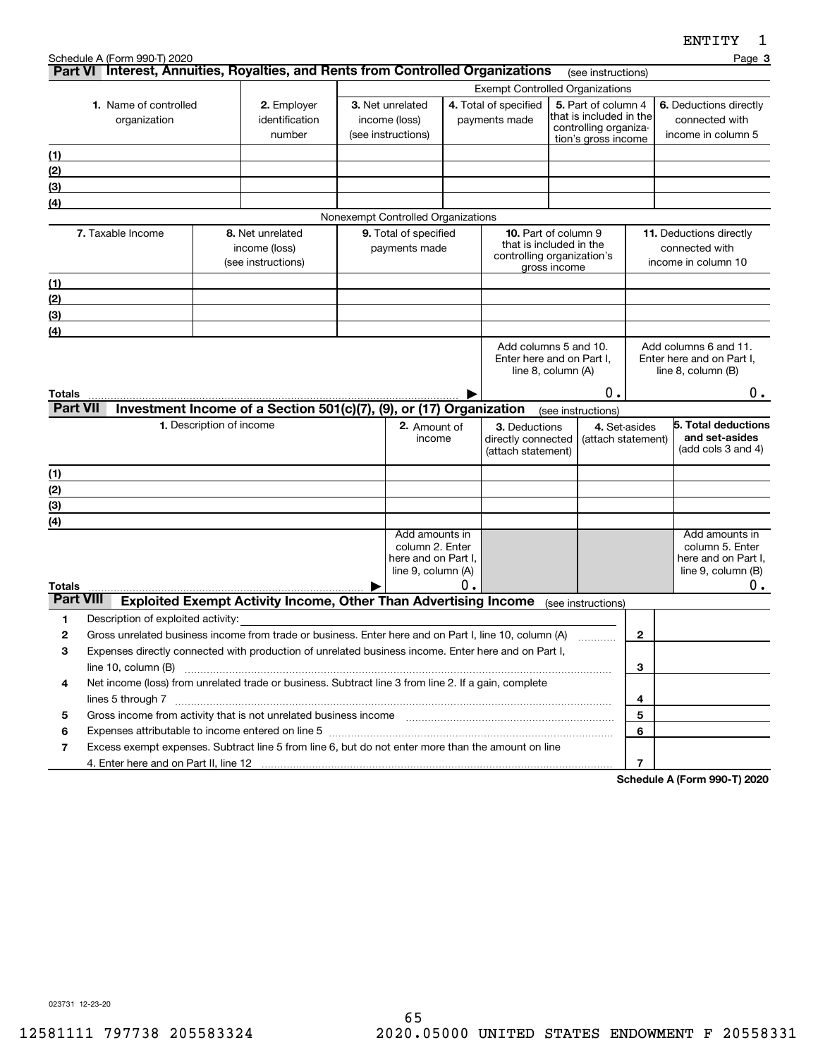|                  | Schedule A (Form 990-T) 2020                                                                                                                                                                                                                          |                                                                                                                                                                                                              |                                                                        |                                        |                                    |                                                       |                                                    |                                                |                       |                         | ---------<br>Page 3                                |
|------------------|-------------------------------------------------------------------------------------------------------------------------------------------------------------------------------------------------------------------------------------------------------|--------------------------------------------------------------------------------------------------------------------------------------------------------------------------------------------------------------|------------------------------------------------------------------------|----------------------------------------|------------------------------------|-------------------------------------------------------|----------------------------------------------------|------------------------------------------------|-----------------------|-------------------------|----------------------------------------------------|
|                  | Part VI Interest, Annuities, Royalties, and Rents from Controlled Organizations                                                                                                                                                                       |                                                                                                                                                                                                              |                                                                        |                                        |                                    |                                                       |                                                    |                                                | (see instructions)    |                         |                                                    |
|                  |                                                                                                                                                                                                                                                       |                                                                                                                                                                                                              |                                                                        | <b>Exempt Controlled Organizations</b> |                                    |                                                       |                                                    |                                                |                       |                         |                                                    |
|                  | 1. Name of controlled                                                                                                                                                                                                                                 |                                                                                                                                                                                                              | 2. Employer<br>identification                                          | 3. Net unrelated<br>income (loss)      |                                    | 4. Total of specified<br>payments made                |                                                    | 5. Part of column 4<br>that is included in the |                       |                         | 6. Deductions directly<br>connected with           |
|                  | organization                                                                                                                                                                                                                                          |                                                                                                                                                                                                              | number                                                                 |                                        | (see instructions)                 |                                                       |                                                    |                                                | controlling organiza- |                         | income in column 5                                 |
|                  |                                                                                                                                                                                                                                                       |                                                                                                                                                                                                              |                                                                        |                                        |                                    |                                                       |                                                    |                                                | tion's gross income   |                         |                                                    |
| (1)<br>(2)       |                                                                                                                                                                                                                                                       |                                                                                                                                                                                                              |                                                                        |                                        |                                    |                                                       |                                                    |                                                |                       |                         |                                                    |
| (3)              |                                                                                                                                                                                                                                                       |                                                                                                                                                                                                              |                                                                        |                                        |                                    |                                                       |                                                    |                                                |                       |                         |                                                    |
| (4)              |                                                                                                                                                                                                                                                       |                                                                                                                                                                                                              |                                                                        |                                        |                                    |                                                       |                                                    |                                                |                       |                         |                                                    |
|                  |                                                                                                                                                                                                                                                       |                                                                                                                                                                                                              |                                                                        |                                        | Nonexempt Controlled Organizations |                                                       |                                                    |                                                |                       |                         |                                                    |
|                  | 7. Taxable Income                                                                                                                                                                                                                                     |                                                                                                                                                                                                              | 8. Net unrelated                                                       | 9. Total of specified                  |                                    |                                                       | <b>10.</b> Part of column 9                        |                                                |                       | 11. Deductions directly |                                                    |
|                  |                                                                                                                                                                                                                                                       |                                                                                                                                                                                                              | income (loss)                                                          | payments made                          |                                    | that is included in the<br>controlling organization's |                                                    | connected with                                 |                       |                         |                                                    |
|                  |                                                                                                                                                                                                                                                       |                                                                                                                                                                                                              | (see instructions)                                                     |                                        |                                    |                                                       |                                                    | gross income                                   |                       |                         | income in column 10                                |
| (1)              |                                                                                                                                                                                                                                                       |                                                                                                                                                                                                              |                                                                        |                                        |                                    |                                                       |                                                    |                                                |                       |                         |                                                    |
| (2)              |                                                                                                                                                                                                                                                       |                                                                                                                                                                                                              |                                                                        |                                        |                                    |                                                       |                                                    |                                                |                       |                         |                                                    |
| (3)              |                                                                                                                                                                                                                                                       |                                                                                                                                                                                                              |                                                                        |                                        |                                    |                                                       |                                                    |                                                |                       |                         |                                                    |
| (4)              |                                                                                                                                                                                                                                                       |                                                                                                                                                                                                              |                                                                        |                                        |                                    |                                                       |                                                    |                                                |                       |                         |                                                    |
|                  |                                                                                                                                                                                                                                                       |                                                                                                                                                                                                              |                                                                        |                                        |                                    |                                                       | Add columns 5 and 10.<br>Enter here and on Part I, |                                                |                       |                         | Add columns 6 and 11.<br>Enter here and on Part I, |
|                  |                                                                                                                                                                                                                                                       |                                                                                                                                                                                                              |                                                                        |                                        |                                    |                                                       |                                                    | line 8, column (A)                             |                       |                         | line 8, column (B)                                 |
| Totals           |                                                                                                                                                                                                                                                       |                                                                                                                                                                                                              |                                                                        |                                        |                                    |                                                       |                                                    |                                                | 0.                    |                         | $0$ .                                              |
| <b>Part VII</b>  |                                                                                                                                                                                                                                                       |                                                                                                                                                                                                              | Investment Income of a Section 501(c)(7), (9), or (17) Organization    |                                        |                                    |                                                       |                                                    | (see instructions)                             |                       |                         |                                                    |
|                  |                                                                                                                                                                                                                                                       | 1. Description of income                                                                                                                                                                                     |                                                                        |                                        | 2. Amount of                       |                                                       | 3. Deductions                                      |                                                | 4. Set-asides         |                         | 5. Total deductions                                |
|                  |                                                                                                                                                                                                                                                       |                                                                                                                                                                                                              | income                                                                 |                                        | directly connected                 |                                                       | (attach statement)                                 |                                                | and set-asides        |                         |                                                    |
|                  |                                                                                                                                                                                                                                                       |                                                                                                                                                                                                              |                                                                        |                                        |                                    |                                                       | (attach statement)                                 |                                                |                       |                         | (add cols $3$ and $4$ )                            |
| (1)              |                                                                                                                                                                                                                                                       |                                                                                                                                                                                                              |                                                                        |                                        |                                    |                                                       |                                                    |                                                |                       |                         |                                                    |
| (2)              |                                                                                                                                                                                                                                                       |                                                                                                                                                                                                              |                                                                        |                                        |                                    |                                                       |                                                    |                                                |                       |                         |                                                    |
| (3)              |                                                                                                                                                                                                                                                       |                                                                                                                                                                                                              |                                                                        |                                        |                                    |                                                       |                                                    |                                                |                       |                         |                                                    |
| (4)              |                                                                                                                                                                                                                                                       |                                                                                                                                                                                                              |                                                                        |                                        | Add amounts in                     |                                                       |                                                    |                                                |                       |                         | Add amounts in                                     |
|                  |                                                                                                                                                                                                                                                       |                                                                                                                                                                                                              |                                                                        |                                        | column 2. Enter                    |                                                       |                                                    |                                                |                       |                         | column 5. Enter                                    |
|                  |                                                                                                                                                                                                                                                       |                                                                                                                                                                                                              |                                                                        |                                        | here and on Part I,                |                                                       |                                                    |                                                |                       |                         | here and on Part I,                                |
| <b>Totals</b>    |                                                                                                                                                                                                                                                       |                                                                                                                                                                                                              |                                                                        |                                        | line 9, column (A)                 | 0.                                                    |                                                    |                                                |                       |                         | line 9, column (B)<br>0.                           |
| <b>Part VIII</b> |                                                                                                                                                                                                                                                       |                                                                                                                                                                                                              | <b>Exploited Exempt Activity Income, Other Than Advertising Income</b> |                                        |                                    |                                                       |                                                    |                                                | (see instructions)    |                         |                                                    |
| 1                | Description of exploited activity:                                                                                                                                                                                                                    |                                                                                                                                                                                                              |                                                                        |                                        |                                    |                                                       |                                                    |                                                |                       |                         |                                                    |
| 2                |                                                                                                                                                                                                                                                       |                                                                                                                                                                                                              |                                                                        |                                        |                                    |                                                       |                                                    |                                                |                       | $\mathbf{2}$            |                                                    |
| 3                |                                                                                                                                                                                                                                                       | Gross unrelated business income from trade or business. Enter here and on Part I, line 10, column (A)<br>Expenses directly connected with production of unrelated business income. Enter here and on Part I, |                                                                        |                                        |                                    |                                                       |                                                    |                                                |                       |                         |                                                    |
|                  | line 10, column (B)                                                                                                                                                                                                                                   |                                                                                                                                                                                                              |                                                                        |                                        |                                    |                                                       | 3                                                  |                                                |                       |                         |                                                    |
| 4                | Net income (loss) from unrelated trade or business. Subtract line 3 from line 2. If a gain, complete                                                                                                                                                  |                                                                                                                                                                                                              |                                                                        |                                        |                                    |                                                       |                                                    |                                                |                       |                         |                                                    |
|                  | 4                                                                                                                                                                                                                                                     |                                                                                                                                                                                                              |                                                                        |                                        |                                    |                                                       |                                                    |                                                |                       |                         |                                                    |
| 5                | Gross income from activity that is not unrelated business income [11] [11] content material content from activity that is not unrelated business income [11] [11] [11] $\alpha$ [11] $\alpha$ [11] $\alpha$ [11] $\alpha$ [11] $\alpha$ [11] $\alpha$ |                                                                                                                                                                                                              |                                                                        |                                        |                                    |                                                       |                                                    |                                                |                       | 5                       |                                                    |
| 6                | Expenses attributable to income entered on line 5 [[11] manufacture manufacture attributable to income entered on line 5 [[11] manufacture manufacture attributable to income entered on line 5 [[11] manufacture manufacture                         |                                                                                                                                                                                                              |                                                                        |                                        |                                    |                                                       |                                                    |                                                |                       | 6                       |                                                    |
| 7                | Excess exempt expenses. Subtract line 5 from line 6, but do not enter more than the amount on line                                                                                                                                                    |                                                                                                                                                                                                              |                                                                        |                                        |                                    |                                                       |                                                    |                                                |                       |                         |                                                    |
|                  |                                                                                                                                                                                                                                                       |                                                                                                                                                                                                              |                                                                        |                                        |                                    |                                                       |                                                    |                                                |                       | $\overline{7}$          | Cabadula A (Fauna 000 T) 0000                      |

**Schedule A (Form 990-T) 2020**

023731 12-23-20